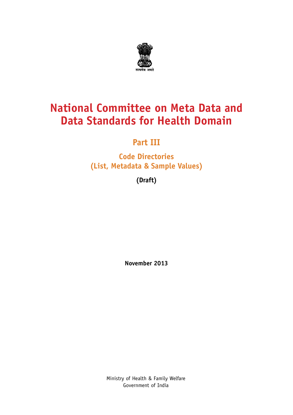

#### **National Committee on Meta Data and Data Standards for Health Domain**

#### **Part III**

**Code Directories (List, Metadata & Sample Values)**

**(Draft)**

**November 2013**

Ministry of Health & Family Welfare Government of India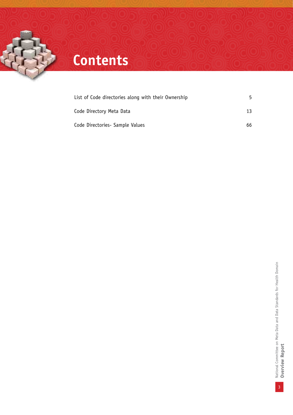

## **Contents**

| List of Code directories along with their Ownership | 5. |
|-----------------------------------------------------|----|
| Code Directory Meta Data                            | 13 |
| Code Directories - Sample Values                    | 66 |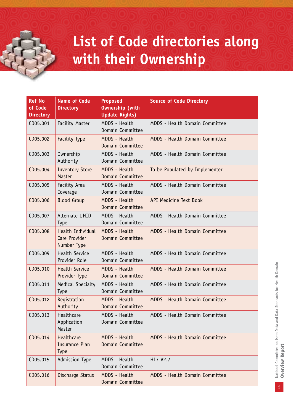## **List of Code directories along with their Ownership**

| <b>Ref No</b><br>of Code<br><b>Directory</b> | <b>Name of Code</b><br><b>Directory</b>            | <b>Proposed</b><br><b>Ownership (with</b><br><b>Update Rights)</b> | <b>Source of Code Directory</b>       |
|----------------------------------------------|----------------------------------------------------|--------------------------------------------------------------------|---------------------------------------|
| CD05.001                                     | <b>Facility Master</b>                             | MDDS - Health<br>Domain Committee                                  | MDDS - Health Domain Committee        |
| CD05.002                                     | <b>Facility Type</b>                               | MDDS - Health<br>Domain Committee                                  | MDDS - Health Domain Committee        |
| CD05.003                                     | Ownership<br>Authority                             | MDDS - Health<br>Domain Committee                                  | MDDS - Health Domain Committee        |
| CD05.004                                     | <b>Inventory Store</b><br>Master                   | MDDS - Health<br>Domain Committee                                  | To be Populated by Implementer        |
| CD05.005                                     | Facility Area<br>Coverage                          | MDDS - Health<br>Domain Committee                                  | MDDS - Health Domain Committee        |
| CD05.006                                     | <b>Blood Group</b>                                 | <b>MDDS - Health</b><br>Domain Committee                           | API Medicine Text Book                |
| CD05.007                                     | Alternate UHID<br><b>Type</b>                      | MDDS - Health<br>Domain Committee                                  | MDDS - Health Domain Committee        |
| CD05.008                                     | Health Individual<br>Care Provider<br>Number Type  | MDDS - Health<br>Domain Committee                                  | MDDS - Health Domain Committee        |
| CD05.009                                     | Health Service<br>Provider Role                    | MDDS - Health<br>Domain Committee                                  | MDDS - Health Domain Committee        |
| CD05.010                                     | <b>Health Service</b><br>Provider Type             | <b>MDDS - Health</b><br>Domain Committee                           | MDDS - Health Domain Committee        |
| CD05.011                                     | <b>Medical Specialty</b><br><b>Type</b>            | MDDS - Health<br>Domain Committee                                  | MDDS - Health Domain Committee        |
| CD05.012                                     | Registration<br>Authority                          | MDDS - Health<br>Domain Committee                                  | MDDS - Health Domain Committee        |
| CD05.013                                     | Healthcare<br>Application<br>Master                | MDDS - Health<br>Domain Committee                                  | MDDS - Health Domain Committee        |
| CD05.014                                     | Healthcare<br><b>Insurance Plan</b><br><b>Type</b> | <b>MDDS - Health</b><br>Domain Committee                           | MDDS - Health Domain Committee        |
| CD05.015                                     | Admission Type                                     | MDDS - Health<br>Domain Committee                                  | HL7 V2.7                              |
| CD05.016                                     | Discharge Status                                   | MDDS - Health<br><b>Domain Committee</b>                           | <b>MDDS - Health Domain Committee</b> |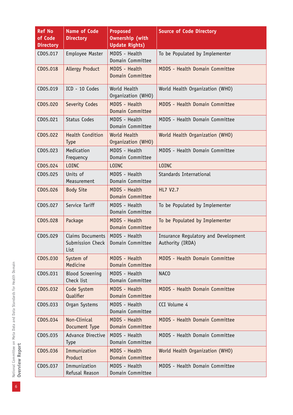| <b>Ref No</b><br>of Code<br><b>Directory</b> | <b>Name of Code</b><br><b>Directory</b>      | <b>Proposed</b><br><b>Ownership (with</b><br><b>Update Rights)</b> | <b>Source of Code Directory</b>                          |  |
|----------------------------------------------|----------------------------------------------|--------------------------------------------------------------------|----------------------------------------------------------|--|
| CD05.017                                     | Employee Master                              | MDDS - Health<br>Domain Committee                                  | To be Populated by Implementer                           |  |
| CD05.018                                     | <b>Allergy Product</b>                       | MDDS - Health<br>Domain Committee                                  | MDDS - Health Domain Committee                           |  |
| CD05.019                                     | ICD - 10 Codes                               | World Health<br>Organization (WHO)                                 | World Health Organization (WHO)                          |  |
| CD05.020                                     | Severity Codes                               | MDDS - Health<br>Domain Committee                                  | MDDS - Health Domain Committee                           |  |
| CD05.021                                     | <b>Status Codes</b>                          | MDDS - Health<br>Domain Committee                                  | MDDS - Health Domain Committee                           |  |
| CD05.022                                     | <b>Health Condition</b><br><b>Type</b>       | World Health<br>Organization (WHO)                                 | World Health Organization (WHO)                          |  |
| CD05.023                                     | Medication<br>Frequency                      | MDDS - Health<br>Domain Committee                                  | MDDS - Health Domain Committee                           |  |
| CD05.024                                     | <b>LOINC</b>                                 | <b>LOINC</b>                                                       | <b>LOINC</b>                                             |  |
| CD05.025                                     | Units of<br>Measurement                      | MDDS - Health<br>Domain Committee                                  | Standards International                                  |  |
| CD05.026                                     | <b>Body Site</b>                             | MDDS - Health<br>Domain Committee                                  | <b>HL7 V2.7</b>                                          |  |
| CD05.027                                     | Service Tariff                               | MDDS - Health<br>Domain Committee                                  | To be Populated by Implementer                           |  |
| CD05.028                                     | Package                                      | MDDS - Health<br>Domain Committee                                  | To be Populated by Implementer                           |  |
| CD05.029                                     | Claims Documents<br>Submission Check<br>List | MDDS - Health<br>Domain Committee                                  | Insurance Regulatory and Development<br>Authority (IRDA) |  |
| CD05.030                                     | System of<br>Medicine                        | MDDS - Health<br>Domain Committee                                  | MDDS - Health Domain Committee                           |  |
| CD05.031                                     | <b>Blood Screening</b><br>Check list         | MDDS - Health<br>Domain Committee                                  | NACO                                                     |  |
| CD05.032                                     | Code System<br><b>Qualifier</b>              | MDDS - Health<br>Domain Committee                                  | MDDS - Health Domain Committee                           |  |
| CD05.033                                     | Organ Systems                                | MDDS - Health<br>Domain Committee                                  | CCI Volume 4                                             |  |
| CD05.034                                     | Non-Clinical<br>Document Type                | MDDS - Health<br>Domain Committee                                  | MDDS - Health Domain Committee                           |  |
| CD05.035                                     | Advance Directive<br><b>Type</b>             | MDDS - Health<br>Domain Committee                                  | MDDS - Health Domain Committee                           |  |
| CD05.036                                     | Immunization<br>Product                      | MDDS - Health<br>Domain Committee                                  | World Health Organization (WHO)                          |  |
| CD05.037                                     | Immunization<br>Refusal Reason               | MDDS - Health<br>Domain Committee                                  | MDDS - Health Domain Committee                           |  |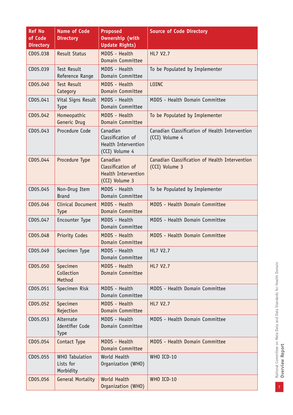| <b>Ref No</b><br>of Code<br><b>Directory</b> | <b>Name of Code</b><br><b>Directory</b>         | <b>Proposed</b><br><b>Ownership (with</b><br><b>Update Rights)</b>            | <b>Source of Code Directory</b>                                  |  |
|----------------------------------------------|-------------------------------------------------|-------------------------------------------------------------------------------|------------------------------------------------------------------|--|
| CD05.038                                     | <b>Result Status</b>                            | <b>MDDS - Health</b><br>Domain Committee                                      | HL7 V2.7                                                         |  |
| CD05.039                                     | <b>Test Result</b><br>Reference Range           | MDDS - Health<br>Domain Committee                                             | To be Populated by Implementer                                   |  |
| CD05.040                                     | <b>Test Result</b><br>Category                  | MDDS - Health<br>Domain Committee                                             | <b>LOINC</b>                                                     |  |
| CD05.041                                     | Vital Signs Result<br><b>Type</b>               | MDDS - Health<br>Domain Committee                                             | MDDS - Health Domain Committee                                   |  |
| CD05.042                                     | Homeopathic<br>Generic Drug                     | <b>MDDS - Health</b><br>Domain Committee                                      | To be Populated by Implementer                                   |  |
| CD05.043                                     | Procedure Code                                  | Canadian<br>Classification of<br><b>Health Intervention</b><br>(CCI) Volume 4 | Canadian Classification of Health Intervention<br>(CCI) Volume 4 |  |
| CD05.044                                     | Procedure Type                                  | Canadian<br>Classification of<br><b>Health Intervention</b><br>(CCI) Volume 3 | Canadian Classification of Health Intervention<br>(CCI) Volume 3 |  |
| CD05.045                                     | Non-Drug Item<br><b>Brand</b>                   | MDDS - Health<br>Domain Committee                                             | To be Populated by Implementer                                   |  |
| CD05.046                                     | Clinical Document<br><b>Type</b>                | MDDS - Health<br>Domain Committee                                             | MDDS - Health Domain Committee                                   |  |
| CD05.047                                     | Encounter Type                                  | MDDS - Health<br>Domain Committee                                             | MDDS - Health Domain Committee                                   |  |
| CD05.048                                     | <b>Priority Codes</b>                           | MDDS - Health<br>Domain Committee                                             | MDDS - Health Domain Committee                                   |  |
| CD05.049                                     | Specimen Type                                   | MDDS - Health<br>Domain Committee                                             | HL7 V2.7                                                         |  |
| CD05.050                                     | Specimen<br>Collection<br>Method                | MDDS - Health<br>Domain Committee                                             | <b>HL7 V2.7</b>                                                  |  |
| CD05.051                                     | Specimen Risk                                   | MDDS - Health<br>Domain Committee                                             | MDDS - Health Domain Committee                                   |  |
| CD05.052                                     | Specimen<br>Rejection                           | <b>MDDS - Health</b><br>Domain Committee                                      | HL7 V2.7                                                         |  |
| CD05.053                                     | Alternate<br>Identifier Code<br><b>Type</b>     | MDDS - Health<br>Domain Committee                                             | MDDS - Health Domain Committee                                   |  |
| CD05.054                                     | Contact Type                                    | MDDS - Health<br>Domain Committee                                             | MDDS - Health Domain Committee                                   |  |
| CD05.055                                     | <b>WHO</b> Tabulation<br>Lists for<br>Morbidity | World Health<br>Organization (WHO)                                            | WHO ICD-10                                                       |  |
| CD05.056                                     | <b>General Mortality</b>                        | World Health<br>Organization (WHO)                                            | WHO ICD-10                                                       |  |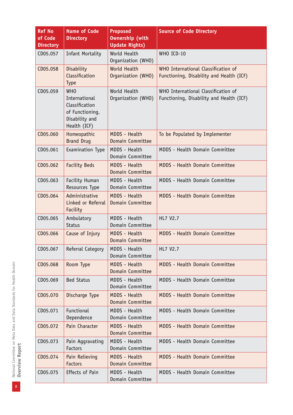| <b>Ref No</b><br>of Code<br><b>Directory</b> | <b>Name of Code</b><br><b>Directory</b>                                                            | <b>Proposed</b><br><b>Ownership (with</b><br><b>Update Rights)</b> | <b>Source of Code Directory</b>                                                 |
|----------------------------------------------|----------------------------------------------------------------------------------------------------|--------------------------------------------------------------------|---------------------------------------------------------------------------------|
| CD05.057                                     | Infant Mortality                                                                                   | World Health<br>Organization (WHO)                                 | WHO ICD-10                                                                      |
| CD05.058                                     | Disability<br>Classification<br>Type                                                               | <b>World Health</b><br>Organization (WHO)                          | WHO International Classification of<br>Functioning, Disability and Health (ICF) |
| CD05.059                                     | <b>WHO</b><br>International<br>Classification<br>of Functioning,<br>Disability and<br>Health (ICF) | World Health<br>Organization (WHO)                                 | WHO International Classification of<br>Functioning, Disability and Health (ICF) |
| CD05.060                                     | Homeopathic<br><b>Brand Drug</b>                                                                   | MDDS - Health<br>Domain Committee                                  | To be Populated by Implementer                                                  |
| CD05.061                                     | Examination Type                                                                                   | MDDS - Health<br>Domain Committee                                  | MDDS - Health Domain Committee                                                  |
| CD05.062                                     | <b>Facility Beds</b>                                                                               | MDDS - Health<br>Domain Committee                                  | MDDS - Health Domain Committee                                                  |
| CD05.063                                     | Facility Human<br>Resources Type                                                                   | MDDS - Health<br>Domain Committee                                  | MDDS - Health Domain Committee                                                  |
| CD05.064                                     | Administrative<br>Linked or Referral<br>Facility                                                   | MDDS - Health<br>Domain Committee                                  | MDDS - Health Domain Committee                                                  |
| CD05.065                                     | Ambulatory<br><b>Status</b>                                                                        | MDDS - Health<br>Domain Committee                                  | HL7 V2.7                                                                        |
| CD05.066                                     | Cause of Injury                                                                                    | MDDS - Health<br>Domain Committee                                  | MDDS - Health Domain Committee                                                  |
| CD05.067                                     | Referral Category                                                                                  | MDDS - Health<br>Domain Committee                                  | HL7 V2.7                                                                        |
| CD05.068                                     | Room Type                                                                                          | MDDS - Health<br>Domain Committee                                  | MDDS - Health Domain Committee                                                  |
| CD05.069                                     | <b>Bed Status</b>                                                                                  | MDDS - Health<br>Domain Committee                                  | MDDS - Health Domain Committee                                                  |
| CD05.070                                     | Discharge Type                                                                                     | MDDS - Health<br>Domain Committee                                  | MDDS - Health Domain Committee                                                  |
| CD05.071                                     | Functional<br>Dependence                                                                           | MDDS - Health<br>Domain Committee                                  | MDDS - Health Domain Committee                                                  |
| CD05.072                                     | Pain Character                                                                                     | MDDS - Health<br>Domain Committee                                  | MDDS - Health Domain Committee                                                  |
| CD05.073                                     | Pain Aggravating<br>Factors                                                                        | MDDS - Health<br>Domain Committee                                  | MDDS - Health Domain Committee                                                  |
| CD05.074                                     | Pain Relieving<br><b>Factors</b>                                                                   | MDDS - Health<br>Domain Committee                                  | MDDS - Health Domain Committee                                                  |
| CD05.075                                     | Effects of Pain                                                                                    | MDDS - Health<br>Domain Committee                                  | MDDS - Health Domain Committee                                                  |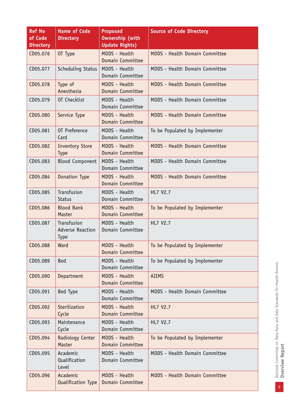| <b>Ref No</b><br>of Code<br><b>Directory</b> | <b>Name of Code</b><br><b>Directory</b>               | <b>Proposed</b><br><b>Ownership (with</b><br><b>Update Rights)</b> | <b>Source of Code Directory</b> |  |
|----------------------------------------------|-------------------------------------------------------|--------------------------------------------------------------------|---------------------------------|--|
| CD05.076                                     | OT Type                                               | <b>MDDS - Health</b><br>Domain Committee                           | MDDS - Health Domain Committee  |  |
| CD05.077                                     | Scheduling Status                                     | MDDS - Health<br>Domain Committee                                  | MDDS - Health Domain Committee  |  |
| CD05.078                                     | Type of<br>Anesthesia                                 | MDDS - Health<br>Domain Committee                                  | MDDS - Health Domain Committee  |  |
| CD05.079                                     | OT Checklist                                          | MDDS - Health<br>Domain Committee                                  | MDDS - Health Domain Committee  |  |
| CD05.080                                     | Service Type                                          | <b>MDDS - Health</b><br>Domain Committee                           | MDDS - Health Domain Committee  |  |
| CD05.081                                     | OT Preference<br>Card                                 | MDDS - Health<br>Domain Committee                                  | To be Populated by Implementer  |  |
| CD05.082                                     | <b>Inventory Store</b><br><b>Type</b>                 | MDDS - Health<br>Domain Committee                                  | MDDS - Health Domain Committee  |  |
| CD05.083                                     | <b>Blood Component</b>                                | MDDS - Health<br>Domain Committee                                  | MDDS - Health Domain Committee  |  |
| CD05.084                                     | Donation Type                                         | MDDS - Health<br>Domain Committee                                  | MDDS - Health Domain Committee  |  |
| CD05.085                                     | Transfusion<br><b>Status</b>                          | MDDS - Health<br>Domain Committee                                  | HL7 V2.7                        |  |
| CD05.086                                     | <b>Blood Bank</b><br>Master                           | MDDS - Health<br>Domain Committee                                  | To be Populated by Implementer  |  |
| CD05.087                                     | Transfusion<br><b>Adverse Reaction</b><br><b>Type</b> | MDDS - Health<br>Domain Committee                                  | HL7 V2.7                        |  |
| CD05.088                                     | Ward                                                  | MDDS - Health<br>Domain Committee                                  | To be Populated by Implementer  |  |
| CD05.089                                     | <b>Bed</b>                                            | MDDS - Health<br>Domain Committee                                  | To be Populated by Implementer  |  |
| CD05.090                                     | Department                                            | MDDS - Health<br>Domain Committee                                  | <b>AIIMS</b>                    |  |
| CD05.091                                     | Bed Type                                              | MDDS - Health<br>Domain Committee                                  | MDDS - Health Domain Committee  |  |
| CD05.092                                     | Sterilization<br>Cycle                                | MDDS - Health<br>Domain Committee                                  | <b>HL7 V2.7</b>                 |  |
| CD05.093                                     | Maintenance<br>Cycle                                  | MDDS - Health<br>Domain Committee                                  | HL7 V2.7                        |  |
| CD05.094                                     | Radiology Center<br>Master                            | <b>MDDS - Health</b><br>Domain Committee                           | To be Populated by Implementer  |  |
| CD05.095                                     | Academic<br>Qualification<br>Level                    | MDDS - Health<br>Domain Committee                                  | MDDS - Health Domain Committee  |  |
| CD05.096                                     | Academic<br><b>Qualification Type</b>                 | MDDS - Health<br>Domain Committee                                  | MDDS - Health Domain Committee  |  |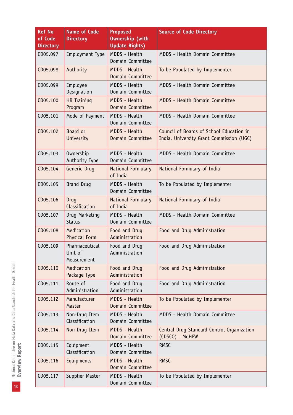| <b>Ref No</b><br>of Code<br><b>Directory</b> | <b>Name of Code</b><br><b>Directory</b>  | <b>Proposed</b><br><b>Ownership (with</b><br><b>Update Rights)</b> | <b>Source of Code Directory</b>                                                      |  |
|----------------------------------------------|------------------------------------------|--------------------------------------------------------------------|--------------------------------------------------------------------------------------|--|
| CD05.097                                     | Employment Type                          | MDDS - Health<br>Domain Committee                                  | MDDS - Health Domain Committee                                                       |  |
| CD05.098                                     | Authority                                | <b>MDDS - Health</b><br>Domain Committee                           | To be Populated by Implementer                                                       |  |
| CD05.099                                     | Employee<br>Designation                  | MDDS - Health<br>Domain Committee                                  | MDDS - Health Domain Committee                                                       |  |
| CD05.100                                     | HR Training<br>Program                   | MDDS - Health<br>Domain Committee                                  | MDDS - Health Domain Committee                                                       |  |
| CD05.101                                     | Mode of Payment                          | MDDS - Health<br>Domain Committee                                  | MDDS - Health Domain Committee                                                       |  |
| CD05.102                                     | Board or<br>University                   | MDDS - Health<br>Domain Committee                                  | Council of Boards of School Education in<br>India, University Grant Commission (UGC) |  |
| CD05.103                                     | Ownership<br>Authority Type              | MDDS - Health<br>Domain Committee                                  | MDDS - Health Domain Committee                                                       |  |
| CD05.104                                     | Generic Drug                             | National Formulary<br>of India                                     | National Formulary of India                                                          |  |
| CD05.105                                     | <b>Brand Drug</b>                        | MDDS - Health<br>Domain Committee                                  | To be Populated by Implementer                                                       |  |
| CD05.106                                     | Drug<br>Classification                   | National Formulary<br>of India                                     | National Formulary of India                                                          |  |
| CD05.107                                     | Drug Marketing<br><b>Status</b>          | MDDS - Health<br>Domain Committee                                  | MDDS - Health Domain Committee                                                       |  |
| CD05.108                                     | Medication<br>Physical Form              | Food and Drug<br>Administration                                    | Food and Drug Administration                                                         |  |
| CD05.109                                     | Pharmaceutical<br>Unit of<br>Measurement | Food and Drug<br>Administration                                    | Food and Drug Administration                                                         |  |
| CD05.110                                     | Medication<br>Package Type               | Food and Drug<br>Administration                                    | Food and Drug Administration                                                         |  |
| CD05.111                                     | Route of<br>Administration               | Food and Drug<br>Administration                                    | Food and Drug Administration                                                         |  |
| CD05.112                                     | Manufacturer<br>Master                   | MDDS - Health<br>Domain Committee                                  | To be Populated by Implementer                                                       |  |
| CD05.113                                     | Non-Drug Item<br>Classification          | MDDS - Health<br>Domain Committee                                  | MDDS - Health Domain Committee                                                       |  |
| CD05.114                                     | Non-Drug Item                            | <b>MDDS</b> - Health<br>Domain Committee                           | Central Drug Standard Control Organization<br>(CDSCO) - MoHFW                        |  |
| CD05.115                                     | Equipment<br>Classification              | MDDS - Health<br>Domain Committee                                  | <b>RMSC</b>                                                                          |  |
| CD05.116                                     | Equipments                               | MDDS - Health<br>Domain Committee                                  | <b>RMSC</b>                                                                          |  |
| CD05.117                                     | Supplier Master                          | MDDS - Health<br>Domain Committee                                  | To be Populated by Implementer                                                       |  |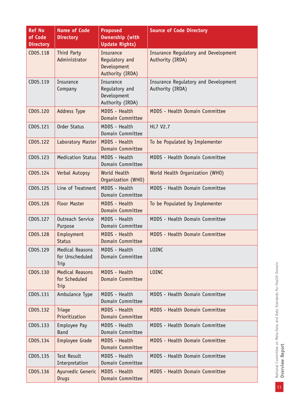| <b>Ref No</b><br>of Code<br><b>Directory</b> | <b>Name of Code</b><br><b>Directory</b>           | <b>Proposed</b><br><b>Ownership (with</b><br><b>Update Rights)</b>    | <b>Source of Code Directory</b>                                 |
|----------------------------------------------|---------------------------------------------------|-----------------------------------------------------------------------|-----------------------------------------------------------------|
| CD05.118                                     | Third Party<br>Administrator                      | <b>Insurance</b><br>Regulatory and<br>Development<br>Authority (IRDA) | <b>Insurance Regulatory and Development</b><br>Authority (IRDA) |
| CD05.119                                     | Insurance<br>Company                              | Insurance<br>Regulatory and<br>Development<br>Authority (IRDA)        | Insurance Regulatory and Development<br>Authority (IRDA)        |
| CD05.120                                     | <b>Address Type</b>                               | <b>MDDS - Health</b><br>Domain Committee                              | MDDS - Health Domain Committee                                  |
| CD05.121                                     | Order Status                                      | MDDS - Health<br>Domain Committee                                     | <b>HL7 V2.7</b>                                                 |
| CD05.122                                     | Laboratory Master                                 | MDDS - Health<br>Domain Committee                                     | To be Populated by Implementer                                  |
| CD05.123                                     | <b>Medication Status</b>                          | MDDS - Health<br>Domain Committee                                     | MDDS - Health Domain Committee                                  |
| CD05.124                                     | Verbal Autopsy                                    | World Health<br>Organization (WHO)                                    | World Health Organization (WHO)                                 |
| CD05.125                                     | Line of Treatment                                 | MDDS - Health<br>Domain Committee                                     | MDDS - Health Domain Committee                                  |
| CD05.126                                     | <b>Floor Master</b>                               | MDDS - Health<br>Domain Committee                                     | To be Populated by Implementer                                  |
| CD05.127                                     | Outreach Service<br>Purpose                       | MDDS - Health<br>Domain Committee                                     | MDDS - Health Domain Committee                                  |
| CD05.128                                     | Employment<br><b>Status</b>                       | MDDS - Health<br>Domain Committee                                     | MDDS - Health Domain Committee                                  |
| CD05.129                                     | <b>Medical Reasons</b><br>for Unscheduled<br>Trip | MDDS - Health<br>Domain Committee                                     | LOINC                                                           |
| CD05.130                                     | <b>Medical Reasons</b><br>for Scheduled<br>Trip   | MDDS - Health<br>Domain Committee                                     | <b>LOINC</b>                                                    |
| CD05.131                                     | Ambulance Type                                    | MDDS - Health<br>Domain Committee                                     | MDDS - Health Domain Committee                                  |
| CD05.132                                     | Triage<br>Prioritization                          | MDDS - Health<br>Domain Committee                                     | MDDS - Health Domain Committee                                  |
| CD05.133                                     | Employee Pay<br><b>Band</b>                       | MDDS - Health<br>Domain Committee                                     | MDDS - Health Domain Committee                                  |
| CD05.134                                     | Employee Grade                                    | MDDS - Health<br>Domain Committee                                     | MDDS - Health Domain Committee                                  |
| CD05.135                                     | <b>Test Result</b><br>Interpretation              | MDDS - Health<br>Domain Committee                                     | MDDS - Health Domain Committee                                  |
| CD05.136                                     | Ayurvedic Generic<br><b>Drugs</b>                 | MDDS - Health<br>Domain Committee                                     | MDDS - Health Domain Committee                                  |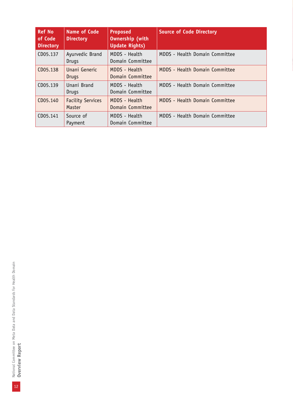| <b>Ref No</b><br>of Code<br><b>Directory</b> | <b>Name of Code</b><br><b>Directory</b> | <b>Proposed</b><br><b>Ownership (with</b><br><b>Update Rights)</b> | <b>Source of Code Directory</b> |
|----------------------------------------------|-----------------------------------------|--------------------------------------------------------------------|---------------------------------|
| CD05.137                                     | Ayurvedic Brand<br>Drugs                | MDDS - Health<br>Domain Committee                                  | MDDS - Health Domain Committee  |
| CD05.138                                     | Unani Generic<br>Drugs                  | MDDS - Health<br>Domain Committee                                  | MDDS - Health Domain Committee  |
| CD05.139                                     | Unani Brand<br>Drugs                    | MDDS - Health<br>Domain Committee                                  | MDDS - Health Domain Committee  |
| CD05.140                                     | <b>Facility Services</b><br>Master      | MDDS - Health<br>Domain Committee                                  | MDDS - Health Domain Committee  |
| CD05.141                                     | Source of<br>Payment                    | MDDS - Health<br>Domain Committee                                  | MDDS - Health Domain Committee  |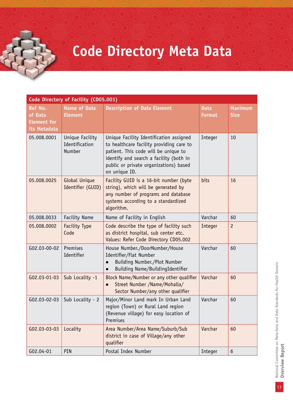# **Code Directory Meta Data**

|                                                                 | Code Directory of Facility (CD05.001)       |                                                                                                                                                                                                                                   |                              |                               |
|-----------------------------------------------------------------|---------------------------------------------|-----------------------------------------------------------------------------------------------------------------------------------------------------------------------------------------------------------------------------------|------------------------------|-------------------------------|
| <b>Ref No.</b><br>of Data<br><b>Element</b> for<br>its Metadata | <b>Name of Data</b><br><b>Element</b>       | <b>Description of Data Element</b>                                                                                                                                                                                                | <b>Data</b><br><b>Format</b> | <b>Maximum</b><br><b>Size</b> |
| 05.008.0001                                                     | Unique Facility<br>Identification<br>Number | Unique Facility Identification assigned<br>to healthcare facility providing care to<br>patient. This code will be unique to<br>identify and search a facility (both in<br>public or private organizations) based<br>on unique ID. | Integer                      | 10                            |
| 05.008.0025                                                     | Global Unique<br>Identifier (GUID)          | Facility GUID is a 16-bit number (byte<br>string), which will be generated by<br>any number of programs and database<br>systems according to a standardized<br>algorithm.                                                         | bits                         | 16                            |
| 05.008.0033                                                     | <b>Facility Name</b>                        | Name of Facility in English                                                                                                                                                                                                       | Varchar                      | 60                            |
| 05.008.0002                                                     | <b>Facility Type</b><br>Code                | Code describe the type of facility such<br>as district hospital, sub center etc.<br>Values: Refer Code Directory CD05.002                                                                                                         | Integer                      | $\overline{c}$                |
| G02.03-00-02                                                    | Premises<br>Identifier                      | House Number./DoorNumber/House<br>Identifier/Flat Number<br>Building Number./Plot Number<br>$\bullet$<br>Building Name/BuildingIdentifier<br>$\bullet$                                                                            | Varchar                      | 60                            |
| G02.03-01-03                                                    | Sub Locality -1                             | Block Name/Number or any other qualifier<br>Street Number /Name/Mohalla/<br>$\bullet$<br>Sector Number/any other qualifier                                                                                                        | Varchar                      | 60                            |
| G02.03-02-03                                                    | Sub Locality - 2                            | Major/Minor Land mark In Urban Land<br>region (Town) or Rural Land region<br>(Revenue village) for easy location of<br>Premises                                                                                                   | Varchar                      | 60                            |
| G02.03-03-03                                                    | Locality                                    | Area Number/Area Name/Suburb/Sub<br>district in case of Village/any other<br>qualifier                                                                                                                                            | Varchar                      | 60                            |
| G02.04-01                                                       | PIN                                         | Postal Index Number                                                                                                                                                                                                               | Integer                      | $6\,$                         |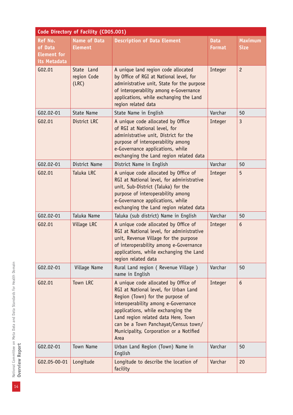|                                                                 | Code Directory of Facility (CD05.001) |                                                                                                                                                                                                                                                                                                                                  |                              |                               |
|-----------------------------------------------------------------|---------------------------------------|----------------------------------------------------------------------------------------------------------------------------------------------------------------------------------------------------------------------------------------------------------------------------------------------------------------------------------|------------------------------|-------------------------------|
| <b>Ref No.</b><br>of Data<br><b>Element for</b><br>its Metadata | <b>Name of Data</b><br><b>Element</b> | <b>Description of Data Element</b>                                                                                                                                                                                                                                                                                               | <b>Data</b><br><b>Format</b> | <b>Maximum</b><br><b>Size</b> |
| G02.01                                                          | State Land<br>region Code<br>(LRC)    | A unique land region code allocated<br>by Office of RGI at National level, for<br>administrative unit, State for the purpose<br>of interoperability among e-Governance<br>applications, while exchanging the Land<br>region related data                                                                                         | Integer                      | $\overline{c}$                |
| G02.02-01                                                       | State Name                            | State Name in English                                                                                                                                                                                                                                                                                                            | Varchar                      | 50                            |
| G02.01                                                          | District LRC                          | A unique code allocated by Office<br>of RGI at National level, for<br>administrative unit, District for the<br>purpose of interoperability among<br>e-Governance applications, while<br>exchanging the Land region related data                                                                                                  | Integer                      | $\overline{3}$                |
| G02.02-01                                                       | District Name                         | District Name in English                                                                                                                                                                                                                                                                                                         | Varchar                      | 50                            |
| G02.01                                                          | Taluka LRC                            | A unique code allocated by Office of<br>RGI at National level, for administrative<br>unit, Sub-District (Taluka) for the<br>purpose of interoperability among<br>e-Governance applications, while<br>exchanging the Land region related data                                                                                     | Integer                      | 5                             |
| G02.02-01                                                       | Taluka Name                           | Taluka (sub district) Name in English                                                                                                                                                                                                                                                                                            | Varchar                      | 50                            |
| G02.01                                                          | Village LRC                           | A unique code allocated by Office of<br>RGI at National level, for administrative<br>unit, Revenue Village for the purpose<br>of interoperability among e-Governance<br>applications, while exchanging the Land<br>region related data                                                                                           | Integer                      | 6                             |
| G02.02-01                                                       | Village Name                          | Rural Land region ( Revenue Village )<br>name in English                                                                                                                                                                                                                                                                         | Varchar                      | 50                            |
| G02.01                                                          | Town LRC                              | A unique code allocated by Office of<br>RGI at National level, for Urban Land<br>Region (Town) for the purpose of<br>interoperability among e-Governance<br>applications, while exchanging the<br>Land region related data Here, Town<br>can be a Town Panchayat/Census town/<br>Municipality, Corporation or a Notified<br>Area | Integer                      | 6                             |
| G02.02-01                                                       | Town Name                             | Urban Land Region (Town) Name in<br>English                                                                                                                                                                                                                                                                                      | Varchar                      | 50                            |
| G02.05-00-01                                                    | Longitude                             | Longitude to describe the location of<br>facility                                                                                                                                                                                                                                                                                | Varchar                      | 20                            |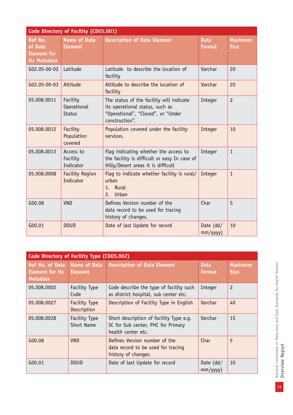|                                                                 | Code Directory of Facility (CD05.001)           |                                                                                                                                     |                              |                               |  |  |
|-----------------------------------------------------------------|-------------------------------------------------|-------------------------------------------------------------------------------------------------------------------------------------|------------------------------|-------------------------------|--|--|
| <b>Ref No.</b><br>of Data<br><b>Element for</b><br>its Metadata | <b>Name of Data</b><br><b>Element</b>           | <b>Description of Data Element</b>                                                                                                  | <b>Data</b><br><b>Format</b> | <b>Maximum</b><br><b>Size</b> |  |  |
| G02.05-00-02                                                    | Latitude                                        | Latitude to describe the location of<br>facility                                                                                    | Varchar                      | 20                            |  |  |
| G02.05-00-03                                                    | Altitude                                        | Altitude to describe the location of<br>facility                                                                                    | Varchar                      | 20                            |  |  |
| 05.008.0011                                                     | Facility<br><b>Operational</b><br><b>Status</b> | The status of the facility will indicate<br>its operational status, such as<br>"Operational", "Closed", or "Under<br>construction". | Integer                      | $\overline{c}$                |  |  |
| 05.008.0012                                                     | Facility<br>Population<br>covered               | Population covered under the facility<br>services.                                                                                  | Integer                      | 10                            |  |  |
| 05.008.0013                                                     | Access to<br>Facility<br>Indicator              | Flag indicating whether the access to<br>the facility is difficult or easy In case of<br>Hilly/Desert areas it is difficult         | Integer                      | $\mathbf{1}$                  |  |  |
| 05.008.0008                                                     | <b>Facility Region</b><br>Indicator             | Flag to indicate whether facility is rural/<br>urban<br>Rural<br>1.<br>Urban<br>2.                                                  | Integer                      | $\mathbf{1}$                  |  |  |
| G00.08                                                          | <b>VND</b>                                      | Defines Version number of the<br>data record to be used for tracing<br>history of changes.                                          | Char                         | 5                             |  |  |
| G00.01                                                          | <b>DOUD</b>                                     | Date of last Update for record                                                                                                      | Date (dd/<br>$mm/$ yyyy $)$  | 10                            |  |  |

| Code Directory of Facility Type (CD05.002)            |                                       |                                                                                                     |                              |                               |  |
|-------------------------------------------------------|---------------------------------------|-----------------------------------------------------------------------------------------------------|------------------------------|-------------------------------|--|
| Ref No. of Data<br><b>Element for its</b><br>Metadata | <b>Name of Data</b><br><b>Element</b> | <b>Description of Data Element</b>                                                                  | <b>Data</b><br><b>Format</b> | <b>Maximum</b><br><b>Size</b> |  |
| 05.008.0002                                           | Facility Type<br>Code                 | Code describe the type of facility such<br>as district hospital, sub center etc.                    | Integer                      | $\overline{c}$                |  |
| 05.008.0027                                           | <b>Facility Type</b><br>Description   | Description of Facility Type in English                                                             | Varchar                      | 40                            |  |
| 05.008.0028                                           | Facility Type<br>Short Name           | Short description of facility Type e.g.<br>SC for Sub center, PHC for Primary<br>health center etc. | Varchar                      | 15                            |  |
| G00.08                                                | <b>VND</b>                            | Defines Version number of the<br>data record to be used for tracing<br>history of changes.          | Char                         | 5                             |  |
| G00.01                                                | <b>DOUD</b>                           | Date of last Update for record                                                                      | Date $(dd/$<br>mm/yyyy)      | 10                            |  |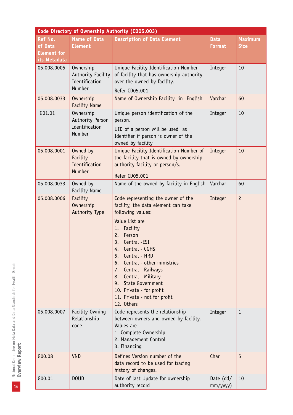|                                                                 | Code Directory of Ownership Authority (CD05.003)                   |                                                                                                                                                                                                                                                                                                                                                                                                                   |                              |                               |  |  |
|-----------------------------------------------------------------|--------------------------------------------------------------------|-------------------------------------------------------------------------------------------------------------------------------------------------------------------------------------------------------------------------------------------------------------------------------------------------------------------------------------------------------------------------------------------------------------------|------------------------------|-------------------------------|--|--|
| <b>Ref No.</b><br>of Data<br><b>Element</b> for<br>its Metadata | <b>Name of Data</b><br><b>Element</b>                              | <b>Description of Data Element</b>                                                                                                                                                                                                                                                                                                                                                                                | <b>Data</b><br><b>Format</b> | <b>Maximum</b><br><b>Size</b> |  |  |
| 05.008.0005                                                     | Ownership<br>Authority Facility<br>Identification<br><b>Number</b> | Unique Facility Identification Number<br>of facility that has ownership authority<br>over the owned by facility.<br>Refer CD05.001                                                                                                                                                                                                                                                                                | Integer                      | 10                            |  |  |
| 05.008.0033                                                     | Ownership<br><b>Facility Name</b>                                  | Name of Ownership Facility in English                                                                                                                                                                                                                                                                                                                                                                             | Varchar                      | 60                            |  |  |
| G01.01                                                          | Ownership<br>Authority Person<br>Identification<br>Number          | Unique person identification of the<br>person.<br>UID of a person will be used as<br>Identifier if person is owner of the<br>owned by facility                                                                                                                                                                                                                                                                    | Integer                      | 10                            |  |  |
| 05.008.0001                                                     | Owned by<br>Facility<br>Identification<br>Number                   | Unique Facility Identification Number of<br>the facility that is owned by ownership<br>authority facility or person/s.<br><b>Refer CD05.001</b>                                                                                                                                                                                                                                                                   | Integer                      | 10                            |  |  |
| 05.008.0033                                                     | Owned by<br><b>Facility Name</b>                                   | Name of the owned by facility in English                                                                                                                                                                                                                                                                                                                                                                          | Varchar                      | 60                            |  |  |
| 05.008.0006                                                     | Facility<br>Ownership<br><b>Authority Type</b>                     | Code representing the owner of the<br>facility, the data element can take<br>following values:<br>Value List are<br>Facility<br>1.<br>Person<br>2.<br>Central -ESI<br>3.<br>Central - CGHS<br>4.<br>Central - HRD<br>5.<br>Central - other ministries<br>6.<br>Central - Railways<br>7.<br>8. Central - Military<br>9. State Government<br>10. Private - for profit<br>11. Private - not for profit<br>12. Others | Integer                      | $\overline{c}$                |  |  |
| 05.008.0007                                                     | Facility Owning<br>Relationship<br>code                            | Code represents the relationship<br>between owners and owned by facility.<br>Values are<br>1. Complete Ownership<br>2. Management Control<br>3. Financing                                                                                                                                                                                                                                                         | Integer                      | 1                             |  |  |
| G00.08                                                          | <b>VND</b>                                                         | Defines Version number of the<br>data record to be used for tracing<br>history of changes.                                                                                                                                                                                                                                                                                                                        | Char                         | 5                             |  |  |
| G00.01                                                          | <b>DOUD</b>                                                        | Date of last Update for ownership<br>authority record                                                                                                                                                                                                                                                                                                                                                             | Date (dd/<br>$mm/$ yyyy $)$  | 10                            |  |  |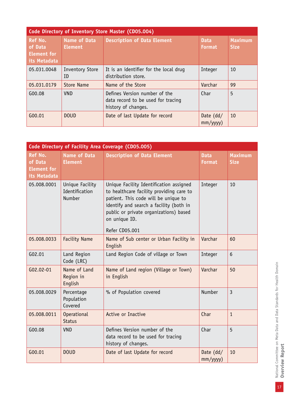| Code Directory of Inventory Store Master (CD05.004)             |                                       |                                                                                            |                              |                               |  |
|-----------------------------------------------------------------|---------------------------------------|--------------------------------------------------------------------------------------------|------------------------------|-------------------------------|--|
| <b>Ref No.</b><br>of Data<br><b>Element for</b><br>its Metadata | <b>Name of Data</b><br><b>Element</b> | <b>Description of Data Element</b>                                                         | <b>Data</b><br><b>Format</b> | <b>Maximum</b><br><b>Size</b> |  |
| 05.031.0048                                                     | <b>Inventory Store</b><br>ID          | It is an identifier for the local drug<br>distribution store.                              | Integer                      | 10                            |  |
| 05.031.0179                                                     | Store Name                            | Name of the Store                                                                          | Varchar                      | 99                            |  |
| G00.08                                                          | VND.                                  | Defines Version number of the<br>data record to be used for tracing<br>history of changes. | Char                         | 5                             |  |
| G00.01                                                          | <b>DOUD</b>                           | Date of last Update for record                                                             | Date $(dd/$<br>mm/yyyy)      | 10                            |  |

| Code Directory of Facility Area Coverage (CD05.005)             |                                             |                                                                                                                                                                                                                                                     |                               |                               |  |
|-----------------------------------------------------------------|---------------------------------------------|-----------------------------------------------------------------------------------------------------------------------------------------------------------------------------------------------------------------------------------------------------|-------------------------------|-------------------------------|--|
| <b>Ref No.</b><br>of Data<br><b>Element for</b><br>its Metadata | <b>Name of Data</b><br><b>Element</b>       | <b>Description of Data Element</b>                                                                                                                                                                                                                  | <b>Data</b><br><b>Format</b>  | <b>Maximum</b><br><b>Size</b> |  |
| 05.008.0001                                                     | Unique Facility<br>Identification<br>Number | Unique Facility Identification assigned<br>to healthcare facility providing care to<br>patient. This code will be unique to<br>identify and search a facility (both in<br>public or private organizations) based<br>on unique ID.<br>Refer CD05.001 | Integer                       | 10                            |  |
| 05.008.0033                                                     | <b>Facility Name</b>                        | Name of Sub center or Urban Facility in<br>English                                                                                                                                                                                                  | Varchar                       | 60                            |  |
| G02.01                                                          | Land Region<br>Code (LRC)                   | Land Region Code of village or Town                                                                                                                                                                                                                 | Integer                       | $6\phantom{1}$                |  |
| G02.02-01                                                       | Name of Land<br>Region in<br>English        | Name of Land region (Village or Town)<br>in English                                                                                                                                                                                                 | Varchar                       | 50                            |  |
| 05.008.0029                                                     | Percentage<br>Population<br>Covered         | % of Population covered                                                                                                                                                                                                                             | Number                        | $\overline{3}$                |  |
| 05.008.0011                                                     | <b>Operational</b><br><b>Status</b>         | Active or Inactive                                                                                                                                                                                                                                  | Char                          | $\mathbf{1}$                  |  |
| G00.08                                                          | <b>VND</b>                                  | Defines Version number of the<br>data record to be used for tracing<br>history of changes.                                                                                                                                                          | Char                          | 5                             |  |
| G00.01                                                          | <b>DOUD</b>                                 | Date of last Update for record                                                                                                                                                                                                                      | Date $(dd/$<br>$mm/$ yyyy $)$ | 10                            |  |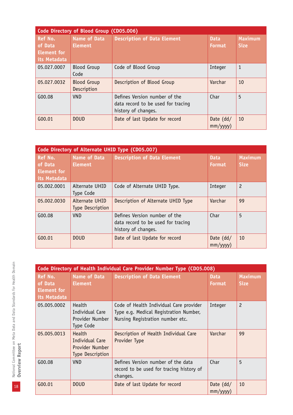| Code Directory of Blood Group (CD05.006)                        |                                       |                                                                                            |                              |                               |  |
|-----------------------------------------------------------------|---------------------------------------|--------------------------------------------------------------------------------------------|------------------------------|-------------------------------|--|
| <b>Ref No.</b><br>of Data<br><b>Element for</b><br>its Metadata | <b>Name of Data</b><br><b>Element</b> | <b>Description of Data Element</b>                                                         | <b>Data</b><br><b>Format</b> | <b>Maximum</b><br><b>Size</b> |  |
| 05.027.0007                                                     | <b>Blood Group</b><br>Code            | Code of Blood Group                                                                        | Integer                      | 1                             |  |
| 05.027.0032                                                     | <b>Blood Group</b><br>Description     | Description of Blood Group                                                                 | Varchar                      | 10                            |  |
| G00.08                                                          | <b>VND</b>                            | Defines Version number of the<br>data record to be used for tracing<br>history of changes. | Char                         | 5                             |  |
| $G_{00.01}$                                                     | <b>DOUD</b>                           | Date of last Update for record                                                             | Date $(dd/$<br>mm/yyyy)      | 10                            |  |

| Code Directory of Alternate UHID Type (CD05.007)                |                                           |                                                                                            |                              |                               |  |
|-----------------------------------------------------------------|-------------------------------------------|--------------------------------------------------------------------------------------------|------------------------------|-------------------------------|--|
| <b>Ref No.</b><br>of Data<br><b>Element for</b><br>its Metadata | <b>Name of Data</b><br><b>Element</b>     | <b>Description of Data Element</b>                                                         | <b>Data</b><br><b>Format</b> | <b>Maximum</b><br><b>Size</b> |  |
| 05.002.0001                                                     | Alternate UHID<br>Type Code               | Code of Alternate UHID Type.                                                               | Integer                      | $\overline{c}$                |  |
| 05.002.0030                                                     | Alternate UHID<br><b>Type Description</b> | Description of Alternate UHID Type                                                         | Varchar                      | 99                            |  |
| G00.08                                                          | <b>VND</b>                                | Defines Version number of the<br>data record to be used for tracing<br>history of changes. | Char                         | 5                             |  |
| G00.01                                                          | <b>DOUD</b>                               | Date of last Update for record                                                             | Date $(dd/$<br>mm/yyyy)      | 10                            |  |

|                                                                 | Code Directory of Health Individual Care Provider Number Type (CD05.008) |                                                                                                                       |                               |                               |  |
|-----------------------------------------------------------------|--------------------------------------------------------------------------|-----------------------------------------------------------------------------------------------------------------------|-------------------------------|-------------------------------|--|
| <b>Ref No.</b><br>of Data<br><b>Element</b> for<br>its Metadata | <b>Name of Data</b><br><b>Element</b>                                    | <b>Description of Data Element</b>                                                                                    | <b>Data</b><br><b>Format</b>  | <b>Maximum</b><br><b>Size</b> |  |
| 05.005.0002                                                     | Health<br>Individual Care<br>Provider Number<br>Type Code                | Code of Health Individual Care provider<br>Type e.g. Medical Registration Number,<br>Nursing Registration number etc. | Integer                       | $\overline{c}$                |  |
| 05.005.0013                                                     | Health<br>Individual Care<br>Provider Number<br><b>Type Description</b>  | Description of Health Individual Care<br>Provider Type                                                                | Varchar                       | 99                            |  |
| G00.08                                                          | <b>VND</b>                                                               | Defines Version number of the data<br>record to be used for tracing history of<br>changes.                            | Char                          | 5                             |  |
| G00.01                                                          | <b>DOUD</b>                                                              | Date of last Update for record                                                                                        | Date $(dd/$<br>$mm/$ yyyy $)$ | 10                            |  |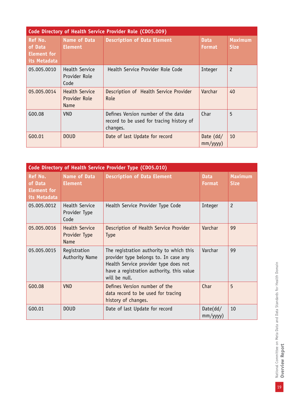|                                                                 | Code Directory of Health Service Provider Role (CD05.009) |                                                                                            |                              |                               |  |  |
|-----------------------------------------------------------------|-----------------------------------------------------------|--------------------------------------------------------------------------------------------|------------------------------|-------------------------------|--|--|
| <b>Ref No.</b><br>of Data<br><b>Element for</b><br>its Metadata | <b>Name of Data</b><br><b>Element</b>                     | <b>Description of Data Element</b>                                                         | <b>Data</b><br><b>Format</b> | <b>Maximum</b><br><b>Size</b> |  |  |
| 05.005.0010                                                     | <b>Health Service</b><br>Provider Role<br>Code            | Health Service Provider Role Code                                                          | Integer                      | $\overline{c}$                |  |  |
| 05.005.0014                                                     | <b>Health Service</b><br>Provider Role<br>Name            | Description of Health Service Provider<br>Role                                             | Varchar                      | 40                            |  |  |
| G00.08                                                          | <b>VND</b>                                                | Defines Version number of the data<br>record to be used for tracing history of<br>changes. | Char                         | 5                             |  |  |
| G00.01                                                          | <b>DOUD</b>                                               | Date of last Update for record                                                             | Date $(dd/$<br>mm/yyy)       | 10                            |  |  |

|                                                          |                                                |                                                                                                                                                                                          | Code Directory of Health Service Provider Type (CD05.010) |                               |  |  |  |
|----------------------------------------------------------|------------------------------------------------|------------------------------------------------------------------------------------------------------------------------------------------------------------------------------------------|-----------------------------------------------------------|-------------------------------|--|--|--|
| Ref No.<br>of Data<br><b>Element for</b><br>its Metadata | <b>Name of Data</b><br><b>Element</b>          | <b>Description of Data Element</b>                                                                                                                                                       | <b>Data</b><br><b>Format</b>                              | <b>Maximum</b><br><b>Size</b> |  |  |  |
| 05.005.0012                                              | <b>Health Service</b><br>Provider Type<br>Code | Health Service Provider Type Code                                                                                                                                                        | Integer                                                   | $\overline{c}$                |  |  |  |
| 05.005.0016                                              | <b>Health Service</b><br>Provider Type<br>Name | Description of Health Service Provider<br><b>Type</b>                                                                                                                                    | Varchar                                                   | 99                            |  |  |  |
| 05.005.0015                                              | Registration<br>Authority Name                 | The registration authority to which this<br>provider type belongs to. In case any<br>Health Service provider type does not<br>have a registration authority, this value<br>will be null. | Varchar                                                   | 99                            |  |  |  |
| G00.08                                                   | <b>VND</b>                                     | Defines Version number of the<br>data record to be used for tracing<br>history of changes.                                                                                               | Char                                                      | 5                             |  |  |  |
| G00.01                                                   | <b>DOUD</b>                                    | Date of last Update for record                                                                                                                                                           | Date(dd/<br>$mm/$ yyyy $)$                                | 10                            |  |  |  |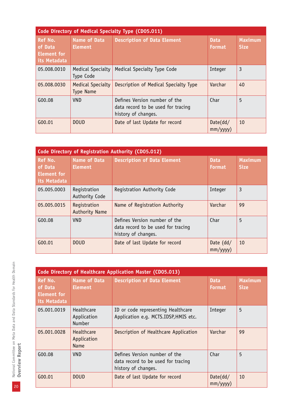| Code Directory of Medical Specialty Type (CD05.011)      |                                              |                                                                                            |                              |                               |  |
|----------------------------------------------------------|----------------------------------------------|--------------------------------------------------------------------------------------------|------------------------------|-------------------------------|--|
| Ref No.<br>of Data<br><b>Element</b> for<br>its Metadata | <b>Name of Data</b><br><b>Element</b>        | <b>Description of Data Element</b>                                                         | <b>Data</b><br><b>Format</b> | <b>Maximum</b><br><b>Size</b> |  |
| 05.008.0010                                              | <b>Medical Specialty</b><br>Type Code        | Medical Specialty Type Code                                                                | Integer                      | 3                             |  |
| 05.008.0030                                              | <b>Medical Specialty</b><br><b>Type Name</b> | Description of Medical Specialty Type                                                      | Varchar                      | 40                            |  |
| G00.08                                                   | <b>VND</b>                                   | Defines Version number of the<br>data record to be used for tracing<br>history of changes. | Char                         | 5                             |  |
| G00.01                                                   | <b>DOUD</b>                                  | Date of last Update for record                                                             | Date(dd/<br>mm/yyyy)         | 10                            |  |

| Code Directory of Registration Authority (CD05.012)             |                                       |                                                                                            |                              |                               |  |
|-----------------------------------------------------------------|---------------------------------------|--------------------------------------------------------------------------------------------|------------------------------|-------------------------------|--|
| <b>Ref No.</b><br>of Data<br><b>Element for</b><br>its Metadata | <b>Name of Data</b><br><b>Element</b> | <b>Description of Data Element</b>                                                         | <b>Data</b><br><b>Format</b> | <b>Maximum</b><br><b>Size</b> |  |
| 05.005.0003                                                     | Registration<br>Authority Code        | Registration Authority Code                                                                | Integer                      | 3                             |  |
| 05.005.0015                                                     | Registration<br><b>Authority Name</b> | Name of Registration Authority                                                             | Varchar                      | 99                            |  |
| G00.08                                                          | <b>VND</b>                            | Defines Version number of the<br>data record to be used for tracing<br>history of changes. | Char                         | 5                             |  |
| G00.01                                                          | <b>DOUD</b>                           | Date of last Update for record                                                             | Date $(dd/$<br>mm/yyyy)      | 10                            |  |

| Code Directory of Healthcare Application Master (CD05.013)      |                                            |                                                                                            |                              |                               |
|-----------------------------------------------------------------|--------------------------------------------|--------------------------------------------------------------------------------------------|------------------------------|-------------------------------|
| <b>Ref No.</b><br>of Data<br><b>Element for</b><br>its Metadata | <b>Name of Data</b><br><b>Element</b>      | <b>Description of Data Element</b>                                                         | <b>Data</b><br><b>Format</b> | <b>Maximum</b><br><b>Size</b> |
| 05.001.0019                                                     | Healthcare<br>Application<br><b>Number</b> | ID or code representing Healthcare<br>Application e.g. MCTS.IDSP, HMIS etc.                | Integer                      | 5                             |
| 05.001.0028                                                     | Healthcare<br>Application<br><b>Name</b>   | Description of Healthcare Application                                                      | Varchar                      | 99                            |
| G00.08                                                          | <b>VND</b>                                 | Defines Version number of the<br>data record to be used for tracing<br>history of changes. | Char                         | 5                             |
| G00.01                                                          | <b>DOUD</b>                                | Date of last Update for record                                                             | Date(dd/<br>mm/yyyy)         | 10                            |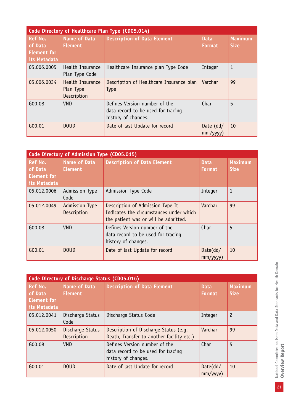|                                                                 | Code Directory of Healthcare Plan Type (CD05.014) |                                                                                            |                         |                               |  |
|-----------------------------------------------------------------|---------------------------------------------------|--------------------------------------------------------------------------------------------|-------------------------|-------------------------------|--|
| <b>Ref No.</b><br>of Data<br><b>Element for</b><br>its Metadata | <b>Name of Data</b><br><b>Element</b>             | <b>Description of Data Element</b>                                                         | <b>Data</b><br>Format   | <b>Maximum</b><br><b>Size</b> |  |
| 05.006.0005                                                     | Health Insurance<br>Plan Type Code                | Healthcare Insurance plan Type Code                                                        | Integer                 | $\mathbf{1}$                  |  |
| 05.006.0034                                                     | Health Insurance<br>Plan Type<br>Description      | Description of Healthcare Insurance plan<br><b>Type</b>                                    | Varchar                 | 99                            |  |
| G00.08                                                          | <b>VND</b>                                        | Defines Version number of the<br>data record to be used for tracing<br>history of changes. | Char                    | 5                             |  |
| G00.01                                                          | <b>DOUD</b>                                       | Date of last Update for record                                                             | Date $(dd/$<br>mm/yyyy) | 10                            |  |

|                                                                 | Code Directory of Admission Type (CD05.015) |                                                                                                                     |                              |                               |
|-----------------------------------------------------------------|---------------------------------------------|---------------------------------------------------------------------------------------------------------------------|------------------------------|-------------------------------|
| <b>Ref No.</b><br>of Data<br><b>Element for</b><br>its Metadata | <b>Name of Data</b><br><b>Element</b>       | <b>Description of Data Element</b>                                                                                  | <b>Data</b><br><b>Format</b> | <b>Maximum</b><br><b>Size</b> |
| 05.012.0006                                                     | <b>Admission Type</b><br>Code               | Admission Type Code                                                                                                 | Integer                      | $\mathbf{1}$                  |
| 05.012.0049                                                     | <b>Admission Type</b><br>Description        | Description of Admission Type It<br>Indicates the circumstances under which<br>the patient was or will be admitted. | Varchar                      | 99                            |
| G00.08                                                          | <b>VND</b>                                  | Defines Version number of the<br>data record to be used for tracing<br>history of changes.                          | Char                         | 5                             |
| G00.01                                                          | <b>DOUD</b>                                 | Date of last Update for record                                                                                      | Date(dd/<br>mm/yyyy)         | 10                            |

|                                                                 | Code Directory of Discharge Status (CD05.016) |                                                                                            |                              |                               |
|-----------------------------------------------------------------|-----------------------------------------------|--------------------------------------------------------------------------------------------|------------------------------|-------------------------------|
| <b>Ref No.</b><br>of Data<br><b>Element for</b><br>its Metadata | <b>Name of Data</b><br><b>Element</b>         | <b>Description of Data Element</b>                                                         | <b>Data</b><br><b>Format</b> | <b>Maximum</b><br><b>Size</b> |
| 05.012.0041                                                     | Discharge Status<br>Code                      | Discharge Status Code                                                                      | Integer                      | $\overline{c}$                |
| 05.012.0050                                                     | Discharge Status<br>Description               | Description of Discharge Status (e.g.<br>Death, Transfer to another facility etc.)         | Varchar                      | 99                            |
| G00.08                                                          | <b>VND</b>                                    | Defines Version number of the<br>data record to be used for tracing<br>history of changes. | Char                         | 5                             |
| G00.01                                                          | <b>DOUD</b>                                   | Date of last Update for record                                                             | Date(dd/<br>mm/yyyy)         | 10                            |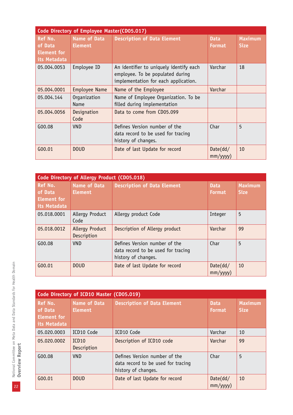|                                                          | Code Directory of Employee Master(CD05.017) |                                                                                                                     |                              |                               |  |  |
|----------------------------------------------------------|---------------------------------------------|---------------------------------------------------------------------------------------------------------------------|------------------------------|-------------------------------|--|--|
| Ref No.<br>of Data<br><b>Element for</b><br>its Metadata | <b>Name of Data</b><br><b>Element</b>       | <b>Description of Data Element</b>                                                                                  | <b>Data</b><br><b>Format</b> | <b>Maximum</b><br><b>Size</b> |  |  |
| 05.004.0053                                              | Employee ID                                 | An identifier to uniquely identify each<br>employee. To be populated during<br>implementation for each application. | Varchar                      | 18                            |  |  |
| 05.004.0001                                              | <b>Employee Name</b>                        | Name of the Employee                                                                                                | Varchar                      |                               |  |  |
| 05.004.144                                               | Organization<br>Name                        | Name of Employee Organization. To be<br>filled during implementation                                                |                              |                               |  |  |
| 05.004.0056                                              | Designation<br>Code                         | Data to come from CD05.099                                                                                          |                              |                               |  |  |
| G00.08                                                   | <b>VND</b>                                  | Defines Version number of the<br>data record to be used for tracing<br>history of changes.                          | Char                         | 5                             |  |  |
| G00.01                                                   | <b>DOUD</b>                                 | Date of last Update for record                                                                                      | Date(dd/<br>$mm/$ yyyy $)$   | 10                            |  |  |

|                                                          | Code Directory of Allergy Product (CD05.018) |                                                                                            |                              |                               |  |  |
|----------------------------------------------------------|----------------------------------------------|--------------------------------------------------------------------------------------------|------------------------------|-------------------------------|--|--|
| Ref No.<br>of Data<br><b>Element for</b><br>its Metadata | <b>Name of Data</b><br><b>Element</b>        | <b>Description of Data Element</b>                                                         | <b>Data</b><br><b>Format</b> | <b>Maximum</b><br><b>Size</b> |  |  |
| 05.018.0001                                              | Allergy Product<br>Code                      | Allergy product Code                                                                       | Integer                      | 5                             |  |  |
| 05.018.0012                                              | <b>Allergy Product</b><br>Description        | Description of Allergy product                                                             | Varchar                      | 99                            |  |  |
| G00.08                                                   | <b>VND</b>                                   | Defines Version number of the<br>data record to be used for tracing<br>history of changes. | Char                         | 5                             |  |  |
| G00.01                                                   | <b>DOUD</b>                                  | Date of last Update for record                                                             | Date(dd/<br>$mm/$ yyyy $)$   | 10                            |  |  |

| Code Directory of ICD10 Master (CD05.019)                       |                                       |                                                                                            |                              |                               |  |
|-----------------------------------------------------------------|---------------------------------------|--------------------------------------------------------------------------------------------|------------------------------|-------------------------------|--|
| <b>Ref No.</b><br>of Data<br><b>Element for</b><br>its Metadata | <b>Name of Data</b><br><b>Element</b> | <b>Description of Data Element</b>                                                         | <b>Data</b><br><b>Format</b> | <b>Maximum</b><br><b>Size</b> |  |
| 05.020.0003                                                     | ICD10 Code                            | ICD10 Code                                                                                 | Varchar                      | 10                            |  |
| 05.020.0002                                                     | ICD <sub>10</sub><br>Description      | Description of ICD10 code                                                                  | Varchar                      | 99                            |  |
| G00.08                                                          | <b>VND</b>                            | Defines Version number of the<br>data record to be used for tracing<br>history of changes. | Char                         | 5                             |  |
| G00.01                                                          | <b>DOUD</b>                           | Date of last Update for record                                                             | Date(dd/<br>mm/yyyy)         | 10                            |  |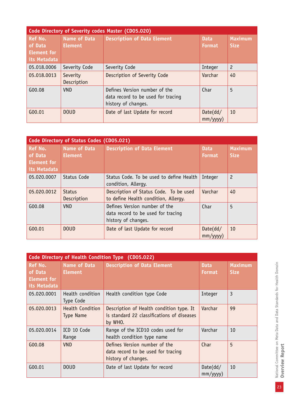| Code Directory of Severity codes Master (CD05.020)       |                                       |                                                                                            |                              |                        |  |
|----------------------------------------------------------|---------------------------------------|--------------------------------------------------------------------------------------------|------------------------------|------------------------|--|
| Ref No.<br>of Data<br><b>Element for</b><br>its Metadata | <b>Name of Data</b><br><b>Element</b> | <b>Description of Data Element</b>                                                         | <b>Data</b><br><b>Format</b> | <b>Maximum</b><br>Size |  |
| 05.018.0006                                              | Severity Code                         | Severity Code                                                                              | Integer                      | $\overline{c}$         |  |
| 05.018.0013                                              | Severity<br>Description               | Description of Severity Code                                                               | Varchar                      | 40                     |  |
| G00.08                                                   | <b>VND</b>                            | Defines Version number of the<br>data record to be used for tracing<br>history of changes. | Char                         | 5                      |  |
| G00.01                                                   | <b>DOUD</b>                           | Date of last Update for record                                                             | Date(dd/<br>mm/yyyy)         | 10                     |  |

|                                                          | Code Directory of Status Codes (CD05.021) |                                                                                            |                              |                               |  |  |
|----------------------------------------------------------|-------------------------------------------|--------------------------------------------------------------------------------------------|------------------------------|-------------------------------|--|--|
| Ref No.<br>of Data<br><b>Element for</b><br>its Metadata | <b>Name of Data</b><br><b>Element</b>     | <b>Description of Data Element</b>                                                         | <b>Data</b><br><b>Format</b> | <b>Maximum</b><br><b>Size</b> |  |  |
| 05.020.0007                                              | Status Code                               | Status Code. To be used to define Health<br>condition, Allergy.                            | Integer                      | $\overline{c}$                |  |  |
| 05.020.0012                                              | <b>Status</b><br>Description              | Description of Status Code. To be used<br>to define Health condition, Allergy.             | Varchar                      | 40                            |  |  |
| G00.08                                                   | <b>VND</b>                                | Defines Version number of the<br>data record to be used for tracing<br>history of changes. | Char                         | 5                             |  |  |
| G00.01                                                   | <b>DOUD</b>                               | Date of last Update for record                                                             | Date(dd/<br>$mm/$ yyyy $)$   | 10                            |  |  |

| Code Directory of Health Condition Type (CD05.022)       |                                             |                                                                                                   |                              |                               |  |
|----------------------------------------------------------|---------------------------------------------|---------------------------------------------------------------------------------------------------|------------------------------|-------------------------------|--|
| Ref No.<br>of Data<br><b>Element for</b><br>its Metadata | <b>Name of Data</b><br><b>Element</b>       | <b>Description of Data Element</b>                                                                | <b>Data</b><br><b>Format</b> | <b>Maximum</b><br><b>Size</b> |  |
| 05.020.0001                                              | Health condition<br>Type Code               | Health condition type Code                                                                        | Integer                      | $\overline{3}$                |  |
| 05.020.0013                                              | <b>Health Condition</b><br><b>Type Name</b> | Description of Health condition type. It<br>is standard 22 classifications of diseases<br>by WHO. | Varchar                      | 99                            |  |
| 05.020.0014                                              | ICD 10 Code<br>Range                        | Range of the ICD10 codes used for<br>health condition type name                                   | Varchar                      | 10                            |  |
| G00.08                                                   | <b>VND</b>                                  | Defines Version number of the<br>data record to be used for tracing<br>history of changes.        | Char                         | 5                             |  |
| G00.01                                                   | <b>DOUD</b>                                 | Date of last Update for record                                                                    | Date(dd/<br>mm/yyyy)         | 10                            |  |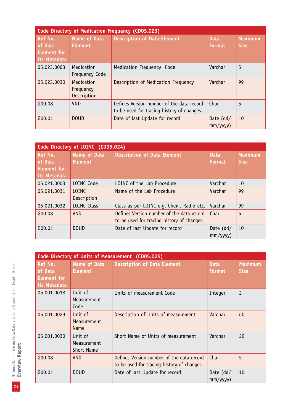|                                                                 | Code Directory of Medication Frequency (CD05.023) |                                                                                         |                              |                               |  |
|-----------------------------------------------------------------|---------------------------------------------------|-----------------------------------------------------------------------------------------|------------------------------|-------------------------------|--|
| <b>Ref No.</b><br>of Data<br><b>Element for</b><br>its Metadata | <b>Name of Data</b><br><b>Element</b>             | <b>Description of Data Element</b>                                                      | <b>Data</b><br><b>Format</b> | <b>Maximum</b><br><b>Size</b> |  |
| 05.023.0003                                                     | Medication<br>Frequency Code                      | Medication Frequency Code                                                               | Varchar                      | 5                             |  |
| 05.023.0030                                                     | Medication<br>Frequency<br>Description            | Description of Medication Frequency                                                     | Varchar                      | 99                            |  |
| G00.08                                                          | <b>VND</b>                                        | Defines Version number of the data record<br>to be used for tracing history of changes. | Char                         | 5                             |  |
| G00.01                                                          | <b>DOUD</b>                                       | Date of last Update for record                                                          | Date $(dd/$<br>mm/yyy)       | 10                            |  |

| Code Directory of LOINC (CD05.024)                       |                                       |                                                                                         |                        |                        |  |
|----------------------------------------------------------|---------------------------------------|-----------------------------------------------------------------------------------------|------------------------|------------------------|--|
| Ref No.<br>of Data<br><b>Element for</b><br>its Metadata | <b>Name of Data</b><br><b>Element</b> | <b>Description of Data Element</b>                                                      | <b>Data</b><br>Format  | Maximum<br><b>Size</b> |  |
| 05.021.0003                                              | LOINC Code                            | LOINC of the Lab Procedure                                                              | Varchar                | 10                     |  |
| 05.021.0031                                              | LOTNC.<br>Description                 | Name of the Lab Procedure                                                               | Varchar                | 99                     |  |
| 05.021.0032                                              | <b>LOINC Class</b>                    | Class as per LOINC e.g. Chem, Radio etc.                                                | Varchar                | 99                     |  |
| G00.08                                                   | <b>VND</b>                            | Defines Version number of the data record<br>to be used for tracing history of changes. | Char                   | 5                      |  |
| G00.01                                                   | <b>DOUD</b>                           | Date of last Update for record                                                          | Date $(dd/$<br>mm/yyy) | 10                     |  |

|                                                                 | Code Directory of Units of Measurement (CD05.025) |                                                                                         |                              |                               |  |
|-----------------------------------------------------------------|---------------------------------------------------|-----------------------------------------------------------------------------------------|------------------------------|-------------------------------|--|
| <b>Ref No.</b><br>of Data<br><b>Element for</b><br>its Metadata | <b>Name of Data</b><br><b>Element</b>             | <b>Description of Data Element</b>                                                      | <b>Data</b><br><b>Format</b> | <b>Maximum</b><br><b>Size</b> |  |
| 05.001.0018                                                     | Unit of<br><b>Measurement</b><br>Code             | Units of measurement Code                                                               | Integer                      | $\overline{c}$                |  |
| 05.001.0029                                                     | Unit of<br>Measurement<br><b>Name</b>             | Description of Units of measurement                                                     | Varchar                      | 60                            |  |
| 05.001.0030                                                     | Unit of<br>Measurement<br>Short Name              | Short Name of Units of measurement                                                      | Varchar                      | 20                            |  |
| G00.08                                                          | <b>VND</b>                                        | Defines Version number of the data record<br>to be used for tracing history of changes. | Char                         | 5                             |  |
| G00.01                                                          | <b>DOUD</b>                                       | Date of last Update for record                                                          | Date $(dd/$<br>mm/yyyy)      | 10                            |  |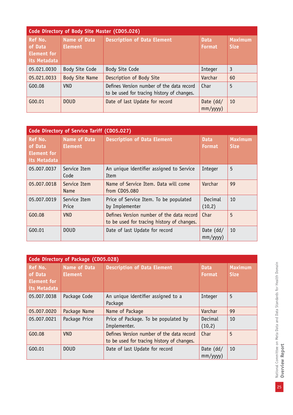| Code Directory of Body Site Master (CD05.026)                   |                                       |                                                                                         |                         |                               |  |
|-----------------------------------------------------------------|---------------------------------------|-----------------------------------------------------------------------------------------|-------------------------|-------------------------------|--|
| <b>Ref No.</b><br>of Data<br><b>Element for</b><br>its Metadata | <b>Name of Data</b><br><b>Element</b> | <b>Description of Data Element</b>                                                      | <b>Data</b><br>Format,  | <b>Maximum</b><br><b>Size</b> |  |
| 05.021.0030                                                     | Body Site Code                        | Body Site Code                                                                          | Integer                 | 3                             |  |
| 05.021.0033                                                     | <b>Body Site Name</b>                 | Description of Body Site                                                                | Varchar                 | 60                            |  |
| G00.08                                                          | <b>VND</b>                            | Defines Version number of the data record<br>to be used for tracing history of changes. | Char                    | 5                             |  |
| G00.01                                                          | <b>DOUD</b>                           | Date of last Update for record                                                          | Date $(dd/$<br>mm/yyyy) | 10                            |  |

| Code Directory of Service Tariff (CD05.027)              |                                       |                                                                                         |                              |                               |
|----------------------------------------------------------|---------------------------------------|-----------------------------------------------------------------------------------------|------------------------------|-------------------------------|
| <b>Ref No.</b><br>of Data<br>Element for<br>its Metadata | <b>Name of Data</b><br><b>Element</b> | <b>Description of Data Element</b>                                                      | <b>Data</b><br><b>Format</b> | <b>Maximum</b><br><b>Size</b> |
| 05.007.0037                                              | Service Item<br>Code                  | An unique identifier assigned to Service<br>Item                                        | Integer                      | 5                             |
| 05.007.0018                                              | Service Item<br><b>Name</b>           | Name of Service Item. Data will come<br>from CD05.080                                   | Varchar                      | 99                            |
| 05.007.0019                                              | Service Item<br>Price                 | Price of Service Item. To be populated<br>by Implementer                                | Decimal<br>(10, 2)           | 10                            |
| G00.08                                                   | <b>VND</b>                            | Defines Version number of the data record<br>to be used for tracing history of changes. | Char                         | 5                             |
| G00.01                                                   | <b>DOUD</b>                           | Date of last Update for record                                                          | Date $(dd/$<br>mm/yyyy)      | 10                            |

|                                                          | Code Directory of Package (CD05.028)  |                                                                                         |                               |                        |  |  |  |
|----------------------------------------------------------|---------------------------------------|-----------------------------------------------------------------------------------------|-------------------------------|------------------------|--|--|--|
| Ref No.<br>of Data<br><b>Element for</b><br>its Metadata | <b>Name of Data</b><br><b>Element</b> | <b>Description of Data Element</b>                                                      | <b>Data</b><br><b>Format</b>  | Maximum<br><b>Size</b> |  |  |  |
| 05.007.0038                                              | Package Code                          | An unique identifier assigned to a<br>Package                                           | Integer                       | 5                      |  |  |  |
| 05.007.0020                                              | Package Name                          | Name of Package                                                                         | Varchar                       | 99                     |  |  |  |
| 05.007.0021                                              | Package Price                         | Price of Package. To be populated by<br>Implementer.                                    | Decimal<br>(10, 2)            | 10                     |  |  |  |
| G00.08                                                   | <b>VND</b>                            | Defines Version number of the data record<br>to be used for tracing history of changes. | Char                          | 5                      |  |  |  |
| G00.01                                                   | <b>DOUD</b>                           | Date of last Update for record                                                          | Date $(dd/$<br>$mm/$ yyyy $)$ | 10                     |  |  |  |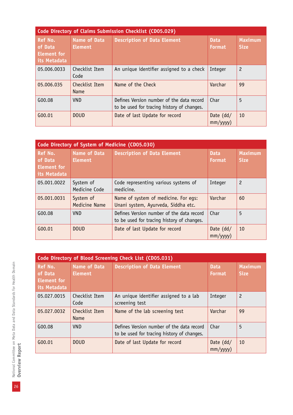| Code Directory of Claims Submission Checklist (CD05.029) |                                |                                                                                         |                              |                        |
|----------------------------------------------------------|--------------------------------|-----------------------------------------------------------------------------------------|------------------------------|------------------------|
| <b>Ref No.</b><br>of Data<br>Element for<br>its Metadata | Name of Data<br><b>Element</b> | <b>Description of Data Element</b>                                                      | <b>Data</b><br><b>Format</b> | Maximum<br><b>Size</b> |
| 05.006.0033                                              | Checklist Item<br>Code         | An unique identifier assigned to a check                                                | Integer                      | $\overline{c}$         |
| 05.006.035                                               | Checklist Item<br>Name         | Name of the Check                                                                       | Varchar                      | 99                     |
| G00.08                                                   | <b>VND</b>                     | Defines Version number of the data record<br>to be used for tracing history of changes. | Char                         | 5                      |
| G00.01                                                   | <b>DOUD</b>                    | Date of last Update for record                                                          | Date $(dd/$<br>mm/yyyy)      | 10                     |

| Code Directory of System of Medicine (CD05.030)          |                                       |                                                                                         |                              |                        |  |
|----------------------------------------------------------|---------------------------------------|-----------------------------------------------------------------------------------------|------------------------------|------------------------|--|
| Ref No.<br>of Data<br><b>Element for</b><br>its Metadata | <b>Name of Data</b><br><b>Element</b> | <b>Description of Data Element</b>                                                      | <b>Data</b><br><b>Format</b> | Maximum<br><b>Size</b> |  |
| 05.001.0022                                              | System of<br>Medicine Code            | Code representing various systems of<br>medicine.                                       | Integer                      | $\overline{c}$         |  |
| 05.001.0031                                              | System of<br><b>Medicine Name</b>     | Name of system of medicine. For eqs:<br>Unani system, Ayurveda, Siddha etc.             | Varchar                      | 60                     |  |
| G00.08                                                   | <b>VND</b>                            | Defines Version number of the data record<br>to be used for tracing history of changes. | Char                         | 5                      |  |
| G00.01                                                   | <b>DOUD</b>                           | Date of last Update for record                                                          | Date (dd/<br>mm/yyyy)        | 10                     |  |

|                                                                 | Code Directory of Blood Screening Check List (CD05.031) |                                                                                         |                              |                               |  |
|-----------------------------------------------------------------|---------------------------------------------------------|-----------------------------------------------------------------------------------------|------------------------------|-------------------------------|--|
| <b>Ref No.</b><br>of Data<br><b>Element for</b><br>its Metadata | <b>Name of Data</b><br><b>Element</b>                   | <b>Description of Data Element</b>                                                      | <b>Data</b><br><b>Format</b> | <b>Maximum</b><br><b>Size</b> |  |
| 05.027.0015                                                     | Checklist Item<br>Code                                  | An unique identifier assigned to a lab<br>screening test                                | Integer                      | $\overline{c}$                |  |
| 05.027.0032                                                     | Checklist Item<br>Name                                  | Name of the lab screening test                                                          | Varchar                      | 99                            |  |
| G00.08                                                          | <b>VND</b>                                              | Defines Version number of the data record<br>to be used for tracing history of changes. | Char                         | 5                             |  |
| G00.01                                                          | <b>DOUD</b>                                             | Date of last Update for record                                                          | Date $(dd/$<br>mm/yyyy)      | 10                            |  |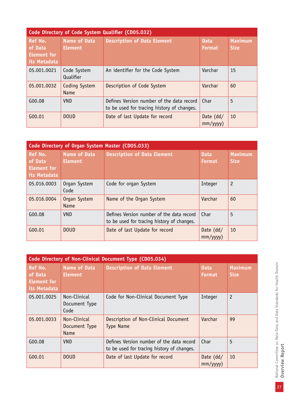| Code Directory of Code System Qualifier (CD05.032)              |                                       |                                                                                         |                              |                               |  |
|-----------------------------------------------------------------|---------------------------------------|-----------------------------------------------------------------------------------------|------------------------------|-------------------------------|--|
| <b>Ref No.</b><br>of Data<br><b>Element for</b><br>its Metadata | <b>Name of Data</b><br><b>Element</b> | <b>Description of Data Element</b>                                                      | <b>Data</b><br><b>Format</b> | <b>Maximum</b><br><b>Size</b> |  |
| 05.001.0021                                                     | Code System<br>Qualifier              | An identifier for the Code System                                                       | Varchar                      | 15                            |  |
| 05.001.0032                                                     | Coding System<br>Name                 | Description of Code System                                                              | Varchar                      | 60                            |  |
| G00.08                                                          | <b>VND</b>                            | Defines Version number of the data record<br>to be used for tracing history of changes. | Char                         | 5                             |  |
| G00.01                                                          | <b>DOUD</b>                           | Date of last Update for record                                                          | Date $(dd/$<br>mm/yyyy)      | 10                            |  |

| Code Directory of Organ System Master (CD05.033)         |                                       |                                                                                         |                               |                               |  |
|----------------------------------------------------------|---------------------------------------|-----------------------------------------------------------------------------------------|-------------------------------|-------------------------------|--|
| <b>Ref No.</b><br>of Data<br>Element for<br>its Metadata | <b>Name of Data</b><br><b>Element</b> | <b>Description of Data Element</b>                                                      | <b>Data</b><br><b>Format</b>  | <b>Maximum</b><br><b>Size</b> |  |
| 05.016.0003                                              | Organ System<br>Code                  | Code for organ System                                                                   | Integer                       | $\overline{c}$                |  |
| 05.016.0004                                              | Organ System<br><b>Name</b>           | Name of the Organ System                                                                | Varchar                       | 60                            |  |
| G00.08                                                   | <b>VND</b>                            | Defines Version number of the data record<br>to be used for tracing history of changes. | Char                          | 5                             |  |
| G00.01                                                   | <b>DOUD</b>                           | Date of last Update for record                                                          | Date $(dd/$<br>$mm/$ yyyy $)$ | 10                            |  |

| Code Directory of Non-Clinical Document Type (CD05.034)         |                                              |                                                                                         |                              |                               |  |
|-----------------------------------------------------------------|----------------------------------------------|-----------------------------------------------------------------------------------------|------------------------------|-------------------------------|--|
| <b>Ref No.</b><br>of Data<br><b>Element for</b><br>its Metadata | <b>Name of Data</b><br><b>Element</b>        | <b>Description of Data Element</b>                                                      | <b>Data</b><br><b>Format</b> | <b>Maximum</b><br><b>Size</b> |  |
| 05.001.0025                                                     | Non-Clinical<br>Document Type<br>Code        | Code for Non-Clinical Document Type                                                     | Integer                      | $\overline{c}$                |  |
| 05.001.0033                                                     | Non-Clinical<br>Document Type<br><b>Name</b> | Description of Non-Clinical Document<br><b>Type Name</b>                                | Varchar                      | 99                            |  |
| G00.08                                                          | <b>VND</b>                                   | Defines Version number of the data record<br>to be used for tracing history of changes. | Char                         | 5                             |  |
| G00.01                                                          | <b>DOUD</b>                                  | Date of last Update for record                                                          | Date (dd/<br>mm/yyyy)        | 10                            |  |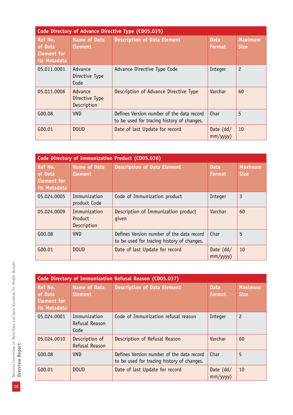| Code Directory of Advance Directive Type (CD05.035)             |                                          |                                                                                         |                              |                        |
|-----------------------------------------------------------------|------------------------------------------|-----------------------------------------------------------------------------------------|------------------------------|------------------------|
| <b>Ref No.</b><br>of Data<br><b>Element for</b><br>its Metadata | <b>Name of Data</b><br><b>Element</b>    | <b>Description of Data Element</b>                                                      | <b>Data</b><br><b>Format</b> | Maximum<br><b>Size</b> |
| 05.011.0001                                                     | Advance<br>Directive Type<br>Code        | Advance Directive Type Code                                                             | Integer                      | $\overline{c}$         |
| 05.011.0006                                                     | Advance<br>Directive Type<br>Description | Description of Advance Directive Type                                                   | Varchar                      | 60                     |
| G00.08                                                          | <b>VND</b>                               | Defines Version number of the data record<br>to be used for tracing history of changes. | Char                         | 5                      |
| G00.01                                                          | <b>DOUD</b>                              | Date of last Update for record                                                          | Date $(dd/$<br>mm/yyy)       | 10                     |

| Code Directory of Immunization Product (CD05.036)               |                                        |                                                                                         |                              |                               |
|-----------------------------------------------------------------|----------------------------------------|-----------------------------------------------------------------------------------------|------------------------------|-------------------------------|
| <b>Ref No.</b><br>of Data<br><b>Element</b> for<br>its Metadata | <b>Name of Data</b><br><b>Element</b>  | <b>Description of Data Element</b>                                                      | <b>Data</b><br><b>Format</b> | <b>Maximum</b><br><b>Size</b> |
| 05.024.0005                                                     | Immunization<br>product Code           | Code of Immunization product                                                            | Integer                      | 3                             |
| 05.024.0009                                                     | Immunization<br>Product<br>Description | Description of Immunization product<br>qiven                                            | Varchar                      | 60                            |
| G00.08                                                          | <b>VND</b>                             | Defines Version number of the data record<br>to be used for tracing history of changes. | Char                         | 5                             |
| G00.01                                                          | <b>DOUD</b>                            | Date of last Update for record                                                          | Date $(dd/$<br>mm/yyyy)      | 10                            |

|                                                                 | Code Directory of Immunization Refusal Reason (CD05.037) |                                                                                         |                              |                               |  |
|-----------------------------------------------------------------|----------------------------------------------------------|-----------------------------------------------------------------------------------------|------------------------------|-------------------------------|--|
| <b>Ref No.</b><br>of Data<br><b>Element for</b><br>its Metadata | <b>Name of Data</b><br><b>Element</b>                    | <b>Description of Data Element</b>                                                      | <b>Data</b><br><b>Format</b> | <b>Maximum</b><br><b>Size</b> |  |
| 05.024.0001                                                     | Immunization<br>Refusal Reason<br>Code                   | Code of Immunization refusal reason                                                     | Integer                      | $\overline{c}$                |  |
| 05.024.0010                                                     | Description of<br>Refusal Reason                         | Description of Refusal Reason                                                           | Varchar                      | 60                            |  |
| G00.08                                                          | <b>VND</b>                                               | Defines Version number of the data record<br>to be used for tracing history of changes. | Char                         | 5                             |  |
| G00.01                                                          | <b>DOUD</b>                                              | Date of last Update for record                                                          | Date $(dd/$<br>mm/yyyy)      | 10                            |  |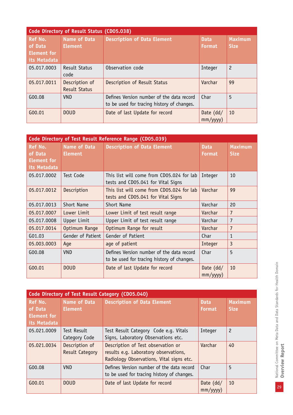| Code Directory of Result Status (CD05.038)                      |                                        |                                                                                         |                              |                               |  |
|-----------------------------------------------------------------|----------------------------------------|-----------------------------------------------------------------------------------------|------------------------------|-------------------------------|--|
| <b>Ref No.</b><br>of Data<br><b>Element for</b><br>its Metadata | <b>Name of Data</b><br><b>Element</b>  | <b>Description of Data Element</b>                                                      | <b>Data</b><br><b>Format</b> | <b>Maximum</b><br><b>Size</b> |  |
| 05.017.0003                                                     | Result Status<br>code                  | Observation code                                                                        | Integer                      | $\overline{c}$                |  |
| 05.017.0011                                                     | Description of<br><b>Result Status</b> | Description of Result Status                                                            | Varchar                      | 99                            |  |
| G00.08                                                          | <b>VND</b>                             | Defines Version number of the data record<br>to be used for tracing history of changes. | Char                         | 5                             |  |
| G00.01                                                          | <b>DOUD</b>                            | Date of last Update for record                                                          | Date $(dd/$<br>mm/yyy)       | 10                            |  |

| Code Directory of Test Result Reference Range (CD05.039) |                                       |                                                                                         |                               |                               |
|----------------------------------------------------------|---------------------------------------|-----------------------------------------------------------------------------------------|-------------------------------|-------------------------------|
| Ref No.<br>of Data<br><b>Element for</b><br>its Metadata | <b>Name of Data</b><br><b>Element</b> | <b>Description of Data Element</b>                                                      | <b>Data</b><br><b>Format</b>  | <b>Maximum</b><br><b>Size</b> |
| 05.017.0002                                              | Test Code                             | This list will come from CD05.024 for lab<br>tests and CD05.041 for Vital Signs         | Integer                       | 10                            |
| 05.017.0012                                              | Description                           | This list will come from CD05.024 for lab<br>tests and CD05.041 for Vital Signs         | Varchar                       | 99                            |
| 05.017.0013                                              | Short Name                            | Short Name                                                                              | Varchar                       | 20                            |
| 05.017.0007                                              | Lower Limit                           | Lower Limit of test result range                                                        | Varchar                       | $\overline{7}$                |
| 05.017.0008                                              | Upper Limit                           | Upper Limit of test result range                                                        | Varchar                       | 7                             |
| 05.017.0014                                              | Optimum Range                         | Optimum Range for result                                                                | Varchar                       | $\overline{7}$                |
| G01.03                                                   | Gender of Patient                     | Gender of Patient                                                                       | Char                          | 1                             |
| 05.003.0003                                              | Age                                   | age of patient                                                                          | Integer                       | 3                             |
| G00.08                                                   | <b>VND</b>                            | Defines Version number of the data record<br>to be used for tracing history of changes. | Char                          | 5                             |
| G00.01                                                   | <b>DOUD</b>                           | Date of last Update for record                                                          | Date $(dd/$<br>$mm/$ yyyy $)$ | 10                            |

| Code Directory of Test Result Category (CD05.040)               |                                          |                                                                                                                         |                               |                               |  |
|-----------------------------------------------------------------|------------------------------------------|-------------------------------------------------------------------------------------------------------------------------|-------------------------------|-------------------------------|--|
| <b>Ref No.</b><br>of Data<br><b>Element for</b><br>its Metadata | <b>Name of Data</b><br><b>Element</b>    | <b>Description of Data Element</b>                                                                                      | <b>Data</b><br><b>Format</b>  | <b>Maximum</b><br><b>Size</b> |  |
| 05.021.0009                                                     | Test Result<br>Category Code             | Test Result Category Code e.g. Vitals<br>Signs, Laboratory Observations etc.                                            | Integer                       | $\overline{c}$                |  |
| 05.021.0034                                                     | Description of<br><b>Result Category</b> | Description of Test observation or<br>results e.g. Laboratory observations,<br>Radiology Observations, Vital signs etc. | Varchar                       | 40                            |  |
| G00.08                                                          | <b>VND</b>                               | Defines Version number of the data record<br>to be used for tracing history of changes.                                 | Char                          | 5                             |  |
| G00.01                                                          | <b>DOUD</b>                              | Date of last Update for record                                                                                          | Date $(dd/$<br>$mm/$ yyyy $)$ | 10                            |  |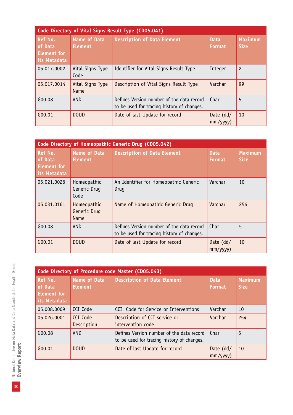| Code Directory of Vital Signs Result Type (CD05.041)     |                                |                                                                                         |                              |                               |  |
|----------------------------------------------------------|--------------------------------|-----------------------------------------------------------------------------------------|------------------------------|-------------------------------|--|
| Ref No.<br>of Data<br><b>Element for</b><br>its Metadata | Name of Data<br><b>Element</b> | <b>Description of Data Element</b>                                                      | <b>Data</b><br><b>Format</b> | <b>Maximum</b><br><b>Size</b> |  |
| 05.017.0002                                              | Vital Signs Type<br>Code       | Identifier for Vital Signs Result Type                                                  | Integer                      | $\overline{c}$                |  |
| 05.017.0014                                              | Vital Signs Type<br>Name       | Description of Vital Signs Result Type                                                  | Varchar                      | 99                            |  |
| G00.08                                                   | <b>VND</b>                     | Defines Version number of the data record<br>to be used for tracing history of changes. | Char                         | 5                             |  |
| G00.01                                                   | <b>DOUD</b>                    | Date of last Update for record                                                          | Date $(dd/$<br>mm/yyyy)      | 10                            |  |

|                                                                 | Code Directory of Homeopathic Generic Drug (CD05.042) |                                                                                         |                              |                               |  |
|-----------------------------------------------------------------|-------------------------------------------------------|-----------------------------------------------------------------------------------------|------------------------------|-------------------------------|--|
| <b>Ref No.</b><br>of Data<br><b>Element for</b><br>its Metadata | Name of Data<br><b>Element</b>                        | <b>Description of Data Element</b>                                                      | <b>Data</b><br><b>Format</b> | <b>Maximum</b><br><b>Size</b> |  |
| 05.021.0026                                                     | Homeopathic<br>Generic Drug<br>Code                   | An Identifier for Homeopathic Generic<br>Drug                                           | Varchar                      | 10                            |  |
| 05.031.0161                                                     | Homeopathic<br>Generic Drug<br>Name                   | Name of Homeopathic Generic Drug                                                        | Varchar                      | 254                           |  |
| G00.08                                                          | <b>VND</b>                                            | Defines Version number of the data record<br>to be used for tracing history of changes. | Char                         | 5                             |  |
| G00.01                                                          | <b>DOUD</b>                                           | Date of last Update for record                                                          | Date $(dd/$<br>mm/yyyy)      | 10                            |  |

|                                                   | Code Directory of Procedure code Master (CD05.043) |                                                                                         |                              |                               |  |
|---------------------------------------------------|----------------------------------------------------|-----------------------------------------------------------------------------------------|------------------------------|-------------------------------|--|
| Ref No.<br>of Data<br>Element for<br>its Metadata | <b>Name of Data</b><br><b>Element</b>              | <b>Description of Data Element</b>                                                      | <b>Data</b><br><b>Format</b> | <b>Maximum</b><br><b>Size</b> |  |
| 05.008.0009                                       | CCI Code                                           | CCI Code for Service or Interventions                                                   | Varchar                      | 10                            |  |
| 05.026.0001                                       | CCT Code<br>Description                            | Description of CCI service or<br>intervention code                                      | Varchar                      | 254                           |  |
| G00.08                                            | <b>VND</b>                                         | Defines Version number of the data record<br>to be used for tracing history of changes. | Char                         | 5                             |  |
| G00.01                                            | <b>DOUD</b>                                        | Date of last Update for record                                                          | Date $(dd/$<br>mm/yyy)       | 10                            |  |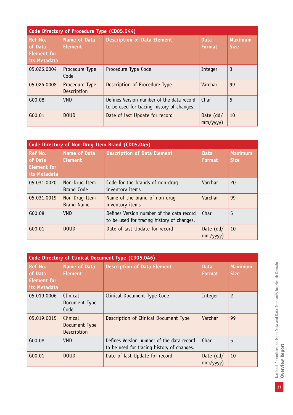| <b>Code Directory of Procedure Type (CD05.044)</b>       |                                       |                                                                                         |                              |                               |  |
|----------------------------------------------------------|---------------------------------------|-----------------------------------------------------------------------------------------|------------------------------|-------------------------------|--|
| Ref No.<br>of Data<br><b>Element for</b><br>its Metadata | <b>Name of Data</b><br><b>Element</b> | <b>Description of Data Element</b>                                                      | <b>Data</b><br><b>Format</b> | <b>Maximum</b><br><b>Size</b> |  |
| 05.026.0004                                              | Procedure Type<br>Code                | Procedure Type Code                                                                     | Integer                      | 3                             |  |
| 05.026.0008                                              | Procedure Type<br>Description         | Description of Procedure Type                                                           | Varchar                      | 99                            |  |
| G00.08                                                   | <b>VND</b>                            | Defines Version number of the data record<br>to be used for tracing history of changes. | Char                         | 5                             |  |
| G00.01                                                   | <b>DOUD</b>                           | Date of last Update for record                                                          | Date (dd/<br>mm/yyyy)        | 10                            |  |

| Code Directory of Non-Drug Item Brand (CD05.045)         |                                       |                                                                                         |                         |                               |
|----------------------------------------------------------|---------------------------------------|-----------------------------------------------------------------------------------------|-------------------------|-------------------------------|
| Ref No.<br>of Data<br><b>Element</b> for<br>its Metadata | <b>Name of Data</b><br><b>Element</b> | <b>Description of Data Element</b>                                                      | <b>Data</b><br>Format   | <b>Maximum</b><br><b>Size</b> |
| 05.031.0020                                              | Non-Drug Item<br><b>Brand Code</b>    | Code for the brands of non-drug<br>inventory items                                      | Varchar                 | 20                            |
| 05.031.0019                                              | Non-Drug Item<br><b>Brand Name</b>    | Name of the brand of non-drug<br>inventory items                                        | Varchar                 | 99                            |
| G00.08                                                   | <b>VND</b>                            | Defines Version number of the data record<br>to be used for tracing history of changes. | Char                    | 5                             |
| G00.01                                                   | <b>DOUD</b>                           | Date of last Update for record                                                          | Date $(dd/$<br>mm/yyyy) | 10                            |

| Code Directory of Clinical Document Type (CD05.046)             |                                          |                                                                                         |                               |                               |  |
|-----------------------------------------------------------------|------------------------------------------|-----------------------------------------------------------------------------------------|-------------------------------|-------------------------------|--|
| <b>Ref No.</b><br>of Data<br><b>Element for</b><br>its Metadata | <b>Name of Data</b><br><b>Element</b>    | <b>Description of Data Element</b>                                                      | <b>Data</b><br><b>Format</b>  | <b>Maximum</b><br><b>Size</b> |  |
| 05.019.0006                                                     | Clinical<br>Document Type<br>Code        | Clinical Document Type Code                                                             | Integer                       | $\overline{c}$                |  |
| 05.019.0015                                                     | Clinical<br>Document Type<br>Description | Description of Clinical Document Type                                                   | Varchar                       | 99                            |  |
| G00.08                                                          | <b>VND</b>                               | Defines Version number of the data record<br>to be used for tracing history of changes. | Char                          | 5                             |  |
| G00.01                                                          | <b>DOUD</b>                              | Date of last Update for record                                                          | Date $(dd/$<br>$mm/$ yyyy $)$ | 10                            |  |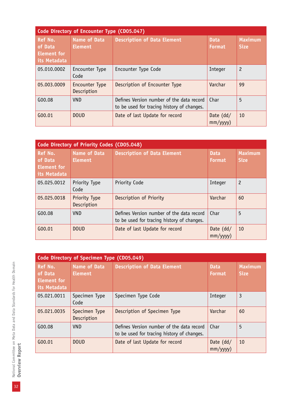| Code Directory of Encounter Type (CD05.047)              |                                       |                                                                                         |                              |                               |
|----------------------------------------------------------|---------------------------------------|-----------------------------------------------------------------------------------------|------------------------------|-------------------------------|
| Ref No.<br>of Data<br><b>Element for</b><br>its Metadata | <b>Name of Data</b><br><b>Element</b> | <b>Description of Data Element</b>                                                      | <b>Data</b><br><b>Format</b> | <b>Maximum</b><br><b>Size</b> |
| 05.010.0002                                              | Encounter Type<br>Code                | Encounter Type Code                                                                     | Integer                      | $\overline{c}$                |
| 05.003.0009                                              | Encounter Type<br>Description         | Description of Encounter Type                                                           | Varchar                      | 99                            |
| G00.08                                                   | <b>VND</b>                            | Defines Version number of the data record<br>to be used for tracing history of changes. | Char                         | 5                             |
| G(00.01)                                                 | <b>DOUD</b>                           | Date of last Update for record                                                          | Date $(dd/$<br>mm/yyyy)      | 10                            |

| Code Directory of Priority Codes (CD05.048)              |                                |                                                                                         |                              |                               |  |
|----------------------------------------------------------|--------------------------------|-----------------------------------------------------------------------------------------|------------------------------|-------------------------------|--|
| Ref No.<br>of Data<br><b>Element for</b><br>its Metadata | Name of Data<br><b>Element</b> | <b>Description of Data Element</b>                                                      | <b>Data</b><br><b>Format</b> | <b>Maximum</b><br><b>Size</b> |  |
| 05.025.0012                                              | Priority Type<br>Code          | Priority Code                                                                           | Integer                      | $\overline{c}$                |  |
| 05.025.0018                                              | Priority Type<br>Description   | Description of Priority                                                                 | Varchar                      | 60                            |  |
| G00.08                                                   | VND.                           | Defines Version number of the data record<br>to be used for tracing history of changes. | Char                         | 5                             |  |
| G00.01                                                   | DOLID                          | Date of last Update for record                                                          | Date $(dd/$<br>mm/yyy)       | 10                            |  |

|                                                          | Code Directory of Specimen Type (CD05.049) |                                                                                         |                              |                               |  |
|----------------------------------------------------------|--------------------------------------------|-----------------------------------------------------------------------------------------|------------------------------|-------------------------------|--|
| Ref No.<br>of Data<br><b>Element for</b><br>its Metadata | <b>Name of Data</b><br><b>Element</b>      | <b>Description of Data Element</b>                                                      | <b>Data</b><br><b>Format</b> | <b>Maximum</b><br><b>Size</b> |  |
| 05.021.0011                                              | Specimen Type<br>Code                      | Specimen Type Code                                                                      | Integer                      | 3                             |  |
| 05.021.0035                                              | Specimen Type<br>Description               | Description of Specimen Type                                                            | Varchar                      | 60                            |  |
| G00.08                                                   | <b>VND</b>                                 | Defines Version number of the data record<br>to be used for tracing history of changes. | Char                         | 5                             |  |
| G00.01                                                   | <b>DOUD</b>                                | Date of last Update for record                                                          | Date $(dd/$<br>mm/yyyy)      | 10                            |  |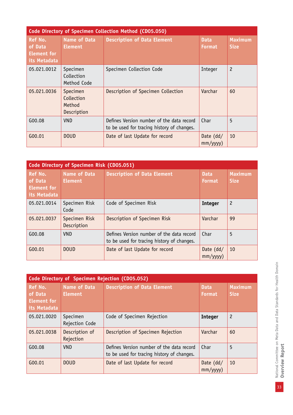|                                                                 | <b>Code Directory of Specimen Collection Method (CD05.050)</b> |                                                                                         |                              |                               |  |  |
|-----------------------------------------------------------------|----------------------------------------------------------------|-----------------------------------------------------------------------------------------|------------------------------|-------------------------------|--|--|
| <b>Ref No.</b><br>of Data<br><b>Element for</b><br>its Metadata | <b>Name of Data</b><br><b>Element</b>                          | <b>Description of Data Element</b>                                                      | <b>Data</b><br><b>Format</b> | <b>Maximum</b><br><b>Size</b> |  |  |
| 05.021.0012                                                     | Specimen<br>Collection<br>Method Code                          | Specimen Collection Code                                                                | Integer                      | $\overline{c}$                |  |  |
| 05.021.0036                                                     | Specimen<br>Collection<br>Method<br>Description                | Description of Specimen Collection                                                      | Varchar                      | 60                            |  |  |
| G00.08                                                          | VND.                                                           | Defines Version number of the data record<br>to be used for tracing history of changes. | Char                         | 5                             |  |  |
| G00.01                                                          | <b>DOUD</b>                                                    | Date of last Update for record                                                          | Date $(dd/$<br>mm/yyyy)      | 10                            |  |  |

| Code Directory of Specimen Risk (CD05.051)               |                                       |                                                                                         |                              |                               |  |
|----------------------------------------------------------|---------------------------------------|-----------------------------------------------------------------------------------------|------------------------------|-------------------------------|--|
| Ref No.<br>of Data<br><b>Element for</b><br>its Metadata | <b>Name of Data</b><br><b>Element</b> | <b>Description of Data Element</b>                                                      | <b>Data</b><br><b>Format</b> | <b>Maximum</b><br><b>Size</b> |  |
| 05.021.0014                                              | Specimen Risk<br>Code                 | Code of Specimen Risk                                                                   | <b>Integer</b>               | $\overline{c}$                |  |
| 05.021.0037                                              | Specimen Risk<br>Description          | Description of Specimen Risk                                                            | Varchar                      | 99                            |  |
| G00.08                                                   | <b>VND</b>                            | Defines Version number of the data record<br>to be used for tracing history of changes. | Char                         | 5                             |  |
| G00.01                                                   | <b>DOUD</b>                           | Date of last Update for record                                                          | Date (dd/<br>$mm/$ yyyy $)$  | 10                            |  |

| Code Directory of Specimen Rejection (CD05.052)   |                                       |                                                                                         |                              |                               |  |
|---------------------------------------------------|---------------------------------------|-----------------------------------------------------------------------------------------|------------------------------|-------------------------------|--|
| Ref No.<br>of Data<br>Element for<br>its Metadata | <b>Name of Data</b><br><b>Element</b> | <b>Description of Data Element</b>                                                      | <b>Data</b><br><b>Format</b> | <b>Maximum</b><br><b>Size</b> |  |
| 05.021.0020                                       | Specimen<br>Rejection Code            | Code of Specimen Rejection                                                              | <b>Integer</b>               | $\overline{c}$                |  |
| 05.021.0038                                       | Description of<br>Rejection           | Description of Specimen Rejection                                                       | Varchar                      | 60                            |  |
| G00.08                                            | <b>VND</b>                            | Defines Version number of the data record<br>to be used for tracing history of changes. | Char                         | 5                             |  |
| G00.01                                            | <b>DOUD</b>                           | Date of last Update for record                                                          | Date $(dd/$<br>mm/yyyy)      | 10                            |  |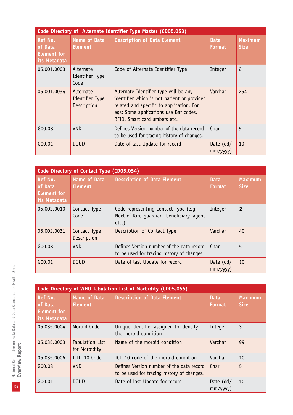| Code Directory of Alternate Identifier Type Master (CD05.053)   |                                             |                                                                                                                                                                                                           |                               |                               |  |
|-----------------------------------------------------------------|---------------------------------------------|-----------------------------------------------------------------------------------------------------------------------------------------------------------------------------------------------------------|-------------------------------|-------------------------------|--|
| <b>Ref No.</b><br>of Data<br><b>Element for</b><br>its Metadata | <b>Name of Data</b><br><b>Element</b>       | <b>Description of Data Element</b>                                                                                                                                                                        | <b>Data</b><br><b>Format</b>  | <b>Maximum</b><br><b>Size</b> |  |
| 05.001.0003                                                     | Alternate<br>Identifier Type<br>Code        | Code of Alternate Identifier Type                                                                                                                                                                         | Integer                       | $\overline{c}$                |  |
| 05.001.0034                                                     | Alternate<br>Identifier Type<br>Description | Alternate Identifier type will be any<br>identifier which is not patient or provider<br>related and specific to application. For<br>eqs: Some applications use Bar codes,<br>RFID, Smart card umbers etc. | Varchar                       | 254                           |  |
| G00.08                                                          | <b>VND</b>                                  | Defines Version number of the data record<br>to be used for tracing history of changes.                                                                                                                   | Char                          | 5                             |  |
| G00.01                                                          | <b>DOUD</b>                                 | Date of last Update for record                                                                                                                                                                            | Date $(dd/$<br>$mm/$ yyyy $)$ | 10                            |  |

| Code Directory of Contact Type (CD05.054)                |                                       |                                                                                               |                              |                               |  |
|----------------------------------------------------------|---------------------------------------|-----------------------------------------------------------------------------------------------|------------------------------|-------------------------------|--|
| Ref No.<br>of Data<br><b>Element for</b><br>its Metadata | <b>Name of Data</b><br><b>Element</b> | <b>Description of Data Element</b>                                                            | <b>Data</b><br><b>Format</b> | <b>Maximum</b><br><b>Size</b> |  |
| 05.002.0010                                              | Contact Type<br>Code                  | Code representing Contact Type (e.g.<br>Next of Kin, quardian, beneficiary, agent<br>$etc.$ ) | Integer                      | $\overline{2}$                |  |
| 05.002.0031                                              | Contact Type<br>Description           | Description of Contact Type                                                                   | Varchar                      | 40                            |  |
| G00.08                                                   | VND.                                  | Defines Version number of the data record<br>to be used for tracing history of changes.       | Char                         | 5                             |  |
| G00.01                                                   | <b>DOUD</b>                           | Date of last Update for record                                                                | Date $(dd/$<br>mm/yyy)       | 10                            |  |

|                                                                 | Code Directory of WHO Tabulation List of Morbidity (CD05.055) |                                                                                         |                              |                               |  |
|-----------------------------------------------------------------|---------------------------------------------------------------|-----------------------------------------------------------------------------------------|------------------------------|-------------------------------|--|
| <b>Ref No.</b><br>of Data<br><b>Element for</b><br>its Metadata | <b>Name of Data</b><br><b>Element</b>                         | <b>Description of Data Element</b>                                                      | <b>Data</b><br><b>Format</b> | <b>Maximum</b><br><b>Size</b> |  |
| 05.035.0004                                                     | Morbid Code                                                   | Unique identifier assigned to identify<br>the morbid condition                          | Integer                      | 3                             |  |
| 05.035.0003                                                     | <b>Tabulation List</b><br>for Morbidity                       | Name of the morbid condition                                                            | Varchar                      | 99                            |  |
| 05.035.0006                                                     | ICD-10 Code                                                   | ICD-10 code of the morbid condition                                                     | Varchar                      | 10                            |  |
| G00.08                                                          | <b>VND</b>                                                    | Defines Version number of the data record<br>to be used for tracing history of changes. | Char                         | 5                             |  |
| G00.01                                                          | <b>DOUD</b>                                                   | Date of last Update for record                                                          | Date $(dd/$<br>mm/yyyy)      | 10                            |  |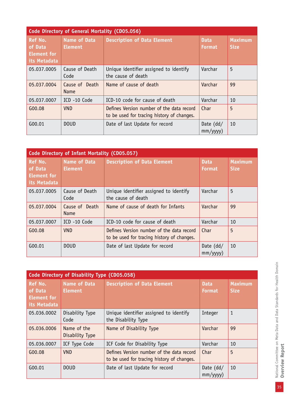| Code Directory of General Mortality (CD05.056)                  |                                       |                                                                                         |                              |                               |  |  |
|-----------------------------------------------------------------|---------------------------------------|-----------------------------------------------------------------------------------------|------------------------------|-------------------------------|--|--|
| <b>Ref No.</b><br>of Data<br><b>Element for</b><br>its Metadata | <b>Name of Data</b><br><b>Element</b> | <b>Description of Data Element</b>                                                      | <b>Data</b><br><b>Format</b> | <b>Maximum</b><br><b>Size</b> |  |  |
| 05.037.0005                                                     | Cause of Death<br>Code                | Unique identifier assigned to identify<br>the cause of death                            | Varchar                      | 5                             |  |  |
| 05.037.0004                                                     | Cause of Death<br><b>Name</b>         | Name of cause of death                                                                  | Varchar                      | 99                            |  |  |
| 05.037.0007                                                     | ICD -10 Code                          | ICD-10 code for cause of death                                                          | Varchar                      | 10                            |  |  |
| G00.08                                                          | <b>VND</b>                            | Defines Version number of the data record<br>to be used for tracing history of changes. | Char                         | 5                             |  |  |
| G00.01                                                          | <b>DOUD</b>                           | Date of last Update for record                                                          | Date $(dd/$<br>mm/yyy)       | 10                            |  |  |

| <b>Code Directory of Infant Mortality (CD05.057)</b>     |                                       |                                                                                         |                              |                               |  |
|----------------------------------------------------------|---------------------------------------|-----------------------------------------------------------------------------------------|------------------------------|-------------------------------|--|
| Ref No.<br>of Data<br><b>Element for</b><br>its Metadata | <b>Name of Data</b><br><b>Element</b> | <b>Description of Data Element</b>                                                      | <b>Data</b><br><b>Format</b> | <b>Maximum</b><br><b>Size</b> |  |
| 05.037.0005                                              | Cause of Death<br>Code                | Unique identifier assigned to identify<br>the cause of death                            | Varchar                      | 5                             |  |
| 05.037.0004                                              | Cause of Death<br><b>Name</b>         | Name of cause of death for Infants                                                      | Varchar                      | 99                            |  |
| 05.037.0007                                              | ICD-10 Code                           | ICD-10 code for cause of death                                                          | Varchar                      | 10                            |  |
| G00.08                                                   | <b>VND</b>                            | Defines Version number of the data record<br>to be used for tracing history of changes. | Char                         | 5                             |  |
| G00.01                                                   | <b>DOUD</b>                           | Date of last Update for record                                                          | Date $(dd/$<br>mm/yyyy)      | 10                            |  |

|                                                          | Code Directory of Disability Type (CD05.058) |                                                                                         |                              |                               |
|----------------------------------------------------------|----------------------------------------------|-----------------------------------------------------------------------------------------|------------------------------|-------------------------------|
| Ref No.<br>of Data<br><b>Element for</b><br>its Metadata | <b>Name of Data</b><br><b>Element</b>        | <b>Description of Data Element</b>                                                      | <b>Data</b><br><b>Format</b> | <b>Maximum</b><br><b>Size</b> |
| 05.036.0002                                              | Disability Type<br>Code                      | Unique identifier assigned to identify<br>the Disability Type                           | Integer                      | 1                             |
| 05.036.0006                                              | Name of the<br>Disability Type               | Name of Disability Type                                                                 | Varchar                      | 99                            |
| 05.036.0007                                              | ICF Type Code                                | ICF Code for Disability Type                                                            | Varchar                      | 10                            |
| G00.08                                                   | <b>VND</b>                                   | Defines Version number of the data record<br>to be used for tracing history of changes. | Char                         | 5                             |
| G00.01                                                   | <b>DOUD</b>                                  | Date of last Update for record                                                          | Date $(dd/$<br>mm/yyyy)      | 10                            |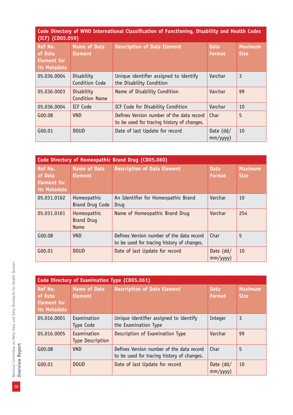|                  | Code Directory of WHO International Classification of Functioning, Disability and Health Codes |  |  |  |
|------------------|------------------------------------------------------------------------------------------------|--|--|--|
| (ICF) (CD05.059) |                                                                                                |  |  |  |

| <b>Ref No.</b><br>of Data<br><b>Element</b> for<br>its Metadata | <b>Name of Data</b><br><b>Element</b> | <b>Description of Data Element</b>                                                      | <b>Data</b><br><b>Format</b> | <b>Maximum</b><br><b>Size</b> |
|-----------------------------------------------------------------|---------------------------------------|-----------------------------------------------------------------------------------------|------------------------------|-------------------------------|
| 05.036.0004                                                     | Disability<br>Condition Code          | Unique identifier assigned to identify<br>the Disability Condition                      | Varchar                      | 3                             |
| 05.036.0003                                                     | Disability<br><b>Condition Name</b>   | Name of Disability Condition                                                            | Varchar                      | 99                            |
| 05.036.0004                                                     | ICF Code                              | ICF Code for Disability Condition                                                       | Varchar                      | 10                            |
| G00.08                                                          | <b>VND</b>                            | Defines Version number of the data record<br>to be used for tracing history of changes. | Char                         | 5                             |
| G00.01                                                          | <b>DOUD</b>                           | Date of last Update for record                                                          | Date $(dd/$<br>mm/yyyy)      | 10                            |

|                                                          | Code Directory of Homeopathic Brand Drug (CD05.060) |                                                                                         |                               |                               |  |
|----------------------------------------------------------|-----------------------------------------------------|-----------------------------------------------------------------------------------------|-------------------------------|-------------------------------|--|
| Ref No.<br>of Data<br><b>Element for</b><br>its Metadata | <b>Name of Data</b><br><b>Element</b>               | <b>Description of Data Element</b>                                                      | <b>Data</b><br><b>Format</b>  | <b>Maximum</b><br><b>Size</b> |  |
| 05.031.0162                                              | Homeopathic<br>Brand Drug Code                      | An Identifier for Homeopathic Brand<br>Drug                                             | Varchar                       | 10                            |  |
| 05.031.0161                                              | Homeopathic<br><b>Brand Drug</b><br><b>Name</b>     | Name of Homeopathic Brand Drug                                                          | Varchar                       | 254                           |  |
| G00.08                                                   | VND.                                                | Defines Version number of the data record<br>to be used for tracing history of changes. | Char                          | 5                             |  |
| G00.01                                                   | <b>DOUD</b>                                         | Date of last Update for record                                                          | Date $(dd/$<br>$mm/$ yyyy $)$ | 10                            |  |

| Code Directory of Examination Type (CD05.061)                   |                                       |                                                                                         |                         |                               |
|-----------------------------------------------------------------|---------------------------------------|-----------------------------------------------------------------------------------------|-------------------------|-------------------------------|
| <b>Ref No.</b><br>of Data<br><b>Element for</b><br>its Metadata | <b>Name of Data</b><br><b>Element</b> | <b>Description of Data Element</b>                                                      | <b>Data</b><br>Format   | <b>Maximum</b><br><b>Size</b> |
| 05.016.0001                                                     | Examination<br>Type Code              | Unique identifier assigned to identify<br>the Examination Type                          | Integer                 | 3                             |
| 05.016.0005                                                     | Examination<br>Type Description       | Description of Examination Type                                                         | Varchar                 | 99                            |
| G00.08                                                          | <b>VND</b>                            | Defines Version number of the data record<br>to be used for tracing history of changes. | Char                    | 5                             |
| G00.01                                                          | <b>DOUD</b>                           | Date of last Update for record                                                          | Date $(dd/$<br>mm/yyyy) | 10                            |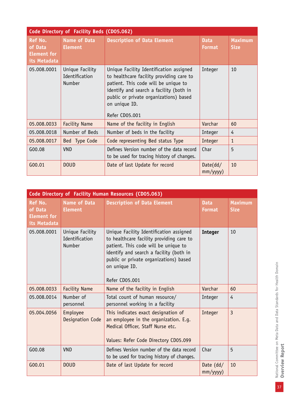| Code Directory of Facility Beds (CD05.062)                      |                                                    |                                                                                                                                                                                                                                                     |                              |                               |  |
|-----------------------------------------------------------------|----------------------------------------------------|-----------------------------------------------------------------------------------------------------------------------------------------------------------------------------------------------------------------------------------------------------|------------------------------|-------------------------------|--|
| <b>Ref No.</b><br>of Data<br><b>Element for</b><br>its Metadata | Name of Data<br><b>Element</b>                     | <b>Description of Data Element</b>                                                                                                                                                                                                                  | <b>Data</b><br><b>Format</b> | <b>Maximum</b><br><b>Size</b> |  |
| 05.008.0001                                                     | Unique Facility<br>Identification<br><b>Number</b> | Unique Facility Identification assigned<br>to healthcare facility providing care to<br>patient. This code will be unique to<br>identify and search a facility (both in<br>public or private organizations) based<br>on unique ID.<br>Refer CD05.001 | Integer                      | 10                            |  |
| 05.008.0033                                                     | <b>Facility Name</b>                               | Name of the facility in English                                                                                                                                                                                                                     | Varchar                      | 60                            |  |
| 05.008.0018                                                     | Number of Beds                                     | Number of beds in the facility                                                                                                                                                                                                                      | Integer                      | 4                             |  |
| 05.008.0017                                                     | Bed Type Code                                      | Code representing Bed status Type                                                                                                                                                                                                                   | Integer                      | $\mathbf{1}$                  |  |
| G00.08                                                          | <b>VND</b>                                         | Defines Version number of the data record<br>to be used for tracing history of changes.                                                                                                                                                             | Char                         | 5                             |  |
| G00.01                                                          | <b>DOUD</b>                                        | Date of last Update for record                                                                                                                                                                                                                      | Date(dd/<br>$mm/$ yyyy $)$   | 10                            |  |

| Code Directory of Facility Human Resources (CD05.063)           |                                                    |                                                                                                                                                                                                                                                     |                               |                               |
|-----------------------------------------------------------------|----------------------------------------------------|-----------------------------------------------------------------------------------------------------------------------------------------------------------------------------------------------------------------------------------------------------|-------------------------------|-------------------------------|
| <b>Ref No.</b><br>of Data<br><b>Element for</b><br>its Metadata | <b>Name of Data</b><br><b>Element</b>              | <b>Description of Data Element</b>                                                                                                                                                                                                                  | <b>Data</b><br><b>Format</b>  | <b>Maximum</b><br><b>Size</b> |
| 05.008.0001                                                     | Unique Facility<br>Identification<br><b>Number</b> | Unique Facility Identification assigned<br>to healthcare facility providing care to<br>patient. This code will be unique to<br>identify and search a facility (both in<br>public or private organizations) based<br>on unique ID.<br>Refer CD05.001 | <b>Integer</b>                | 10                            |
| 05.008.0033                                                     | <b>Facility Name</b>                               | Name of the facility in English                                                                                                                                                                                                                     | Varchar                       | 60                            |
| 05.008.0014                                                     | Number of<br>personnel                             | Total count of human resource/<br>personnel working in a facility                                                                                                                                                                                   | Integer                       | 4                             |
| 05.004.0056                                                     | Employee<br>Designation Code                       | This indicates exact designation of<br>an employee in the organization. E.g.<br>Medical Officer, Staff Nurse etc.<br>Values: Refer Code Directory CD05.099                                                                                          | Integer                       | $\overline{3}$                |
| G00.08                                                          | <b>VND</b>                                         | Defines Version number of the data record<br>to be used for tracing history of changes.                                                                                                                                                             | Char                          | 5                             |
| G00.01                                                          | <b>DOUD</b>                                        | Date of last Update for record                                                                                                                                                                                                                      | Date $(dd/$<br>$mm/$ yyyy $)$ | 10                            |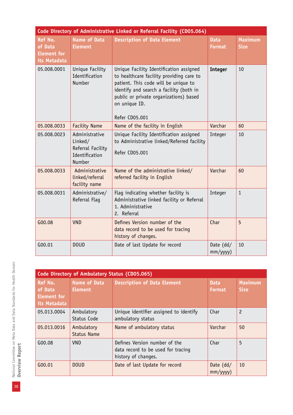| Code Directory of Administrative Linked or Referral Facility (CD05.064) |                                                                            |                                                                                                                                                                                                                                                     |                              |                               |  |
|-------------------------------------------------------------------------|----------------------------------------------------------------------------|-----------------------------------------------------------------------------------------------------------------------------------------------------------------------------------------------------------------------------------------------------|------------------------------|-------------------------------|--|
| <b>Ref No.</b><br>of Data<br><b>Element for</b><br>its Metadata         | <b>Name of Data</b><br><b>Element</b>                                      | <b>Description of Data Element</b>                                                                                                                                                                                                                  | <b>Data</b><br><b>Format</b> | <b>Maximum</b><br><b>Size</b> |  |
| 05.008.0001                                                             | Unique Facility<br>Identification<br>Number                                | Unique Facility Identification assigned<br>to healthcare facility providing care to<br>patient. This code will be unique to<br>identify and search a facility (both in<br>public or private organizations) based<br>on unique ID.<br>Refer CD05.001 | <b>Integer</b>               | 10                            |  |
| 05.008.0033                                                             | <b>Facility Name</b>                                                       | Name of the facility in English                                                                                                                                                                                                                     | Varchar                      | 60                            |  |
| 05.008.0023                                                             | Administrative<br>Linked/<br>Referral Facility<br>Identification<br>Number | Unique Facility Identification assigned<br>to Administrative linked/Referred facility<br>Refer CD05.001                                                                                                                                             | Integer                      | 10                            |  |
| 05.008.0033                                                             | Administrative<br>linked/referral<br>facility name                         | Name of the administrative linked/<br>referred facility in English                                                                                                                                                                                  | Varchar                      | 60                            |  |
| 05.008.0031                                                             | Administrative/<br>Referral Flaq                                           | Flag indicating whether facility is<br>Administrative linked facility or Referral<br>1. Administrative<br>2. Referral                                                                                                                               | Integer                      | $\mathbf{1}$                  |  |
| G00.08                                                                  | <b>VND</b>                                                                 | Defines Version number of the<br>data record to be used for tracing<br>history of changes.                                                                                                                                                          | Char                         | 5                             |  |
| G00.01                                                                  | <b>DOUD</b>                                                                | Date of last Update for record                                                                                                                                                                                                                      | Date (dd/<br>mm/yyyy)        | 10                            |  |

|                                                          | Code Directory of Ambulatory Status (CD05.065) |                                                                                            |                              |                               |  |
|----------------------------------------------------------|------------------------------------------------|--------------------------------------------------------------------------------------------|------------------------------|-------------------------------|--|
| Ref No.<br>of Data<br><b>Element for</b><br>its Metadata | <b>Name of Data</b><br><b>Element</b>          | <b>Description of Data Element</b>                                                         | <b>Data</b><br><b>Format</b> | <b>Maximum</b><br><b>Size</b> |  |
| 05.013.0004                                              | Ambulatory<br>Status Code                      | Unique identifier assigned to identify<br>ambulatory status                                | Char                         | $\overline{c}$                |  |
| 05.013.0016                                              | Ambulatory<br><b>Status Name</b>               | Name of ambulatory status                                                                  | Varchar                      | 50                            |  |
| G00.08                                                   | <b>VND</b>                                     | Defines Version number of the<br>data record to be used for tracing<br>history of changes. | Char                         | 5                             |  |
| G00.01                                                   | <b>DOUD</b>                                    | Date of last Update for record                                                             | Date $(dd/$<br>mm/yyyy)      | 10                            |  |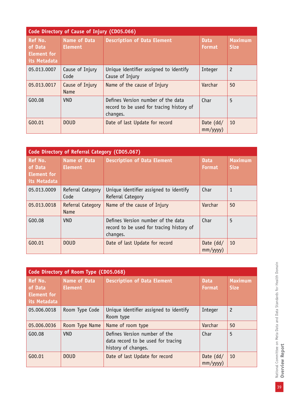| Code Directory of Cause of Injury (CD05.066)             |                                       |                                                                                            |                              |                               |  |
|----------------------------------------------------------|---------------------------------------|--------------------------------------------------------------------------------------------|------------------------------|-------------------------------|--|
| Ref No.<br>of Data<br><b>Element for</b><br>its Metadata | <b>Name of Data</b><br><b>Element</b> | <b>Description of Data Element</b>                                                         | <b>Data</b><br><b>Format</b> | <b>Maximum</b><br><b>Size</b> |  |
| 05.013.0007                                              | Cause of Injury<br>Code               | Unique identifier assigned to identify<br>Cause of Injury                                  | Integer                      | $\overline{c}$                |  |
| 05.013.0017                                              | Cause of Injury<br><b>Name</b>        | Name of the cause of Injury                                                                | Varchar                      | 50                            |  |
| G00.08                                                   | <b>VND</b>                            | Defines Version number of the data<br>record to be used for tracing history of<br>changes. | Char                         | 5                             |  |
| G00.01                                                   | <b>DOUD</b>                           | Date of last Update for record                                                             | Date $(dd/$<br>mm/yyyy)      | 10                            |  |

| Code Directory of Referral Category (CD05.067)           |                                       |                                                                                            |                              |                               |  |
|----------------------------------------------------------|---------------------------------------|--------------------------------------------------------------------------------------------|------------------------------|-------------------------------|--|
| Ref No.<br>of Data<br><b>Element for</b><br>its Metadata | <b>Name of Data</b><br><b>Element</b> | <b>Description of Data Element</b>                                                         | <b>Data</b><br><b>Format</b> | <b>Maximum</b><br><b>Size</b> |  |
| 05.013.0009                                              | Referral Category<br>Code             | Unique identifier assigned to identify<br>Referral Category                                | Char                         | $\mathbf{1}$                  |  |
| 05.013.0018                                              | Referral Category<br><b>Name</b>      | Name of the cause of Injury                                                                | Varchar                      | 50                            |  |
| G00.08                                                   | <b>VND</b>                            | Defines Version number of the data<br>record to be used for tracing history of<br>changes. | Char                         | 5                             |  |
| G00.01                                                   | <b>DOUD</b>                           | Date of last Update for record                                                             | Date $(dd/$<br>mm/yyy)       | 10                            |  |

| Code Directory of Room Type (CD05.068)                          |                                       |                                                                                            |                              |                               |  |
|-----------------------------------------------------------------|---------------------------------------|--------------------------------------------------------------------------------------------|------------------------------|-------------------------------|--|
| <b>Ref No.</b><br>of Data<br><b>Element for</b><br>its Metadata | <b>Name of Data</b><br><b>Element</b> | <b>Description of Data Element</b>                                                         | <b>Data</b><br><b>Format</b> | <b>Maximum</b><br><b>Size</b> |  |
| 05.006.0018                                                     | Room Type Code                        | Unique identifier assigned to identify<br>Room type                                        | Integer                      | $\overline{c}$                |  |
| 05.006.0036                                                     | Room Type Name                        | Name of room type                                                                          | Varchar                      | 50                            |  |
| G00.08                                                          | <b>VND</b>                            | Defines Version number of the<br>data record to be used for tracing<br>history of changes. | Char                         | 5                             |  |
| G00.01                                                          | <b>DOUD</b>                           | Date of last Update for record                                                             | Date $(dd/$<br>mm/yyyy)      | 10                            |  |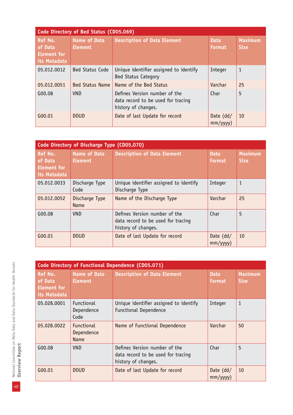| Code Directory of Bed Status (CD05.069)           |                                       |                                                                                            |                              |                               |  |
|---------------------------------------------------|---------------------------------------|--------------------------------------------------------------------------------------------|------------------------------|-------------------------------|--|
| Ref No.<br>of Data<br>Element for<br>its Metadata | <b>Name of Data</b><br><b>Element</b> | <b>Description of Data Element</b>                                                         | <b>Data</b><br><b>Format</b> | <b>Maximum</b><br><b>Size</b> |  |
| 05.012.0012                                       | <b>Bed Status Code</b>                | Unique identifier assigned to identify<br><b>Bed Status Category</b>                       | Integer                      | 1                             |  |
| 05.012.0051                                       | <b>Bed Status Name</b>                | Name of the Bed Status                                                                     | Varchar                      | 25                            |  |
| G00.08                                            | <b>VND</b>                            | Defines Version number of the<br>data record to be used for tracing<br>history of changes. | Char                         | 5                             |  |
| G00.01                                            | <b>DOUD</b>                           | Date of last Update for record                                                             | Date $(dd/$<br>mm/yyy)       | 10                            |  |

| Code Directory of Discharge Type (CD05.070)              |                                       |                                                                                            |                              |                        |  |
|----------------------------------------------------------|---------------------------------------|--------------------------------------------------------------------------------------------|------------------------------|------------------------|--|
| Ref No.<br>of Data<br><b>Element for</b><br>its Metadata | <b>Name of Data</b><br><b>Element</b> | <b>Description of Data Element</b>                                                         | <b>Data</b><br><b>Format</b> | Maximum<br><b>Size</b> |  |
| 05.012.0033                                              | Discharge Type<br>Code                | Unique identifier assigned to identify<br>Discharge Type                                   | Integer                      | $\mathbf{1}$           |  |
| 05.012.0052                                              | Discharge Type<br>Name                | Name of the Discharge Type                                                                 | Varchar                      | 25                     |  |
| G00.08                                                   | <b>VND</b>                            | Defines Version number of the<br>data record to be used for tracing<br>history of changes. | Char                         | 5                      |  |
| G00.01                                                   | <b>DOUD</b>                           | Date of last Update for record                                                             | Date $(dd/$<br>mm/yyyy)      | 10                     |  |

|                                                          | Code Directory of Functional Dependence (CD05.071) |                                                                                            |                              |                               |  |
|----------------------------------------------------------|----------------------------------------------------|--------------------------------------------------------------------------------------------|------------------------------|-------------------------------|--|
| Ref No.<br>of Data<br><b>Element for</b><br>its Metadata | Name of Data<br><b>Element</b>                     | <b>Description of Data Element</b>                                                         | <b>Data</b><br><b>Format</b> | <b>Maximum</b><br><b>Size</b> |  |
| 05.028.0001                                              | <b>Functional</b><br>Dependence<br>Code            | Unique identifier assigned to identify<br><b>Functional Dependence</b>                     | Integer                      | $\mathbf{1}$                  |  |
| 05.028.0022                                              | <b>Functional</b><br>Dependence<br>Name            | Name of Functional Dependence                                                              | Varchar                      | 50                            |  |
| G00.08                                                   | <b>VND</b>                                         | Defines Version number of the<br>data record to be used for tracing<br>history of changes. | Char                         | 5                             |  |
| G00.01                                                   | <b>DOUD</b>                                        | Date of last Update for record                                                             | Date $(dd/$<br>mm/yyy)       | 10                            |  |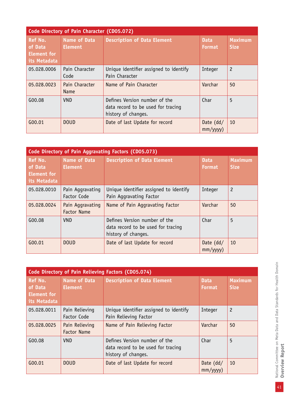| Code Directory of Pain Character (CD05.072)              |                                       |                                                                                            |                              |                               |  |
|----------------------------------------------------------|---------------------------------------|--------------------------------------------------------------------------------------------|------------------------------|-------------------------------|--|
| Ref No.<br>of Data<br><b>Element for</b><br>its Metadata | <b>Name of Data</b><br><b>Element</b> | <b>Description of Data Element</b>                                                         | <b>Data</b><br><b>Format</b> | <b>Maximum</b><br><b>Size</b> |  |
| 05.028.0006                                              | Pain Character<br>Code                | Unique identifier assigned to identify<br>Pain Character                                   | Integer                      | $\overline{c}$                |  |
| 05.028.0023                                              | Pain Character<br><b>Name</b>         | Name of Pain Character                                                                     | Varchar                      | 50                            |  |
| G00.08                                                   | <b>VND</b>                            | Defines Version number of the<br>data record to be used for tracing<br>history of changes. | Char                         | 5                             |  |
| G00.01                                                   | <b>DOUD</b>                           | Date of last Update for record                                                             | Date $(dd/$<br>mm/yyyy)      | 10                            |  |

| Code Directory of Pain Aggravating Factors (CD05.073)           |                                        |                                                                                            |                              |                               |  |
|-----------------------------------------------------------------|----------------------------------------|--------------------------------------------------------------------------------------------|------------------------------|-------------------------------|--|
| <b>Ref No.</b><br>of Data<br><b>Element for</b><br>its Metadata | <b>Name of Data</b><br><b>Element</b>  | <b>Description of Data Element</b>                                                         | <b>Data</b><br><b>Format</b> | <b>Maximum</b><br><b>Size</b> |  |
| 05.028.0010                                                     | Pain Aggravating<br>Factor Code        | Unique identifier assigned to identify<br>Pain Aggravating Factor                          | Integer                      | $\overline{c}$                |  |
| 05.028.0024                                                     | Pain Aggravating<br><b>Factor Name</b> | Name of Pain Aggravating Factor                                                            | Varchar                      | 50                            |  |
| G00.08                                                          | <b>VND</b>                             | Defines Version number of the<br>data record to be used for tracing<br>history of changes. | Char                         | 5                             |  |
| G00.01                                                          | <b>DOUD</b>                            | Date of last Update for record                                                             | Date $(dd/$<br>mm/yyyy)      | 10                            |  |

| Code Directory of Pain Relieving Factors (CD05.074)      |                                       |                                                                                            |                              |                               |  |
|----------------------------------------------------------|---------------------------------------|--------------------------------------------------------------------------------------------|------------------------------|-------------------------------|--|
| Ref No.<br>of Data<br><b>Element for</b><br>its Metadata | <b>Name of Data</b><br><b>Element</b> | <b>Description of Data Element</b>                                                         | <b>Data</b><br><b>Format</b> | <b>Maximum</b><br><b>Size</b> |  |
| 05.028.0011                                              | Pain Relieving<br>Factor Code         | Unique identifier assigned to identify<br>Pain Relieving Factor                            | Integer                      | $\overline{c}$                |  |
| 05.028.0025                                              | Pain Relieving<br><b>Factor Name</b>  | Name of Pain Relieving Factor                                                              | Varchar                      | 50                            |  |
| G00.08                                                   | <b>VND</b>                            | Defines Version number of the<br>data record to be used for tracing<br>history of changes. | Char                         | 5                             |  |
| G00.01                                                   | <b>DOUD</b>                           | Date of last Update for record                                                             | Date $(dd/$<br>mm/yyyy)      | 10                            |  |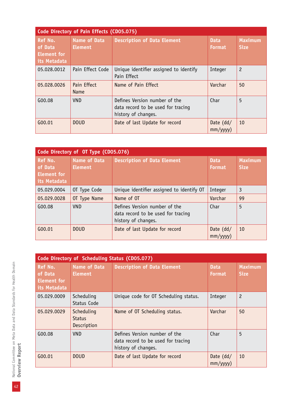| Code Directory of Pain Effects (CD05.075)                |                                       |                                                                                            |                              |                               |  |
|----------------------------------------------------------|---------------------------------------|--------------------------------------------------------------------------------------------|------------------------------|-------------------------------|--|
| Ref No.<br>of Data<br><b>Element</b> for<br>its Metadata | <b>Name of Data</b><br><b>Element</b> | <b>Description of Data Element</b>                                                         | <b>Data</b><br><b>Format</b> | <b>Maximum</b><br><b>Size</b> |  |
| 05.028.0012                                              | Pain Effect Code                      | Unique identifier assigned to identify<br>Pain Effect                                      | Integer                      | $\overline{c}$                |  |
| 05.028.0026                                              | Pain Effect<br>Name                   | Name of Pain Effect                                                                        | Varchar                      | 50                            |  |
| G00.08                                                   | <b>VND</b>                            | Defines Version number of the<br>data record to be used for tracing<br>history of changes. | Char                         | 5                             |  |
| G00.01                                                   | <b>DOUD</b>                           | Date of last Update for record                                                             | Date $(dd/$<br>mm/yyyy)      | 10                            |  |

| Code Directory of OT Type (CD05.076)                            |                                       |                                                                                            |                              |                               |
|-----------------------------------------------------------------|---------------------------------------|--------------------------------------------------------------------------------------------|------------------------------|-------------------------------|
| <b>Ref No.</b><br>of Data<br><b>Element for</b><br>its Metadata | <b>Name of Data</b><br><b>Element</b> | <b>Description of Data Element</b>                                                         | <b>Data</b><br><b>Format</b> | <b>Maximum</b><br><b>Size</b> |
| 05.029.0004                                                     | OT Type Code                          | Unique identifier assigned to identify OT                                                  | Integer                      | 3                             |
| 05.029.0028                                                     | OT Type Name                          | Name of OT                                                                                 | Varchar                      | 99                            |
| G00.08                                                          | <b>VND</b>                            | Defines Version number of the<br>data record to be used for tracing<br>history of changes. | Char                         | 5                             |
| G00.01                                                          | <b>DOUD</b>                           | Date of last Update for record                                                             | Date $(dd/$<br>mm/yyyy)      | 10                            |

|                                                   | Code Directory of Scheduling Status (CD05.077) |                                                                                            |                              |                               |  |
|---------------------------------------------------|------------------------------------------------|--------------------------------------------------------------------------------------------|------------------------------|-------------------------------|--|
| Ref No.<br>of Data<br>Element for<br>its Metadata | <b>Name of Data</b><br><b>Element</b>          | <b>Description of Data Element</b>                                                         | <b>Data</b><br><b>Format</b> | <b>Maximum</b><br><b>Size</b> |  |
| 05.029.0009                                       | Scheduling<br>Status Code                      | Unique code for OT Scheduling status.                                                      | Integer                      | $\overline{c}$                |  |
| 05.029.0029                                       | Scheduling<br><b>Status</b><br>Description     | Name of OT Scheduling status.                                                              | Varchar                      | 50                            |  |
| G00.08                                            | <b>VND</b>                                     | Defines Version number of the<br>data record to be used for tracing<br>history of changes. | Char                         | 5                             |  |
| G00.01                                            | <b>DOUD</b>                                    | Date of last Update for record                                                             | Date $(dd/$<br>mm/yyy)       | 10                            |  |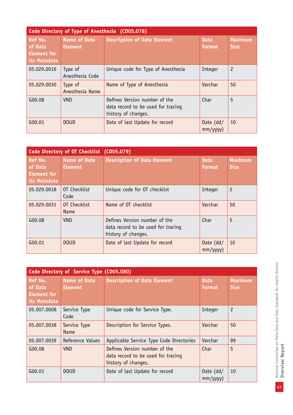| Code Directory of Type of Anesthesia (CD05.078)                 |                                       |                                                                                            |                              |                               |  |
|-----------------------------------------------------------------|---------------------------------------|--------------------------------------------------------------------------------------------|------------------------------|-------------------------------|--|
| <b>Ref No.</b><br>of Data<br><b>Element</b> for<br>its Metadata | <b>Name of Data</b><br><b>Element</b> | <b>Description of Data Element</b>                                                         | <b>Data</b><br><b>Format</b> | <b>Maximum</b><br><b>Size</b> |  |
| 05.029.0016                                                     | Type of<br>Anesthesia Code            | Unique code for Type of Anesthesia                                                         | Integer                      | $\overline{c}$                |  |
| 05.029.0030                                                     | Type of<br>Anesthesia Name            | Name of Type of Anesthesia                                                                 | Varchar                      | 50                            |  |
| G00.08                                                          | <b>VND</b>                            | Defines Version number of the<br>data record to be used for tracing<br>history of changes. | Char                         | 5                             |  |
| G00.01                                                          | <b>DOUD</b>                           | Date of last Update for record                                                             | Date $(dd/$<br>mm/yyyy)      | 10                            |  |

|                                                          | Code Directory of OT Checklist (CD05.079) |                                                                                            |                               |                               |  |
|----------------------------------------------------------|-------------------------------------------|--------------------------------------------------------------------------------------------|-------------------------------|-------------------------------|--|
| Ref No.<br>of Data<br><b>Element</b> for<br>its Metadata | <b>Name of Data</b><br><b>Element</b>     | <b>Description of Data Element</b>                                                         | <b>Data</b><br>Format         | <b>Maximum</b><br><b>Size</b> |  |
| 05.029.0018                                              | OT Checklist<br>Code                      | Unique code for OT checklist                                                               | Integer                       | $\overline{c}$                |  |
| 05.029.0031                                              | OT Checklist<br>Name                      | Name of OT checklist                                                                       | Varchar                       | 50                            |  |
| G00.08                                                   | <b>VND</b>                                | Defines Version number of the<br>data record to be used for tracing<br>history of changes. | Char                          | 5                             |  |
| G00.01                                                   | <b>DOUD</b>                               | Date of last Update for record                                                             | Date $(dd/$<br>$mm/$ yyyy $)$ | 10                            |  |

| Code Directory of Service Type (CD05.080)                |                                       |                                                                                            |                              |                               |
|----------------------------------------------------------|---------------------------------------|--------------------------------------------------------------------------------------------|------------------------------|-------------------------------|
| Ref No.<br>of Data<br><b>Element for</b><br>its Metadata | <b>Name of Data</b><br><b>Element</b> | <b>Description of Data Element</b>                                                         | <b>Data</b><br><b>Format</b> | <b>Maximum</b><br><b>Size</b> |
| 05.007.0008                                              | Service Type<br>Code                  | Unique code for Service Type.                                                              | Integer                      | $\overline{c}$                |
| 05.007.0038                                              | Service Type<br>Name                  | Description for Service Types.                                                             | Varchar                      | 50                            |
| 05.007.0039                                              | Reference Values                      | Applicable Service Type Code Directories                                                   | Varchar                      | 99                            |
| G00.08                                                   | <b>VND</b>                            | Defines Version number of the<br>data record to be used for tracing<br>history of changes. | Char                         | 5                             |
| G00.01                                                   | <b>DOUD</b>                           | Date of last Update for record                                                             | Date $(dd/$<br>mm/yyyy)      | 10                            |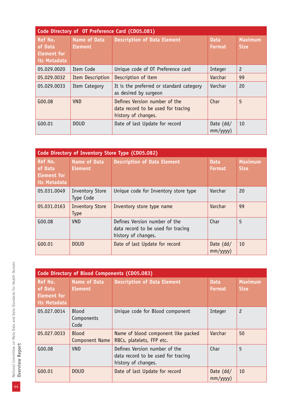| Code Directory of OT Preference Card (CD05.081)                 |                                |                                                                                            |                              |                               |
|-----------------------------------------------------------------|--------------------------------|--------------------------------------------------------------------------------------------|------------------------------|-------------------------------|
| <b>Ref No.</b><br>of Data<br><b>Element for</b><br>its Metadata | Name of Data<br><b>Element</b> | <b>Description of Data Element</b>                                                         | <b>Data</b><br><b>Format</b> | <b>Maximum</b><br><b>Size</b> |
| 05.029.0020                                                     | Item Code                      | Unique code of OT Preference card                                                          | Integer                      | $\overline{c}$                |
| 05.029.0032                                                     | Item Description               | Description of item                                                                        | Varchar                      | 99                            |
| 05.029.0033                                                     | Item Category                  | It is the preferred or standard category<br>as desired by surgeon                          | Varchar                      | 20                            |
| G00.08                                                          | <b>VND</b>                     | Defines Version number of the<br>data record to be used for tracing<br>history of changes. | Char                         | 5                             |
| G00.01                                                          | <b>DOUD</b>                    | Date of last Update for record                                                             | Date $(dd/$<br>mm/yyyy)      | 10                            |

| Code Directory of Inventory Store Type (CD05.082)        |                                       |                                                                                            |                               |                               |  |
|----------------------------------------------------------|---------------------------------------|--------------------------------------------------------------------------------------------|-------------------------------|-------------------------------|--|
| Ref No.<br>of Data<br><b>Element</b> for<br>its Metadata | <b>Name of Data</b><br><b>Element</b> | <b>Description of Data Element</b>                                                         | <b>Data</b><br><b>Format</b>  | <b>Maximum</b><br><b>Size</b> |  |
| 05.031.0049                                              | <b>Inventory Store</b><br>Type Code   | Unique code for Inventory store type                                                       | Varchar                       | 20                            |  |
| 05.031.0163                                              | <b>Inventory Store</b><br><b>Type</b> | Inventory store type name                                                                  | Varchar                       | 99                            |  |
| G00.08                                                   | <b>VND</b>                            | Defines Version number of the<br>data record to be used for tracing<br>history of changes. | Char                          | 5                             |  |
| G00.01                                                   | <b>DOUD</b>                           | Date of last Update for record                                                             | Date $(dd/$<br>$mm/$ yyyy $)$ | 10                            |  |

|                                                   | Code Directory of Blood Components (CD05.083) |                                                                                            |                              |                               |  |
|---------------------------------------------------|-----------------------------------------------|--------------------------------------------------------------------------------------------|------------------------------|-------------------------------|--|
| Ref No.<br>of Data<br>Element for<br>its Metadata | <b>Name of Data</b><br><b>Element</b>         | <b>Description of Data Element</b>                                                         | <b>Data</b><br><b>Format</b> | <b>Maximum</b><br><b>Size</b> |  |
| 05.027.0014                                       | Blood<br>Components<br>Code                   | Unique code for Blood component                                                            | Integer                      | $\overline{c}$                |  |
| 05.027.0033                                       | <b>Blood</b><br>Component Name                | Name of blood component like packed<br>RBCs, platelets, FFP etc.                           | Varchar                      | 50                            |  |
| G00.08                                            | <b>VND</b>                                    | Defines Version number of the<br>data record to be used for tracing<br>history of changes. | Char                         | 5                             |  |
| G00.01                                            | <b>DOUD</b>                                   | Date of last Update for record                                                             | Date $(dd/$<br>mm/yyyy)      | 10                            |  |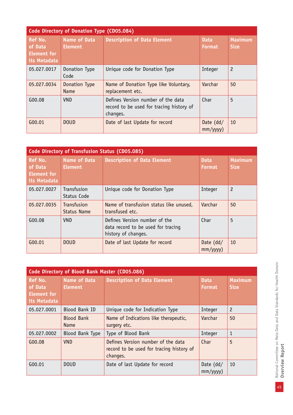| <b>Code Directory of Donation Type (CD05.084)</b>               |                                       |                                                                                            |                              |                               |  |
|-----------------------------------------------------------------|---------------------------------------|--------------------------------------------------------------------------------------------|------------------------------|-------------------------------|--|
| <b>Ref No.</b><br>of Data<br><b>Element for</b><br>its Metadata | <b>Name of Data</b><br><b>Element</b> | <b>Description of Data Element</b>                                                         | <b>Data</b><br><b>Format</b> | <b>Maximum</b><br><b>Size</b> |  |
| 05.027.0017                                                     | Donation Type<br>Code                 | Unique code for Donation Type                                                              | Integer                      | $\overline{c}$                |  |
| 05.027.0034                                                     | Donation Type<br>Name                 | Name of Donation Type like Voluntary,<br>replacement etc.                                  | Varchar                      | 50                            |  |
| G00.08                                                          | <b>VND</b>                            | Defines Version number of the data<br>record to be used for tracing history of<br>changes. | Char                         | 5                             |  |
| G00.01                                                          | <b>DOUD</b>                           | Date of last Update for record                                                             | Date $(dd/$<br>mm/yyyy)      | 10                            |  |

| Code Directory of Transfusion Status (CD05.085)                 |                                       |                                                                                            |                              |                               |  |
|-----------------------------------------------------------------|---------------------------------------|--------------------------------------------------------------------------------------------|------------------------------|-------------------------------|--|
| <b>Ref No.</b><br>of Data<br><b>Element for</b><br>its Metadata | <b>Name of Data</b><br><b>Element</b> | <b>Description of Data Element</b>                                                         | <b>Data</b><br><b>Format</b> | <b>Maximum</b><br><b>Size</b> |  |
| 05.027.0027                                                     | Transfusion<br>Status Code            | Unique code for Donation Type                                                              | Integer                      | $\overline{c}$                |  |
| 05.027.0035                                                     | Transfusion<br><b>Status Name</b>     | Name of transfusion status like unused,<br>transfused etc.                                 | Varchar                      | 50                            |  |
| G00.08                                                          | <b>VND</b>                            | Defines Version number of the<br>data record to be used for tracing<br>history of changes. | Char                         | 5                             |  |
| G00.01                                                          | <b>DOUD</b>                           | Date of last Update for record                                                             | Date $(dd/$<br>mm/yyyy)      | 10                            |  |

| Code Directory of Blood Bank Master (CD05.086)           |                                       |                                                                                            |                              |                               |
|----------------------------------------------------------|---------------------------------------|--------------------------------------------------------------------------------------------|------------------------------|-------------------------------|
| Ref No.<br>of Data<br><b>Element for</b><br>its Metadata | <b>Name of Data</b><br><b>Element</b> | <b>Description of Data Element</b>                                                         | <b>Data</b><br><b>Format</b> | <b>Maximum</b><br><b>Size</b> |
| 05.027.0001                                              | <b>Blood Bank ID</b>                  | Unique code for Indication Type                                                            | Integer                      | $\overline{c}$                |
|                                                          | <b>Blood Bank</b><br><b>Name</b>      | Name of Indications like therapeutic,<br>surgery etc.                                      | Varchar                      | 50                            |
| 05.027.0002                                              | <b>Blood Bank Type</b>                | Type of Blood Bank                                                                         | Integer                      | 1                             |
| G00.08                                                   | <b>VND</b>                            | Defines Version number of the data<br>record to be used for tracing history of<br>changes. | Char                         | 5                             |
| G00.01                                                   | <b>DOUD</b>                           | Date of last Update for record                                                             | Date $(dd/$<br>mm/yyyy)      | 10                            |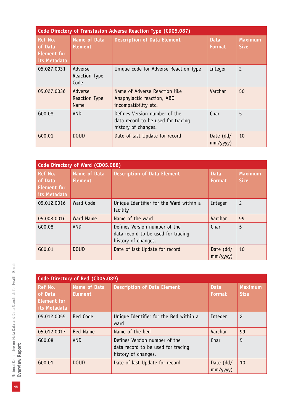|                                                          | Code Directory of Transfusion Adverse Reaction Type (CD05.087) |                                                                                            |                              |                               |  |  |
|----------------------------------------------------------|----------------------------------------------------------------|--------------------------------------------------------------------------------------------|------------------------------|-------------------------------|--|--|
| Ref No.<br>of Data<br><b>Element for</b><br>its Metadata | <b>Name of Data</b><br><b>Element</b>                          | <b>Description of Data Element</b>                                                         | <b>Data</b><br><b>Format</b> | <b>Maximum</b><br><b>Size</b> |  |  |
| 05.027.0031                                              | Adverse<br>Reaction Type<br>Code                               | Unique code for Adverse Reaction Type                                                      | Integer                      | $\overline{c}$                |  |  |
| 05.027.0036                                              | Adverse<br>Reaction Type<br>Name                               | Name of Adverse Reaction like<br>Anaphylactic reaction, ABO<br>incompatibility etc.        | Varchar                      | 50                            |  |  |
| G00.08                                                   | VND.                                                           | Defines Version number of the<br>data record to be used for tracing<br>history of changes. | Char                         | 5                             |  |  |
| G00.01                                                   | <b>DOUD</b>                                                    | Date of last Update for record                                                             | Date $(dd/$<br>mm/yyy)       | 10                            |  |  |

| Code Directory of Ward (CD05.088)                               |                                       |                                                                                            |                              |                               |
|-----------------------------------------------------------------|---------------------------------------|--------------------------------------------------------------------------------------------|------------------------------|-------------------------------|
| <b>Ref No.</b><br>of Data<br><b>Element for</b><br>its Metadata | <b>Name of Data</b><br><b>Element</b> | <b>Description of Data Element</b>                                                         | <b>Data</b><br><b>Format</b> | <b>Maximum</b><br><b>Size</b> |
| 05.012.0016                                                     | <b>Ward Code</b>                      | Unique Identifier for the Ward within a<br>facility                                        | Integer                      | $\overline{c}$                |
| 05.008.0016                                                     | Ward Name                             | Name of the ward                                                                           | Varchar                      | 99                            |
| G00.08                                                          | VND.                                  | Defines Version number of the<br>data record to be used for tracing<br>history of changes. | Char                         | 5                             |
| G(00.01)                                                        | <b>DOUD</b>                           | Date of last Update for record                                                             | Date $(dd/$<br>mm/yyyy)      | 10                            |

| Code Directory of Bed (CD05.089)                                |                                       |                                                                                            |                              |                               |
|-----------------------------------------------------------------|---------------------------------------|--------------------------------------------------------------------------------------------|------------------------------|-------------------------------|
| <b>Ref No.</b><br>of Data<br><b>Element for</b><br>its Metadata | <b>Name of Data</b><br><b>Element</b> | <b>Description of Data Element</b>                                                         | <b>Data</b><br><b>Format</b> | <b>Maximum</b><br><b>Size</b> |
| 05.012.0055                                                     | Bed Code                              | Unique Identifier for the Bed within a<br>ward                                             | Integer                      | $\overline{c}$                |
| 05.012.0017                                                     | <b>Bed Name</b>                       | Name of the bed                                                                            | Varchar                      | 99                            |
| G00.08                                                          | <b>VND</b>                            | Defines Version number of the<br>data record to be used for tracing<br>history of changes. | Char                         | 5                             |
| G00.01                                                          | <b>DOUD</b>                           | Date of last Update for record                                                             | Date $(dd/$<br>mm/yyyy)      | 10                            |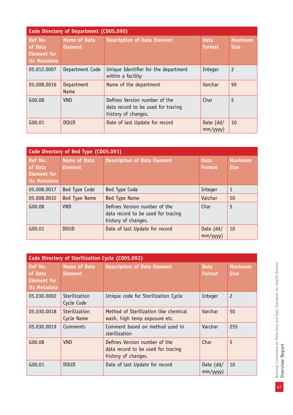| <b>Code Directory of Department (CD05.090)</b>                  |                                       |                                                                                            |                              |                               |
|-----------------------------------------------------------------|---------------------------------------|--------------------------------------------------------------------------------------------|------------------------------|-------------------------------|
| <b>Ref No.</b><br>of Data<br><b>Element for</b><br>its Metadata | <b>Name of Data</b><br><b>Element</b> | <b>Description of Data Element</b>                                                         | <b>Data</b><br><b>Format</b> | <b>Maximum</b><br><b>Size</b> |
| 05.012.0007                                                     | Department Code                       | Unique Identifier for the department<br>within a facility                                  | Integer                      | $\overline{c}$                |
| 05.008.0016                                                     | Department<br><b>Name</b>             | Name of the department                                                                     | Varchar                      | 99                            |
| G00.08                                                          | <b>VND</b>                            | Defines Version number of the<br>data record to be used for tracing<br>history of changes. | Char                         | 5                             |
| G00.01                                                          | <b>DOUD</b>                           | Date of last Update for record                                                             | Date $(dd/$<br>mm/yyyy)      | 10                            |

| Code Directory of Bed Type (CD05.091)                           |                                       |                                                                                            |                              |                               |
|-----------------------------------------------------------------|---------------------------------------|--------------------------------------------------------------------------------------------|------------------------------|-------------------------------|
| <b>Ref No.</b><br>of Data<br><b>Element</b> for<br>its Metadata | <b>Name of Data</b><br><b>Element</b> | <b>Description of Data Element</b>                                                         | <b>Data</b><br><b>Format</b> | <b>Maximum</b><br><b>Size</b> |
| 05.008.0017                                                     | Bed Type Code                         | Bed Type Code                                                                              | Integer                      | $\mathbf{1}$                  |
| 05.008.0032                                                     | Bed Type Name                         | Bed Type Name                                                                              | Varchar                      | 50                            |
| G00.08                                                          | <b>VND</b>                            | Defines Version number of the<br>data record to be used for tracing<br>history of changes. | Char                         | 5                             |
| G00.01                                                          | <b>DOUD</b>                           | Date of last Update for record                                                             | Date $(dd/$<br>mm/yyy)       | 10                            |

| Code Directory of Sterilization Cycle (CD05.092)  |                                       |                                                                                            |                              |                               |  |
|---------------------------------------------------|---------------------------------------|--------------------------------------------------------------------------------------------|------------------------------|-------------------------------|--|
| Ref No.<br>of Data<br>Element for<br>its Metadata | <b>Name of Data</b><br><b>Element</b> | <b>Description of Data Element</b>                                                         | <b>Data</b><br><b>Format</b> | <b>Maximum</b><br><b>Size</b> |  |
| 05.030.0002                                       | Sterilization<br>Cycle Code           | Unique code for Sterilization Cycle                                                        | Integer                      | $\overline{c}$                |  |
| 05.030.0018                                       | Sterilization<br>Cycle Name           | Method of Sterilization like chemical<br>wash, high temp exposure etc.                     | Varchar                      | 50                            |  |
| 05.030.0019                                       | Comments                              | Comment based on method used in<br>sterilization                                           | Varchar                      | 255                           |  |
| G00.08                                            | <b>VND</b>                            | Defines Version number of the<br>data record to be used for tracing<br>history of changes. | Char                         | 5                             |  |
| G00.01                                            | <b>DOUD</b>                           | Date of last Update for record                                                             | Date $(dd/$<br>mm/yyyy)      | 10                            |  |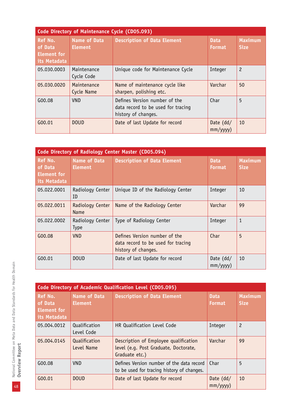| Code Directory of Maintenance Cycle (CD05.093)           |                                       |                                                                                            |                               |                               |  |
|----------------------------------------------------------|---------------------------------------|--------------------------------------------------------------------------------------------|-------------------------------|-------------------------------|--|
| Ref No.<br>of Data<br><b>Element for</b><br>its Metadata | <b>Name of Data</b><br><b>Element</b> | <b>Description of Data Element</b>                                                         | <b>Data</b><br><b>Format</b>  | <b>Maximum</b><br><b>Size</b> |  |
| 05.030.0003                                              | Maintenance<br>Cycle Code             | Unique code for Maintenance Cycle                                                          | Integer                       | $\overline{c}$                |  |
| 05.030.0020                                              | Maintenance<br>Cycle Name             | Name of maintenance cycle like<br>sharpen, polishing etc.                                  | Varchar                       | 50                            |  |
| G00.08                                                   | VND.                                  | Defines Version number of the<br>data record to be used for tracing<br>history of changes. | Char                          | 5                             |  |
| G00.01                                                   | <b>DOUD</b>                           | Date of last Update for record                                                             | Date $(dd/$<br>$mm/$ yyyy $)$ | 10                            |  |

|                                                          | Code Directory of Radiology Center Master (CD05.094) |                                                                                            |                              |                               |  |  |
|----------------------------------------------------------|------------------------------------------------------|--------------------------------------------------------------------------------------------|------------------------------|-------------------------------|--|--|
| Ref No.<br>of Data<br><b>Element for</b><br>its Metadata | <b>Name of Data</b><br><b>Element</b>                | <b>Description of Data Element</b>                                                         | <b>Data</b><br><b>Format</b> | <b>Maximum</b><br><b>Size</b> |  |  |
| 05.022.0001                                              | Radiology Center<br>ID                               | Unique ID of the Radiology Center                                                          | Integer                      | 10                            |  |  |
| 05.022.0011                                              | Radiology Center<br>Name                             | Name of the Radiology Center                                                               | Varchar                      | 99                            |  |  |
| 05.022.0002                                              | Radiology Center<br><b>Type</b>                      | Type of Radiology Center                                                                   | Integer                      | $\mathbf{1}$                  |  |  |
| G00.08                                                   | <b>VND</b>                                           | Defines Version number of the<br>data record to be used for tracing<br>history of changes. | Char                         | 5                             |  |  |
| G00.01                                                   | <b>DOUD</b>                                          | Date of last Update for record                                                             | Date $(dd/$<br>mm/yyyy)      | 10                            |  |  |

|                                                          | Code Directory of Academic Qualification Level (CD05.095) |                                                                                                  |                               |                               |  |
|----------------------------------------------------------|-----------------------------------------------------------|--------------------------------------------------------------------------------------------------|-------------------------------|-------------------------------|--|
| Ref No.<br>of Data<br><b>Element for</b><br>its Metadata | <b>Name of Data</b><br><b>Element</b>                     | <b>Description of Data Element</b>                                                               | <b>Data</b><br><b>Format</b>  | <b>Maximum</b><br><b>Size</b> |  |
| 05.004.0012                                              | Qualification<br>Level Code                               | HR Qualification Level Code                                                                      | Integer                       | $\overline{c}$                |  |
| 05.004.0145                                              | Qualification<br>Level Name                               | Description of Employee qualification<br>level (e.g. Post Graduate, Doctorate,<br>Graduate etc.) | Varchar                       | 99                            |  |
| G00.08                                                   | <b>VND</b>                                                | Defines Version number of the data record<br>to be used for tracing history of changes.          | Char                          | 5                             |  |
| G00.01                                                   | <b>DOUD</b>                                               | Date of last Update for record                                                                   | Date $(dd/$<br>$mm/$ yyyy $)$ | 10                            |  |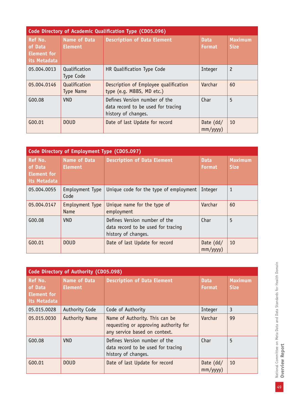| Code Directory of Academic Qualification Type (CD05.096) |                                       |                                                                                            |                              |                               |
|----------------------------------------------------------|---------------------------------------|--------------------------------------------------------------------------------------------|------------------------------|-------------------------------|
| Ref No.<br>of Data<br><b>Element</b> for<br>its Metadata | <b>Name of Data</b><br><b>Element</b> | <b>Description of Data Element</b>                                                         | <b>Data</b><br><b>Format</b> | <b>Maximum</b><br><b>Size</b> |
| 05.004.0013                                              | Qualification<br>Type Code            | HR Qualification Type Code                                                                 | Integer                      | $\overline{c}$                |
| 05.004.0146                                              | Qualification<br><b>Type Name</b>     | Description of Employee qualification<br>type (e.g. MBBS, MD etc.)                         | Varchar                      | 60                            |
| G00.08                                                   | <b>VND</b>                            | Defines Version number of the<br>data record to be used for tracing<br>history of changes. | Char                         | 5                             |
| G00.01                                                   | <b>DOUD</b>                           | Date of last Update for record                                                             | Date $(dd/$<br>mm/yyyy)      | 10                            |

| Code Directory of Employment Type (CD05.097)             |                                       |                                                                                            |                              |                               |
|----------------------------------------------------------|---------------------------------------|--------------------------------------------------------------------------------------------|------------------------------|-------------------------------|
| Ref No.<br>of Data<br><b>Element for</b><br>its Metadata | <b>Name of Data</b><br><b>Element</b> | <b>Description of Data Element</b>                                                         | <b>Data</b><br><b>Format</b> | <b>Maximum</b><br><b>Size</b> |
| 05.004.0055                                              | Employment Type<br>Code               | Unique code for the type of employment                                                     | Integer                      | 1                             |
| 05.004.0147                                              | Employment Type<br><b>Name</b>        | Unique name for the type of<br>employment                                                  | Varchar                      | 60                            |
| G00.08                                                   | <b>VND</b>                            | Defines Version number of the<br>data record to be used for tracing<br>history of changes. | Char                         | 5                             |
| G00.01                                                   | <b>DOUD</b>                           | Date of last Update for record                                                             | Date $(dd/$<br>mm/yyyy)      | 10                            |

| Code Directory of Authority (CD05.098)                   |                                       |                                                                                                          |                              |                               |
|----------------------------------------------------------|---------------------------------------|----------------------------------------------------------------------------------------------------------|------------------------------|-------------------------------|
| Ref No.<br>of Data<br><b>Element for</b><br>its Metadata | <b>Name of Data</b><br><b>Element</b> | <b>Description of Data Element</b>                                                                       | <b>Data</b><br><b>Format</b> | <b>Maximum</b><br><b>Size</b> |
| 05.015.0028                                              | Authority Code                        | Code of Authority                                                                                        | Integer                      | 3                             |
| 05.015.0030                                              | <b>Authority Name</b>                 | Name of Authority. This can be<br>requesting or approving authority for<br>any service based on context. | Varchar                      | 99                            |
| G00.08                                                   | <b>VND</b>                            | Defines Version number of the<br>data record to be used for tracing<br>history of changes.               | Char                         | 5                             |
| G00.01                                                   | <b>DOUD</b>                           | Date of last Update for record                                                                           | Date $(dd/$<br>mm/yyyy)      | 10                            |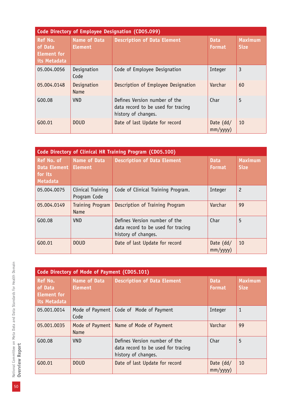| Code Directory of Employee Designation (CD05.099)               |                                       |                                                                                            |                               |                               |  |
|-----------------------------------------------------------------|---------------------------------------|--------------------------------------------------------------------------------------------|-------------------------------|-------------------------------|--|
| <b>Ref No.</b><br>of Data<br><b>Element</b> for<br>its Metadata | <b>Name of Data</b><br><b>Element</b> | <b>Description of Data Element</b>                                                         | <b>Data</b><br><b>Format</b>  | <b>Maximum</b><br><b>Size</b> |  |
| 05.004.0056                                                     | Designation<br>Code                   | Code of Employee Designation                                                               | Integer                       | 3                             |  |
| 05.004.0148                                                     | Designation<br>Name                   | Description of Employee Designation                                                        | Varchar                       | 60                            |  |
| G00.08                                                          | <b>VND</b>                            | Defines Version number of the<br>data record to be used for tracing<br>history of changes. | Char                          | 5                             |  |
| G00.01                                                          | <b>DOUD</b>                           | Date of last Update for record                                                             | Date $(dd/$<br>$mm/$ yyyy $)$ | 10                            |  |

|                                                          | Code Directory of Clinical HR Training Program (CD05.100) |                                                                                            |                              |                               |  |
|----------------------------------------------------------|-----------------------------------------------------------|--------------------------------------------------------------------------------------------|------------------------------|-------------------------------|--|
| Ref No. of<br>Data Element<br>for its<br><b>Metadata</b> | <b>Name of Data</b><br><b>Element</b>                     | <b>Description of Data Element</b>                                                         | <b>Data</b><br><b>Format</b> | <b>Maximum</b><br><b>Size</b> |  |
| 05.004.0075                                              | Clinical Training<br>Program Code                         | Code of Clinical Training Program.                                                         | Integer                      | $\overline{c}$                |  |
| 05.004.0149                                              | <b>Training Program</b><br><b>Name</b>                    | Description of Training Program                                                            | Varchar                      | 99                            |  |
| G00.08                                                   | <b>VND</b>                                                | Defines Version number of the<br>data record to be used for tracing<br>history of changes. | Char                         | 5                             |  |
| G00.01                                                   | <b>DOUD</b>                                               | Date of last Update for record                                                             | Date $(dd/$<br>mm/yyy)       | 10                            |  |

|                                                          | Code Directory of Mode of Payment (CD05.101) |                                                                                            |                              |                               |  |
|----------------------------------------------------------|----------------------------------------------|--------------------------------------------------------------------------------------------|------------------------------|-------------------------------|--|
| Ref No.<br>of Data<br><b>Element for</b><br>its Metadata | <b>Name of Data</b><br><b>Element</b>        | <b>Description of Data Element</b>                                                         | <b>Data</b><br><b>Format</b> | <b>Maximum</b><br><b>Size</b> |  |
| 05.001.0014                                              | Code                                         | Mode of Payment   Code of Mode of Payment                                                  | Integer                      | $\mathbf{1}$                  |  |
| 05.001.0035                                              | Mode of Payment<br>Name                      | Name of Mode of Payment                                                                    | Varchar                      | 99                            |  |
| $G_{00.08}$                                              | <b>VND</b>                                   | Defines Version number of the<br>data record to be used for tracing<br>history of changes. | Char                         | 5                             |  |
| G00.01                                                   | <b>DOUD</b>                                  | Date of last Update for record                                                             | Date (dd/<br>mm/yyy)         | 10                            |  |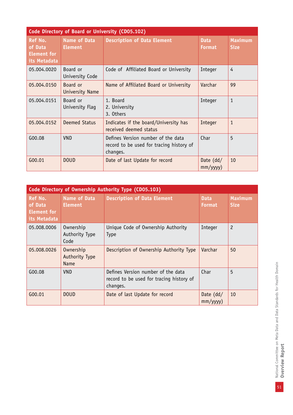| Code Directory of Board or University (CD05.102)                |                                       |                                                                                            |                               |                               |
|-----------------------------------------------------------------|---------------------------------------|--------------------------------------------------------------------------------------------|-------------------------------|-------------------------------|
| <b>Ref No.</b><br>of Data<br><b>Element for</b><br>its Metadata | <b>Name of Data</b><br><b>Element</b> | <b>Description of Data Element</b>                                                         | <b>Data</b><br><b>Format</b>  | <b>Maximum</b><br><b>Size</b> |
| 05.004.0020                                                     | Board or<br>University Code           | Code of Affiliated Board or University                                                     | Integer                       | 4                             |
| 05.004.0150                                                     | Board or<br>University Name           | Name of Affiliated Board or University                                                     | Varchar                       | 99                            |
| 05.004.0151                                                     | Board or<br>University Flag           | 1. Board<br>2. University<br>3. Others                                                     | Integer                       | $\mathbf{1}$                  |
| 05.004.0152                                                     | Deemed Status                         | Indicates if the board/University has<br>received deemed status                            | Integer                       | $\mathbf{1}$                  |
| G00.08                                                          | <b>VND</b>                            | Defines Version number of the data<br>record to be used for tracing history of<br>changes. | Char                          | 5                             |
| G00.01                                                          | <b>DOUD</b>                           | Date of last Update for record                                                             | Date $(dd/$<br>$mm/$ yyyy $)$ | 10                            |

| Code Directory of Ownership Authority Type (CD05.103)           |                                            |                                                                                            |                              |                               |
|-----------------------------------------------------------------|--------------------------------------------|--------------------------------------------------------------------------------------------|------------------------------|-------------------------------|
| <b>Ref No.</b><br>of Data<br><b>Element for</b><br>its Metadata | <b>Name of Data</b><br><b>Element</b>      | <b>Description of Data Element</b>                                                         | <b>Data</b><br><b>Format</b> | <b>Maximum</b><br><b>Size</b> |
| 05.008.0006                                                     | Ownership<br>Authority Type<br>Code        | Unique Code of Ownership Authority<br><b>Type</b>                                          | Integer                      | $\overline{c}$                |
| 05.008.0026                                                     | Ownership<br>Authority Type<br><b>Name</b> | Description of Ownership Authority Type                                                    | Varchar                      | 50                            |
| G00.08                                                          | <b>VND</b>                                 | Defines Version number of the data<br>record to be used for tracing history of<br>changes. | Char                         | 5                             |
| G00.01                                                          | <b>DOUD</b>                                | Date of last Update for record                                                             | Date $(dd/$<br>mm/yyyy)      | 10                            |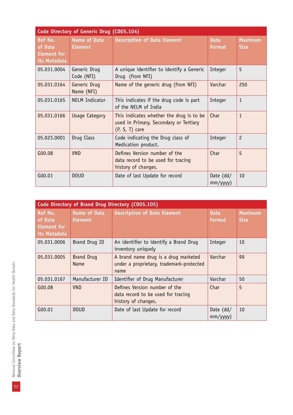| Code Directory of Generic Drug (CD05.104)                |                                       |                                                                                                        |                               |                               |  |
|----------------------------------------------------------|---------------------------------------|--------------------------------------------------------------------------------------------------------|-------------------------------|-------------------------------|--|
| Ref No.<br>of Data<br><b>Element for</b><br>its Metadata | <b>Name of Data</b><br><b>Element</b> | <b>Description of Data Element</b>                                                                     | <b>Data</b><br><b>Format</b>  | <b>Maximum</b><br><b>Size</b> |  |
| 05.031.0004                                              | Generic Drug<br>Code (NFI)            | A unique identifier to identify a Generic<br>Drug (from NFI)                                           | Integer                       | 5                             |  |
| 05.031.0164                                              | Generic Drug<br>Name (NFI)            | Name of the generic drug (from NFI)                                                                    | Varchar                       | 250                           |  |
| 05.031.0165                                              | <b>NELM Indicator</b>                 | This indicates if the drug code is part<br>of the NELM of India                                        | Integer                       | $\mathbf{1}$                  |  |
| 05.031.0166                                              | <b>Usage Category</b>                 | This indicates whether the drug is to be<br>used in Primary, Secondary or Tertiary<br>$(P, S, T)$ care | Char                          | $\mathbf{1}$                  |  |
| 05.023.0001                                              | Drug Class                            | Code indicating the Drug class of<br>Medication product.                                               | Integer                       | $\overline{c}$                |  |
| G00.08                                                   | <b>VND</b>                            | Defines Version number of the<br>data record to be used for tracing<br>history of changes.             | Char                          | 5                             |  |
| G00.01                                                   | <b>DOUD</b>                           | Date of last Update for record                                                                         | Date $(dd/$<br>$mm/$ yyyy $)$ | 10                            |  |

| Code Directory of Brand Drug Directory (CD05.105)               |                                       |                                                                                            |                               |                               |
|-----------------------------------------------------------------|---------------------------------------|--------------------------------------------------------------------------------------------|-------------------------------|-------------------------------|
| <b>Ref No.</b><br>of Data<br><b>Element for</b><br>its Metadata | <b>Name of Data</b><br><b>Element</b> | <b>Description of Data Element</b>                                                         | <b>Data</b><br><b>Format</b>  | <b>Maximum</b><br><b>Size</b> |
| 05.031.0006                                                     | Brand Drug ID                         | An identifier to identify a Brand Drug<br>inventory uniquely                               | Integer                       | 10                            |
| 05.031.0005                                                     | <b>Brand Drug</b><br><b>Name</b>      | A brand name drug is a drug marketed<br>under a proprietary, trademark-protected<br>name   | Varchar                       | 99                            |
| 05.031.0167                                                     | Manufacturer ID                       | Identifier of Drug Manufacturer                                                            | Varchar                       | 50                            |
| G00.08                                                          | VND.                                  | Defines Version number of the<br>data record to be used for tracing<br>history of changes. | Char                          | 5                             |
| G00.01                                                          | <b>DOUD</b>                           | Date of last Update for record                                                             | Date $(dd/$<br>$mm/$ yyyy $)$ | 10                            |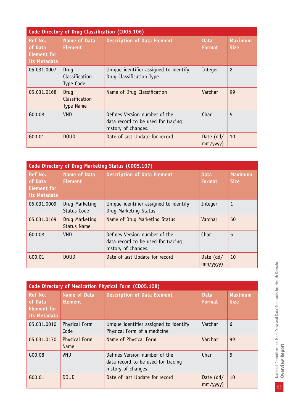|                                                                 | Code Directory of Drug Classification (CD05.106) |                                                                                            |                               |                               |
|-----------------------------------------------------------------|--------------------------------------------------|--------------------------------------------------------------------------------------------|-------------------------------|-------------------------------|
| <b>Ref No.</b><br>of Data<br><b>Element for</b><br>its Metadata | <b>Name of Data</b><br><b>Element</b>            | <b>Description of Data Element</b>                                                         | <b>Data</b><br><b>Format</b>  | <b>Maximum</b><br><b>Size</b> |
| 05.031.0007                                                     | Drug<br>Classification<br>Type Code              | Unique identifier assigned to identify<br>Drug Classification Type                         | Integer                       | $\overline{c}$                |
| 05.031.0168                                                     | Drug<br>Classification<br><b>Type Name</b>       | Name of Drug Classification                                                                | Varchar                       | 99                            |
| G00.08                                                          | <b>VND</b>                                       | Defines Version number of the<br>data record to be used for tracing<br>history of changes. | Char                          | 5                             |
| G00.01                                                          | <b>DOUD</b>                                      | Date of last Update for record                                                             | Date $(dd/$<br>$mm/$ yyyy $)$ | 10                            |

| Code Directory of Drug Marketing Status (CD05.107)              |                                       |                                                                                            |                              |                               |
|-----------------------------------------------------------------|---------------------------------------|--------------------------------------------------------------------------------------------|------------------------------|-------------------------------|
| <b>Ref No.</b><br>of Data<br><b>Element for</b><br>its Metadata | <b>Name of Data</b><br><b>Element</b> | <b>Description of Data Element</b>                                                         | <b>Data</b><br><b>Format</b> | <b>Maximum</b><br><b>Size</b> |
| 05.031.0009                                                     | Drug Marketing<br>Status Code         | Unique identifier assigned to identify<br>Drug Marketing Status                            | Integer                      | 1                             |
| 05.031.0169                                                     | Drug Marketing<br><b>Status Name</b>  | Name of Drug Marketing Status                                                              | Varchar                      | 50                            |
| G00.08                                                          | <b>VND</b>                            | Defines Version number of the<br>data record to be used for tracing<br>history of changes. | Char                         | 5                             |
| G00.01                                                          | <b>DOUD</b>                           | Date of last Update for record                                                             | Date $(dd/$<br>mm/yyyy)      | 10                            |

| <b>Code Directory of Medication Physical Form (CD05.108)</b>    |                                       |                                                                                            |                              |                               |  |
|-----------------------------------------------------------------|---------------------------------------|--------------------------------------------------------------------------------------------|------------------------------|-------------------------------|--|
| <b>Ref No.</b><br>of Data<br><b>Element for</b><br>its Metadata | <b>Name of Data</b><br><b>Element</b> | <b>Description of Data Element</b>                                                         | <b>Data</b><br><b>Format</b> | <b>Maximum</b><br><b>Size</b> |  |
| 05.031.0010                                                     | Physical Form<br>Code                 | Unique identifier assigned to identify<br>Physical Form of a medicine                      | Varchar                      | 6                             |  |
| 05.031.0170                                                     | Physical Form<br><b>Name</b>          | Name of Physical Form                                                                      | Varchar                      | 99                            |  |
| G00.08                                                          | <b>VND</b>                            | Defines Version number of the<br>data record to be used for tracing<br>history of changes. | Char                         | 5                             |  |
| G00.01                                                          | <b>DOUD</b>                           | Date of last Update for record                                                             | Date (dd/<br>$mm/$ yyyy $)$  | 10                            |  |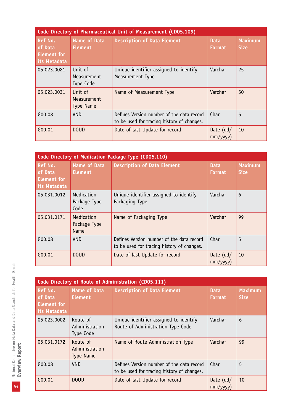| Code Directory of Pharmaceutical Unit of Measurement (CD05.109) |                                            |                                                                                         |                               |                               |  |
|-----------------------------------------------------------------|--------------------------------------------|-----------------------------------------------------------------------------------------|-------------------------------|-------------------------------|--|
| Ref No.<br>of Data<br><b>Element for</b><br>its Metadata        | <b>Name of Data</b><br><b>Element</b>      | <b>Description of Data Element</b>                                                      | <b>Data</b><br><b>Format</b>  | <b>Maximum</b><br><b>Size</b> |  |
| 05.023.0021                                                     | Unit of<br>Measurement<br>Type Code        | Unique identifier assigned to identify<br>Measurement Type                              | Varchar                       | 25                            |  |
| 05.023.0031                                                     | Unit of<br>Measurement<br><b>Type Name</b> | Name of Measurement Type                                                                | Varchar                       | 50                            |  |
| G00.08                                                          | VND.                                       | Defines Version number of the data record<br>to be used for tracing history of changes. | Char                          | 5                             |  |
| G00.01                                                          | <b>DOUD</b>                                | Date of last Update for record                                                          | Date $(dd/$<br>$mm/$ yyyy $)$ | 10                            |  |

| Code Directory of Medication Package Type (CD05.110)     |                                       |                                                                                         |                               |                               |
|----------------------------------------------------------|---------------------------------------|-----------------------------------------------------------------------------------------|-------------------------------|-------------------------------|
| <b>Ref No.</b><br>of Data<br>Element for<br>its Metadata | <b>Name of Data</b><br><b>Element</b> | <b>Description of Data Element</b>                                                      | <b>Data</b><br><b>Format</b>  | <b>Maximum</b><br><b>Size</b> |
| 05.031.0012                                              | Medication<br>Package Type<br>Code    | Unique identifier assigned to identify<br>Packaging Type                                | Varchar                       | 6                             |
| 05.031.0171                                              | Medication<br>Package Type<br>Name    | Name of Packaging Type                                                                  | Varchar                       | 99                            |
| G00.08                                                   | <b>VND</b>                            | Defines Version number of the data record<br>to be used for tracing history of changes. | Char                          | 5                             |
| G00.01                                                   | <b>DOUD</b>                           | Date of last Update for record                                                          | Date $(dd/$<br>$mm/$ yyyy $)$ | 10                            |

|                                                                 | Code Directory of Route of Administration (CD05.111) |                                                                                         |                               |                               |
|-----------------------------------------------------------------|------------------------------------------------------|-----------------------------------------------------------------------------------------|-------------------------------|-------------------------------|
| <b>Ref No.</b><br>of Data<br><b>Element for</b><br>its Metadata | <b>Name of Data</b><br><b>Element</b>                | <b>Description of Data Element</b>                                                      | <b>Data</b><br><b>Format</b>  | <b>Maximum</b><br><b>Size</b> |
| 05.023.0002                                                     | Route of<br>Administration<br>Type Code              | Unique identifier assigned to identify<br>Route of Administration Type Code             | Varchar                       | 6                             |
| 05.031.0172                                                     | Route of<br>Administration<br><b>Type Name</b>       | Name of Route Administration Type                                                       | Varchar                       | 99                            |
| G00.08                                                          | VND                                                  | Defines Version number of the data record<br>to be used for tracing history of changes. | Char                          | 5                             |
| G00.01                                                          | <b>DOUD</b>                                          | Date of last Update for record                                                          | Date $(dd/$<br>$mm/$ yyyy $)$ | 10                            |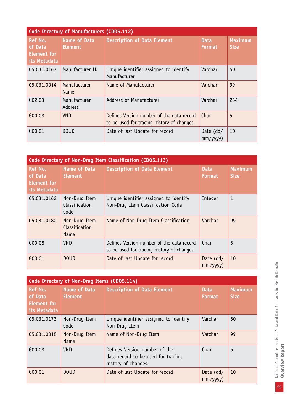| Code Directory of Manufacturers (CD05.112)                      |                                       |                                                                                         |                              |                               |
|-----------------------------------------------------------------|---------------------------------------|-----------------------------------------------------------------------------------------|------------------------------|-------------------------------|
| <b>Ref No.</b><br>of Data<br><b>Element for</b><br>its Metadata | <b>Name of Data</b><br><b>Element</b> | <b>Description of Data Element</b>                                                      | <b>Data</b><br><b>Format</b> | <b>Maximum</b><br><b>Size</b> |
| 05.031.0167                                                     | Manufacturer ID                       | Unique identifier assigned to identify<br>Manufacturer                                  | Varchar                      | 50                            |
| 05.031.0014                                                     | Manufacturer<br><b>Name</b>           | Name of Manufacturer                                                                    | Varchar                      | 99                            |
| G(02.03)                                                        | Manufacturer<br><b>Address</b>        | Address of Manufacturer                                                                 | Varchar                      | 254                           |
| G00.08                                                          | <b>VND</b>                            | Defines Version number of the data record<br>to be used for tracing history of changes. | Char                         | 5                             |
| G00.01                                                          | <b>DOUD</b>                           | Date of last Update for record                                                          | Date $(dd/$<br>mm/yyy)       | 10                            |

| Code Directory of Non-Drug Item Classification (CD05.113) |                                         |                                                                                         |                               |                               |
|-----------------------------------------------------------|-----------------------------------------|-----------------------------------------------------------------------------------------|-------------------------------|-------------------------------|
| <b>Ref No.</b><br>of Data<br>Element for<br>its Metadata  | <b>Name of Data</b><br><b>Element</b>   | <b>Description of Data Element</b>                                                      | <b>Data</b><br><b>Format</b>  | <b>Maximum</b><br><b>Size</b> |
| 05.031.0162                                               | Non-Drug Item<br>Classification<br>Code | Unique identifier assigned to identify<br>Non-Drug Item Classification Code             | Integer                       | $\mathbf{1}$                  |
| 05.031.0180                                               | Non-Drug Item<br>Classification<br>Name | Name of Non-Drug Item Classification                                                    | Varchar                       | 99                            |
| G00.08                                                    | <b>VND</b>                              | Defines Version number of the data record<br>to be used for tracing history of changes. | Char                          | 5                             |
| G00.01                                                    | <b>DOUD</b>                             | Date of last Update for record                                                          | Date $(dd/$<br>$mm/$ yyyy $)$ | 10                            |

| Code Directory of Non-Drug Items (CD05.114)                     |                                       |                                                                                            |                              |                               |  |
|-----------------------------------------------------------------|---------------------------------------|--------------------------------------------------------------------------------------------|------------------------------|-------------------------------|--|
| <b>Ref No.</b><br>of Data<br><b>Element for</b><br>its Metadata | <b>Name of Data</b><br><b>Element</b> | <b>Description of Data Element</b>                                                         | <b>Data</b><br><b>Format</b> | <b>Maximum</b><br><b>Size</b> |  |
| 05.031.0173                                                     | Non-Drug Item<br>Code                 | Unique identifier assigned to identify<br>Non-Drug Item                                    | Varchar                      | 50                            |  |
| 05.031.0018                                                     | Non-Drug Item<br><b>Name</b>          | Name of Non-Drug Item                                                                      | Varchar                      | 99                            |  |
| G00.08                                                          | <b>VND</b>                            | Defines Version number of the<br>data record to be used for tracing<br>history of changes. | Char                         | 5                             |  |
| G00.01                                                          | <b>DOUD</b>                           | Date of last Update for record                                                             | Date $(dd/$<br>mm/yyyy)      | 10                            |  |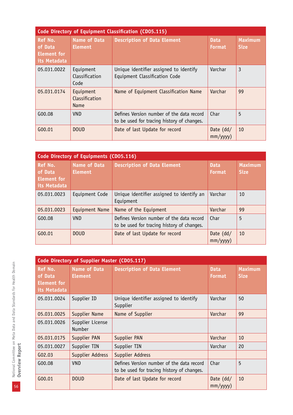|                                                          | Code Directory of Equipment Classification (CD05.115) |                                                                                         |                               |                               |  |
|----------------------------------------------------------|-------------------------------------------------------|-----------------------------------------------------------------------------------------|-------------------------------|-------------------------------|--|
| Ref No.<br>of Data<br><b>Element for</b><br>its Metadata | <b>Name of Data</b><br><b>Element</b>                 | <b>Description of Data Element</b>                                                      | <b>Data</b><br><b>Format</b>  | <b>Maximum</b><br><b>Size</b> |  |
| 05.031.0022                                              | Equipment<br>Classification<br>Code                   | Unique identifier assigned to identify<br>Equipment Classification Code                 | Varchar                       | 3                             |  |
| 05.031.0174                                              | Equipment<br>Classification<br>Name                   | Name of Equipment Classification Name                                                   | Varchar                       | 99                            |  |
| G00.08                                                   | <b>VND</b>                                            | Defines Version number of the data record<br>to be used for tracing history of changes. | Char                          | 5                             |  |
| G00.01                                                   | <b>DOUD</b>                                           | Date of last Update for record                                                          | Date $(dd/$<br>$mm/$ yyyy $)$ | 10                            |  |

| Code Directory of Equipments (CD05.116)                  |                                       |                                                                                         |                               |                               |
|----------------------------------------------------------|---------------------------------------|-----------------------------------------------------------------------------------------|-------------------------------|-------------------------------|
| <b>Ref No.</b><br>of Data<br>Element for<br>its Metadata | <b>Name of Data</b><br><b>Element</b> | <b>Description of Data Element</b>                                                      | <b>Data</b><br><b>Format</b>  | <b>Maximum</b><br><b>Size</b> |
| 05.031.0023                                              | Equipment Code                        | Unique identifier assigned to identify an<br>Equipment                                  | Varchar                       | 10                            |
| 05.031.0023                                              | Equipment Name                        | Name of the Equipment                                                                   | Varchar                       | 99                            |
| G00.08                                                   | <b>VND</b>                            | Defines Version number of the data record<br>to be used for tracing history of changes. | Char                          | 5                             |
| G00.01                                                   | <b>DOUD</b>                           | Date of last Update for record                                                          | Date $(dd/$<br>$mm/$ yyyy $)$ | 10                            |

| Code Directory of Supplier Master (CD05.117)                    |                                       |                                                                                         |                               |                               |
|-----------------------------------------------------------------|---------------------------------------|-----------------------------------------------------------------------------------------|-------------------------------|-------------------------------|
| <b>Ref No.</b><br>of Data<br><b>Element for</b><br>its Metadata | <b>Name of Data</b><br><b>Element</b> | <b>Description of Data Element</b>                                                      | <b>Data</b><br><b>Format</b>  | <b>Maximum</b><br><b>Size</b> |
| 05.031.0024                                                     | Supplier ID                           | Unique identifier assigned to identify<br>Supplier                                      | Varchar                       | 50                            |
| 05.031.0025                                                     | Supplier Name                         | Name of Supplier                                                                        | Varchar                       | 99                            |
| 05.031.0026                                                     | Supplier License<br><b>Number</b>     |                                                                                         |                               |                               |
| 05.031.0175                                                     | Supplier PAN                          | Supplier PAN                                                                            | Varchar                       | 10                            |
| 05.031.0027                                                     | Supplier TIN                          | Supplier TIN                                                                            | Varchar                       | 20                            |
| G02.03                                                          | Supplier Address                      | Supplier Address                                                                        |                               |                               |
| G00.08                                                          | <b>VND</b>                            | Defines Version number of the data record<br>to be used for tracing history of changes. | Char                          | 5                             |
| G00.01                                                          | <b>DOUD</b>                           | Date of last Update for record                                                          | Date $(dd/$<br>$mm/$ yyyy $)$ | 10                            |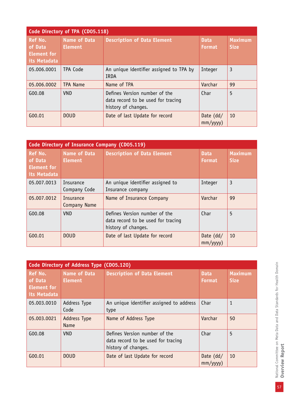| Code Directory of TPA (CD05.118)                                |                                       |                                                                                            |                               |                               |
|-----------------------------------------------------------------|---------------------------------------|--------------------------------------------------------------------------------------------|-------------------------------|-------------------------------|
| <b>Ref No.</b><br>of Data<br><b>Element for</b><br>its Metadata | <b>Name of Data</b><br><b>Element</b> | <b>Description of Data Element</b>                                                         | <b>Data</b><br><b>Format</b>  | <b>Maximum</b><br><b>Size</b> |
| 05.006.0001                                                     | TPA Code                              | An unique identifier assigned to TPA by<br>IRDA                                            | Integer                       | 3                             |
| 05.006.0002                                                     | <b>TPA Name</b>                       | Name of TPA                                                                                | Varchar                       | 99                            |
| G00.08                                                          | <b>VND</b>                            | Defines Version number of the<br>data record to be used for tracing<br>history of changes. | Char                          | 5                             |
| G00.01                                                          | <b>DOUD</b>                           | Date of last Update for record                                                             | Date $(dd/$<br>$mm/$ yyyy $)$ | 10                            |

| Code Directory of Insurance Company (CD05.119)           |                                       |                                                                                            |                              |                               |
|----------------------------------------------------------|---------------------------------------|--------------------------------------------------------------------------------------------|------------------------------|-------------------------------|
| Ref No.<br>of Data<br><b>Element for</b><br>its Metadata | <b>Name of Data</b><br><b>Element</b> | <b>Description of Data Element</b>                                                         | <b>Data</b><br><b>Format</b> | <b>Maximum</b><br><b>Size</b> |
| 05.007.0013                                              | <b>Insurance</b><br>Company Code      | An unique identifier assigned to<br>Insurance company                                      | Integer                      | 3                             |
| 05.007.0012                                              | Insurance<br>Company Name             | Name of Insurance Company                                                                  | Varchar                      | 99                            |
| G00.08                                                   | <b>VND</b>                            | Defines Version number of the<br>data record to be used for tracing<br>history of changes. | Char                         | 5                             |
| G00.01                                                   | <b>DOUD</b>                           | Date of last Update for record                                                             | Date $(dd/$<br>mm/yyyy)      | 10                            |

| Code Directory of Address Type (CD05.120)                |                                       |                                                                                            |                              |                               |  |
|----------------------------------------------------------|---------------------------------------|--------------------------------------------------------------------------------------------|------------------------------|-------------------------------|--|
| Ref No.<br>of Data<br><b>Element for</b><br>its Metadata | <b>Name of Data</b><br><b>Element</b> | <b>Description of Data Element</b>                                                         | <b>Data</b><br><b>Format</b> | <b>Maximum</b><br><b>Size</b> |  |
| 05.003.0010                                              | Address Type<br>Code                  | An unique identifier assigned to address<br>type                                           | Char                         | $\mathbf{1}$                  |  |
| 05.003.0021                                              | <b>Address Type</b><br><b>Name</b>    | Name of Address Type                                                                       | Varchar                      | 50                            |  |
| G00.08                                                   | <b>VND</b>                            | Defines Version number of the<br>data record to be used for tracing<br>history of changes. | Char                         | 5                             |  |
| G00.01                                                   | <b>DOUD</b>                           | Date of last Update for record                                                             | Date $(dd/$<br>mm/yyyy)      | 10                            |  |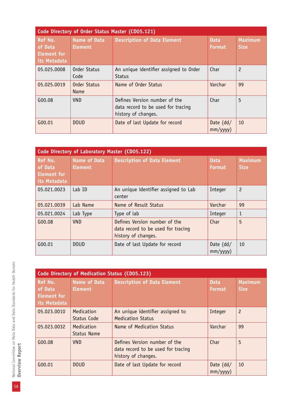| Code Directory of Order Status Master (CD05.121)         |                                       |                                                                                            |                              |                               |
|----------------------------------------------------------|---------------------------------------|--------------------------------------------------------------------------------------------|------------------------------|-------------------------------|
| Ref No.<br>of Data<br><b>Element for</b><br>its Metadata | <b>Name of Data</b><br><b>Element</b> | <b>Description of Data Element</b>                                                         | <b>Data</b><br><b>Format</b> | <b>Maximum</b><br><b>Size</b> |
| 05.025.0008                                              | Order Status<br>Code                  | An unique identifier assigned to Order<br><b>Status</b>                                    | Char                         | $\overline{c}$                |
| 05.025.0019                                              | Order Status<br>Name                  | Name of Order Status                                                                       | Varchar                      | 99                            |
| G00.08                                                   | <b>VND</b>                            | Defines Version number of the<br>data record to be used for tracing<br>history of changes. | Char                         | 5                             |
| G00.01                                                   | <b>DOUD</b>                           | Date of last Update for record                                                             | Date $(dd/$<br>mm/yyy)       | 10                            |

| Code Directory of Laboratory Master (CD05.122)                  |                                       |                                                                                            |                              |                               |
|-----------------------------------------------------------------|---------------------------------------|--------------------------------------------------------------------------------------------|------------------------------|-------------------------------|
| <b>Ref No.</b><br>of Data<br><b>Element for</b><br>its Metadata | <b>Name of Data</b><br><b>Element</b> | <b>Description of Data Element</b>                                                         | <b>Data</b><br><b>Format</b> | <b>Maximum</b><br><b>Size</b> |
| 05.021.0023                                                     | Lab ID                                | An unique identifier assigned to Lab<br>center                                             | Integer                      | $\overline{c}$                |
| 05.021.0039                                                     | Lab Name                              | Name of Result Status                                                                      | Varchar                      | 99                            |
| 05.021.0024                                                     | Lab Type                              | Type of lab                                                                                | Integer                      | $\mathbf{1}$                  |
| G00.08                                                          | <b>VND</b>                            | Defines Version number of the<br>data record to be used for tracing<br>history of changes. | Char                         | 5                             |
| G00.01                                                          | <b>DOUD</b>                           | Date of last Update for record                                                             | Date $(dd/$<br>mm/yyy)       | 10                            |

|                                                          | Code Directory of Medication Status (CD05.123) |                                                                                            |                              |                               |  |
|----------------------------------------------------------|------------------------------------------------|--------------------------------------------------------------------------------------------|------------------------------|-------------------------------|--|
| Ref No.<br>of Data<br><b>Element for</b><br>its Metadata | <b>Name of Data</b><br><b>Element</b>          | <b>Description of Data Element</b>                                                         | <b>Data</b><br><b>Format</b> | <b>Maximum</b><br><b>Size</b> |  |
| 05.023.0010                                              | Medication<br>Status Code                      | An unique identifier assigned to<br><b>Medication Status</b>                               | Integer                      | $\overline{c}$                |  |
| 05.023.0032                                              | Medication<br>Status Name                      | Name of Medication Status                                                                  | Varchar                      | 99                            |  |
| G00.08                                                   | <b>VND</b>                                     | Defines Version number of the<br>data record to be used for tracing<br>history of changes. | Char                         | 5                             |  |
| $G_{00.01}$                                              | <b>DOUD</b>                                    | Date of last Update for record                                                             | Date $(dd/$<br>mm/yyy)       | 10                            |  |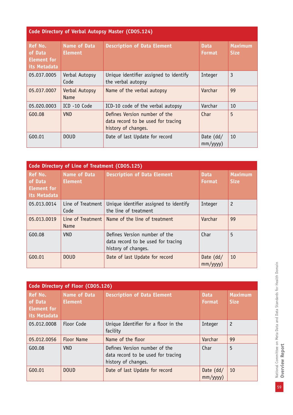| Code Directory of Verbal Autopsy Master (CD05.124)              |                                       |                                                                                            |                              |                               |
|-----------------------------------------------------------------|---------------------------------------|--------------------------------------------------------------------------------------------|------------------------------|-------------------------------|
| <b>Ref No.</b><br>of Data<br><b>Element for</b><br>its Metadata | <b>Name of Data</b><br><b>Element</b> | <b>Description of Data Element</b>                                                         | <b>Data</b><br><b>Format</b> | <b>Maximum</b><br><b>Size</b> |
| 05.037.0005                                                     | Verbal Autopsy<br>Code                | Unique identifier assigned to identify<br>the verbal autopsy                               | Integer                      | 3                             |
| 05.037.0007                                                     | Verbal Autopsy<br><b>Name</b>         | Name of the verbal autopsy                                                                 | Varchar                      | 99                            |
| 05.020.0003                                                     | ICD -10 Code                          | ICD-10 code of the verbal autopsy                                                          | Varchar                      | 10                            |
| G00.08                                                          | <b>VND</b>                            | Defines Version number of the<br>data record to be used for tracing<br>history of changes. | Char                         | 5                             |
| G00.01                                                          | <b>DOUD</b>                           | Date of last Update for record                                                             | Date $(dd/$<br>mm/yyy)       | 10                            |

| Code Directory of Line of Treatment (CD05.125)           |                                       |                                                                                            |                              |                               |
|----------------------------------------------------------|---------------------------------------|--------------------------------------------------------------------------------------------|------------------------------|-------------------------------|
| Ref No.<br>of Data<br><b>Element</b> for<br>its Metadata | <b>Name of Data</b><br><b>Element</b> | <b>Description of Data Element</b>                                                         | <b>Data</b><br><b>Format</b> | <b>Maximum</b><br><b>Size</b> |
| 05.013.0014                                              | Line of Treatment<br>Code             | Unique identifier assigned to identify<br>the line of treatment                            | Integer                      | $\overline{c}$                |
| 05.013.0019                                              | Line of Treatment<br>Name             | Name of the line of treatment                                                              | Varchar                      | 99                            |
| G00.08                                                   | <b>VND</b>                            | Defines Version number of the<br>data record to be used for tracing<br>history of changes. | Char                         | 5                             |
| G00.01                                                   | <b>DOUD</b>                           | Date of last Update for record                                                             | Date $(dd/$<br>mm/yyyy)      | 10                            |

| Code Directory of Floor (CD05.126)                              |                                       |                                                                                            |                              |                               |
|-----------------------------------------------------------------|---------------------------------------|--------------------------------------------------------------------------------------------|------------------------------|-------------------------------|
| <b>Ref No.</b><br>of Data<br><b>Element for</b><br>its Metadata | <b>Name of Data</b><br><b>Element</b> | <b>Description of Data Element</b>                                                         | <b>Data</b><br><b>Format</b> | <b>Maximum</b><br><b>Size</b> |
| 05.012.0008                                                     | Floor Code                            | Unique Identifier for a floor in the<br>facility                                           | Integer                      | $\overline{c}$                |
| 05.012.0056                                                     | <b>Floor Name</b>                     | Name of the floor                                                                          | Varchar                      | 99                            |
| G00.08                                                          | <b>VND</b>                            | Defines Version number of the<br>data record to be used for tracing<br>history of changes. | Char                         | 5                             |
| $G_{00.01}$                                                     | <b>DOUD</b>                           | Date of last Update for record                                                             | Date $(dd/$<br>mm/yyyy)      | 10                            |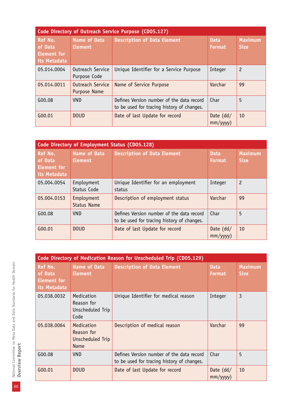| Code Directory of Outreach Service Purpose (CD05.127)    |                                  |                                                                                         |                              |                               |
|----------------------------------------------------------|----------------------------------|-----------------------------------------------------------------------------------------|------------------------------|-------------------------------|
| <b>Ref No.</b><br>of Data<br>Element for<br>its Metadata | Name of Data<br><b>Element</b>   | <b>Description of Data Element</b>                                                      | <b>Data</b><br><b>Format</b> | <b>Maximum</b><br><b>Size</b> |
| 05.014.0004                                              | Outreach Service<br>Purpose Code | Unique Identifier for a Service Purpose                                                 | Integer                      | $\overline{c}$                |
| 05.014.0011                                              | Outreach Service<br>Purpose Name | Name of Service Purpose                                                                 | Varchar                      | 99                            |
| G00.08                                                   | <b>VND</b>                       | Defines Version number of the data record<br>to be used for tracing history of changes. | Char                         | 5                             |
| G00.01                                                   | <b>DOUD</b>                      | Date of last Update for record                                                          | Date $(dd/$<br>mm/yyyy)      | 10                            |

|                                                          | Code Directory of Employment Status (CD05.128) |                                                                                         |                              |                               |  |
|----------------------------------------------------------|------------------------------------------------|-----------------------------------------------------------------------------------------|------------------------------|-------------------------------|--|
| Ref No.<br>of Data<br><b>Element for</b><br>its Metadata | <b>Name of Data</b><br><b>Element</b>          | <b>Description of Data Element</b>                                                      | <b>Data</b><br><b>Format</b> | <b>Maximum</b><br><b>Size</b> |  |
| 05.004.0054                                              | Employment<br>Status Code                      | Unique Identifier for an employment<br>status                                           | Integer                      | $\overline{c}$                |  |
| 05.004.0153                                              | Employment<br><b>Status Name</b>               | Description of employment status                                                        | Varchar                      | 99                            |  |
| G00.08                                                   | <b>VND</b>                                     | Defines Version number of the data record<br>to be used for tracing history of changes. | Char                         | 5                             |  |
| G00.01                                                   | <b>DOUD</b>                                    | Date of last Update for record                                                          | Date (dd/<br>mm/yyyy)        | 10                            |  |

|                                                          | Code Directory of Medication Reason for Unscheduled Trip (CD05.129) |                                                                                         |                              |                               |  |
|----------------------------------------------------------|---------------------------------------------------------------------|-----------------------------------------------------------------------------------------|------------------------------|-------------------------------|--|
| Ref No.<br>of Data<br><b>Element for</b><br>its Metadata | <b>Name of Data</b><br><b>Element</b>                               | <b>Description of Data Element</b>                                                      | <b>Data</b><br><b>Format</b> | <b>Maximum</b><br><b>Size</b> |  |
| 05.038.0032                                              | Medication<br>Reason for<br>Unscheduled Trip<br>Code                | Unique Identifier for medical reason                                                    | Integer                      | 3                             |  |
| 05.038.0064                                              | Medication<br>Reason for<br>Unscheduled Trip<br>Name                | Description of medical reason                                                           | Varchar                      | 99                            |  |
| G00.08                                                   | <b>VND</b>                                                          | Defines Version number of the data record<br>to be used for tracing history of changes. | Char                         | 5                             |  |
| G00.01                                                   | <b>DOUD</b>                                                         | Date of last Update for record                                                          | Date $(dd/$<br>mm/yyyy)      | 10                            |  |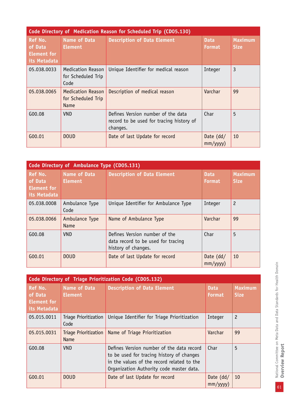| Code Directory of Medication Reason for Scheduled Trip (CD05.130) |                                                        |                                                                                            |                               |                               |
|-------------------------------------------------------------------|--------------------------------------------------------|--------------------------------------------------------------------------------------------|-------------------------------|-------------------------------|
| <b>Ref No.</b><br>of Data<br><b>Element for</b><br>its Metadata   | Name of Data<br><b>Element</b>                         | <b>Description of Data Element</b>                                                         | <b>Data</b><br><b>Format</b>  | <b>Maximum</b><br><b>Size</b> |
| 05.038.0033                                                       | <b>Medication Reason</b><br>for Scheduled Trip<br>Code | Unique Identifier for medical reason                                                       | Integer                       | 3                             |
| 05.038.0065                                                       | <b>Medication Reason</b><br>for Scheduled Trip<br>Name | Description of medical reason                                                              | Varchar                       | 99                            |
| G00.08                                                            | <b>VND</b>                                             | Defines Version number of the data<br>record to be used for tracing history of<br>changes. | Char                          | 5                             |
| G00.01                                                            | <b>DOUD</b>                                            | Date of last Update for record                                                             | Date $(dd/$<br>$mm/$ yyyy $)$ | 10                            |

| Code Directory of Ambulance Type (CD05.131)                     |                                |                                                                                            |                              |                               |
|-----------------------------------------------------------------|--------------------------------|--------------------------------------------------------------------------------------------|------------------------------|-------------------------------|
| <b>Ref No.</b><br>of Data<br><b>Element for</b><br>its Metadata | Name of Data<br><b>Element</b> | <b>Description of Data Element</b>                                                         | <b>Data</b><br><b>Format</b> | <b>Maximum</b><br><b>Size</b> |
| 05.038.0008                                                     | Ambulance Type<br>Code         | Unique Identifier for Ambulance Type                                                       | Integer                      | $\overline{c}$                |
| 05.038.0066                                                     | Ambulance Type<br><b>Name</b>  | Name of Ambulance Type                                                                     | Varchar                      | 99                            |
| G00.08                                                          | <b>VND</b>                     | Defines Version number of the<br>data record to be used for tracing<br>history of changes. | Char                         | 5                             |
| G00.01                                                          | <b>DOUD</b>                    | Date of last Update for record                                                             | Date $(dd/$<br>mm/yyyy)      | 10                            |

| Code Directory of Triage Prioritization Code (CD05.132)  |                                      |                                                                                                                                                                                  |                               |                               |
|----------------------------------------------------------|--------------------------------------|----------------------------------------------------------------------------------------------------------------------------------------------------------------------------------|-------------------------------|-------------------------------|
| <b>Ref No.</b><br>of Data<br>Element for<br>its Metadata | Name of Data<br><b>Element</b>       | <b>Description of Data Element</b>                                                                                                                                               | <b>Data</b><br><b>Format</b>  | <b>Maximum</b><br><b>Size</b> |
| 05.015.0011                                              | Triage Prioritization<br>Code        | Unique Identifier for Triage Prioritization                                                                                                                                      | Integer                       | $\overline{c}$                |
| 05.015.0031                                              | Triage Prioritization<br><b>Name</b> | Name of Triage Prioritization                                                                                                                                                    | Varchar                       | 99                            |
| G00.08                                                   | <b>VND</b>                           | Defines Version number of the data record<br>to be used for tracing history of changes<br>in the values of the record related to the<br>Organization Authority code master data. | Char                          | 5                             |
| G00.01                                                   | <b>DOUD</b>                          | Date of last Update for record                                                                                                                                                   | Date $(dd/$<br>$mm/$ yyyy $)$ | 10                            |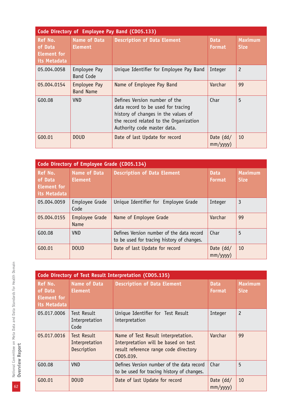| Code Directory of Employee Pay Band (CD05.133)           |                                       |                                                                                                                                                                                     |                              |                               |  |
|----------------------------------------------------------|---------------------------------------|-------------------------------------------------------------------------------------------------------------------------------------------------------------------------------------|------------------------------|-------------------------------|--|
| Ref No.<br>of Data<br><b>Element for</b><br>its Metadata | <b>Name of Data</b><br><b>Element</b> | <b>Description of Data Element</b>                                                                                                                                                  | <b>Data</b><br><b>Format</b> | <b>Maximum</b><br><b>Size</b> |  |
| 05.004.0058                                              | Employee Pay<br><b>Band Code</b>      | Unique Identifier for Employee Pay Band                                                                                                                                             | Integer                      | $\overline{c}$                |  |
| 05.004.0154                                              | Employee Pay<br><b>Band Name</b>      | Name of Employee Pay Band                                                                                                                                                           | Varchar                      | 99                            |  |
| G00.08                                                   | VND                                   | Defines Version number of the<br>data record to be used for tracing<br>history of changes in the values of<br>the record related to the Organization<br>Authority code master data. | Char                         | 5                             |  |
| G00.01                                                   | <b>DOUD</b>                           | Date of last Update for record                                                                                                                                                      | Date $(dd/$<br>mm/yyyy)      | 10                            |  |

|                                                          | Code Directory of Employee Grade (CD05.134) |                                                                                         |                               |    |  |  |  |  |
|----------------------------------------------------------|---------------------------------------------|-----------------------------------------------------------------------------------------|-------------------------------|----|--|--|--|--|
| Ref No.<br>of Data<br><b>Element for</b><br>its Metadata | Name of Data<br><b>Element</b>              | <b>Description of Data Element</b><br><b>Data</b><br><b>Format</b>                      |                               |    |  |  |  |  |
| 05.004.0059                                              | Employee Grade<br>Code                      | Unique Identifier for Employee Grade                                                    | Integer                       | 3  |  |  |  |  |
| 05.004.0155                                              | Employee Grade<br><b>Name</b>               | Name of Employee Grade                                                                  | Varchar                       | 99 |  |  |  |  |
| G00.08                                                   | <b>VND</b>                                  | Defines Version number of the data record<br>to be used for tracing history of changes. | Char                          | 5  |  |  |  |  |
| G00.01                                                   | <b>DOUD</b>                                 | Date of last Update for record                                                          | Date $(dd/$<br>$mm/$ yyyy $)$ | 10 |  |  |  |  |

|                                                                 | Code Directory of Test Result Interpretation (CD05.135) |                                                                                                                                   |                              |                               |  |  |  |  |
|-----------------------------------------------------------------|---------------------------------------------------------|-----------------------------------------------------------------------------------------------------------------------------------|------------------------------|-------------------------------|--|--|--|--|
| <b>Ref No.</b><br>of Data<br><b>Element for</b><br>its Metadata | Name of Data<br><b>Element</b>                          | <b>Description of Data Element</b>                                                                                                | <b>Data</b><br><b>Format</b> | <b>Maximum</b><br><b>Size</b> |  |  |  |  |
| 05.017.0006                                                     | <b>Test Result</b><br>Interpretation<br>Code            | Unique Identifier for Test Result<br>interpretation                                                                               | Integer                      | $\overline{c}$                |  |  |  |  |
| 05.017.0016                                                     | Test Result<br>Interpretation<br>Description            | Name of Test Result interpretation.<br>Interpretation will be based on test<br>result reference range code directory<br>CD05.039. | Varchar                      | 99                            |  |  |  |  |
| G00.08                                                          | <b>VND</b>                                              | Defines Version number of the data record<br>to be used for tracing history of changes.                                           | Char                         | 5                             |  |  |  |  |
| G00.01                                                          | <b>DOUD</b>                                             | Date of last Update for record                                                                                                    | Date $(dd/$<br>mm/yyyy)      | 10                            |  |  |  |  |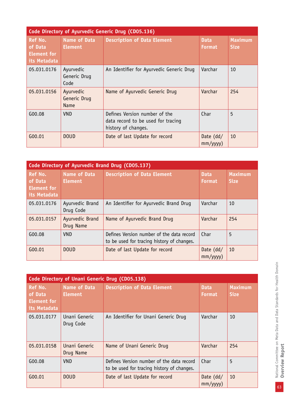|                                                                 | Code Directory of Ayurvedic Generic Drug (CD05.136) |                                                                                            |                              |                               |  |  |  |  |
|-----------------------------------------------------------------|-----------------------------------------------------|--------------------------------------------------------------------------------------------|------------------------------|-------------------------------|--|--|--|--|
| <b>Ref No.</b><br>of Data<br><b>Element for</b><br>its Metadata | <b>Name of Data</b><br><b>Element</b>               | <b>Description of Data Element</b>                                                         | <b>Data</b><br><b>Format</b> | <b>Maximum</b><br><b>Size</b> |  |  |  |  |
| 05.031.0176                                                     | Ayurvedic<br>Generic Drug<br>Code                   | An Identifier for Ayurvedic Generic Drug                                                   | Varchar                      | 10                            |  |  |  |  |
| 05.031.0156                                                     | Ayurvedic<br>Generic Drug<br><b>Name</b>            | Name of Ayurvedic Generic Drug                                                             | Varchar                      | 254                           |  |  |  |  |
| G00.08                                                          | <b>VND</b>                                          | Defines Version number of the<br>data record to be used for tracing<br>history of changes. | Char                         | 5                             |  |  |  |  |
| G00.01                                                          | <b>DOUD</b>                                         | Date of last Update for record                                                             | Date $(dd/$<br>mm/yyyy)      | 10                            |  |  |  |  |

|                                                                 | Code Directory of Ayurvedic Brand Drug (CD05.137) |                                                                                         |                              |                               |  |  |  |  |  |
|-----------------------------------------------------------------|---------------------------------------------------|-----------------------------------------------------------------------------------------|------------------------------|-------------------------------|--|--|--|--|--|
| <b>Ref No.</b><br>of Data<br><b>Element for</b><br>its Metadata | <b>Name of Data</b><br><b>Element</b>             | <b>Description of Data Element</b>                                                      | <b>Data</b><br><b>Format</b> | <b>Maximum</b><br><b>Size</b> |  |  |  |  |  |
| 05.031.0176                                                     | Ayurvedic Brand<br>Drug Code                      | An Identifier for Ayurvedic Brand Drug                                                  | Varchar                      | 10                            |  |  |  |  |  |
| 05.031.0157                                                     | Ayurvedic Brand<br>Drug Name                      | Name of Ayurvedic Brand Drug                                                            | Varchar                      | 254                           |  |  |  |  |  |
| G00.08                                                          | <b>VND</b>                                        | Defines Version number of the data record<br>to be used for tracing history of changes. | Char                         | 5                             |  |  |  |  |  |
| G00.01                                                          | <b>DOUD</b>                                       | Date of last Update for record                                                          | Date $(dd/$<br>mm/yyyy)      | 10                            |  |  |  |  |  |

|                                                          |                                       | Code Directory of Unani Generic Drug (CD05.138)                                         |                              |                               |
|----------------------------------------------------------|---------------------------------------|-----------------------------------------------------------------------------------------|------------------------------|-------------------------------|
| Ref No.<br>of Data<br><b>Element for</b><br>its Metadata | <b>Name of Data</b><br><b>Element</b> | <b>Description of Data Element</b>                                                      | <b>Data</b><br><b>Format</b> | <b>Maximum</b><br><b>Size</b> |
| 05.031.0177                                              | Unani Generic<br>Drug Code            | An Identifier for Unani Generic Drug                                                    | Varchar                      | 10                            |
| 05.031.0158                                              | Unani Generic<br>Drug Name            | Name of Unani Generic Drug                                                              | Varchar                      | 254                           |
| G00.08                                                   | <b>VND</b>                            | Defines Version number of the data record<br>to be used for tracing history of changes. | Char                         | 5                             |
| G00.01                                                   | <b>DOUD</b>                           | Date of last Update for record                                                          | Date $(dd/$<br>mm/yyyy)      | 10                            |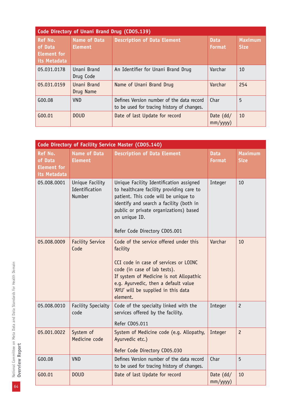|                                                                 | Code Directory of Unani Brand Drug (CD05.139) |                                                                                         |                               |                               |  |  |  |  |
|-----------------------------------------------------------------|-----------------------------------------------|-----------------------------------------------------------------------------------------|-------------------------------|-------------------------------|--|--|--|--|
| <b>Ref No.</b><br>of Data<br><b>Element for</b><br>its Metadata | Name of Data<br><b>Element</b>                | <b>Description of Data Element</b>                                                      | <b>Data</b><br><b>Format</b>  | <b>Maximum</b><br><b>Size</b> |  |  |  |  |
| 05.031.0178                                                     | Unani Brand<br>Drug Code                      | An Identifier for Unani Brand Drug                                                      | Varchar                       | 10                            |  |  |  |  |
| 05.031.0159                                                     | Unani Brand<br>Drug Name                      | Name of Unani Brand Drug                                                                | Varchar                       | 254                           |  |  |  |  |
| G00.08                                                          | <b>VND</b>                                    | Defines Version number of the data record<br>to be used for tracing history of changes. | Char                          | 5                             |  |  |  |  |
| G00.01                                                          | <b>DOUD</b>                                   | Date of last Update for record                                                          | Date $(dd/$<br>$mm/$ yyyy $)$ | <b>10</b>                     |  |  |  |  |

|                                                                 | Code Directory of Facility Service Master (CD05.140) |                                                                                                                                                                                                                                                                    |                              |                               |  |  |  |  |
|-----------------------------------------------------------------|------------------------------------------------------|--------------------------------------------------------------------------------------------------------------------------------------------------------------------------------------------------------------------------------------------------------------------|------------------------------|-------------------------------|--|--|--|--|
| <b>Ref No.</b><br>of Data<br><b>Element for</b><br>its Metadata | <b>Name of Data</b><br><b>Element</b>                | <b>Description of Data Element</b>                                                                                                                                                                                                                                 | <b>Data</b><br><b>Format</b> | <b>Maximum</b><br><b>Size</b> |  |  |  |  |
| 05.008.0001                                                     | Unique Facility<br>Identification<br>Number          | Unique Facility Identification assigned<br>to healthcare facility providing care to<br>patient. This code will be unique to<br>identify and search a facility (both in<br>public or private organizations) based<br>on unique ID.<br>Refer Code Directory CD05.001 | Integer                      | 10                            |  |  |  |  |
| 05.008.0009                                                     | <b>Facility Service</b><br>Code                      | Code of the service offered under this<br>facility<br>CCI code in case of services or LOINC<br>code (in case of lab tests).<br>If system of Medicine is not Allopathic<br>e.g. Ayurvedic, then a default value<br>'AYU' will be supplied in this data<br>element.  | Varchar                      | 10                            |  |  |  |  |
| 05.008.0010                                                     | <b>Facility Specialty</b><br>code                    | Code of the specialty linked with the<br>services offered by the facility.<br>Refer CD05.011                                                                                                                                                                       | Integer                      | $\overline{c}$                |  |  |  |  |
| 05.001.0022                                                     | System of<br>Medicine code                           | System of Medicine code (e.g. Allopathy,<br>Ayurvedic etc.)<br>Refer Code Directory CD05.030                                                                                                                                                                       | Integer                      | $\overline{c}$                |  |  |  |  |
| G00.08                                                          | <b>VND</b>                                           | Defines Version number of the data record<br>to be used for tracing history of changes.                                                                                                                                                                            | Char                         | 5                             |  |  |  |  |
| G00.01                                                          | <b>DOUD</b>                                          | Date of last Update for record                                                                                                                                                                                                                                     | Date $(dd/$<br>mm/yyyy)      | 10                            |  |  |  |  |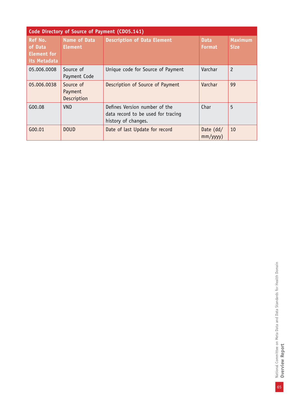|                                                                 | Code Directory of Source of Payment (CD05.141) |                                                                                            |                               |                               |  |  |  |  |
|-----------------------------------------------------------------|------------------------------------------------|--------------------------------------------------------------------------------------------|-------------------------------|-------------------------------|--|--|--|--|
| <b>Ref No.</b><br>of Data<br><b>Element for</b><br>its Metadata | <b>Name of Data</b><br><b>Element</b>          | <b>Description of Data Element</b>                                                         | <b>Data</b><br><b>Format</b>  | <b>Maximum</b><br><b>Size</b> |  |  |  |  |
| 05.006.0008                                                     | Source of<br>Payment Code                      | Unique code for Source of Payment                                                          | Varchar                       | $\overline{c}$                |  |  |  |  |
| 05.006.0038                                                     | Source of<br>Payment<br>Description            | Description of Source of Payment                                                           | Varchar                       | 99                            |  |  |  |  |
| G00.08                                                          | <b>VND</b>                                     | Defines Version number of the<br>data record to be used for tracing<br>history of changes. | Char                          | 5                             |  |  |  |  |
| G00.01                                                          | <b>DOUD</b>                                    | Date of last Update for record                                                             | Date $(dd/$<br>$mm/$ yyyy $)$ | 10                            |  |  |  |  |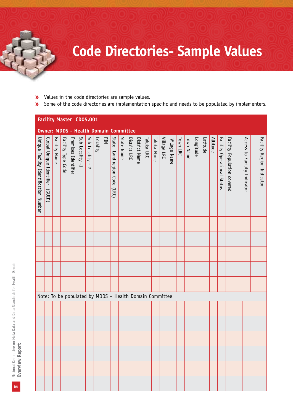## **Code Directories- Sample Values**

- Values in the code directories are sample values.  $\overline{\mathbf{v}}$
- Some of the code directories are implementation specific and needs to be populated by implementers.  $\pmb{\mathcal{Y}}$

|                                       |                                   |               |                    |                     | <b>Facility Master CD05.001</b>                         |                          |          |     |                                 |            |              |               |            |             |             |              |          |           |           |          |          |                             |                             |                              |                           |
|---------------------------------------|-----------------------------------|---------------|--------------------|---------------------|---------------------------------------------------------|--------------------------|----------|-----|---------------------------------|------------|--------------|---------------|------------|-------------|-------------|--------------|----------|-----------|-----------|----------|----------|-----------------------------|-----------------------------|------------------------------|---------------------------|
|                                       |                                   |               |                    |                     | <b>Owner: MDDS - Health Domain Committee</b>            |                          |          |     |                                 |            |              |               |            |             |             |              |          |           |           |          |          |                             |                             |                              |                           |
| Unique Facility Identification Number | Global Unique Identifier<br>(TID) | Facility Name | Facility Type Code | Premises Identifier | Sub Locality -1                                         | Sub Locality -<br>$\sim$ | Locality | PIN | State<br>Land region Code (LRC) | State Name | District LRC | District Name | Taluka LRC | Taluka Name | Village LRC | Village Name | Town LRC | Town Name | Longitude | Latitude | Altitude | Facility Operational Status | Facility Population covered | Access to Facility Indicator | Facility Region Indicator |
|                                       |                                   |               |                    |                     |                                                         |                          |          |     |                                 |            |              |               |            |             |             |              |          |           |           |          |          |                             |                             |                              |                           |
|                                       |                                   |               |                    |                     |                                                         |                          |          |     |                                 |            |              |               |            |             |             |              |          |           |           |          |          |                             |                             |                              |                           |
|                                       |                                   |               |                    |                     |                                                         |                          |          |     |                                 |            |              |               |            |             |             |              |          |           |           |          |          |                             |                             |                              |                           |
|                                       |                                   |               |                    |                     |                                                         |                          |          |     |                                 |            |              |               |            |             |             |              |          |           |           |          |          |                             |                             |                              |                           |
|                                       |                                   |               |                    |                     |                                                         |                          |          |     |                                 |            |              |               |            |             |             |              |          |           |           |          |          |                             |                             |                              |                           |
|                                       |                                   |               |                    |                     |                                                         |                          |          |     |                                 |            |              |               |            |             |             |              |          |           |           |          |          |                             |                             |                              |                           |
|                                       |                                   |               |                    |                     | Note: To be populated by MDDS - Health Domain Committee |                          |          |     |                                 |            |              |               |            |             |             |              |          |           |           |          |          |                             |                             |                              |                           |
|                                       |                                   |               |                    |                     |                                                         |                          |          |     |                                 |            |              |               |            |             |             |              |          |           |           |          |          |                             |                             |                              |                           |
|                                       |                                   |               |                    |                     |                                                         |                          |          |     |                                 |            |              |               |            |             |             |              |          |           |           |          |          |                             |                             |                              |                           |
|                                       |                                   |               |                    |                     |                                                         |                          |          |     |                                 |            |              |               |            |             |             |              |          |           |           |          |          |                             |                             |                              |                           |
|                                       |                                   |               |                    |                     |                                                         |                          |          |     |                                 |            |              |               |            |             |             |              |          |           |           |          |          |                             |                             |                              |                           |
|                                       |                                   |               |                    |                     |                                                         |                          |          |     |                                 |            |              |               |            |             |             |              |          |           |           |          |          |                             |                             |                              |                           |
|                                       |                                   |               |                    |                     |                                                         |                          |          |     |                                 |            |              |               |            |             |             |              |          |           |           |          |          |                             |                             |                              |                           |
|                                       |                                   |               |                    |                     |                                                         |                          |          |     |                                 |            |              |               |            |             |             |              |          |           |           |          |          |                             |                             |                              |                           |

66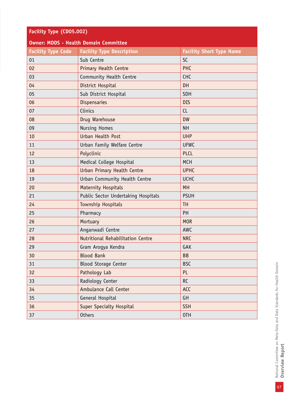| Facility Type (CD05.002)  |                                              |                                 |  |  |  |  |  |  |
|---------------------------|----------------------------------------------|---------------------------------|--|--|--|--|--|--|
|                           | <b>Owner: MDDS - Health Domain Committee</b> |                                 |  |  |  |  |  |  |
| <b>Facility Type Code</b> | <b>Facility Type Description</b>             | <b>Facility Short Type Name</b> |  |  |  |  |  |  |
| 01                        | Sub Centre                                   | <b>SC</b>                       |  |  |  |  |  |  |
| 02                        | <b>Primary Health Centre</b>                 | PHC                             |  |  |  |  |  |  |
| 03                        | Community Health Centre                      | <b>CHC</b>                      |  |  |  |  |  |  |
| 04                        | District Hospital                            | <b>DH</b>                       |  |  |  |  |  |  |
| 05                        | Sub District Hospital                        | SDH                             |  |  |  |  |  |  |
| 06                        | <b>Dispensaries</b>                          | <b>DIS</b>                      |  |  |  |  |  |  |
| 07                        | Clinics                                      | CL                              |  |  |  |  |  |  |
| 08                        | Drug Warehouse                               | <b>DW</b>                       |  |  |  |  |  |  |
| 09                        | <b>Nursing Homes</b>                         | <b>NH</b>                       |  |  |  |  |  |  |
| 10                        | Urban Health Post                            | <b>UHP</b>                      |  |  |  |  |  |  |
| 11                        | Urban Family Welfare Centre                  | <b>UFWC</b>                     |  |  |  |  |  |  |
| 12                        | Polyclinic                                   | <b>PLCL</b>                     |  |  |  |  |  |  |
| 13                        | Medical College Hospital                     | <b>MCH</b>                      |  |  |  |  |  |  |
| 18                        | Urban Primary Health Centre                  | <b>UPHC</b>                     |  |  |  |  |  |  |
| 19                        | Urban Community Health Centre                | <b>UCHC</b>                     |  |  |  |  |  |  |
| 20                        | <b>Maternity Hospitals</b>                   | <b>MH</b>                       |  |  |  |  |  |  |
| 21                        | Public Sector Undertaking Hospitals          | <b>PSUH</b>                     |  |  |  |  |  |  |
| 24                        | <b>Township Hospitals</b>                    | <b>TH</b>                       |  |  |  |  |  |  |
| 25                        | Pharmacy                                     | PH                              |  |  |  |  |  |  |
| 26                        | Mortuary                                     | <b>MOR</b>                      |  |  |  |  |  |  |
| 27                        | Anganwadi Centre                             | AWC                             |  |  |  |  |  |  |
| 28                        | Nutritional Rehabilitation Centre            | <b>NRC</b>                      |  |  |  |  |  |  |
| 29                        | Gram Arogya Kendra                           | GAK                             |  |  |  |  |  |  |
| 30                        | <b>Blood Bank</b>                            | <b>BB</b>                       |  |  |  |  |  |  |
| 31                        | <b>Blood Storage Center</b>                  | <b>BSC</b>                      |  |  |  |  |  |  |
| 32                        | Pathology Lab                                | PL.                             |  |  |  |  |  |  |
| 33                        | Radiology Center                             | <b>RC</b>                       |  |  |  |  |  |  |
| 34                        | Ambulance Call Center                        | <b>ACC</b>                      |  |  |  |  |  |  |
| 35                        | General Hospital                             | GH                              |  |  |  |  |  |  |
| 36                        | <b>Super Specialty Hospital</b>              | <b>SSH</b>                      |  |  |  |  |  |  |
| 37                        | <b>Others</b>                                | OTH                             |  |  |  |  |  |  |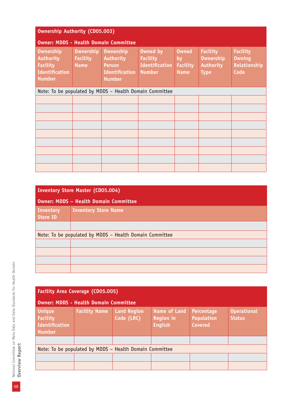| <b>Ownership Authority (CD05.003)</b>                                                             |                                                         |                                                                                                 |                                                                              |                                                      |                                                                        |                                                          |  |  |  |
|---------------------------------------------------------------------------------------------------|---------------------------------------------------------|-------------------------------------------------------------------------------------------------|------------------------------------------------------------------------------|------------------------------------------------------|------------------------------------------------------------------------|----------------------------------------------------------|--|--|--|
|                                                                                                   | <b>Owner: MDDS - Health Domain Committee</b>            |                                                                                                 |                                                                              |                                                      |                                                                        |                                                          |  |  |  |
| <b>Ownership</b><br><b>Authority</b><br><b>Facility</b><br><b>Identification</b><br><b>Number</b> | <b>Ownership</b><br><b>Facility</b><br><b>Name</b>      | <b>Ownership</b><br><b>Authority</b><br><b>Person</b><br><b>Identification</b><br><b>Number</b> | <b>Owned by</b><br><b>Facility</b><br><b>Identification</b><br><b>Number</b> | <b>Owned</b><br>by<br><b>Facility</b><br><b>Name</b> | <b>Facility</b><br><b>Ownership</b><br><b>Authority</b><br><b>Type</b> | <b>Facility</b><br><b>Owning</b><br>Relationship<br>Code |  |  |  |
|                                                                                                   | Note: To be populated by MDDS - Health Domain Committee |                                                                                                 |                                                                              |                                                      |                                                                        |                                                          |  |  |  |
|                                                                                                   |                                                         |                                                                                                 |                                                                              |                                                      |                                                                        |                                                          |  |  |  |
|                                                                                                   |                                                         |                                                                                                 |                                                                              |                                                      |                                                                        |                                                          |  |  |  |
|                                                                                                   |                                                         |                                                                                                 |                                                                              |                                                      |                                                                        |                                                          |  |  |  |
|                                                                                                   |                                                         |                                                                                                 |                                                                              |                                                      |                                                                        |                                                          |  |  |  |
|                                                                                                   |                                                         |                                                                                                 |                                                                              |                                                      |                                                                        |                                                          |  |  |  |
|                                                                                                   |                                                         |                                                                                                 |                                                                              |                                                      |                                                                        |                                                          |  |  |  |
|                                                                                                   |                                                         |                                                                                                 |                                                                              |                                                      |                                                                        |                                                          |  |  |  |
|                                                                                                   |                                                         |                                                                                                 |                                                                              |                                                      |                                                                        |                                                          |  |  |  |
|                                                                                                   |                                                         |                                                                                                 |                                                                              |                                                      |                                                                        |                                                          |  |  |  |

|                              | <b>Inventory Store Master (CD05.004)</b>                |  |  |  |  |  |
|------------------------------|---------------------------------------------------------|--|--|--|--|--|
|                              | <b>Owner: MDDS - Health Domain Committee</b>            |  |  |  |  |  |
| Inventory<br><b>Store ID</b> | <b>Inventory Store Name</b>                             |  |  |  |  |  |
|                              |                                                         |  |  |  |  |  |
|                              | Note: To be populated by MDDS - Health Domain Committee |  |  |  |  |  |
|                              |                                                         |  |  |  |  |  |
|                              |                                                         |  |  |  |  |  |
|                              |                                                         |  |  |  |  |  |
|                              |                                                         |  |  |  |  |  |

| <b>Facility Area Coverage (CD05.005)</b><br><b>Owner: MDDS - Health Domain Committee</b> |                      |                                  |                                                           |                                                   |                                     |
|------------------------------------------------------------------------------------------|----------------------|----------------------------------|-----------------------------------------------------------|---------------------------------------------------|-------------------------------------|
| <b>Unique</b><br><b>Facility</b><br>Identification<br><b>Number</b>                      | <b>Facility Name</b> | <b>Land Region</b><br>Code (LRC) | <b>Name of Land</b><br><b>Region in</b><br><b>English</b> | Percentage<br><b>Population</b><br><b>Covered</b> | <b>Operational</b><br><b>Status</b> |
|                                                                                          |                      |                                  |                                                           |                                                   |                                     |
| Note: To be populated by MDDS - Health Domain Committee                                  |                      |                                  |                                                           |                                                   |                                     |
|                                                                                          |                      |                                  |                                                           |                                                   |                                     |
|                                                                                          |                      |                                  |                                                           |                                                   |                                     |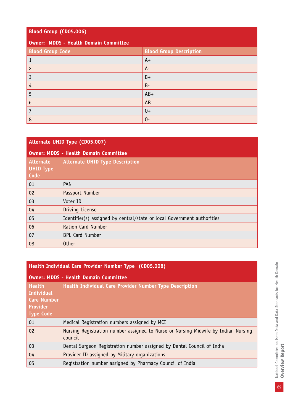## **Blood Group (CD05.006)**

## **Owner: MDDS - Health Domain Committee**

| <b>Blood Group Code</b> | <b>Blood Group Description</b> |
|-------------------------|--------------------------------|
|                         | $A+$                           |
| 2                       | $A -$                          |
| 3                       | $B+$                           |
| 4                       | $B -$                          |
| 5                       | $AB+$                          |
| 6                       | $AB -$                         |
|                         | $0+$                           |
| 8                       | $0 -$                          |

| <b>Alternate UHID Type (CD05.007)</b>        |                                                                         |  |
|----------------------------------------------|-------------------------------------------------------------------------|--|
| <b>Owner: MDDS - Health Domain Committee</b> |                                                                         |  |
| Alternate<br><b>UHID Type</b><br>Code        | <b>Alternate UHID Type Description</b>                                  |  |
| 01                                           | <b>PAN</b>                                                              |  |
| 02                                           | Passport Number                                                         |  |
| 03                                           | Voter ID                                                                |  |
| 04                                           | Driving License                                                         |  |
| 05                                           | Identifier(s) assigned by central/state or local Government authorities |  |
| 06                                           | <b>Ration Card Number</b>                                               |  |
| 07                                           | <b>BPL Card Number</b>                                                  |  |
| 08                                           | <b>Other</b>                                                            |  |

| Health Individual Care Provider Number Type (CD05.008)                                          |                                                                                               |  |  |
|-------------------------------------------------------------------------------------------------|-----------------------------------------------------------------------------------------------|--|--|
| <b>Owner: MDDS - Health Domain Committee</b>                                                    |                                                                                               |  |  |
| <b>Health</b><br><b>Individual</b><br><b>Care Number</b><br><b>Provider</b><br><b>Type Code</b> | Health Individual Care Provider Number Type Description                                       |  |  |
| 01                                                                                              | Medical Registration numbers assigned by MCI                                                  |  |  |
| 02                                                                                              | Nursing Registration number assigned to Nurse or Nursing Midwife by Indian Nursing<br>council |  |  |
| 03                                                                                              | Dental Surgeon Registration number assigned by Dental Council of India                        |  |  |
| 04                                                                                              | Provider ID assigned by Military organizations                                                |  |  |
| 05                                                                                              | Registration number assigned by Pharmacy Council of India                                     |  |  |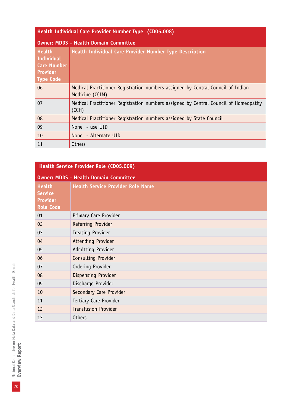| Health Individual Care Provider Number Type (CD05.008)                                          |                                                                                                    |  |  |
|-------------------------------------------------------------------------------------------------|----------------------------------------------------------------------------------------------------|--|--|
| <b>Owner: MDDS - Health Domain Committee</b>                                                    |                                                                                                    |  |  |
| <b>Health</b><br><b>Individual</b><br><b>Care Number</b><br><b>Provider</b><br><b>Type Code</b> | Health Individual Care Provider Number Type Description                                            |  |  |
| 06                                                                                              | Medical Practitioner Registration numbers assigned by Central Council of Indian<br>Medicine (CCIM) |  |  |
| 07                                                                                              | Medical Practitioner Registration numbers assigned by Central Council of Homeopathy<br>(CCH)       |  |  |
| 08                                                                                              | Medical Practitioner Registration numbers assigned by State Council                                |  |  |
| 09                                                                                              | None - use UID                                                                                     |  |  |
| 10                                                                                              | None - Alternate UID                                                                               |  |  |
| 11                                                                                              | <b>Others</b>                                                                                      |  |  |

| Health Service Provider Role (CD05.009)                                |                                          |  |  |
|------------------------------------------------------------------------|------------------------------------------|--|--|
| <b>Owner: MDDS - Health Domain Committee</b>                           |                                          |  |  |
| <b>Health</b><br><b>Service</b><br><b>Provider</b><br><b>Role Code</b> | <b>Health Service Provider Role Name</b> |  |  |
| 01                                                                     | Primary Care Provider                    |  |  |
| 02                                                                     | Referring Provider                       |  |  |
| 03                                                                     | Treating Provider                        |  |  |
| 04                                                                     | <b>Attending Provider</b>                |  |  |
| 05                                                                     | Admitting Provider                       |  |  |
| 06                                                                     | Consulting Provider                      |  |  |
| 07                                                                     | Ordering Provider                        |  |  |
| 08                                                                     | <b>Dispensing Provider</b>               |  |  |
| 09                                                                     | Discharge Provider                       |  |  |
| 10                                                                     | Secondary Care Provider                  |  |  |
| 11                                                                     | Tertiary Care Provider                   |  |  |
| 12                                                                     | <b>Transfusion Provider</b>              |  |  |
| 13                                                                     | <b>Others</b>                            |  |  |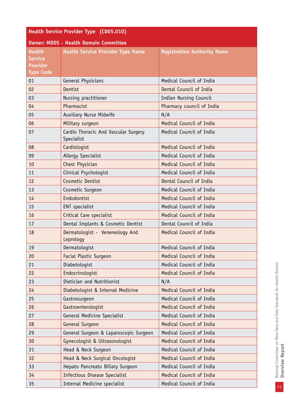| Health Service Provider Type (CD05.010)                                |                                                    |                                    |  |
|------------------------------------------------------------------------|----------------------------------------------------|------------------------------------|--|
| <b>Owner: MDDS - Health Domain Committee</b>                           |                                                    |                                    |  |
| <b>Health</b><br><b>Service</b><br><b>Provider</b><br><b>Type Code</b> | <b>Health Service Provider Type Name</b>           | <b>Registration Authority Name</b> |  |
| 01                                                                     | General Physicians                                 | Medical Council of India           |  |
| 02                                                                     | Dentist                                            | Dental Council of India            |  |
| 03                                                                     | Nursing practitioner                               | Indian Nursing Council             |  |
| 04                                                                     | Pharmacist                                         | Pharmacy council of India          |  |
| 05                                                                     | Auxiliary Nurse Midwife                            | N/A                                |  |
| 06                                                                     | Military surgeon                                   | Medical Council of India           |  |
| 07                                                                     | Cardio Thoracic And Vascular Surgery<br>Specialist | Medical Council of India           |  |
| 08                                                                     | Cardiologist                                       | Medical Council of India           |  |
| 09                                                                     | Allergy Specialist                                 | Medical Council of India           |  |
| 10                                                                     | Chest Physician                                    | Medical Council of India           |  |
| 11                                                                     | Clinical Psychologist                              | Medical Council of India           |  |
| 12                                                                     | Cosmetic Dentist                                   | Dental Council of India            |  |
| 13                                                                     | Cosmetic Surgeon                                   | Medical Council of India           |  |
| 14                                                                     | Endodontist                                        | Medical Council of India           |  |
| 15                                                                     | ENT specialist                                     | Medical Council of India           |  |
| 16                                                                     | Critical Care specialist                           | Medical Council of India           |  |
| 17                                                                     | Dental Implants & Cosmetic Dentist                 | Dental Council of India            |  |
| 18                                                                     | Dermatologist - Venereology And<br>Leprology       | Medical Council of India           |  |
| 19                                                                     | Dermatologist                                      | Medical Council of India           |  |
| 20                                                                     | <b>Facial Plastic Surgeon</b>                      | Medical Council of India           |  |
| 21                                                                     | Diabetologist                                      | Medical Council of India           |  |
| 22                                                                     | Endocrinologist                                    | Medical Council of India           |  |
| 23                                                                     | Dietician and Nutritionist                         | N/A                                |  |
| 24                                                                     | Diabetologist & Internal Medicine                  | Medical Council of India           |  |
| 25                                                                     | Gastrosurgeon                                      | Medical Council of India           |  |
| 26                                                                     | Gastroenterologist                                 | Medical Council of India           |  |
| 27                                                                     | General Medicine Specialist                        | Medical Council of India           |  |
| 28                                                                     | General Surgeon                                    | Medical Council of India           |  |
| 29                                                                     | General Surgeon & Laparoscopic Surgeon             | Medical Council of India           |  |
| 30                                                                     | Gynecologist & Ultrasonologist                     | Medical Council of India           |  |
| 31                                                                     | Head & Neck Surgeon                                | Medical Council of India           |  |
| 32                                                                     | Head & Neck Surgical Oncologist                    | Medical Council of India           |  |
| 33                                                                     | Hepato Pancreato Biliary Surgeon                   | Medical Council of India           |  |
| 34                                                                     | <b>Infectious Disease Specialist</b>               | Medical Council of India           |  |
| 35                                                                     | Internal Medicine specialist                       | Medical Council of India           |  |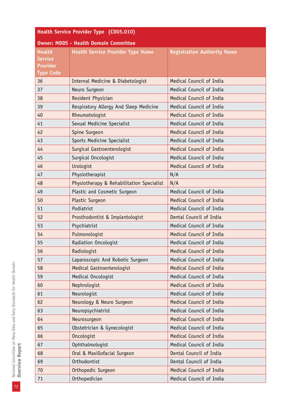| Health Service Provider Type (CD05.010)      |                                           |                                    |  |
|----------------------------------------------|-------------------------------------------|------------------------------------|--|
| <b>Owner: MDDS - Health Domain Committee</b> |                                           |                                    |  |
| <b>Health</b><br><b>Service</b>              | <b>Health Service Provider Type Name</b>  | <b>Registration Authority Name</b> |  |
| <b>Provider</b>                              |                                           |                                    |  |
| <b>Type Code</b>                             |                                           |                                    |  |
| 36                                           | Internal Medicine & Diabetologist         | Medical Council of India           |  |
| 37                                           | Neuro Surgeon                             | Medical Council of India           |  |
| 38                                           | Resident Physician                        | Medical Council of India           |  |
| 39                                           | Respiratory Allergy And Sleep Medicine    | Medical Council of India           |  |
| 40                                           | Rheumatologist                            | Medical Council of India           |  |
| 41                                           | Sexual Medicine Specialist                | Medical Council of India           |  |
| 42                                           | Spine Surgeon                             | Medical Council of India           |  |
| 43                                           | Sports Medicine Specialist                | Medical Council of India           |  |
| 44                                           | Surgical Gastroenterologist               | Medical Council of India           |  |
| 45                                           | Surgical Oncologist                       | Medical Council of India           |  |
| 46                                           | Urologist                                 | Medical Council of India           |  |
| 47                                           | Physiotherapist                           | N/A                                |  |
| 48                                           | Physiotherapy & Rehabilitation Specialist | N/A                                |  |
| 49                                           | Plastic and Cosmetic Surgeon              | Medical Council of India           |  |
| 50                                           | Plastic Surgeon                           | Medical Council of India           |  |
| 51                                           | Podiatrist                                | Medical Council of India           |  |
| 52                                           | Prosthodontist & Implantologist           | Dental Council of India            |  |
| 53                                           | Psychiatrist                              | Medical Council of India           |  |
| 54                                           | Pulmonologist                             | Medical Council of India           |  |
| 55                                           | Radiation Oncologist                      | Medical Council of India           |  |
| 56                                           | Radiologist                               | Medical Council of India           |  |
| 57                                           | Laparoscopic And Robotic Surgeon          | Medical Council of India           |  |
| 58                                           | Medical Gastroenterologist                | Medical Council of India           |  |
| 59                                           | Medical Oncologist                        | Medical Council of India           |  |
| 60                                           | Nephrologist                              | Medical Council of India           |  |
| 61                                           | Neurologist                               | Medical Council of India           |  |
| 62                                           | Neurology & Neuro Surgeon                 | Medical Council of India           |  |
| 63                                           | Neuropsychiatrist                         | Medical Council of India           |  |
| 64                                           | Neurosurgeon                              | Medical Council of India           |  |
| 65                                           | Obstetrician & Gynecologist               | Medical Council of India           |  |
| 66                                           | Oncologist                                | Medical Council of India           |  |
| 67                                           | Ophthalmologist                           | Medical Council of India           |  |
| 68                                           | Oral & Maxillofacial Surgeon              | Dental Council of India            |  |
| 69                                           | Orthodontist                              | Dental Council of India            |  |
| 70                                           | Orthopedic Surgeon                        | Medical Council of India           |  |
| 71                                           | Orthopedician                             | Medical Council of India           |  |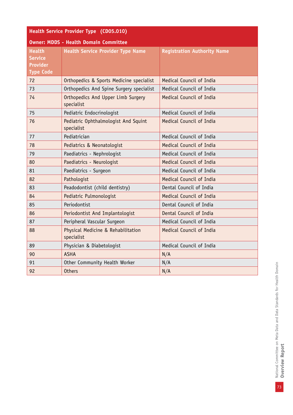| Health Service Provider Type (CD05.010)                                |                                                    |                                    |
|------------------------------------------------------------------------|----------------------------------------------------|------------------------------------|
| <b>Owner: MDDS - Health Domain Committee</b>                           |                                                    |                                    |
| <b>Health</b><br><b>Service</b><br><b>Provider</b><br><b>Type Code</b> | <b>Health Service Provider Type Name</b>           | <b>Registration Authority Name</b> |
| 72                                                                     | Orthopedics & Sports Medicine specialist           | Medical Council of India           |
| 73                                                                     | Orthopedics And Spine Surgery specialist           | Medical Council of India           |
| 74                                                                     | Orthopedics And Upper Limb Surgery<br>specialist   | Medical Council of India           |
| 75                                                                     | Pediatric Endocrinologist                          | Medical Council of India           |
| 76                                                                     | Pediatric Ophthalmologist And Squint<br>specialist | Medical Council of India           |
| 77                                                                     | Pediatrician                                       | Medical Council of India           |
| 78                                                                     | Pediatrics & Neonatologist                         | Medical Council of India           |
| 79                                                                     | Paediatrics - Nephrologist                         | Medical Council of India           |
| 80                                                                     | Paediatrics - Neurologist                          | Medical Council of India           |
| 81                                                                     | Paediatrics - Surgeon                              | Medical Council of India           |
| 82                                                                     | Pathologist                                        | Medical Council of India           |
| 83                                                                     | Peadodontist (child dentistry)                     | Dental Council of India            |
| 84                                                                     | Pediatric Pulmonologist                            | Medical Council of India           |
| 85                                                                     | Periodontist                                       | Dental Council of India            |
| 86                                                                     | Periodontist And Implantologist                    | Dental Council of India            |
| 87                                                                     | Peripheral Vascular Surgeon                        | Medical Council of India           |
| 88                                                                     | Physical Medicine & Rehabilitation<br>specialist   | Medical Council of India           |
| 89                                                                     | Physician & Diabetologist                          | Medical Council of India           |
| 90                                                                     | <b>ASHA</b>                                        | N/A                                |
| 91                                                                     | Other Community Health Worker                      | N/A                                |
| 92                                                                     | <b>Others</b>                                      | N/A                                |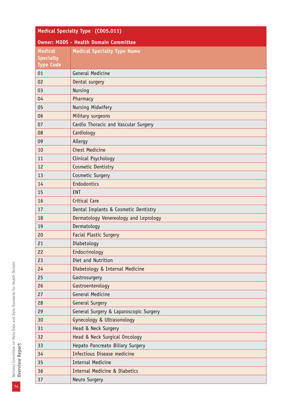| <b>Medical Specialty Type (CD05.011)</b>     |                                          |  |
|----------------------------------------------|------------------------------------------|--|
| <b>Owner: MDDS - Health Domain Committee</b> |                                          |  |
| <b>Medical</b>                               | <b>Medical Specialty Type Name</b>       |  |
| <b>Specialty</b><br><b>Type Code</b>         |                                          |  |
| 01                                           | General Medicine                         |  |
| 02                                           | Dental surgery                           |  |
| 03                                           | Nursing                                  |  |
| 04                                           | Pharmacy                                 |  |
| 05                                           | Nursing Midwifery                        |  |
| 06                                           | Military surgeons                        |  |
| 07                                           | Cardio Thoracic and Vascular Surgery     |  |
| 08                                           | Cardiology                               |  |
| 09                                           | Allergy                                  |  |
| 10                                           | <b>Chest Medicine</b>                    |  |
| 11                                           | Clinical Psychology                      |  |
| 12                                           | Cosmetic Dentistry                       |  |
| 13                                           | Cosmetic Surgery                         |  |
| 14                                           | Endodontics                              |  |
| 15                                           | <b>ENT</b>                               |  |
| 16                                           | Critical Care                            |  |
| 17                                           | Dental Implants & Cosmetic Dentistry     |  |
| 18                                           | Dermatology Venereology and Leprology    |  |
| 19                                           | Dermatology                              |  |
| 20                                           | <b>Facial Plastic Surgery</b>            |  |
| 21                                           | Diabetology                              |  |
| 22                                           | Endocrinology                            |  |
| 23                                           | Diet and Nutrition                       |  |
| 24                                           | Diabetology & Internal Medicine          |  |
| 25                                           | Gastrosurgery                            |  |
| 26                                           | Gastroenterology                         |  |
| 27                                           | General Medicine                         |  |
| 28                                           | <b>General Surgery</b>                   |  |
| 29                                           | General Surgery & Laparoscopic Surgery   |  |
| 30                                           | Gynecology & Ultrasonology               |  |
| 31                                           | Head & Neck Surgery                      |  |
| 32                                           | Head & Neck Surgical Oncology            |  |
| 33                                           | Hepato Pancreato Biliary Surgery         |  |
| 34                                           | Infectious Disease medicine              |  |
| 35                                           | <b>Internal Medicine</b>                 |  |
| 36                                           | <b>Internal Medicine &amp; Diabetics</b> |  |
| 37                                           | Neuro Surgery                            |  |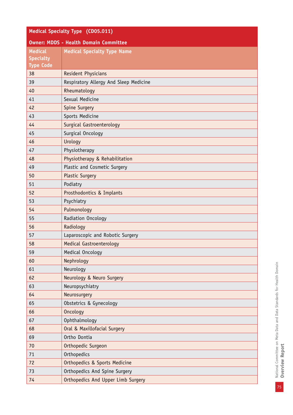| Medical Specialty Type (CD05.011)            |                                        |  |
|----------------------------------------------|----------------------------------------|--|
| <b>Owner: MDDS - Health Domain Committee</b> |                                        |  |
| <b>Medical</b>                               | <b>Medical Specialty Type Name</b>     |  |
| <b>Specialty</b><br><b>Type Code</b>         |                                        |  |
|                                              |                                        |  |
| 38                                           | Resident Physicians                    |  |
| 39                                           | Respiratory Allergy And Sleep Medicine |  |
| 40                                           | Rheumatology                           |  |
| 41                                           | Sexual Medicine                        |  |
| 42                                           | Spine Surgery                          |  |
| 43                                           | Sports Medicine                        |  |
| 44                                           | Surgical Gastroenterology              |  |
| 45                                           | Surgical Oncology                      |  |
| 46                                           | Urology                                |  |
| 47                                           | Physiotherapy                          |  |
| 48                                           | Physiotherapy & Rehabilitation         |  |
| 49                                           | Plastic and Cosmetic Surgery           |  |
| 50                                           | <b>Plastic Surgery</b>                 |  |
| 51                                           | Podiatry                               |  |
| 52                                           | Prosthodontics & Implants              |  |
| 53                                           | Psychiatry                             |  |
| 54                                           | Pulmonology                            |  |
| 55                                           | Radiation Oncology                     |  |
| 56                                           | Radiology                              |  |
| 57                                           | Laparoscopic and Robotic Surgery       |  |
| 58                                           | Medical Gastroenterology               |  |
| 59                                           | Medical Oncology                       |  |
| 60                                           | Nephrology                             |  |
| 61                                           | Neurology                              |  |
| 62                                           | Neurology & Neuro Surgery              |  |
| 63                                           | Neuropsychiatry                        |  |
| 64                                           | Neurosurgery                           |  |
| 65                                           | Obstetrics & Gynecology                |  |
| 66                                           | <b>Oncology</b>                        |  |
| 67                                           | Ophthalmology                          |  |
| 68                                           | Oral & Maxillofacial Surgery           |  |
| 69                                           | Ortho Dontia                           |  |
| 70                                           | Orthopedic Surgeon                     |  |
| 71                                           | Orthopedics                            |  |
| 72                                           | Orthopedics & Sports Medicine          |  |
| 73                                           | Orthopedics And Spine Surgery          |  |
| 74                                           | Orthopedics And Upper Limb Surgery     |  |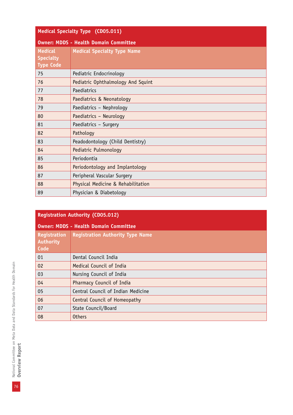| <b>Medical Specialty Type (CD05.011)</b>               |                                              |  |
|--------------------------------------------------------|----------------------------------------------|--|
|                                                        | <b>Owner: MDDS - Health Domain Committee</b> |  |
| <b>Medical</b><br><b>Specialty</b><br><b>Type Code</b> | <b>Medical Specialty Type Name</b>           |  |
| 75                                                     | Pediatric Endocrinology                      |  |
| 76                                                     | Pediatric Ophthalmology And Squint           |  |
| 77                                                     | Paediatrics                                  |  |
| 78                                                     | Paediatrics & Neonatology                    |  |
| 79                                                     | Paediatrics - Nephrology                     |  |
| 80                                                     | Paediatrics - Neurology                      |  |
| 81                                                     | Paediatrics - Surgery                        |  |
| 82                                                     | Pathology                                    |  |
| 83                                                     | Peadodontology (Child Dentistry)             |  |
| 84                                                     | Pediatric Pulmonology                        |  |
| 85                                                     | Periodontia                                  |  |
| 86                                                     | Periodontology and Implantology              |  |
| 87                                                     | Peripheral Vascular Surgery                  |  |
| 88                                                     | Physical Medicine & Rehabilitation           |  |
| 89                                                     | Physician & Diabetology                      |  |

# **Registration Authority (CD05.012)**

| <b>Owner: MDDS - Health Domain Committee</b> |                                         |
|----------------------------------------------|-----------------------------------------|
| Registration<br>Authority<br>Code            | <b>Registration Authority Type Name</b> |
| 01                                           | Dental Council India                    |
| 02                                           | Medical Council of India                |
| 03                                           | Nursing Council of India                |
| 04                                           | Pharmacy Council of India               |
| 05                                           | Central Council of Indian Medicine      |
| 06                                           | Central Council of Homeopathy           |
| 07                                           | State Council/Board                     |
| 08                                           | <b>Others</b>                           |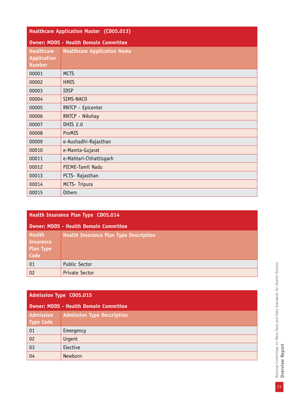| <b>Healthcare Application Master (CD05.013)</b>          |                                    |
|----------------------------------------------------------|------------------------------------|
| <b>Owner: MDDS - Health Domain Committee</b>             |                                    |
| <b>Healthcare</b><br><b>Application</b><br><b>Number</b> | <b>Healthcare Application Name</b> |
| 00001                                                    | <b>MCTS</b>                        |
| 00002                                                    | <b>HMIS</b>                        |
| 00003                                                    | <b>IDSP</b>                        |
| 00004                                                    | SIMS-NACO                          |
| 00005                                                    | RNTCP - Epicenter                  |
| 00006                                                    | RNTCP - Nikshay                    |
| 00007                                                    | <b>DHIS 2.0</b>                    |
| 00008                                                    | ProMIS                             |
| 00009                                                    | e-Aushadhi-Rajasthan               |
| 00010                                                    | e-Mamta-Gujarat                    |
| 00011                                                    | e-Mahtari-Chhattisgarh             |
| 00012                                                    | PICME-Tamil Nadu                   |
| 00013                                                    | PCTS- Rajasthan                    |
| 00014                                                    | <b>MCTS- Tripura</b>               |
| 00015                                                    | <b>Others</b>                      |

| Health Insurance Plan Type CD05.014                           |                                               |
|---------------------------------------------------------------|-----------------------------------------------|
| <b>Owner: MDDS - Health Domain Committee</b>                  |                                               |
| <b>Health</b><br><b>Insurance</b><br><b>Plan Type</b><br>Code | <b>Health Insurance Plan Type Description</b> |
| 01                                                            | Public Sector                                 |
| 02                                                            | Private Sector                                |

## **Admission Type CD05.015**

| Owner: MDDS - Health Domain Committee |                                   |
|---------------------------------------|-----------------------------------|
| Admission<br><b>Type Code</b>         | <b>Admission Type Description</b> |
| 01                                    | Emergency                         |
| 02                                    | Urgent                            |
| 03                                    | Elective                          |
| 04                                    | Newborn                           |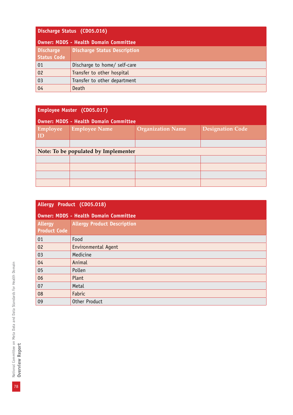| Discharge Status (CD05.016) |  |
|-----------------------------|--|
|-----------------------------|--|

| Owner: MDDS - Health Domain Committee  |                                     |
|----------------------------------------|-------------------------------------|
| <b>Discharge</b><br><b>Status Code</b> | <b>Discharge Status Description</b> |
| 01                                     | Discharge to home/ self-care        |
| 02                                     | Transfer to other hospital          |
| 03                                     | Transfer to other department        |
| 04                                     | Death                               |

| Employee Master (CD05.017)                   |                      |                          |                         |
|----------------------------------------------|----------------------|--------------------------|-------------------------|
| <b>Owner: MDDS - Health Domain Committee</b> |                      |                          |                         |
| Employee<br>$\vert$ ID                       | <b>Employee Name</b> | <b>Organization Name</b> | <b>Designation Code</b> |
|                                              |                      |                          |                         |
| Note: To be populated by Implementer         |                      |                          |                         |
|                                              |                      |                          |                         |
|                                              |                      |                          |                         |
|                                              |                      |                          |                         |
|                                              |                      |                          |                         |

| Allergy Product (CD05.018)            |                                              |  |
|---------------------------------------|----------------------------------------------|--|
|                                       | <b>Owner: MDDS - Health Domain Committee</b> |  |
| <b>Allergy</b><br><b>Product Code</b> | <b>Allergy Product Description</b>           |  |
| 01                                    | Food                                         |  |
| 02                                    | Environmental Agent                          |  |
| 03                                    | Medicine                                     |  |
| 04                                    | Animal                                       |  |
| 05                                    | Pollen                                       |  |
| 06                                    | Plant                                        |  |
| 07                                    | Metal                                        |  |
| 08                                    | Fabric                                       |  |
| 09                                    | Other Product                                |  |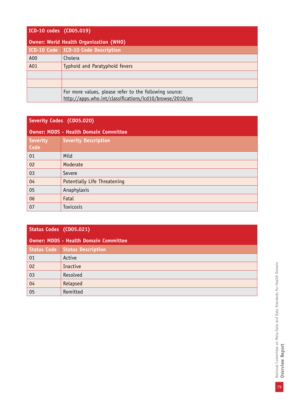| ICD-10 codes (CD05.019)                       |                                                                                                                    |  |
|-----------------------------------------------|--------------------------------------------------------------------------------------------------------------------|--|
| <b>Owner: World Health Organization (WHO)</b> |                                                                                                                    |  |
|                                               | ICD-10 Code ICD-10 Code Description                                                                                |  |
| A00                                           | Cholera                                                                                                            |  |
| A01                                           | Typhoid and Paratyphoid fevers                                                                                     |  |
|                                               |                                                                                                                    |  |
|                                               |                                                                                                                    |  |
|                                               | For more values, please refer to the following source:<br>http://apps.who.int/classifications/icd10/browse/2010/en |  |

## **Severity Codes (CD05.020)**

| <b>Owner: MDDS - Health Domain Committee</b> |                              |  |
|----------------------------------------------|------------------------------|--|
| Severity<br>Code                             | <b>Severity Description</b>  |  |
| 01                                           | Mild                         |  |
| 02                                           | Moderate                     |  |
| 03                                           | Severe                       |  |
| 04                                           | Potentially Life Threatening |  |
| 05                                           | Anaphylaxis                  |  |
| 06                                           | Fatal                        |  |
| 07                                           | Toxicosis                    |  |

| Status Codes (CD05.021)               |                    |  |
|---------------------------------------|--------------------|--|
| Owner: MDDS - Health Domain Committee |                    |  |
| <b>Status Code</b>                    | Status Description |  |
| 01                                    | Active             |  |
| 02                                    | Inactive           |  |
| 03                                    | Resolved           |  |
| 04                                    | Relapsed           |  |
| 05                                    | Remitted           |  |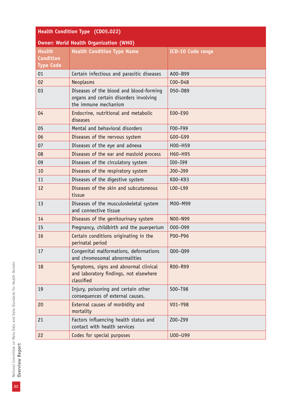| Health Condition Type (CD05.022)                      |                                                                                                           |                          |
|-------------------------------------------------------|-----------------------------------------------------------------------------------------------------------|--------------------------|
| <b>Owner: World Health Organization (WHO)</b>         |                                                                                                           |                          |
| <b>Health</b><br><b>Condition</b><br><b>Type Code</b> | <b>Health Condition Type Name</b>                                                                         | <b>ICD-10 Code range</b> |
| 01                                                    | Certain infectious and parasitic diseases                                                                 | A00-B99                  |
| 02                                                    | Neoplasms                                                                                                 | $COO-D48$                |
| 03                                                    | Diseases of the blood and blood-forming<br>organs and certain disorders involving<br>the immune mechanism | D50-D89                  |
| 04                                                    | Endocrine, nutritional and metabolic<br>diseases                                                          | E00-E90                  |
| 05                                                    | Mental and behavioral disorders                                                                           | F00-F99                  |
| 06                                                    | Diseases of the nervous system                                                                            | $G00-G99$                |
| 07                                                    | Diseases of the eye and adnexa                                                                            | H00-H59                  |
| 08                                                    | Diseases of the ear and mastoid process                                                                   | H60-H95                  |
| 09                                                    | Diseases of the circulatory system                                                                        | $IO0 - I99$              |
| 10                                                    | Diseases of the respiratory system                                                                        | J00-J99                  |
| 11                                                    | Diseases of the digestive system                                                                          | K00-K93                  |
| 12                                                    | Diseases of the skin and subcutaneous<br>tissue                                                           | $LOO-L99$                |
| 13                                                    | Diseases of the musculoskeletal system<br>and connective tissue                                           | M00-M99                  |
| 14                                                    | Diseases of the genitourinary system                                                                      | N00-N99                  |
| 15                                                    | Pregnancy, childbirth and the puerperium                                                                  | 000-099                  |
| 16                                                    | Certain conditions originating in the<br>perinatal period                                                 | P00-P96                  |
| 17                                                    | Congenital malformations, deformations<br>and chromosomal abnormalities                                   | $Q00 - Q99$              |
| 18                                                    | Symptoms, signs and abnormal clinical<br>and laboratory findings, not elsewhere<br>classified             | R00-R99                  |
| 19                                                    | Injury, poisoning and certain other<br>consequences of external causes.                                   | S00-T98                  |
| 20                                                    | External causes of morbidity and<br>mortality                                                             | V01-Y98                  |
| 21                                                    | Factors influencing health status and<br>contact with health services                                     | Z00-Z99                  |
| 22                                                    | Codes for special purposes                                                                                | U00-U99                  |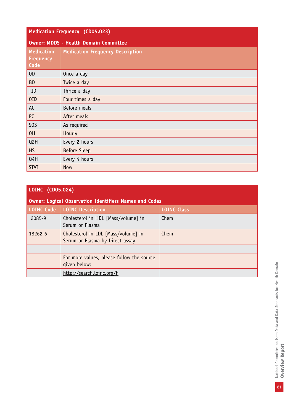| <b>Medication Frequency (CD05.023)</b>        |                                              |  |
|-----------------------------------------------|----------------------------------------------|--|
|                                               | <b>Owner: MDDS - Health Domain Committee</b> |  |
| <b>Medication</b><br><b>Frequency</b><br>Code | <b>Medication Frequency Description</b>      |  |
| 0 <sub>D</sub>                                | Once a day                                   |  |
| <b>BD</b>                                     | Twice a day                                  |  |
| <b>TID</b>                                    | Thrice a day                                 |  |
| QID                                           | Four times a day                             |  |
| AC                                            | Before meals                                 |  |
| PC                                            | After meals                                  |  |
| S <sub>0</sub> S                              | As required                                  |  |
| QH                                            | Hourly                                       |  |
| Q2H                                           | Every 2 hours                                |  |
| <b>HS</b>                                     | <b>Before Sleep</b>                          |  |
| Q4H                                           | Every 4 hours                                |  |
| <b>STAT</b>                                   | <b>Now</b>                                   |  |

| LOINC (CD05.024)  |                                                                        |                    |
|-------------------|------------------------------------------------------------------------|--------------------|
|                   | <b>Owner: Logical Observation Identifiers Names and Codes</b>          |                    |
| <b>LOINC Code</b> | <b>LOINC Description</b>                                               | <b>LOINC Class</b> |
| 2085-9            | Cholesterol in HDL [Mass/volume] in<br>Serum or Plasma                 | Chem               |
| 18262-6           | Cholesterol in LDL [Mass/volume] in<br>Serum or Plasma by Direct assay | Chem               |
|                   |                                                                        |                    |
|                   | For more values, please follow the source<br>qiven below:              |                    |
|                   | http://search.loinc.org/h                                              |                    |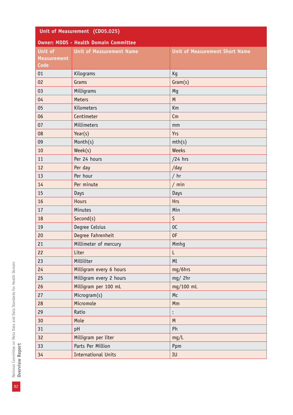| Unit of Measurement (CD05.025) |                                              |                                       |
|--------------------------------|----------------------------------------------|---------------------------------------|
|                                | <b>Owner: MDDS - Health Domain Committee</b> |                                       |
| Unit of                        | <b>Unit of Measurement Name</b>              | <b>Unit of Measurement Short Name</b> |
| <b>Measurement</b>             |                                              |                                       |
| <b>Code</b>                    |                                              |                                       |
| 01                             | Kilograms                                    | Kg                                    |
| 02                             | Grams                                        | Gram(s)                               |
| 03                             | Milligrams                                   | Mg                                    |
| 04                             | <b>Meters</b>                                | M                                     |
| 05                             | Kilometers                                   | Km                                    |
| 06                             | Centimeter                                   | Cm                                    |
| 07                             | Millimeters                                  | mm                                    |
| 08                             | Year(s)                                      | <b>Yrs</b>                            |
| 09                             | Month(s)                                     | mth(s)                                |
| 10                             | Week(s)                                      | Weeks                                 |
| 11                             | Per 24 hours                                 | $/24$ hrs                             |
| 12                             | Per day                                      | /day                                  |
| 13                             | Per hour                                     | $/$ hr                                |
| 14                             | Per minute                                   | $/$ min                               |
| 15                             | Days                                         | Days                                  |
| 16                             | <b>Hours</b>                                 | <b>Hrs</b>                            |
| 17                             | Minutes                                      | Min                                   |
| 18                             | Second(s)                                    | $\mathsf{S}$                          |
| 19                             | Degree Celsius                               | OC                                    |
| 20                             | Degree Fahrenheit                            | 0F                                    |
| 21                             | Millimeter of mercury                        | Mmhg                                  |
| 22                             | Liter                                        | L                                     |
| 23                             | Milliliter                                   | Ml                                    |
| 24                             | Milligram every 6 hours                      | mg/6hrs                               |
| 25                             | Milligram every 2 hours                      | mg/2hr                                |
| 26                             | Milligram per 100 mL                         | mg/100 mL                             |
| 27                             | Microgram(s)                                 | Mc                                    |
| 28                             | Micromole                                    | Mm                                    |
| 29                             | Ratio                                        | $\vdots$                              |
| 30                             | Mole                                         | ${\sf M}$                             |
| 31                             | pH                                           | Ph                                    |
| 32                             | Milligram per liter                          | mg/L                                  |
| 33                             | Parts Per Million                            | Ppm                                   |
| 34                             | <b>International Units</b>                   | IU                                    |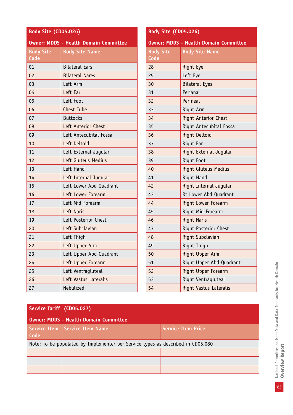#### **Body Site (CD05.026)**

#### **Owner: MDDS - Health Domain Committee**

| <b>Body Site</b><br>Code | <b>Body Site Name</b>   |
|--------------------------|-------------------------|
| 01                       | <b>Bilateral Ears</b>   |
| 02                       | <b>Bilateral Nares</b>  |
| 03                       | Left Arm                |
| 04                       | Left Ear                |
| 05                       | Left Foot               |
|                          |                         |
| 06                       | <b>Chest Tube</b>       |
| 07                       | <b>Buttocks</b>         |
| 08                       | Left Anterior Chest     |
| 09                       | Left Antecubital Fossa  |
| 10                       | Left Deltoid            |
| 11                       | Left External Jugular   |
| 12                       | Left Gluteus Medius     |
| 13                       | Left Hand               |
| 14                       | Left Internal Jugular   |
| 15                       | Left Lower Abd Quadrant |
| 16                       | Left Lower Forearm      |
| 17                       | Left Mid Forearm        |
| 18                       | Left Naris              |
| 19                       | Left Posterior Chest    |
| 20                       | Left Subclavian         |
| 21                       | Left Thigh              |
| 22                       | Left Upper Arm          |
| 23                       | Left Upper Abd Quadrant |
| 24                       | Left Upper Forearm      |
| 25                       | Left Ventragluteal      |
| 26                       | Left Vastus Lateralis   |
| 27                       | Nebulized               |

#### **Body Site (CD05.026)**

#### **Owner: MDDS - Health Domain Committee**

| <b>Body Site</b><br><b>Code</b> | <b>Body Site Name</b>       |
|---------------------------------|-----------------------------|
| 28                              | Right Eye                   |
| 29                              | Left Eye                    |
| 30                              | <b>Bilateral Eyes</b>       |
| 31                              | Perianal                    |
| 32                              | Perineal                    |
| 33                              | Right Arm                   |
| 34                              | <b>Right Anterior Chest</b> |
| 35                              | Right Antecubital Fossa     |
| 36                              | Right Deltoid               |
| 37                              | Right Ear                   |
| 38                              | Right External Jugular      |
| 39                              | Right Foot                  |
| 40                              | Right Gluteus Medius        |
| 41                              | Right Hand                  |
| 42                              | Right Internal Jugular      |
| 43                              | Rt Lower Abd Quadrant       |
| 44                              | Right Lower Forearm         |
| 45                              | Right Mid Forearm           |
| 46                              | <b>Right Naris</b>          |
| 47                              | Right Posterior Chest       |
| 48                              | Right Subclavian            |
| 49                              | Right Thigh                 |
| 50                              | Right Upper Arm             |
| 51                              | Right Upper Abd Quadrant    |
| 52                              | Right Upper Forearm         |
| 53                              | Right Ventragluteal         |
| 54                              | Right Vastus Lateralis      |

#### **Service Tariff (CD05.027)**

|      | <b>Owner: MDDS - Health Domain Committee</b>                                    |                           |
|------|---------------------------------------------------------------------------------|---------------------------|
| Code | <b>Service Item   Service Item Name</b>                                         | <b>Service Item Price</b> |
|      | Note: To be populated by Implementer per Service types as described in CD05.080 |                           |
|      |                                                                                 |                           |
|      |                                                                                 |                           |
|      |                                                                                 |                           |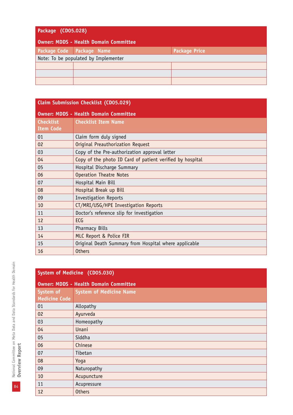## **Package (CD05.028)**

| Owner: MDDS - Health Domain Committee |                             |                      |
|---------------------------------------|-----------------------------|----------------------|
|                                       | Package Code   Package Name | <b>Package Price</b> |
| Note: To be populated by Implementer  |                             |                      |
|                                       |                             |                      |
|                                       |                             |                      |
|                                       |                             |                      |

| <b>Claim Submission Checklist (CD05.029)</b> |                                                           |  |
|----------------------------------------------|-----------------------------------------------------------|--|
| <b>Owner: MDDS - Health Domain Committee</b> |                                                           |  |
| <b>Checklist</b>                             | <b>Checklist Item Name</b>                                |  |
| <b>Item Code</b>                             |                                                           |  |
| 01                                           | Claim form duly signed                                    |  |
| 02                                           | Original Preauthorization Request                         |  |
| 03                                           | Copy of the Pre-authorization approval letter             |  |
| 04                                           | Copy of the photo ID Card of patient verified by hospital |  |
| 05                                           | Hospital Discharge Summary                                |  |
| 06                                           | <b>Operation Theatre Notes</b>                            |  |
| 07                                           | Hospital Main Bill                                        |  |
| 08                                           | Hospital Break up Bill                                    |  |
| 09                                           | <b>Investigation Reports</b>                              |  |
| 10                                           | CT/MRI/USG/HPE Investigation Reports                      |  |
| 11                                           | Doctor's reference slip for investigation                 |  |
| 12                                           | ECG                                                       |  |
| 13                                           | <b>Pharmacy Bills</b>                                     |  |
| 14                                           | MLC Report & Police FIR                                   |  |
| 15                                           | Original Death Summary from Hospital where applicable     |  |
| 16                                           | <b>Others</b>                                             |  |

| System of Medicine (CD05.030)     |                                              |  |  |
|-----------------------------------|----------------------------------------------|--|--|
|                                   | <b>Owner: MDDS - Health Domain Committee</b> |  |  |
| System of<br><b>Medicine Code</b> | <b>System of Medicine Name</b>               |  |  |
| 01                                | Allopathy                                    |  |  |
| 02                                | Ayurveda                                     |  |  |
| 03                                | Homeopathy                                   |  |  |
| 04                                | Unani                                        |  |  |
| 05                                | Siddha                                       |  |  |
| 06                                | Chinese                                      |  |  |
| 07                                | Tibetan                                      |  |  |
| 08                                | Yoga                                         |  |  |
| 09                                | Naturopathy                                  |  |  |
| 10                                | Acupuncture                                  |  |  |
| 11                                | Acupressure                                  |  |  |
| 12                                | <b>Others</b>                                |  |  |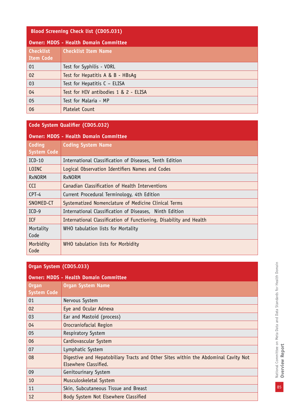#### **Blood Screening Check list (CD05.031)**

| <b>Owner: MDDS - Health Domain Committee</b> |                                       |  |
|----------------------------------------------|---------------------------------------|--|
| <b>Checklist</b><br><b>Item Code</b>         | <b>Checklist Item Name</b>            |  |
| 01                                           | Test for Syphilis - VDRL              |  |
| 02                                           | Test for Hepatitis A & B - HBsAg      |  |
| 03                                           | Test for Hepatitis C - ELISA          |  |
| 04                                           | Test for HIV antibodies 1 & 2 - ELISA |  |
| 05                                           | Test for Malaria - MP                 |  |
| 06                                           | <b>Platelet Count</b>                 |  |

**Code System Qualifier (CD05.032)**

| <b>Owner: MDDS - Health Domain Committee</b> |                                                                    |  |  |  |
|----------------------------------------------|--------------------------------------------------------------------|--|--|--|
| Coding                                       | <b>Coding System Name</b>                                          |  |  |  |
| <b>System Code</b>                           |                                                                    |  |  |  |
| $ICD-10$                                     | International Classification of Diseases, Tenth Edition            |  |  |  |
| <b>LOINC</b>                                 | Logical Observation Identifiers Names and Codes                    |  |  |  |
| <b>RxNORM</b>                                | <b>RxNORM</b>                                                      |  |  |  |
| <b>CCI</b>                                   | Canadian Classification of Health Interventions                    |  |  |  |
| CPT-4                                        | Current Procedural Terminology, 4th Edition                        |  |  |  |
| SNOMED-CT                                    | Systematized Nomenclature of Medicine Clinical Terms               |  |  |  |
| $ICD-9$                                      | International Classification of Diseases, Ninth Edition            |  |  |  |
| <b>TCF</b>                                   | International Classification of Functioning, Disability and Health |  |  |  |
| Mortality                                    | WHO tabulation lists for Mortality                                 |  |  |  |
| Code                                         |                                                                    |  |  |  |
| Morbidity                                    | WHO tabulation lists for Morbidity                                 |  |  |  |
| Code                                         |                                                                    |  |  |  |

### **Organ System (CD05.033)**

| <b>Owner: MDDS - Health Domain Committee</b> |                                                                                                             |  |  |  |
|----------------------------------------------|-------------------------------------------------------------------------------------------------------------|--|--|--|
| <b>Organ</b>                                 | <b>Organ System Name</b>                                                                                    |  |  |  |
| <b>System Code</b>                           |                                                                                                             |  |  |  |
| 01                                           | Nervous System                                                                                              |  |  |  |
| 02                                           | Eye and Ocular Adnexa                                                                                       |  |  |  |
| 03                                           | Ear and Mastoid (process)                                                                                   |  |  |  |
| 04                                           | Orocraniofacial Region                                                                                      |  |  |  |
| 05                                           | Respiratory System                                                                                          |  |  |  |
| 06                                           | Cardiovascular System                                                                                       |  |  |  |
| 07                                           | Lymphatic System                                                                                            |  |  |  |
| 08                                           | Digestive and Hepatobiliary Tracts and Other Sites within the Abdominal Cavity Not<br>Elsewhere Classified. |  |  |  |
| 09                                           | Genitourinary System                                                                                        |  |  |  |
| 10                                           | Musculoskeletal System                                                                                      |  |  |  |
| 11                                           | Skin, Subcutaneous Tissue and Breast                                                                        |  |  |  |
| 12                                           | Body System Not Elsewhere Classified                                                                        |  |  |  |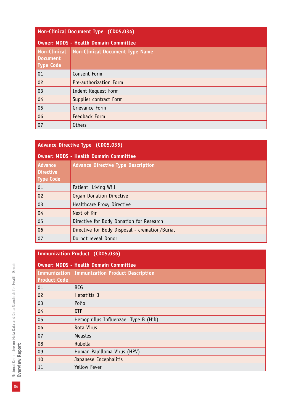#### **Non-Clinical Document Type (CD05.034)**

| <b>Owner: MDDS - Health Domain Committee</b>        |                                        |  |
|-----------------------------------------------------|----------------------------------------|--|
| <b>Non-Clinical</b><br><b>Document</b><br>Type Code | <b>Non-Clinical Document Type Name</b> |  |
| 01                                                  | Consent Form                           |  |
| 02                                                  | Pre-authorization Form                 |  |
| 03                                                  | Indent Request Form                    |  |
| 04                                                  | Supplier contract Form                 |  |
| 05                                                  | Grievance Form                         |  |
| 06                                                  | Feedback Form                          |  |
| 07                                                  | <b>Others</b>                          |  |

| <b>Advance Directive Type (CD05.035)</b>               |                                                |  |
|--------------------------------------------------------|------------------------------------------------|--|
|                                                        | <b>Owner: MDDS - Health Domain Committee</b>   |  |
| <b>Advance</b><br><b>Directive</b><br><b>Type Code</b> | <b>Advance Directive Type Description</b>      |  |
| 01                                                     | Patient Living Will                            |  |
| 02                                                     | Organ Donation Directive                       |  |
| 03                                                     | Healthcare Proxy Directive                     |  |
| 04                                                     | Next of Kin                                    |  |
| 05                                                     | Directive for Body Donation for Research       |  |
| 06                                                     | Directive for Body Disposal - cremation/Burial |  |
| 07                                                     | Do not reveal Donor                            |  |

#### **Immunization Product (CD05.036)**

| <b>Owner: MDDS - Health Domain Committee</b> |                                               |  |  |  |
|----------------------------------------------|-----------------------------------------------|--|--|--|
|                                              | Immunization Immunization Product Description |  |  |  |
| <b>Product Code</b>                          |                                               |  |  |  |
| 01                                           | <b>BCG</b>                                    |  |  |  |
| 02                                           | Hepatitis B                                   |  |  |  |
| 03                                           | Polio                                         |  |  |  |
| 04                                           | <b>DTP</b>                                    |  |  |  |
| 05                                           | Hemophillus Influenzae Type B (Hib)           |  |  |  |
| 06                                           | Rota Virus                                    |  |  |  |
| 07                                           | Measles                                       |  |  |  |
| 08                                           | Rubella                                       |  |  |  |
| 09                                           | Human Papilloma Virus (HPV)                   |  |  |  |
| 10                                           | Japanese Encephalitis                         |  |  |  |
| 11                                           | Yellow Fever                                  |  |  |  |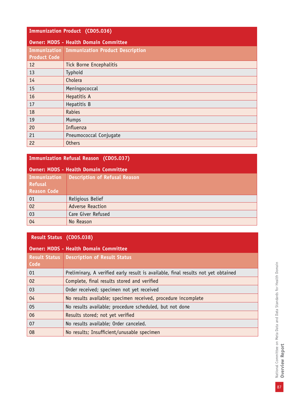#### **Immunization Product (CD05.036)**

| <b>Owner: MDDS - Health Domain Committee</b> |                                               |  |  |
|----------------------------------------------|-----------------------------------------------|--|--|
|                                              | Immunization Immunization Product Description |  |  |
| <b>Product Code</b>                          |                                               |  |  |
| 12                                           | <b>Tick Borne Encephalitis</b>                |  |  |
| 13                                           | Typhoid                                       |  |  |
| 14                                           | Cholera                                       |  |  |
| 15                                           | Meningococcal                                 |  |  |
| 16                                           | Hepatitis A                                   |  |  |
| 17                                           | Hepatitis B                                   |  |  |
| 18                                           | <b>Rabies</b>                                 |  |  |
| 19                                           | Mumps                                         |  |  |
| 20                                           | Influenza                                     |  |  |
| 21                                           | Pneumococcal Conjugate                        |  |  |
| 22                                           | <b>Others</b>                                 |  |  |

#### **Immunization Refusal Reason (CD05.037)**

| Owner: MDDS - Health Domain Committee |                                      |  |  |  |
|---------------------------------------|--------------------------------------|--|--|--|
| Immunization                          | <b>Description of Refusal Reason</b> |  |  |  |
| <b>Refusal</b>                        |                                      |  |  |  |
| <b>Reason Code</b>                    |                                      |  |  |  |
| 01                                    | Religious Belief                     |  |  |  |
| 02                                    | <b>Adverse Reaction</b>              |  |  |  |
| 03                                    | Care Giver Refused                   |  |  |  |
| 04                                    | No Reason                            |  |  |  |

#### **Result Status (CD05.038)**

| <b>Owner: MDDS - Health Domain Committee</b> |                                                                                   |  |  |  |
|----------------------------------------------|-----------------------------------------------------------------------------------|--|--|--|
| <b>Result Status</b>                         | <b>Description of Result Status</b>                                               |  |  |  |
| Code                                         |                                                                                   |  |  |  |
| 01                                           | Preliminary, A verified early result is available, final results not yet obtained |  |  |  |
| 02                                           | Complete, final results stored and verified                                       |  |  |  |
| 03                                           | Order received; specimen not yet received                                         |  |  |  |
| 04                                           | No results available; specimen received, procedure incomplete                     |  |  |  |
| 05                                           | No results available; procedure scheduled, but not done                           |  |  |  |
| 06                                           | Results stored; not yet verified                                                  |  |  |  |
| 07                                           | No results available; Order canceled.                                             |  |  |  |
| 08                                           | No results; Insufficient/unusable specimen                                        |  |  |  |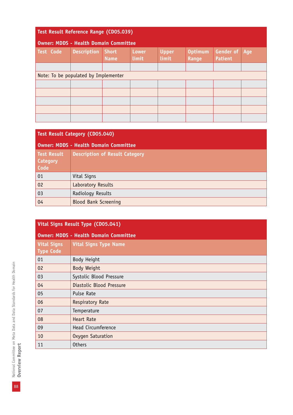| Test Result Reference Range (CD05.039)       |                    |                             |                       |                       |                                |                                    |     |
|----------------------------------------------|--------------------|-----------------------------|-----------------------|-----------------------|--------------------------------|------------------------------------|-----|
| <b>Owner: MDDS - Health Domain Committee</b> |                    |                             |                       |                       |                                |                                    |     |
| <b>Test Code</b>                             | <b>Description</b> | <b>Short</b><br><b>Name</b> | <b>Lower</b><br>limit | <b>Upper</b><br>limit | <b>Optimum</b><br><b>Range</b> | <b>Gender of</b><br><b>Patient</b> | Age |
|                                              |                    |                             |                       |                       |                                |                                    |     |
| Note: To be populated by Implementer         |                    |                             |                       |                       |                                |                                    |     |
|                                              |                    |                             |                       |                       |                                |                                    |     |
|                                              |                    |                             |                       |                       |                                |                                    |     |
|                                              |                    |                             |                       |                       |                                |                                    |     |
|                                              |                    |                             |                       |                       |                                |                                    |     |
|                                              |                    |                             |                       |                       |                                |                                    |     |

| <b>Test Result Category (CD05.040)</b>        |                                       |  |
|-----------------------------------------------|---------------------------------------|--|
| <b>Owner: MDDS - Health Domain Committee</b>  |                                       |  |
| <b>Test Result</b><br><b>Category</b><br>Code | <b>Description of Result Category</b> |  |
| 01                                            | Vital Signs                           |  |
| 02                                            | Laboratory Results                    |  |
| 03                                            | Radiology Results                     |  |
| 04                                            | <b>Blood Bank Screening</b>           |  |

| Vital Signs Result Type (CD05.041)     |                                              |  |
|----------------------------------------|----------------------------------------------|--|
|                                        | <b>Owner: MDDS - Health Domain Committee</b> |  |
| <b>Vital Signs</b><br><b>Type Code</b> | <b>Vital Signs Type Name</b>                 |  |
| 01                                     | Body Height                                  |  |
| 02                                     | Body Weight                                  |  |
| 03                                     | Systolic Blood Pressure                      |  |
| 04                                     | Diastolic Blood Pressure                     |  |
| 05                                     | Pulse Rate                                   |  |
| 06                                     | <b>Respiratory Rate</b>                      |  |
| 07                                     | Temperature                                  |  |
| 08                                     | <b>Heart Rate</b>                            |  |
| 09                                     | Head Circumference                           |  |
| 10                                     | Oxygen Saturation                            |  |
| 11                                     | <b>Others</b>                                |  |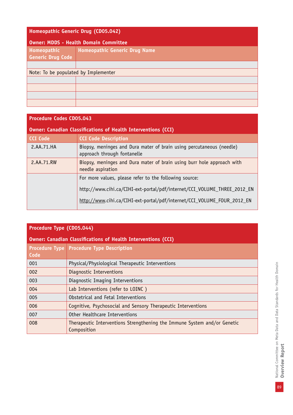| Homeopathic Generic Drug (CD05.042)          |                                      |  |  |
|----------------------------------------------|--------------------------------------|--|--|
| <b>Owner: MDDS - Health Domain Committee</b> |                                      |  |  |
| Homeopathic                                  | Homeopathic Generic Drug Name        |  |  |
| <b>Generic Drug Code</b>                     |                                      |  |  |
|                                              |                                      |  |  |
|                                              | Note: To be populated by Implementer |  |  |
|                                              |                                      |  |  |
|                                              |                                      |  |  |
|                                              |                                      |  |  |
|                                              |                                      |  |  |

| <b>Procedure Codes CD05.043</b>                                      |                                                                                                     |  |
|----------------------------------------------------------------------|-----------------------------------------------------------------------------------------------------|--|
| <b>Owner: Canadian Classifications of Health Interventions (CCI)</b> |                                                                                                     |  |
| <b>CCI Code</b>                                                      | <b>CCI Code Description</b>                                                                         |  |
| 2.AA.71.HA                                                           | Biopsy, meninges and Dura mater of brain using percutaneous (needle)<br>approach through fontanelle |  |
| 2.AA.71.RW                                                           | Biopsy, meninges and Dura mater of brain using burr hole approach with<br>needle aspiration         |  |
|                                                                      | For more values, please refer to the following source:                                              |  |
|                                                                      | http://www.cihi.ca/CIHI-ext-portal/pdf/internet/CCI_VOLUME_THREE_2012_EN                            |  |
|                                                                      | http://www.cihi.ca/CIHI-ext-portal/pdf/internet/CCI_VOLUME_FOUR_2012_EN                             |  |

| Procedure Type (CDO5.044)                                            |                                                                                         |  |
|----------------------------------------------------------------------|-----------------------------------------------------------------------------------------|--|
| <b>Owner: Canadian Classifications of Health Interventions (CCI)</b> |                                                                                         |  |
| Code                                                                 | <b>Procedure Type   Procedure Type Description</b>                                      |  |
| 001                                                                  | Physical/Physiological Therapeutic Interventions                                        |  |
| 002                                                                  | Diagnostic Interventions                                                                |  |
| 003                                                                  | Diagnostic Imaging Interventions                                                        |  |
| 004                                                                  | Lab Interventions (refer to LOINC)                                                      |  |
| 005                                                                  | Obstetrical and Fetal Interventions                                                     |  |
| 006                                                                  | Cognitive, Psychosocial and Sensory Therapeutic Interventions                           |  |
| 007                                                                  | Other Healthcare Interventions                                                          |  |
| 008                                                                  | Therapeutic Interventions Strengthening the Immune System and/or Genetic<br>Composition |  |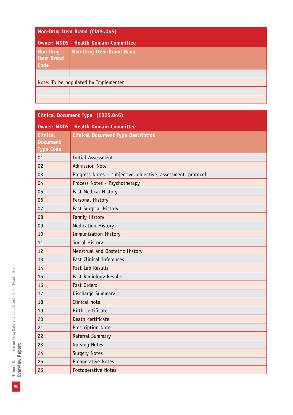| Non-Drug Item Brand (CD05.045)               |                                 |
|----------------------------------------------|---------------------------------|
| <b>Owner: MDDS - Health Domain Committee</b> |                                 |
| <b>Non-Drug</b><br><b>Item Brand</b><br>Code | <b>Non-Drug Item Brand Name</b> |
|                                              |                                 |
| Note: To be populated by Implementer         |                                 |
|                                              |                                 |
|                                              |                                 |

| Clinical Document Type (CD05.046)            |                                                              |  |
|----------------------------------------------|--------------------------------------------------------------|--|
| <b>Owner: MDDS - Health Domain Committee</b> |                                                              |  |
| <b>Clinical</b>                              | <b>Clinical Document Type Description</b>                    |  |
| <b>Document</b>                              |                                                              |  |
| <b>Type Code</b>                             |                                                              |  |
| 01                                           | Initial Assessment                                           |  |
| 02                                           | <b>Admission Note</b>                                        |  |
| 03                                           | Progress Notes - subjective, objective, assessment, protocol |  |
| 04                                           | Process Notes - Psychotherapy                                |  |
| 05                                           | Past Medical History                                         |  |
| 06                                           | Personal History                                             |  |
| 07                                           | Past Surgical History                                        |  |
| 08                                           | <b>Family History</b>                                        |  |
| 09                                           | Medication History                                           |  |
| 10                                           | <b>Immunization History</b>                                  |  |
| 11                                           | Social History                                               |  |
| 12                                           | Menstrual and Obstetric History                              |  |
| 13                                           | Past Clinical Inferences                                     |  |
| 14                                           | Past Lab Results                                             |  |
| 15                                           | Past Radiology Results                                       |  |
| 16                                           | Past Orders                                                  |  |
| 17                                           | Discharge Summary                                            |  |
| 18                                           | Clinical note                                                |  |
| 19                                           | Birth certificate                                            |  |
| 20                                           | Death certificate                                            |  |
| 21                                           | Prescription Note                                            |  |
| 22                                           | Referral Summary                                             |  |
| 23                                           | <b>Nursing Notes</b>                                         |  |
| 24                                           | <b>Surgery Notes</b>                                         |  |
| 25                                           | Preoperative Notes                                           |  |
| 26                                           | Postoperative Notes                                          |  |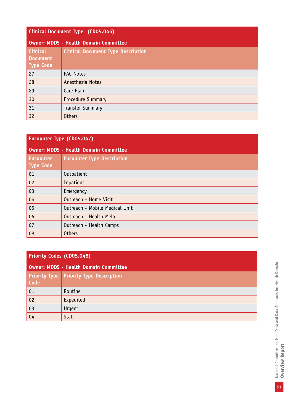| Clinical Document Type (CD05.046)                      |                                           |
|--------------------------------------------------------|-------------------------------------------|
| <b>Owner: MDDS - Health Domain Committee</b>           |                                           |
| <b>Clinical</b><br><b>Document</b><br><b>Type Code</b> | <b>Clinical Document Type Description</b> |
| 27                                                     | <b>PAC Notes</b>                          |
| 28                                                     | Anesthesia Notes                          |
| 29                                                     | Care Plan                                 |
| 30                                                     | <b>Procedure Summary</b>                  |
| 31                                                     | <b>Transfer Summary</b>                   |
| 32                                                     | <b>Others</b>                             |

## **Encounter Type (CD05.047)**

| <b>Owner: MDDS - Health Domain Committee</b> |                                   |
|----------------------------------------------|-----------------------------------|
| <b>Encounter</b><br><b>Type Code</b>         | <b>Encounter Type Description</b> |
| 01                                           | Outpatient                        |
| 02                                           | Inpatient                         |
| 03                                           | Emergency                         |
| 04                                           | Outreach - Home Visit             |
| 05                                           | Outreach - Mobile Medical Unit    |
| 06                                           | Outreach - Health Mela            |
| 07                                           | Outreach - Health Camps           |
| 08                                           | <b>Others</b>                     |

## **Priority Codes (CD05.048)**

| <b>Owner: MDDS - Health Domain Committee</b> |                                                |  |
|----------------------------------------------|------------------------------------------------|--|
| Code                                         | <b>Priority Type Priority Type Description</b> |  |
| 01                                           | Routine                                        |  |
| 02                                           | Expedited                                      |  |
| 03                                           | Urgent                                         |  |
| 04                                           | Stat                                           |  |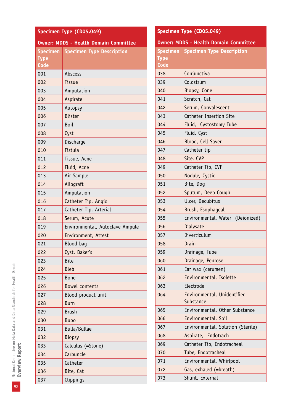| Specimen Type (CD05.049)                     |                                  |  |
|----------------------------------------------|----------------------------------|--|
| <b>Owner: MDDS - Health Domain Committee</b> |                                  |  |
| Specimen<br><b>Type</b><br>Code              | <b>Specimen Type Description</b> |  |
| 001                                          | Abscess                          |  |
| 002                                          | <b>Tissue</b>                    |  |
| 003                                          | Amputation                       |  |
| 004                                          | Aspirate                         |  |
| 005                                          | Autopsy                          |  |
| 006                                          | <b>Blister</b>                   |  |
| 007                                          | Boil                             |  |
| 008                                          | Cyst                             |  |
| 009                                          | Discharge                        |  |
| 010                                          | Fistula                          |  |
| 011                                          | Tissue, Acne                     |  |
| 012                                          | Fluid, Acne                      |  |
| 013                                          | Air Sample                       |  |
| 014                                          | Allograft                        |  |
| 015                                          | Amputation                       |  |
| 016                                          | Catheter Tip, Angio              |  |
| 017                                          | Catheter Tip, Arterial           |  |
| 018                                          | Serum, Acute                     |  |
| 019                                          | Environmental, Autoclave Ampule  |  |
| 020                                          | Environment, Attest              |  |
| 021                                          | Blood bag                        |  |
| 022                                          | Cyst, Baker's                    |  |
| 023                                          | <b>Bite</b>                      |  |
| 024                                          | <b>Bleb</b>                      |  |
| 025                                          | <b>Bone</b>                      |  |
| 026                                          | <b>Bowel contents</b>            |  |
| 027                                          | Blood product unit               |  |
| 028                                          | Burn                             |  |
| 029                                          | <b>Brush</b>                     |  |
| 030                                          | <b>Bubo</b>                      |  |
| 031                                          | Bulla/Bullae                     |  |
| 032                                          | <b>Biopsy</b>                    |  |
| 033                                          | Calculus (=Stone)                |  |
| 034                                          | Carbuncle                        |  |
| 035                                          | Catheter                         |  |
| 036                                          | Bite, Cat                        |  |
| 037                                          | Clippings                        |  |

| Specimen Type (CD05.049)                     |                                           |  |
|----------------------------------------------|-------------------------------------------|--|
| <b>Owner: MDDS - Health Domain Committee</b> |                                           |  |
|                                              | <b>Specimen Specimen Type Description</b> |  |
| <b>Type</b>                                  |                                           |  |
| Code                                         |                                           |  |
| 038                                          | Conjunctiva                               |  |
| 039                                          | Colostrum                                 |  |
| 040                                          | Biopsy, Cone                              |  |
| 041                                          | Scratch, Cat                              |  |
| 042                                          | Serum, Convalescent                       |  |
| 043                                          | <b>Catheter Insertion Site</b>            |  |
| 044                                          | Fluid, Cystostomy Tube                    |  |
| 045                                          | Fluid, Cyst                               |  |
| 046                                          | Blood, Cell Saver                         |  |
| 047                                          | Catheter tip                              |  |
| 048                                          | Site, CVP                                 |  |
| 049                                          | Catheter Tip, CVP                         |  |
| 050                                          | Nodule, Cystic                            |  |
| 051                                          | Bite, Dog                                 |  |
| 052                                          | Sputum, Deep Cough                        |  |
| 053                                          | Ulcer, Decubitus                          |  |
| 054                                          | Brush, Esophageal                         |  |
| 055                                          | Environmental, Water (Deionized)          |  |
| 056                                          | Dialysate                                 |  |
| 057                                          | Diverticulum                              |  |
| 058                                          | Drain                                     |  |
| 059                                          | Drainage, Tube                            |  |
| 060                                          | Drainage, Penrose                         |  |
| 061                                          | Ear wax (cerumen)                         |  |
| 062                                          | Environmental, Isolette                   |  |
| 063                                          | Electrode                                 |  |
| 064                                          | Environmental, Unidentified<br>Substance  |  |
| 065                                          | Environmental, Other Substance            |  |
| 066                                          | Environmental, Soil                       |  |
| 067                                          | Environmental, Solution (Sterile)         |  |
| 068                                          | Aspirate, Endotrach                       |  |
| 069                                          | Catheter Tip, Endotracheal                |  |
| 070                                          | Tube, Endotracheal                        |  |
| 071                                          | Environmental, Whirlpool                  |  |
| 072                                          | Gas, exhaled (=breath)                    |  |
| 073                                          | Shunt, External                           |  |
|                                              |                                           |  |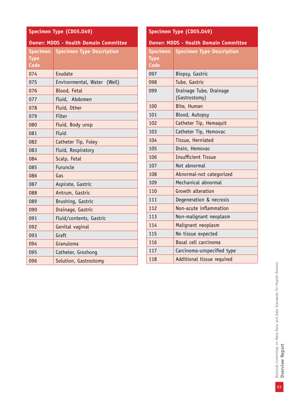| Specimen Type (CD05.049)                     |                                           |  |
|----------------------------------------------|-------------------------------------------|--|
| <b>Owner: MDDS - Health Domain Committee</b> |                                           |  |
|                                              | <b>Specimen</b> Specimen Type Description |  |
| <b>Type</b>                                  |                                           |  |
| Code                                         |                                           |  |
| 074                                          | Exudate                                   |  |
| 075                                          | Environmental, Water (Well)               |  |
| 076                                          | Blood, Fetal                              |  |
| 077                                          | Fluid, Abdomen                            |  |
| 078                                          | Fluid, Other                              |  |
| 079                                          | Filter                                    |  |
| 080                                          | Fluid, Body unsp                          |  |
| 081                                          | Fluid                                     |  |
| 082                                          | Catheter Tip, Foley                       |  |
| 083                                          | Fluid, Respiratory                        |  |
| 084                                          | Scalp, Fetal                              |  |
| 085                                          | Furuncle                                  |  |
| 086                                          | Gas                                       |  |
| 087                                          | Aspirate, Gastric                         |  |
| 088                                          | Antrum, Gastric                           |  |
| 089                                          | Brushing, Gastric                         |  |
| 090                                          | Drainage, Gastric                         |  |
| 091                                          | Fluid/contents, Gastric                   |  |
| 092                                          | Genital vaginal                           |  |
| 093                                          | Graft                                     |  |
| 094                                          | Granuloma                                 |  |
| 095                                          | Catheter, Groshong                        |  |
| 096                                          | Solution, Gastrostomy                     |  |

## **Specimen Type (CD05.049)**

#### **Owner: MDDS - Health Domain Committee**

| <b>Specimen</b><br><b>Type</b><br>Code | <b>Specimen Type Description</b>         |
|----------------------------------------|------------------------------------------|
| 097                                    | Biopsy, Gastric                          |
| 098                                    | Tube, Gastric                            |
| 099                                    | Drainage Tube, Drainage<br>(Gastrostomy) |
| 100                                    | Bite, Human                              |
| 101                                    | Blood, Autopsy                           |
| 102                                    | Catheter Tip, Hemaquit                   |
| 103                                    | Catheter Tip, Hemovac                    |
| 104                                    | Tissue, Herniated                        |
| 105                                    | Drain, Hemovac                           |
| 106                                    | <b>Insufficient Tissue</b>               |
| 107                                    | Not abnormal                             |
| 108                                    | Abnormal-not categorized                 |
| 109                                    | Mechanical abnormal                      |
| 110                                    | Growth alteration                        |
| 111                                    | Degeneration & necrosis                  |
| 112                                    | Non-acute inflammation                   |
| 113                                    | Non-malignant neoplasm                   |
| 114                                    | Malignant neoplasm                       |
| 115                                    | No tissue expected                       |
| 116                                    | Basal cell carcinoma                     |
| 117                                    | Carcinoma-unspecified type               |
| 118                                    | Additional tissue required               |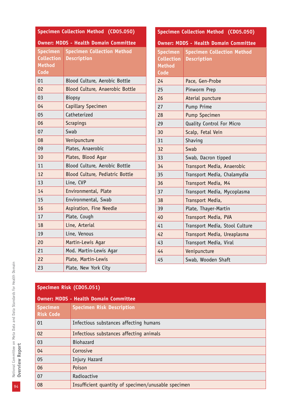| Specimen Collection Method (CD05.050)                                |                                                         |                                                                      | Specimen Collection Method (CD05.050)                   |
|----------------------------------------------------------------------|---------------------------------------------------------|----------------------------------------------------------------------|---------------------------------------------------------|
| <b>Owner: MDDS - Health Domain Committee</b>                         |                                                         |                                                                      | <b>Owner: MDDS - Health Domain Committee</b>            |
| <b>Specimen</b><br><b>Collection</b><br><b>Method</b><br><b>Code</b> | <b>Specimen Collection Method</b><br><b>Description</b> | <b>Specimen</b><br><b>Collection</b><br><b>Method</b><br><b>Code</b> | <b>Specimen Collection Method</b><br><b>Description</b> |
| 01                                                                   | Blood Culture, Aerobic Bottle                           | 24                                                                   | Pace, Gen-Probe                                         |
| 02                                                                   | Blood Culture, Anaerobic Bottle                         | 25                                                                   | Pinworm Prep                                            |
| 03                                                                   | <b>Biopsy</b>                                           | 26                                                                   | Aterial puncture                                        |
| 04                                                                   | Capillary Specimen                                      | 27                                                                   | Pump Prime                                              |
| 05                                                                   | Catheterized                                            | 28                                                                   | Pump Specimen                                           |
| 06                                                                   | <b>Scrapings</b>                                        | 29                                                                   | Quality Control For Micro                               |
| 07                                                                   | Swab                                                    | 30                                                                   | Scalp, Fetal Vein                                       |
| 08                                                                   | Venipuncture                                            | 31                                                                   | Shaving                                                 |
| 09                                                                   | Plates, Anaerobic                                       | 32                                                                   | Swab                                                    |
| 10                                                                   | Plates, Blood Agar                                      | 33                                                                   | Swab, Dacron tipped                                     |
| 11                                                                   | Blood Culture, Aerobic Bottle                           | 34                                                                   | Transport Media, Anaerobic                              |
| 12                                                                   | Blood Culture, Pediatric Bottle                         | 35                                                                   | Transport Media, Chalamydia                             |
| 13                                                                   | Line, CVP                                               | 36                                                                   | Transport Media, M4                                     |
| 14                                                                   | Environmental, Plate                                    | 37                                                                   | Transport Media, Mycoplasma                             |
| 15                                                                   | Environmental, Swab                                     | 38                                                                   | Transport Media,                                        |
| 16                                                                   | Aspiration, Fine Needle                                 | 39                                                                   | Plate, Thayer-Martin                                    |
| 17                                                                   | Plate, Cough                                            | 40                                                                   | Transport Media, PVA                                    |
| 18                                                                   | Line, Arterial                                          | 41                                                                   | Transport Media, Stool Culture                          |
| 19                                                                   | Line, Venous                                            | 42                                                                   | Transport Media, Ureaplasma                             |
| 20                                                                   | Martin-Lewis Agar                                       | 43                                                                   | Transport Media, Viral                                  |
| 21                                                                   | Mod. Martin-Lewis Agar                                  | 44                                                                   | Venipuncture                                            |
| 22                                                                   | Plate, Martin-Lewis                                     | 45                                                                   | Swab, Wooden Shaft                                      |
| 23                                                                   | Plate, New York City                                    |                                                                      |                                                         |

| <b>Owner: MDDS - Health Domain Committee</b> |                                                     |  |
|----------------------------------------------|-----------------------------------------------------|--|
| <b>Specimen</b><br><b>Risk Code</b>          | <b>Specimen Risk Description</b>                    |  |
| 01                                           | Infectious substances affecting humans              |  |
| 02                                           | Infectious substances affecting animals             |  |
| 03                                           | <b>Biohazard</b>                                    |  |
| 04                                           | Corrosive                                           |  |
| 05                                           | Injury Hazard                                       |  |
| 06                                           | Poison                                              |  |
| 07                                           | Radioactive                                         |  |
| 08                                           | Insufficient quantity of specimen/unusable specimen |  |

National Committee on Meta Data and Data Standards for Health Domain<br>**Overview Report** 94National Committee on Meta Data and Data Standards for Health Domain **Overview Report**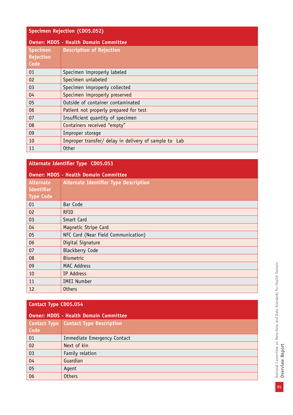| <b>Specimen Rejection (CD05.052)</b> |                                                       |  |
|--------------------------------------|-------------------------------------------------------|--|
|                                      | <b>Owner: MDDS - Health Domain Committee</b>          |  |
| <b>Specimen</b><br>Rejection<br>Code | <b>Description of Rejection</b>                       |  |
| 01                                   | Specimen improperly labeled                           |  |
| 02                                   | Specimen unlabeled                                    |  |
| 03                                   | Specimen improperly collected                         |  |
| 04                                   | Specimen improperly preserved                         |  |
| 05                                   | Outside of container contaminated                     |  |
| 06                                   | Patient not properly prepared for test                |  |
| 07                                   | Insufficient quantity of specimen                     |  |
| 08                                   | Containers received "empty"                           |  |
| 09                                   | Improper storage                                      |  |
| 10                                   | Improper transfer/ delay in delivery of sample to Lab |  |
| 11                                   | <b>Other</b>                                          |  |

## **Alternate Identifier Type CD05.053**

| <b>Owner: MDDS - Health Domain Committee</b> |  |  |  |
|----------------------------------------------|--|--|--|
|----------------------------------------------|--|--|--|

| <b>Alternate</b><br><b>Identifier</b><br><b>Type Code</b> | <b>Alternate Identifier Type Description</b> |
|-----------------------------------------------------------|----------------------------------------------|
| 01                                                        | Bar Code                                     |
| 02                                                        | <b>RFID</b>                                  |
| 03                                                        | Smart Card                                   |
| 04                                                        | Magnetic Stripe Card                         |
| 05                                                        | NFC Card (Near Field Communication)          |
| 06                                                        | Digital Signature                            |
| 07                                                        | <b>Blackberry Code</b>                       |
| 08                                                        | <b>Biometric</b>                             |
| 09                                                        | <b>MAC Address</b>                           |
| 10                                                        | IP Address                                   |
| 11                                                        | <b>IMEI Number</b>                           |
| 12                                                        | <b>Others</b>                                |

## **Contact Type CD05.054**

| <b>Owner: MDDS - Health Domain Committee</b> |                                         |  |
|----------------------------------------------|-----------------------------------------|--|
|                                              | Contact Type   Contact Type Description |  |
| Code                                         |                                         |  |
| 01                                           | Immediate Emergency Contact             |  |
| 02                                           | Next of kin                             |  |
| 03                                           | Family relation                         |  |
| 04                                           | Guardian                                |  |
| 05                                           | Agent                                   |  |
| 06                                           | <b>Others</b>                           |  |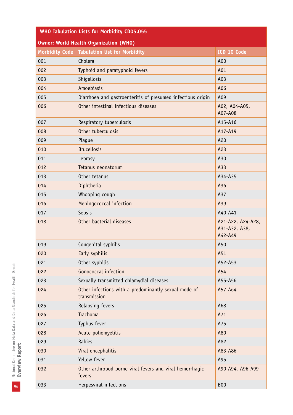| <b>WHO Tabulation Lists for Morbidity CD05.055</b> |                                                                      |                                               |  |
|----------------------------------------------------|----------------------------------------------------------------------|-----------------------------------------------|--|
| <b>Owner: World Health Organization (WHO)</b>      |                                                                      |                                               |  |
|                                                    | Morbidity Code   Tabulation list for Morbidity                       | ICD 10 Code                                   |  |
| 001                                                | Cholera                                                              | A00                                           |  |
| 002                                                | Typhoid and paratyphoid fevers                                       | A01                                           |  |
| 003                                                | Shigellosis                                                          | A03                                           |  |
| 004                                                | Amoebiasis                                                           | A06                                           |  |
| 005                                                | Diarrhoea and gastroenteritis of presumed infectious origin          | A09                                           |  |
| 006                                                | Other intestinal infectious diseases                                 | A02, A04-A05,<br>A07-A08                      |  |
| 007                                                | Respiratory tuberculosis                                             | A15-A16                                       |  |
| 008                                                | Other tuberculosis                                                   | A17-A19                                       |  |
| 009                                                | Plague                                                               | A20                                           |  |
| 010                                                | <b>Brucellosis</b>                                                   | A23                                           |  |
| 011                                                | Leprosy                                                              | A30                                           |  |
| 012                                                | Tetanus neonatorum                                                   | A33                                           |  |
| 013                                                | Other tetanus                                                        | A34-A35                                       |  |
| 014                                                | Diphtheria                                                           | A36                                           |  |
| 015                                                | Whooping cough                                                       | A37                                           |  |
| 016                                                | Meningococcal infection                                              | A39                                           |  |
| 017                                                | Sepsis                                                               | A40-A41                                       |  |
| 018                                                | Other bacterial diseases                                             | A21-A22, A24-A28,<br>A31-A32, A38,<br>A42-A49 |  |
| 019                                                | Congenital syphilis                                                  | A50                                           |  |
| 020                                                | Early syphilis                                                       | A51                                           |  |
| 021                                                | Other syphilis                                                       | A52-A53                                       |  |
| 022                                                | Gonococcal infection                                                 | A54                                           |  |
| 023                                                | Sexually transmitted chlamydial diseases                             | A55-A56                                       |  |
| 024                                                | Other infections with a predominantly sexual mode of<br>transmission | A57-A64                                       |  |
| 025                                                | Relapsing fevers                                                     | A68                                           |  |
| 026                                                | <b>Trachoma</b>                                                      | A71                                           |  |
| 027                                                | Typhus fever                                                         | A75                                           |  |
| 028                                                | Acute poliomyelitis                                                  | A80                                           |  |
| 029                                                | Rabies                                                               | A82                                           |  |
| 030                                                | Viral encephalitis                                                   | A83-A86                                       |  |
| 031                                                | Yellow fever                                                         | A95                                           |  |
| 032                                                | Other arthropod-borne viral fevers and viral hemorrhagic<br>fevers   | A90-A94, A96-A99                              |  |
| 033                                                | Herpesviral infections                                               | <b>B00</b>                                    |  |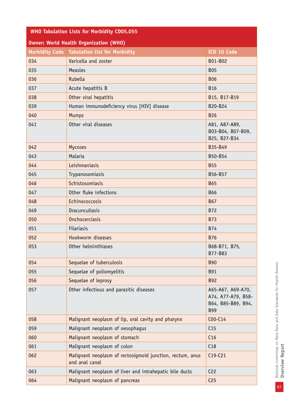| <b>WHO Tabulation Lists for Morbidity CD05.055</b> |                                                                             |                                                                             |  |
|----------------------------------------------------|-----------------------------------------------------------------------------|-----------------------------------------------------------------------------|--|
| <b>Owner: World Health Organization (WHO)</b>      |                                                                             |                                                                             |  |
|                                                    | Morbidity Code   Tabulation list for Morbidity                              | ICD 10 Code                                                                 |  |
| 034                                                | Varicella and zoster                                                        | B01-B02                                                                     |  |
| 035                                                | Measles                                                                     | <b>B05</b>                                                                  |  |
| 036                                                | Rubella                                                                     | <b>B06</b>                                                                  |  |
| 037                                                | Acute hepatitis B                                                           | <b>B16</b>                                                                  |  |
| 038                                                | Other viral hepatitis                                                       | B15, B17-B19                                                                |  |
| 039                                                | Human immunodeficiency virus [HIV] disease                                  | B20-B24                                                                     |  |
| 040                                                | <b>Mumps</b>                                                                | <b>B26</b>                                                                  |  |
| 041                                                | Other viral diseases                                                        | A81, A87-A89,<br>B03-B04, B07-B09,<br>B25, B27-B34                          |  |
| 042                                                | Mycoses                                                                     | B35-B49                                                                     |  |
| 043                                                | Malaria                                                                     | B50-B54                                                                     |  |
| 044                                                | Leishmaniasis                                                               | <b>B55</b>                                                                  |  |
| 045                                                | Trypanosomiasis                                                             | B56-B57                                                                     |  |
| 046                                                | Schistosomiasis                                                             | <b>B65</b>                                                                  |  |
| 047                                                | Other fluke infections                                                      | <b>B66</b>                                                                  |  |
| 048                                                | Echinococcosis                                                              | <b>B67</b>                                                                  |  |
| 049                                                | Dracunculiasis                                                              | <b>B72</b>                                                                  |  |
| 050                                                | Onchocerciasis                                                              | <b>B73</b>                                                                  |  |
| 051                                                | <b>Filariasis</b>                                                           | <b>B74</b>                                                                  |  |
| 052                                                | Hookworm diseases                                                           | <b>B76</b>                                                                  |  |
| 053                                                | Other helminthiases                                                         | B68-B71, B75,<br>B77-B83                                                    |  |
| 054                                                | Sequelae of tuberculosis                                                    | <b>B90</b>                                                                  |  |
| 055                                                | Sequelae of poliomyelitis                                                   | <b>B91</b>                                                                  |  |
| 056                                                | Sequelae of leprosy                                                         | <b>B92</b>                                                                  |  |
| 057                                                | Other infectious and parasitic diseases                                     | A65-A67, A69-A70,<br>A74, A77-A79, B58-<br>B64, B85-B89, B94,<br><b>B99</b> |  |
| 058                                                | Malignant neoplasm of lip, oral cavity and pharynx                          | $COO-C14$                                                                   |  |
| 059                                                | Malignant neoplasm of oesophagus                                            | C <sub>15</sub>                                                             |  |
| 060                                                | Malignant neoplasm of stomach                                               | C16                                                                         |  |
| 061                                                | Malignant neoplasm of colon                                                 | C18                                                                         |  |
| 062                                                | Malignant neoplasm of rectosigmoid junction, rectum, anus<br>and anal canal | $C19-C21$                                                                   |  |
| 063                                                | Malignant neoplasm of liver and intrahepatic bile ducts                     | C <sub>22</sub>                                                             |  |
| 064                                                | Malignant neoplasm of pancreas                                              | C <sub>25</sub>                                                             |  |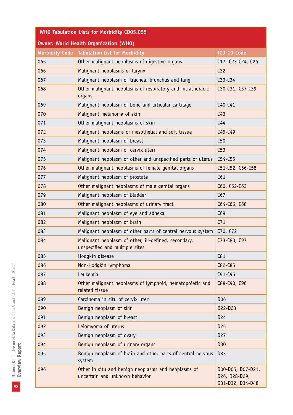| WHO Tabulation Lists for Morbidity CD05.055   |                                                                                        |                                                        |  |
|-----------------------------------------------|----------------------------------------------------------------------------------------|--------------------------------------------------------|--|
| <b>Owner: World Health Organization (WHO)</b> |                                                                                        |                                                        |  |
|                                               | Morbidity Code   Tabulation list for Morbidity                                         | ICD 10 Code                                            |  |
| 065                                           | Other malignant neoplasms of digestive organs                                          | C17, C23-C24, C26                                      |  |
| 066                                           | Malignant neoplasms of larynx                                                          | C32                                                    |  |
| 067                                           | Malignant neoplasm of trachea, bronchus and lung                                       | $C33-C34$                                              |  |
| 068                                           | Other malignant neoplasms of respiratory and intrathoracic<br>organs                   | C30-C31, C37-C39                                       |  |
| 069                                           | Malignant neoplasm of bone and articular cartilage                                     | $C40-C41$                                              |  |
| 070                                           | Malignant melanoma of skin                                                             | C <sub>43</sub>                                        |  |
| 071                                           | Other malignant neoplasms of skin                                                      | C <sub>44</sub>                                        |  |
| 072                                           | Malignant neoplasms of mesothelial and soft tissue                                     | $C45-C49$                                              |  |
| 073                                           | Malignant neoplasm of breast                                                           | C50                                                    |  |
| 074                                           | Malignant neoplasm of cervix uteri                                                     | C53                                                    |  |
| 075                                           | Malignant neoplasm of other and unspecified parts of uterus                            | $C54-C55$                                              |  |
| 076                                           | Other malignant neoplasms of female genital organs                                     | C51-C52, C56-C58                                       |  |
| 077                                           | Malignant neoplasm of prostate                                                         | C61                                                    |  |
| 078                                           | Other malignant neoplasms of male genital organs                                       | C60, C62-C63                                           |  |
| 079                                           | Malignant neoplasm of bladder                                                          | C67                                                    |  |
| 080                                           | Other malignant neoplasms of urinary tract                                             | C64-C66, C68                                           |  |
| 081                                           | Malignant neoplasm of eye and adnexa                                                   | C69                                                    |  |
| 082                                           | Malignant neoplasm of brain                                                            | C <sub>71</sub>                                        |  |
| 083                                           | Malignant neoplasm of other parts of central nervous system                            | C70, C72                                               |  |
| 084                                           | Malignant neoplasm of other, ill-defined, secondary,<br>unspecified and multiple sites | C73-C80, C97                                           |  |
| 085                                           | Hodgkin disease                                                                        | C81                                                    |  |
| 086                                           | Non-Hodgkin lymphoma                                                                   | C82-C85                                                |  |
| 087                                           | Leukemia                                                                               | C91-C95                                                |  |
| 088                                           | Other malignant neoplasms of lymphoid, hematopoietic and<br>related tissue             | C88-C90, C96                                           |  |
| 089                                           | Carcinoma in situ of cervix uteri                                                      | D <sub>06</sub>                                        |  |
| 090                                           | Benign neoplasm of skin                                                                | D22-D23                                                |  |
| 091                                           | Benign neoplasm of breast                                                              | D <sub>24</sub>                                        |  |
| 092                                           | Leiomyoma of uterus                                                                    | D <sub>25</sub>                                        |  |
| 093                                           | Benign neoplasm of ovary                                                               | D <sub>27</sub>                                        |  |
| 094                                           | Benign neoplasm of urinary organs                                                      | D30                                                    |  |
| 095                                           | Benign neoplasm of brain and other parts of central nervous<br>system                  | D33                                                    |  |
| 096                                           | Other in situ and benign neoplasms and neoplasms of<br>uncertain and unknown behavior  | D00-D05, D07-D21,<br>D26, D28-D29,<br>D31-D32, D34-D48 |  |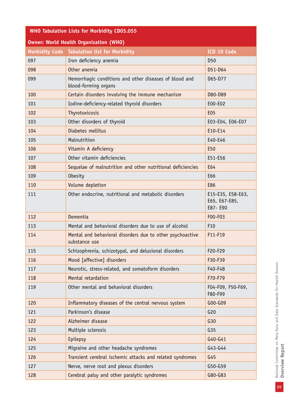| <b>WHO Tabulation Lists for Morbidity CD05.055</b> |                                                                                |                                                |  |
|----------------------------------------------------|--------------------------------------------------------------------------------|------------------------------------------------|--|
| <b>Owner: World Health Organization (WHO)</b>      |                                                                                |                                                |  |
|                                                    | Morbidity Code   Tabulation list for Morbidity                                 | ICD 10 Code                                    |  |
| 097                                                | Iron deficiency anemia                                                         | D <sub>50</sub>                                |  |
| 098                                                | Other anemia                                                                   | D51-D64                                        |  |
| 099                                                | Hemorrhagic conditions and other diseases of blood and<br>blood-forming organs | D65-D77                                        |  |
| 100                                                | Certain disorders involving the immune mechanism                               | D80-D89                                        |  |
| 101                                                | Iodine-deficiency-related thyroid disorders                                    | E00-E02                                        |  |
| 102                                                | Thyrotoxicosis                                                                 | <b>E05</b>                                     |  |
| 103                                                | Other disorders of thyroid                                                     | E03-E04, E06-E07                               |  |
| 104                                                | Diabetes mellitus                                                              | E10-E14                                        |  |
| 105                                                | Malnutrition                                                                   | E40-E46                                        |  |
| 106                                                | Vitamin A deficiency                                                           | E <sub>50</sub>                                |  |
| 107                                                | Other vitamin deficiencies                                                     | E51-E56                                        |  |
| 108                                                | Sequelae of malnutrition and other nutritional deficiencies                    | E64                                            |  |
| 109                                                | <b>Obesity</b>                                                                 | E66                                            |  |
| 110                                                | Volume depletion                                                               | E86                                            |  |
| 111                                                | Other endocrine, nutritional and metabolic disorders                           | E15-E35, E58-E63,<br>E65, E67-E85,<br>E87- E90 |  |
| 112                                                | Dementia                                                                       | F00-F03                                        |  |
| 113                                                | Mental and behavioral disorders due to use of alcohol                          | F <sub>10</sub>                                |  |
| 114                                                | Mental and behavioral disorders due to other psychoactive<br>substance use     | F11-F19                                        |  |
| 115                                                | Schizophrenia, schizotypal, and delusional disorders                           | F20-F29                                        |  |
| 116                                                | Mood [affective] disorders                                                     | F30-F39                                        |  |
| 117                                                | Neurotic, stress-related, and somatoform disorders                             | F40-F48                                        |  |
| 118                                                | Mental retardation                                                             | F70-F79                                        |  |
| 119                                                | Other mental and behavioral disorders                                          | F04-F09, F50-F69,<br>F80-F99                   |  |
| 120                                                | Inflammatory diseases of the central nervous system                            | G00-G09                                        |  |
| 121                                                | Parkinson's disease                                                            | G20                                            |  |
| 122                                                | Alzheimer disease                                                              | G30                                            |  |
| 123                                                | Multiple sclerosis                                                             | G35                                            |  |
| 124                                                | Epilepsy                                                                       | G40-G41                                        |  |
| 125                                                | Migraine and other headache syndromes                                          | G43-G44                                        |  |
| 126                                                | Transient cerebral ischemic attacks and related syndromes                      | G45                                            |  |
| 127                                                | Nerve, nerve root and plexus disorders                                         | G50-G59                                        |  |
| 128                                                | Cerebral palsy and other paralytic syndromes                                   | G80-G83                                        |  |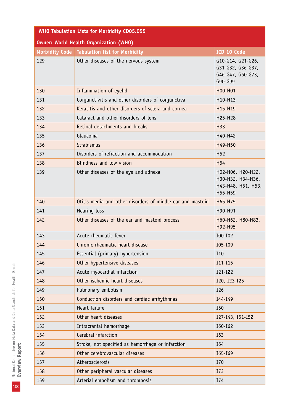| <b>WHO Tabulation Lists for Morbidity CD05.055</b> |                                                            |                                                                         |  |
|----------------------------------------------------|------------------------------------------------------------|-------------------------------------------------------------------------|--|
| <b>Owner: World Health Organization (WHO)</b>      |                                                            |                                                                         |  |
|                                                    | Morbidity Code   Tabulation list for Morbidity             | ICD 10 Code                                                             |  |
| 129                                                | Other diseases of the nervous system                       | G10-G14, G21-G26,<br>G31-G32, G36-G37,<br>G46-G47, G60-G73,<br>G90-G99  |  |
| 130                                                | Inflammation of eyelid                                     | H00-H01                                                                 |  |
| 131                                                | Conjunctivitis and other disorders of conjunctiva          | H10-H13                                                                 |  |
| 132                                                | Keratitis and other disorders of sclera and cornea         | H15-H19                                                                 |  |
| 133                                                | Cataract and other disorders of lens                       | H25-H28                                                                 |  |
| 134                                                | Retinal detachments and breaks                             | H33                                                                     |  |
| 135                                                | Glaucoma                                                   | H40-H42                                                                 |  |
| 136                                                | Strabismus                                                 | H49-H50                                                                 |  |
| 137                                                | Disorders of refraction and accommodation                  | H <sub>52</sub>                                                         |  |
| 138                                                | Blindness and low vision                                   | H <sub>54</sub>                                                         |  |
| 139                                                | Other diseases of the eye and adnexa                       | H02-H06, H20-H22,<br>H30-H32, H34-H36,<br>H43-H48, H51, H53,<br>H55-H59 |  |
| 140                                                | Otitis media and other disorders of middle ear and mastoid | H65-H75                                                                 |  |
| 141                                                | Hearing loss                                               | H90-H91                                                                 |  |
| 142                                                | Other diseases of the ear and mastoid process              | Н60-Н62, Н80-Н83,<br>H92-H95                                            |  |
| 143                                                | Acute rheumatic fever                                      | I00-I02                                                                 |  |
| 144                                                | Chronic rheumatic heart disease                            | I05-I09                                                                 |  |
| 145                                                | Essential (primary) hypertension                           | I10                                                                     |  |
| 146                                                | Other hypertensive diseases                                | I11-I15                                                                 |  |
| 147                                                | Acute myocardial infarction                                | I21-I22                                                                 |  |
| 148                                                | Other ischemic heart diseases                              | I20, I23-I25                                                            |  |
| 149                                                | Pulmonary embolism                                         | I26                                                                     |  |
| 150                                                | Conduction disorders and cardiac arrhythmias               | I44-I49                                                                 |  |
| 151                                                | Heart failure                                              | I50                                                                     |  |
| 152                                                | Other heart diseases                                       | I27-I43, I51-I52                                                        |  |
| 153                                                | Intracranial hemorrhage                                    | I60-I62                                                                 |  |
| 154                                                | Cerebral infarction                                        | I63                                                                     |  |
| 155                                                | Stroke, not specified as hemorrhage or infarction          | I64                                                                     |  |
| 156                                                | Other cerebrovascular diseases                             | I65-I69                                                                 |  |
| 157                                                | Atherosclerosis                                            | I70                                                                     |  |
| 158                                                | Other peripheral vascular diseases                         | I73                                                                     |  |
| 159                                                | Arterial embolism and thrombosis                           | I74                                                                     |  |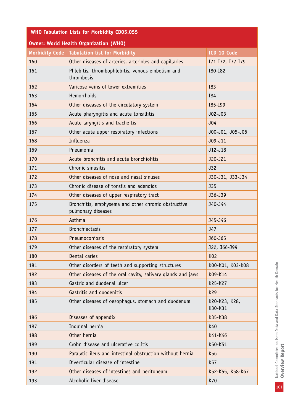| <b>WHO Tabulation Lists for Morbidity CD05.055</b> |                                                                           |                          |  |
|----------------------------------------------------|---------------------------------------------------------------------------|--------------------------|--|
| <b>Owner: World Health Organization (WHO)</b>      |                                                                           |                          |  |
|                                                    | Morbidity Code   Tabulation list for Morbidity                            | ICD 10 Code              |  |
| 160                                                | Other diseases of arteries, arterioles and capillaries                    | I71-I72, I77-I79         |  |
| 161                                                | Phlebitis, thrombophlebitis, venous embolism and<br>thrombosis            | I80-I82                  |  |
| 162                                                | Varicose veins of lower extremities                                       | I83                      |  |
| 163                                                | Hemorrhoids                                                               | I84                      |  |
| 164                                                | Other diseases of the circulatory system                                  | I85-I99                  |  |
| 165                                                | Acute pharyngitis and acute tonsillitis                                   | J02-J03                  |  |
| 166                                                | Acute laryngitis and tracheitis                                           | J04                      |  |
| 167                                                | Other acute upper respiratory infections                                  | J00-J01, J05-J06         |  |
| 168                                                | Influenza                                                                 | J09-J11                  |  |
| 169                                                | Pneumonia                                                                 | J12-J18                  |  |
| 170                                                | Acute bronchitis and acute bronchiolitis                                  | J20-J21                  |  |
| 171                                                | Chronic sinusitis                                                         | J32                      |  |
| 172                                                | Other diseases of nose and nasal sinuses                                  | J30-J31, J33-J34         |  |
| 173                                                | Chronic disease of tonsils and adenoids                                   | <b>J35</b>               |  |
| 174                                                | Other diseases of upper respiratory tract                                 | J36-J39                  |  |
| 175                                                | Bronchitis, emphysema and other chronic obstructive<br>pulmonary diseases | J40-J44                  |  |
| 176                                                | Asthma                                                                    | J45-J46                  |  |
| 177                                                | <b>Bronchiectasis</b>                                                     | J47                      |  |
| 178                                                | Pneumoconiosis                                                            | J60-J65                  |  |
| 179                                                | Other diseases of the respiratory system                                  | J22, J66-J99             |  |
| 180                                                | Dental caries                                                             | K02                      |  |
| 181                                                | Other disorders of teeth and supporting structures                        | K00-K01, K03-K08         |  |
| 182                                                | Other diseases of the oral cavity, salivary glands and jaws               | K09-K14                  |  |
| 183                                                | Gastric and duodenal ulcer                                                | K25-K27                  |  |
| 184                                                | Gastritis and duodenitis                                                  | K29                      |  |
| 185                                                | Other diseases of oesophagus, stomach and duodenum                        | K20-K23, K28,<br>K30-K31 |  |
| 186                                                | Diseases of appendix                                                      | K35-K38                  |  |
| 187                                                | Inguinal hernia                                                           | K40                      |  |
| 188                                                | Other hernia                                                              | K41-K46                  |  |
| 189                                                | Crohn disease and ulcerative colitis                                      | K50-K51                  |  |
| 190                                                | Paralytic ileus and intestinal obstruction without hernia                 | K56                      |  |
| 191                                                | Diverticular disease of intestine                                         | K57                      |  |
| 192                                                | Other diseases of intestines and peritoneum                               | K52-K55, K58-K67         |  |
| 193                                                | Alcoholic liver disease                                                   | K70                      |  |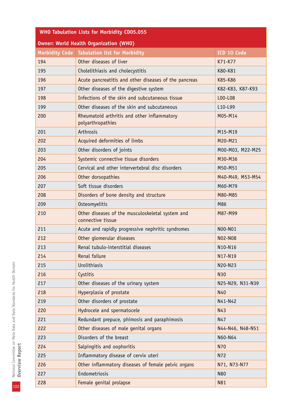| <b>WHO Tabulation Lists for Morbidity CD05.055</b> |                                                                       |                  |  |
|----------------------------------------------------|-----------------------------------------------------------------------|------------------|--|
| <b>Owner: World Health Organization (WHO)</b>      |                                                                       |                  |  |
|                                                    | Morbidity Code   Tabulation list for Morbidity                        | ICD 10 Code      |  |
| 194                                                | Other diseases of liver                                               | K71-K77          |  |
| 195                                                | Cholelithiasis and cholecystitis                                      | K80-K81          |  |
| 196                                                | Acute pancreatitis and other diseases of the pancreas                 | K85-K86          |  |
| 197                                                | Other diseases of the digestive system                                | K82-K83, K87-K93 |  |
| 198                                                | Infections of the skin and subcutaneous tissue                        | L00-L08          |  |
| 199                                                | Other diseases of the skin and subcutaneous                           | L10-L99          |  |
| 200                                                | Rheumatoid arthritis and other inflammatory<br>polyarthropathies      | M05-M14          |  |
| 201                                                | Arthrosis                                                             | M15-M19          |  |
| 202                                                | Acquired deformities of limbs                                         | M20-M21          |  |
| 203                                                | Other disorders of joints                                             | M00-M03, M22-M25 |  |
| 204                                                | Systemic connective tissue disorders                                  | M30-M36          |  |
| 205                                                | Cervical and other intervertebral disc disorders                      | M50-M51          |  |
| 206                                                | Other dorsopathies                                                    | M40-M49, M53-M54 |  |
| 207                                                | Soft tissue disorders                                                 | M60-M79          |  |
| 208                                                | Disorders of bone density and structure                               | M80-M85          |  |
| 209                                                | Osteomyelitis                                                         | M86              |  |
| 210                                                | Other diseases of the musculoskeletal system and<br>connective tissue | M87-M99          |  |
| 211                                                | Acute and rapidly progressive nephritic syndromes                     | N00-N01          |  |
| 212                                                | Other glomerular diseases                                             | N02-N08          |  |
| 213                                                | Renal tubulo-interstitial diseases                                    | N10-N16          |  |
| 214                                                | Renal failure                                                         | N17-N19          |  |
| 215                                                | Urolithiasis                                                          | N20-N23          |  |
| 216                                                | Cystitis                                                              | N30              |  |
| 217                                                | Other diseases of the urinary system                                  | N25-N29, N31-N39 |  |
| 218                                                | Hyperplasia of prostate                                               | N40              |  |
| 219                                                | Other disorders of prostate                                           | N41-N42          |  |
| 220                                                | Hydrocele and spermatocele                                            | N43              |  |
| 221                                                | Redundant prepuce, phimosis and paraphimosis                          | N47              |  |
| 222                                                | Other diseases of male genital organs                                 | N44-N46, N48-N51 |  |
| 223                                                | Disorders of the breast                                               | N60-N64          |  |
| 224                                                | Salpingitis and oophoritis                                            | N70              |  |
| 225                                                | Inflammatory disease of cervix uteri                                  | N72              |  |
| 226                                                | Other inflammatory diseases of female pelvic organs                   | N71, N73-N77     |  |
| 227                                                | Endometriosis                                                         | N80              |  |
| 228                                                | Female genital prolapse                                               | N81              |  |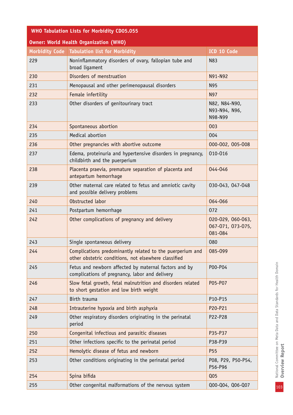| <b>WHO Tabulation Lists for Morbidity CD05.055</b> |                                                                                                                   |                                                   |  |
|----------------------------------------------------|-------------------------------------------------------------------------------------------------------------------|---------------------------------------------------|--|
| <b>Owner: World Health Organization (WHO)</b>      |                                                                                                                   |                                                   |  |
|                                                    | Morbidity Code   Tabulation list for Morbidity                                                                    | ICD 10 Code                                       |  |
| 229                                                | Noninflammatory disorders of ovary, fallopian tube and<br>N83<br>broad ligament                                   |                                                   |  |
| 230                                                | Disorders of menstruation                                                                                         | N91-N92                                           |  |
| 231                                                | Menopausal and other perimenopausal disorders                                                                     | N95                                               |  |
| 232                                                | Female infertility                                                                                                | N97                                               |  |
| 233                                                | Other disorders of genitourinary tract                                                                            | N82, N84-N90,<br>N93-N94, N96,<br>N98-N99         |  |
| 234                                                | Spontaneous abortion                                                                                              | 003                                               |  |
| 235                                                | Medical abortion                                                                                                  | 004                                               |  |
| 236                                                | Other pregnancies with abortive outcome                                                                           | 000-002, 005-008                                  |  |
| 237                                                | Edema, proteinuria and hypertensive disorders in pregnancy,<br>childbirth and the puerperium                      | 010-016                                           |  |
| 238                                                | Placenta praevia, premature separation of placenta and<br>antepartum hemorrhage                                   | 044-046                                           |  |
| 239                                                | Other maternal care related to fetus and amniotic cavity<br>and possible delivery problems                        | 030-043, 047-048                                  |  |
| 240                                                | Obstructed labor                                                                                                  | 064-066                                           |  |
| 241                                                | Postpartum hemorrhage                                                                                             | 072                                               |  |
| 242                                                | Other complications of pregnancy and delivery                                                                     | 020-029, 060-063,<br>067-071, 073-075,<br>081-084 |  |
| 243                                                | Single spontaneous delivery                                                                                       | 080                                               |  |
| 244                                                | Complications predominantly related to the puerperium and<br>other obstetric conditions, not elsewhere classified | 085-099                                           |  |
| 245                                                | Fetus and newborn affected by maternal factors and by<br>complications of pregnancy, labor and delivery           | P00-P04                                           |  |
| 246                                                | Slow fetal growth, fetal malnutrition and disorders related<br>to short gestation and low birth weight            | P05-P07                                           |  |
| 247                                                | Birth trauma                                                                                                      | P10-P15                                           |  |
| 248                                                | Intrauterine hypoxia and birth asphyxia                                                                           | P20-P21                                           |  |
| 249                                                | Other respiratory disorders originating in the perinatal<br>period                                                | P22-P28                                           |  |
| 250                                                | Congenital infectious and parasitic diseases                                                                      | P35-P37                                           |  |
| 251                                                | Other infections specific to the perinatal period                                                                 | P38-P39                                           |  |
| 252                                                | Hemolytic disease of fetus and newborn                                                                            | P <sub>55</sub>                                   |  |
| 253                                                | Other conditions originating in the perinatal period                                                              | P08, P29, P50-P54,<br>P56-P96                     |  |
| 254                                                | Spina bifida                                                                                                      | Q <sub>05</sub>                                   |  |
| 255                                                | Other congenital malformations of the nervous system                                                              | Q00-Q04, Q06-Q07                                  |  |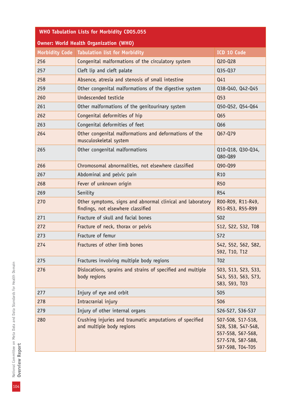| <b>WHO Tabulation Lists for Morbidity CD05.055</b> |                                                                                                  |                                                                                                       |  |
|----------------------------------------------------|--------------------------------------------------------------------------------------------------|-------------------------------------------------------------------------------------------------------|--|
| <b>Owner: World Health Organization (WHO)</b>      |                                                                                                  |                                                                                                       |  |
|                                                    | Morbidity Code   Tabulation list for Morbidity                                                   | ICD 10 Code                                                                                           |  |
| 256                                                | Congenital malformations of the circulatory system                                               | Q20-Q28                                                                                               |  |
| 257                                                | Cleft lip and cleft palate                                                                       | Q35-Q37                                                                                               |  |
| 258                                                | Absence, atresia and stenosis of small intestine                                                 | Q41                                                                                                   |  |
| 259                                                | Other congenital malformations of the digestive system                                           | Q38-Q40, Q42-Q45                                                                                      |  |
| 260                                                | Undescended testicle                                                                             | Q53                                                                                                   |  |
| 261                                                | Other malformations of the genitourinary system                                                  | Q50-Q52, Q54-Q64                                                                                      |  |
| 262                                                | Congenital deformities of hip                                                                    | Q65                                                                                                   |  |
| 263                                                | Congenital deformities of feet                                                                   | Q66                                                                                                   |  |
| 264                                                | Other congenital malformations and deformations of the<br>musculoskeletal system                 | Q67-Q79                                                                                               |  |
| 265                                                | Other congenital malformations                                                                   | Q10-Q18, Q30-Q34,<br>Q80-Q89                                                                          |  |
| 266                                                | Chromosomal abnormalities, not elsewhere classified                                              | Q90-Q99                                                                                               |  |
| 267                                                | Abdominal and pelvic pain                                                                        | R <sub>10</sub>                                                                                       |  |
| 268                                                | Fever of unknown origin                                                                          | <b>R50</b>                                                                                            |  |
| 269                                                | Senility                                                                                         | <b>R54</b>                                                                                            |  |
| 270                                                | Other symptoms, signs and abnormal clinical and laboratory<br>findings, not elsewhere classified | R00-R09, R11-R49,<br>R51-R53, R55-R99                                                                 |  |
| 271                                                | Fracture of skull and facial bones                                                               | <b>S02</b>                                                                                            |  |
| 272                                                | Fracture of neck, thorax or pelvis                                                               | S12, S22, S32, T08                                                                                    |  |
| 273                                                | Fracture of femur                                                                                | <b>S72</b>                                                                                            |  |
| 274                                                | Fractures of other limb bones                                                                    | S42, S52, S62, S82,<br>S92, T10, T12                                                                  |  |
| 275                                                | Fractures involving multiple body regions                                                        | T <sub>0</sub> 2                                                                                      |  |
| 276                                                | Dislocations, sprains and strains of specified and multiple<br>body regions                      | S03, S13, S23, S33,<br>S43, S53, S63, S73,<br>S83, S93, T03                                           |  |
| 277                                                | Injury of eye and orbit                                                                          | <b>S05</b>                                                                                            |  |
| 278                                                | Intracranial injury                                                                              | <b>S06</b>                                                                                            |  |
| 279                                                | Injury of other internal organs                                                                  | S26-S27, S36-S37                                                                                      |  |
| 280                                                | Crushing injuries and traumatic amputations of specified<br>and multiple body regions            | S07-S08, S17-S18,<br>S28, S38, S47-S48,<br>S57-S58, S67-S68,<br>S77-S78, S87-S88,<br>S97-S98, T04-T05 |  |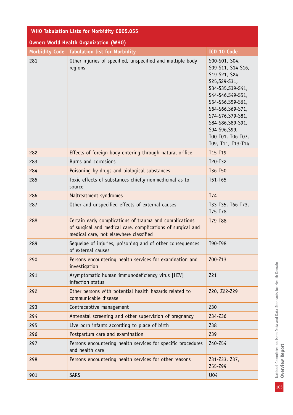| <b>WHO Tabulation Lists for Morbidity CD05.055</b> |                                                                                                                                                                                                                                                                                                                                       |                              |  |
|----------------------------------------------------|---------------------------------------------------------------------------------------------------------------------------------------------------------------------------------------------------------------------------------------------------------------------------------------------------------------------------------------|------------------------------|--|
| <b>Owner: World Health Organization (WHO)</b>      |                                                                                                                                                                                                                                                                                                                                       |                              |  |
|                                                    | Morbidity Code   Tabulation list for Morbidity                                                                                                                                                                                                                                                                                        | ICD 10 Code                  |  |
| 281                                                | Other injuries of specified, unspecified and multiple body<br>S00-S01, S04,<br>S09-S11, S14-S16,<br>regions<br>S19-S21, S24-<br>S25, S29-S31,<br>S34-S35, S39-S41,<br>S44-S46, S49-S51,<br>S54-S56, S59-S61,<br>S64-S66, S69-S71,<br>S74-S76, S79-S81,<br>S84-S86, S89-S91,<br>S94-S96,S99,<br>T00-T01, T06-T07,<br>T09, T11, T13-T14 |                              |  |
| 282                                                | Effects of foreign body entering through natural orifice                                                                                                                                                                                                                                                                              | T15-T19                      |  |
| 283                                                | Burns and corrosions                                                                                                                                                                                                                                                                                                                  | T20-T32                      |  |
| 284                                                | Poisoning by drugs and biological substances                                                                                                                                                                                                                                                                                          | T36-T50                      |  |
| 285                                                | Toxic effects of substances chiefly nonmedicinal as to<br>T51-T65<br>source                                                                                                                                                                                                                                                           |                              |  |
| 286                                                | Maltreatment syndromes                                                                                                                                                                                                                                                                                                                | T74                          |  |
| 287                                                | Other and unspecified effects of external causes                                                                                                                                                                                                                                                                                      | T33-T35, T66-T73,<br>T75-T78 |  |
| 288                                                | Certain early complications of trauma and complications<br>of surgical and medical care, complications of surgical and<br>medical care, not elsewhere classified                                                                                                                                                                      | T79-T88                      |  |
| 289                                                | Sequelae of injuries, poisoning and of other consequences<br>of external causes                                                                                                                                                                                                                                                       | T90-T98                      |  |
| 290                                                | Persons encountering health services for examination and<br>investigation                                                                                                                                                                                                                                                             | Z00-Z13                      |  |
| 291                                                | Asymptomatic human immunodeficiency virus [HIV]<br>infection status                                                                                                                                                                                                                                                                   | Z21                          |  |
| 292                                                | Other persons with potential health hazards related to<br>communicable disease                                                                                                                                                                                                                                                        | Z20, Z22-Z29                 |  |
| 293                                                | Contraceptive management                                                                                                                                                                                                                                                                                                              | Z30                          |  |
| 294                                                | Antenatal screening and other supervision of pregnancy                                                                                                                                                                                                                                                                                | Z34-Z36                      |  |
| 295                                                | Live born infants according to place of birth                                                                                                                                                                                                                                                                                         | Z38                          |  |
| 296                                                | Postpartum care and examination                                                                                                                                                                                                                                                                                                       | Z39                          |  |
| 297                                                | Persons encountering health services for specific procedures<br>and health care                                                                                                                                                                                                                                                       | Z40-Z54                      |  |
| 298                                                | Persons encountering health services for other reasons                                                                                                                                                                                                                                                                                | Z31-Z33, Z37,<br>Z55-Z99     |  |
| 901                                                | <b>SARS</b>                                                                                                                                                                                                                                                                                                                           | U04                          |  |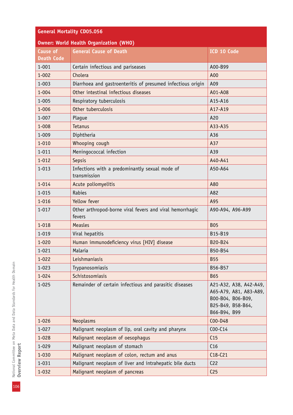## **General Mortality CD05.056**

| <b>Owner: World Health Organization (WHO)</b> |                                                                    |                                                                                                            |  |
|-----------------------------------------------|--------------------------------------------------------------------|------------------------------------------------------------------------------------------------------------|--|
| <b>Cause of</b>                               | <b>General Cause of Death</b>                                      | ICD 10 Code                                                                                                |  |
| <b>Death Code</b>                             |                                                                    |                                                                                                            |  |
| $1 - 001$                                     | Certain infectious and pariseases                                  | A00-B99                                                                                                    |  |
| $1 - 002$                                     | Cholera                                                            | A00                                                                                                        |  |
| $1 - 003$                                     | Diarrhoea and gastroenteritis of presumed infectious origin        | A09                                                                                                        |  |
| $1 - 004$                                     | Other intestinal infectious diseases                               | A01-A08                                                                                                    |  |
| $1 - 005$                                     | Respiratory tuberculosis                                           | A15-A16                                                                                                    |  |
| $1 - 006$                                     | Other tuberculosis                                                 | A17-A19                                                                                                    |  |
| $1 - 007$                                     | Plague                                                             | A20                                                                                                        |  |
| $1 - 008$                                     | Tetanus                                                            | A33-A35                                                                                                    |  |
| $1 - 009$                                     | Diphtheria                                                         | A36                                                                                                        |  |
| $1 - 010$                                     | Whooping cough                                                     | A37                                                                                                        |  |
| $1 - 011$                                     | Meningococcal infection                                            | A39                                                                                                        |  |
| $1 - 012$                                     | Sepsis                                                             | A40-A41                                                                                                    |  |
| $1 - 013$                                     | Infections with a predominantly sexual mode of<br>transmission     | A50-A64                                                                                                    |  |
| $1 - 014$                                     | Acute poliomyelitis                                                | A80                                                                                                        |  |
| $1 - 015$                                     | Rabies                                                             | A82                                                                                                        |  |
| $1 - 016$                                     | Yellow fever                                                       | A95                                                                                                        |  |
| $1 - 017$                                     | Other arthropod-borne viral fevers and viral hemorrhagic<br>fevers | A90-A94, A96-A99                                                                                           |  |
| $1 - 018$                                     | <b>Measles</b>                                                     | <b>B05</b>                                                                                                 |  |
| $1 - 019$                                     | Viral hepatitis                                                    | B15-B19                                                                                                    |  |
| $1 - 020$                                     | Human immunodeficiency virus [HIV] disease                         | B20-B24                                                                                                    |  |
| $1 - 021$                                     | Malaria                                                            | B50-B54                                                                                                    |  |
| $1 - 022$                                     | Leishmaniasis                                                      | <b>B55</b>                                                                                                 |  |
| $1 - 023$                                     | Trypanosomiasis                                                    | B56-B57                                                                                                    |  |
| $1 - 024$                                     | Schistosomiasis                                                    | <b>B65</b>                                                                                                 |  |
| $1 - 025$                                     | Remainder of certain infectious and parasitic diseases             | A21-A32, A38, A42-A49,<br>A65-A79, A81, A83-A89,<br>B00-B04, B06-B09,<br>B25-B49, B58-B64,<br>B66-B94, B99 |  |
| $1 - 026$                                     | <b>Neoplasms</b>                                                   | C00-D48                                                                                                    |  |
| $1 - 027$                                     | Malignant neoplasm of lip, oral cavity and pharynx                 | $COO-C14$                                                                                                  |  |
| $1 - 028$                                     | Malignant neoplasm of oesophagus                                   | C <sub>15</sub>                                                                                            |  |
| $1 - 029$                                     | Malignant neoplasm of stomach                                      | C16                                                                                                        |  |
| $1 - 030$                                     | Malignant neoplasm of colon, rectum and anus                       | $C18-C21$                                                                                                  |  |
| $1 - 031$                                     | Malignant neoplasm of liver and intrahepatic bile ducts            | C <sub>22</sub>                                                                                            |  |
| $1 - 032$                                     | Malignant neoplasm of pancreas                                     | C <sub>25</sub>                                                                                            |  |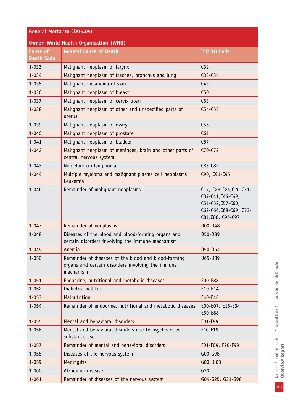| <b>General Mortality CD05.056</b>    |                                                                                                                        |                                                                                                                 |  |
|--------------------------------------|------------------------------------------------------------------------------------------------------------------------|-----------------------------------------------------------------------------------------------------------------|--|
|                                      | <b>Owner: World Health Organization (WHO)</b>                                                                          |                                                                                                                 |  |
| <b>Cause of</b><br><b>Death Code</b> | <b>General Cause of Death</b>                                                                                          | ICD 10 Code                                                                                                     |  |
| $1 - 033$                            | Malignant neoplasm of larynx                                                                                           | C <sub>32</sub>                                                                                                 |  |
| $1 - 034$                            | Malignant neoplasm of trachea, bronchus and lung                                                                       | $C33-C34$                                                                                                       |  |
| $1 - 035$                            | Malignant melanoma of skin                                                                                             | C <sub>43</sub>                                                                                                 |  |
| $1 - 036$                            | Malignant neoplasm of breast                                                                                           | C50                                                                                                             |  |
| $1 - 037$                            | Malignant neoplasm of cervix uteri                                                                                     | C <sub>53</sub>                                                                                                 |  |
| $1 - 038$                            | Malignant neoplasm of other and unspecified parts of<br>uterus                                                         | $C54-C55$                                                                                                       |  |
| $1 - 039$                            | Malignant neoplasm of ovary                                                                                            | C56                                                                                                             |  |
| $1 - 040$                            | Malignant neoplasm of prostate                                                                                         | C61                                                                                                             |  |
| $1 - 041$                            | Malignant neoplasm of bladder                                                                                          | C67                                                                                                             |  |
| $1 - 042$                            | Malignant neoplasm of meninges, brain and other parts of<br>central nervous system                                     | $C70-C72$                                                                                                       |  |
| $1 - 043$                            | Non-Hodgkin lymphoma                                                                                                   | C83-C85                                                                                                         |  |
| $1 - 044$                            | Multiple myeloma and malignant plasma cell neoplasms<br>Leukemia                                                       | C90, C91-C95                                                                                                    |  |
| $1 - 046$                            | Remainder of malignant neoplasms                                                                                       | C17, C23-C24, C26-C31,<br>C37-C41, C44-C49,<br>C51-C52, C57-C60,<br>C62-C66, C68-C69, C73-<br>C81, C88, C96-C97 |  |
| $1 - 047$                            | Remainder of neoplasms                                                                                                 | D00-D48                                                                                                         |  |
| $1 - 048$                            | Diseases of the blood and blood-forming organs and<br>certain disorders involving the immune mechanism                 | D50-D89                                                                                                         |  |
| $1 - 049$                            | Anemia                                                                                                                 | D50-D64                                                                                                         |  |
| $1 - 050$                            | Remainder of diseases of the blood and blood-forming<br>organs and certain disorders involving the immune<br>mechanism | D65-D89                                                                                                         |  |
| $1 - 051$                            | Endocrine, nutritional and metabolic diseases                                                                          | E00-E88                                                                                                         |  |
| $1 - 052$                            | Diabetes mellitus                                                                                                      | E10-E14                                                                                                         |  |
| $1 - 053$                            | Malnutrition                                                                                                           | E40-E46                                                                                                         |  |
| $1 - 054$                            | Remainder of endocrine, nutritional and metabolic diseases                                                             | E00-E07, E15-E34,<br>E50-E88                                                                                    |  |
| $1 - 055$                            | Mental and behavioral disorders                                                                                        | F01-F99                                                                                                         |  |
| $1 - 056$                            | Mental and behavioral disorders due to psychoactive<br>substance use                                                   | F10-F19                                                                                                         |  |
| $1 - 057$                            | Remainder of mental and behavioral disorders                                                                           | F01-F09, F20-F99                                                                                                |  |
| $1 - 058$                            | Diseases of the nervous system                                                                                         | G00-G98                                                                                                         |  |
| $1 - 059$                            | Meningitis                                                                                                             | GOO, GO3                                                                                                        |  |
| 1-060                                | Alzheimer disease                                                                                                      | G30                                                                                                             |  |
| $1 - 061$                            | Remainder of diseases of the nervous system                                                                            | G04-G25, G31-G98                                                                                                |  |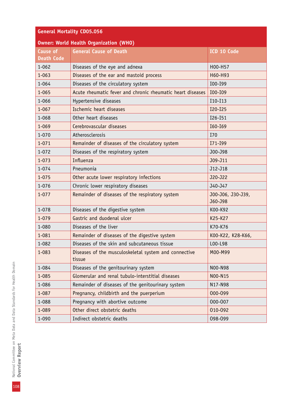| <b>General Mortality CD05.056</b> |  |  |
|-----------------------------------|--|--|
|                                   |  |  |

| <b>Owner: World Health Organization (WHO)</b> |                                                                 |                              |  |
|-----------------------------------------------|-----------------------------------------------------------------|------------------------------|--|
| <b>Cause of</b>                               | <b>General Cause of Death</b>                                   | ICD 10 Code                  |  |
| <b>Death Code</b>                             |                                                                 |                              |  |
| $1 - 062$                                     | Diseases of the eye and adnexa                                  | H00-H57                      |  |
| $1 - 063$                                     | Diseases of the ear and mastoid process                         | H60-H93                      |  |
| $1 - 064$                                     | Diseases of the circulatory system                              | I00-I99                      |  |
| $1 - 065$                                     | Acute rheumatic fever and chronic rheumatic heart diseases      | I00-I09                      |  |
| 1-066                                         | Hypertensive diseases                                           | I10-I13                      |  |
| $1 - 067$                                     | Ischemic heart diseases                                         | I20-I25                      |  |
| $1 - 068$                                     | Other heart diseases                                            | I26-I51                      |  |
| $1 - 069$                                     | Cerebrovascular diseases                                        | I60-I69                      |  |
| $1 - 070$                                     | Atherosclerosis                                                 | I70                          |  |
| $1 - 071$                                     | Remainder of diseases of the circulatory system                 | I71-I99                      |  |
| $1 - 072$                                     | Diseases of the respiratory system                              | J00-J98                      |  |
| $1 - 073$                                     | Influenza                                                       | J09-J11                      |  |
| $1 - 074$                                     | Pneumonia                                                       | J12-J18                      |  |
| $1 - 075$                                     | Other acute lower respiratory infections                        | J20-J22                      |  |
| $1 - 076$                                     | Chronic lower respiratory diseases                              | J40-J47                      |  |
| $1 - 077$                                     | Remainder of diseases of the respiratory system                 | J00-J06, J30-J39,<br>J60-J98 |  |
| $1 - 078$                                     | Diseases of the digestive system                                | K00-K92                      |  |
| $1 - 079$                                     | Gastric and duodenal ulcer                                      | K25-K27                      |  |
| 1-080                                         | Diseases of the liver                                           | K70-K76                      |  |
| $1 - 081$                                     | Remainder of diseases of the digestive system                   | K00-K22, K28-K66,            |  |
| $1 - 082$                                     | Diseases of the skin and subcutaneous tissue                    | L00-L98                      |  |
| $1 - 083$                                     | Diseases of the musculoskeletal system and connective<br>tissue | M00-M99                      |  |
| 1-084                                         | Diseases of the genitourinary system                            | N00-N98                      |  |
| $1 - 085$                                     | Glomerular and renal tubulo-interstitial diseases               | NO0-N15                      |  |
| 1-086                                         | Remainder of diseases of the genitourinary system               | N17-N98                      |  |
| $1 - 087$                                     | Pregnancy, childbirth and the puerperium                        | 000-099                      |  |
| 1-088                                         | Pregnancy with abortive outcome                                 | 000-007                      |  |
| 1-089                                         | Other direct obstetric deaths                                   | 010-092                      |  |
| $1 - 090$                                     | Indirect obstetric deaths                                       | 098-099                      |  |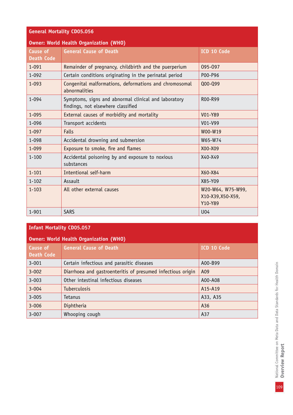| <b>General Mortality CD05.056</b> |                                                                                            |                                                   |  |  |
|-----------------------------------|--------------------------------------------------------------------------------------------|---------------------------------------------------|--|--|
|                                   | <b>Owner: World Health Organization (WHO)</b>                                              |                                                   |  |  |
| Cause of                          | <b>General Cause of Death</b>                                                              | ICD 10 Code                                       |  |  |
| <b>Death Code</b>                 |                                                                                            |                                                   |  |  |
| $1 - 091$                         | Remainder of pregnancy, childbirth and the puerperium                                      | 095-097                                           |  |  |
| $1 - 092$                         | Certain conditions originating in the perinatal period                                     | P00-P96                                           |  |  |
| $1 - 093$                         | Congenital malformations, deformations and chromosomal<br>abnormalities                    | Q00-Q99                                           |  |  |
| $1 - 094$                         | Symptoms, signs and abnormal clinical and laboratory<br>findings, not elsewhere classified | R <sub>00</sub> -R <sub>99</sub>                  |  |  |
| $1 - 095$                         | External causes of morbidity and mortality                                                 | V01-Y89                                           |  |  |
| 1-096                             | Transport accidents                                                                        | V01-V99                                           |  |  |
| $1 - 097$                         | <b>Falls</b>                                                                               | W00-W19                                           |  |  |
| 1-098                             | Accidental drowning and submersion                                                         | W65-W74                                           |  |  |
| $1 - 099$                         | Exposure to smoke, fire and flames                                                         | X00-X09                                           |  |  |
| $1 - 100$                         | Accidental poisoning by and exposure to noxious<br>substances                              | X40-X49                                           |  |  |
| $1 - 101$                         | Intentional self-harm                                                                      | X60-X84                                           |  |  |
| $1 - 102$                         | Assault                                                                                    | X85-Y09                                           |  |  |
| $1 - 103$                         | All other external causes                                                                  | W20-W64, W75-W99,<br>X10-X39, X50-X59,<br>Y10-Y89 |  |  |
| $1 - 901$                         | <b>SARS</b>                                                                                | U04                                               |  |  |

# **Infant Mortality CD05.057**

| Owner: World Health Organization (WHO) |                                                             |             |  |  |  |
|----------------------------------------|-------------------------------------------------------------|-------------|--|--|--|
| Cause of<br>Death Code                 | <b>General Cause of Death</b>                               | ICD 10 Code |  |  |  |
| $3 - 001$                              | Certain infectious and parasitic diseases                   | A00-B99     |  |  |  |
| $3 - 002$                              | Diarrhoea and gastroenteritis of presumed infectious origin | A09         |  |  |  |
| $3 - 003$                              | Other intestinal infectious diseases                        | A00-A08     |  |  |  |
| $3 - 004$                              | <b>Tuberculosis</b>                                         | A15-A19     |  |  |  |
| $3 - 005$                              | Tetanus                                                     | A33, A35    |  |  |  |
| $3 - 006$                              | Diphtheria                                                  | A36         |  |  |  |
| $3 - 007$                              | Whooping cough                                              | A37         |  |  |  |

National Committee on Meta Data and Data Standards for Health Domain<br>**Overview Report** National Committee on Meta Data and Data Standards for Health Domain **Overview Report**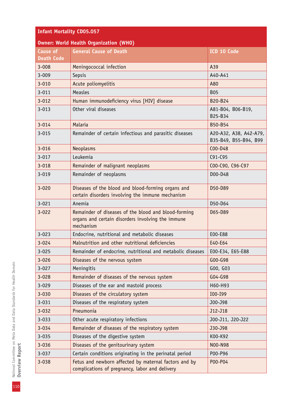## **Infant Mortality CD05.057**

| <b>Owner: World Health Organization (WHO)</b> |                                                                                                                        |                                                 |  |  |
|-----------------------------------------------|------------------------------------------------------------------------------------------------------------------------|-------------------------------------------------|--|--|
| <b>Cause of</b><br><b>Death Code</b>          | <b>General Cause of Death</b>                                                                                          | ICD 10 Code                                     |  |  |
| $3 - 008$                                     | Meningococcal infection                                                                                                | A39                                             |  |  |
| $3 - 009$                                     | Sepsis                                                                                                                 | A40-A41                                         |  |  |
| $3 - 010$                                     | Acute poliomyelitis                                                                                                    | A80                                             |  |  |
| $3 - 011$                                     | Measles                                                                                                                | <b>B05</b>                                      |  |  |
| $3 - 012$                                     | Human immunodeficiency virus [HIV] disease                                                                             | B20-B24                                         |  |  |
| $3 - 013$                                     | Other viral diseases                                                                                                   | A81-B04, B06-B19,<br>B25-B34                    |  |  |
| $3 - 014$                                     | Malaria                                                                                                                | B50-B54                                         |  |  |
| $3 - 015$                                     | Remainder of certain infectious and parasitic diseases                                                                 | A20-A32, A38, A42-A79,<br>B35-B49, B55-B94, B99 |  |  |
| $3 - 016$                                     | Neoplasms                                                                                                              | C00-D48                                         |  |  |
| $3 - 017$                                     | Leukemia                                                                                                               | $C91-C95$                                       |  |  |
| $3 - 018$                                     | Remainder of malignant neoplasms                                                                                       | COO-C90, C96-C97                                |  |  |
| $3 - 019$                                     | Remainder of neoplasms                                                                                                 | D00-D48                                         |  |  |
| $3 - 020$                                     | Diseases of the blood and blood-forming organs and<br>certain disorders involving the immune mechanism                 | D50-D89                                         |  |  |
| $3 - 021$                                     | Anemia                                                                                                                 | D50-D64                                         |  |  |
| $3 - 022$                                     | Remainder of diseases of the blood and blood-forming<br>organs and certain disorders involving the immune<br>mechanism | D65-D89                                         |  |  |
| $3 - 023$                                     | Endocrine, nutritional and metabolic diseases                                                                          | E00-E88                                         |  |  |
| $3 - 024$                                     | Malnutrition and other nutritional deficiencies                                                                        | E40-E64                                         |  |  |
| $3 - 025$                                     | Remainder of endocrine, nutritional and metabolic diseases                                                             | E00-E34, E65-E88                                |  |  |
| $3 - 026$                                     | Diseases of the nervous system                                                                                         | G00-G98                                         |  |  |
| $3 - 027$                                     | Meningitis                                                                                                             | GOO, GO3                                        |  |  |
| $3 - 028$                                     | Remainder of diseases of the nervous system                                                                            | G04-G98                                         |  |  |
| $3 - 029$                                     | Diseases of the ear and mastoid process                                                                                | H60-H93                                         |  |  |
| $3 - 030$                                     | Diseases of the circulatory system                                                                                     | I00-I99                                         |  |  |
| $3 - 031$                                     | Diseases of the respiratory system                                                                                     | J00-J98                                         |  |  |
| $3 - 032$                                     | Pneumonia                                                                                                              | J12-J18                                         |  |  |
| $3 - 033$                                     | Other acute respiratory infections                                                                                     | J00-J11, J20-J22                                |  |  |
| $3 - 034$                                     | Remainder of diseases of the respiratory system                                                                        | J30-J98                                         |  |  |
| $3 - 035$                                     | Diseases of the digestive system                                                                                       | K00-K92                                         |  |  |
| $3 - 036$                                     | Diseases of the genitourinary system                                                                                   | NO0-N98                                         |  |  |
| $3 - 037$                                     | Certain conditions originating in the perinatal period                                                                 | P00-P96                                         |  |  |
| $3 - 038$                                     | Fetus and newborn affected by maternal factors and by<br>complications of pregnancy, labor and delivery                | P00-P04                                         |  |  |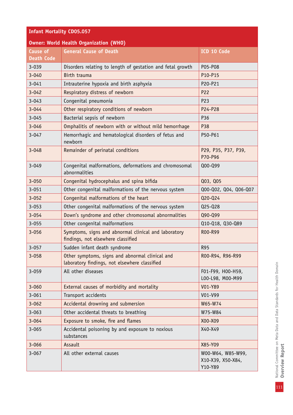| <b>Infant Mortality CD05.057</b>              |                                                                                                  |                                                   |  |  |
|-----------------------------------------------|--------------------------------------------------------------------------------------------------|---------------------------------------------------|--|--|
| <b>Owner: World Health Organization (WHO)</b> |                                                                                                  |                                                   |  |  |
| <b>Cause of</b>                               | <b>General Cause of Death</b>                                                                    | ICD 10 Code                                       |  |  |
| <b>Death Code</b>                             |                                                                                                  |                                                   |  |  |
| 3-039                                         | Disorders relating to length of gestation and fetal growth                                       | P05-P08                                           |  |  |
| $3 - 040$                                     | Birth trauma                                                                                     | P10-P15                                           |  |  |
| $3 - 041$                                     | Intrauterine hypoxia and birth asphyxia                                                          | P20-P21                                           |  |  |
| $3 - 042$                                     | Respiratory distress of newborn                                                                  | P22                                               |  |  |
| $3 - 043$                                     | Congenital pneumonia                                                                             | P23                                               |  |  |
| $3 - 044$                                     | Other respiratory conditions of newborn                                                          | P24-P28                                           |  |  |
| $3 - 045$                                     | Bacterial sepsis of newborn                                                                      | P36                                               |  |  |
| $3 - 046$                                     | Omphalitis of newborn with or without mild hemorrhage                                            | P38                                               |  |  |
| $3 - 047$                                     | Hemorrhagic and hematological disorders of fetus and<br>newborn                                  | P50-P61                                           |  |  |
| $3 - 048$                                     | Remainder of perinatal conditions                                                                | P29, P35, P37, P39,<br>P70-P96                    |  |  |
| $3 - 049$                                     | Congenital malformations, deformations and chromosomal<br>abnormalities                          | Q00-Q99                                           |  |  |
| $3 - 050$                                     | Congenital hydrocephalus and spina bifida                                                        | Q03, Q05                                          |  |  |
| $3 - 051$                                     | Other congenital malformations of the nervous system                                             | Q00-Q02, Q04, Q06-Q07                             |  |  |
| $3 - 052$                                     | Congenital malformations of the heart                                                            | Q20-Q24                                           |  |  |
| $3 - 053$                                     | Other congenital malformations of the nervous system                                             | Q25-Q28                                           |  |  |
| $3 - 054$                                     | Down's syndrome and other chromosomal abnormalities                                              | Q90-Q99                                           |  |  |
| $3 - 055$                                     | Other congenital malformations                                                                   | Q10-Q18, Q30-Q89                                  |  |  |
| $3 - 056$                                     | Symptoms, signs and abnormal clinical and laboratory<br>findings, not elsewhere classified       | R00-R99                                           |  |  |
| $3 - 057$                                     | Sudden infant death syndrome                                                                     | <b>R95</b>                                        |  |  |
| $3 - 058$                                     | Other symptoms, signs and abnormal clinical and<br>laboratory findings, not elsewhere classified | R00-R94, R96-R99                                  |  |  |
| $3 - 059$                                     | All other diseases                                                                               | F01-F99, H00-H59,<br>LOO-L98, MOO-M99             |  |  |
| $3 - 060$                                     | External causes of morbidity and mortality                                                       | V01-Y89                                           |  |  |
| $3 - 061$                                     | Transport accidents                                                                              | V01-V99                                           |  |  |
| $3 - 062$                                     | Accidental drowning and submersion                                                               | W65-W74                                           |  |  |
| $3 - 063$                                     | Other accidental threats to breathing                                                            | W75-W84                                           |  |  |
| $3 - 064$                                     | Exposure to smoke, fire and flames                                                               | X00-X09                                           |  |  |
| $3 - 065$                                     | Accidental poisoning by and exposure to noxious<br>substances                                    | X40-X49                                           |  |  |
| $3 - 066$                                     | Assault                                                                                          | X85-Y09                                           |  |  |
| $3 - 067$                                     | All other external causes                                                                        | W00-W64, W85-W99,<br>X10-X39, X50-X84,<br>Y10-Y89 |  |  |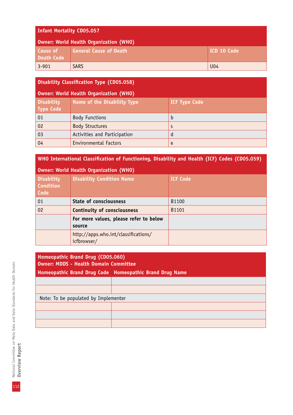#### **Infant Mortality CD05.057**

| Owner: World Health Organization (WHO) |                               |             |  |
|----------------------------------------|-------------------------------|-------------|--|
| <b>Cause of</b><br><b>Death Code</b>   | <b>General Cause of Death</b> | ICD 10 Code |  |
| $3 - 901$                              | <b>SARS</b>                   | U04         |  |

### **Disability Classification Type (CD05.058)**

| Owner: World Health Organization (WHO) |                              |                      |  |  |
|----------------------------------------|------------------------------|----------------------|--|--|
| <b>Disability</b><br><b>Type Code</b>  | Name of the Disability Type  | <b>ICF Type Code</b> |  |  |
| 01                                     | <b>Body Functions</b>        | b                    |  |  |
| 02                                     | <b>Body Structures</b>       | S                    |  |  |
| 03                                     | Activities and Participation | a                    |  |  |
| 04                                     | <b>Environmental Factors</b> | e                    |  |  |

### **WHO International Classification of Functioning, Disability and Health (ICF) Codes (CD05.059)**

| Owner: World Health Organization (WHO)        |                                                     |                 |  |  |
|-----------------------------------------------|-----------------------------------------------------|-----------------|--|--|
| <b>Disability</b><br><b>Condition</b><br>Code | <b>Disability Condition Name</b>                    | <b>ICF Code</b> |  |  |
| 01                                            | <b>State of consciousness</b>                       | B1100           |  |  |
| 02                                            | <b>Continuity of consciousness</b>                  | B1101           |  |  |
|                                               | For more values, please refer to below<br>source    |                 |  |  |
|                                               | http://apps.who.int/classifications/<br>icfbrowser/ |                 |  |  |

| Homeopathic Brand Drug (CD05.060)<br><b>Owner: MDDS - Health Domain Committee</b> |  |  |  |  |
|-----------------------------------------------------------------------------------|--|--|--|--|
| Homeopathic Brand Drug Code Homeopathic Brand Drug Name                           |  |  |  |  |
|                                                                                   |  |  |  |  |
|                                                                                   |  |  |  |  |
| Note: To be populated by Implementer                                              |  |  |  |  |
|                                                                                   |  |  |  |  |
|                                                                                   |  |  |  |  |
|                                                                                   |  |  |  |  |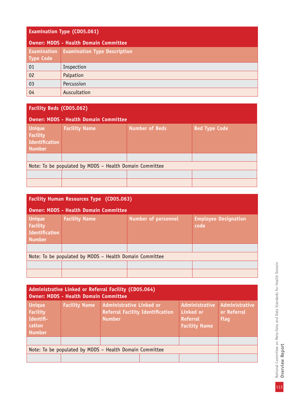## **Examination Type (CD05.061)**

| Owner: MDDS - Health Domain Committee |                                     |  |  |
|---------------------------------------|-------------------------------------|--|--|
| Examination<br><b>Type Code</b>       | <b>Examination Type Description</b> |  |  |
| 01                                    | Inspection                          |  |  |
| 02                                    | Palpation                           |  |  |
| 03                                    | Percussion                          |  |  |
| 04                                    | Auscultation                        |  |  |

| <b>Facility Beds (CD05.062)</b>                                            |                                              |                       |                      |  |  |
|----------------------------------------------------------------------------|----------------------------------------------|-----------------------|----------------------|--|--|
|                                                                            | <b>Owner: MDDS - Health Domain Committee</b> |                       |                      |  |  |
| <b>Unique</b><br><b>Facility</b><br><b>Identification</b><br><b>Number</b> | <b>Facility Name</b>                         | <b>Number of Beds</b> | <b>Bed Type Code</b> |  |  |
|                                                                            |                                              |                       |                      |  |  |
| Note: To be populated by MDDS - Health Domain Committee                    |                                              |                       |                      |  |  |
|                                                                            |                                              |                       |                      |  |  |
|                                                                            |                                              |                       |                      |  |  |

| <b>Facility Human Resources Type (CD05.063)</b>                            |                                                                                           |  |  |  |  |  |
|----------------------------------------------------------------------------|-------------------------------------------------------------------------------------------|--|--|--|--|--|
|                                                                            | <b>Owner: MDDS - Health Domain Committee</b>                                              |  |  |  |  |  |
| <b>Unique</b><br><b>Facility</b><br><b>Identification</b><br><b>Number</b> | <b>Facility Name</b><br><b>Number of personnel</b><br><b>Employee Designation</b><br>code |  |  |  |  |  |
|                                                                            |                                                                                           |  |  |  |  |  |
| Note: To be populated by MDDS - Health Domain Committee                    |                                                                                           |  |  |  |  |  |
|                                                                            |                                                                                           |  |  |  |  |  |
|                                                                            |                                                                                           |  |  |  |  |  |

| Administrative Linked or Referral Facility (CD05.064)<br><b>Owner: MDDS - Health Domain Committee</b> |                      |                                                                                             |  |                                                                               |                                              |
|-------------------------------------------------------------------------------------------------------|----------------------|---------------------------------------------------------------------------------------------|--|-------------------------------------------------------------------------------|----------------------------------------------|
| <b>Unique</b><br><b>Facility</b><br>Identifi-<br>cation<br><b>Number</b>                              | <b>Facility Name</b> | <b>Administrative Linked or</b><br><b>Referral Facility Identification</b><br><b>Number</b> |  | Administrative<br><b>Linked or</b><br><b>Referral</b><br><b>Facility Name</b> | Administrative<br>or Referral<br><b>Flag</b> |
|                                                                                                       |                      |                                                                                             |  |                                                                               |                                              |
| Note: To be populated by MDDS - Health Domain Committee                                               |                      |                                                                                             |  |                                                                               |                                              |
|                                                                                                       |                      |                                                                                             |  |                                                                               |                                              |

National Committee on Meta Data and Data Standards for Health Domain<br>Overview Report National Committee on Meta Data and Data Standards for Health Domain **Overview Report**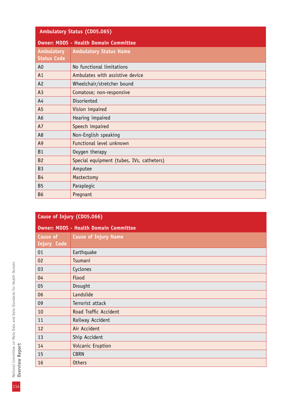| Ambulatory Status (CD05.065)            |                                              |  |
|-----------------------------------------|----------------------------------------------|--|
|                                         | <b>Owner: MDDS - Health Domain Committee</b> |  |
| <b>Ambulatory</b><br><b>Status Code</b> | <b>Ambulatory Status Name</b>                |  |
| A <sub>0</sub>                          | No functional limitations                    |  |
| A <sub>1</sub>                          | Ambulates with assistive device              |  |
| A2                                      | Wheelchair/stretcher bound                   |  |
| A <sub>3</sub>                          | Comatose; non-responsive                     |  |
| A <sub>4</sub>                          | Disoriented                                  |  |
| A <sub>5</sub>                          | Vision impaired                              |  |
| A <sub>6</sub>                          | Hearing impaired                             |  |
| A7                                      | Speech impaired                              |  |
| A <sub>8</sub>                          | Non-English speaking                         |  |
| A <sub>9</sub>                          | Functional level unknown                     |  |
| B1                                      | Oxygen therapy                               |  |
| <b>B2</b>                               | Special equipment (tubes, IVs, catheters)    |  |
| <b>B3</b>                               | Amputee                                      |  |
| <b>B4</b>                               | Mastectomy                                   |  |
| <b>B5</b>                               | Paraplegic                                   |  |
| <b>B6</b>                               | Pregnant                                     |  |

| Cause of Injury (CD05.066) |                                              |
|----------------------------|----------------------------------------------|
|                            | <b>Owner: MDDS - Health Domain Committee</b> |
| Cause of<br>Injury Code    | <b>Cause of Injury Name</b>                  |
| 01                         | Earthquake                                   |
| 02                         | Tsumani                                      |
| 03                         | Cyclones                                     |
| 04                         | Flood                                        |
| 05                         | Drought                                      |
| 06                         | Landslide                                    |
| 09                         | Terrorist attack                             |
| 10                         | Road Traffic Accident                        |
| 11                         | Railway Accident                             |
| 12                         | Air Accident                                 |
| 13                         | Ship Accident                                |
| 14                         | Volcanic Eruption                            |
| 15                         | <b>CBRN</b>                                  |
| 16                         | <b>Others</b>                                |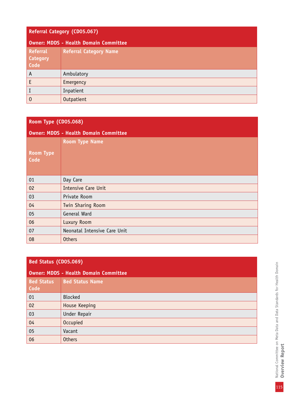### **Referral Category (CD05.067)**

| <b>Owner: MDDS - Health Domain Committee</b> |                               |
|----------------------------------------------|-------------------------------|
| <b>Referral</b><br><b>Category</b><br>Code   | <b>Referral Category Name</b> |
| $\Lambda$                                    | Ambulatory                    |
| E                                            | Emergency                     |
| I                                            | Inpatient                     |
| $\boldsymbol{0}$                             | Outpatient                    |

## **Room Type (CD05.068)**

| <b>Owner: MDDS - Health Domain Committee</b> |                              |
|----------------------------------------------|------------------------------|
| <b>Room Type</b>                             | <b>Room Type Name</b>        |
| Code                                         |                              |
| 01                                           | Day Care                     |
| 02                                           | <b>Intensive Care Unit</b>   |
| 03                                           | Private Room                 |
| 04                                           | Twin Sharing Room            |
| 05                                           | General Ward                 |
| 06                                           | Luxury Room                  |
| 07                                           | Neonatal Intensive Care Unit |
| 08                                           | <b>Others</b>                |

### **Bed Status (CD05.069)**

| <b>Owner: MDDS - Health Domain Committee</b> |                        |
|----------------------------------------------|------------------------|
| <b>Bed Status</b><br>Code                    | <b>Bed Status Name</b> |
| 01                                           | <b>Blocked</b>         |
| 02                                           | House Keeping          |
| 03                                           | Under Repair           |
| 04                                           | <b>Occupied</b>        |
| 05                                           | Vacant                 |
| 06                                           | <b>Others</b>          |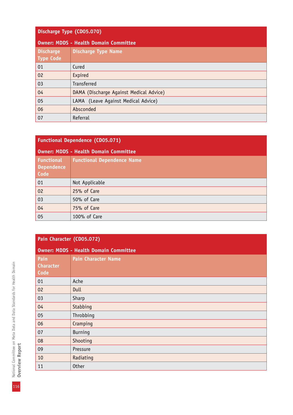## **Discharge Type (CD05.070)**

| <b>Owner: MDDS - Health Domain Committee</b> |                                         |
|----------------------------------------------|-----------------------------------------|
| <b>Discharge</b><br>Type Code                | <b>Discharge Type Name</b>              |
| 01                                           | Cured                                   |
| 02                                           | Expired                                 |
| 03                                           | <b>Transferred</b>                      |
| 04                                           | DAMA (Discharge Against Medical Advice) |
| 05                                           | LAMA (Leave Against Medical Advice)     |
| 06                                           | Absconded                               |
| 07                                           | Referral                                |

| <b>Functional Dependence (CD05.071)</b>      |                                   |
|----------------------------------------------|-----------------------------------|
| <b>Owner: MDDS - Health Domain Committee</b> |                                   |
| Functional<br><b>Dependence</b><br>Code      | <b>Functional Dependence Name</b> |
| 01                                           | Not Applicable                    |
| 02                                           | 25% of Care                       |
| 03                                           | 50% of Care                       |
| 04                                           | 75% of Care                       |
| 05                                           | 100% of Care                      |

# **Pain Character (CD05.072)**

| <b>Owner: MDDS - Health Domain Committee</b> |                            |
|----------------------------------------------|----------------------------|
| Pain<br><b>Character</b><br>Code             | <b>Pain Character Name</b> |
| 01                                           | Ache                       |
| 02                                           | Dull                       |
| 03                                           | Sharp                      |
| 04                                           | Stabbing                   |
| 05                                           | Throbbing                  |
| 06                                           | Cramping                   |
| 07                                           | <b>Burning</b>             |
| 08                                           | Shooting                   |
| 09                                           | Pressure                   |
| 10                                           | Radiating                  |
| 11                                           | <b>Other</b>               |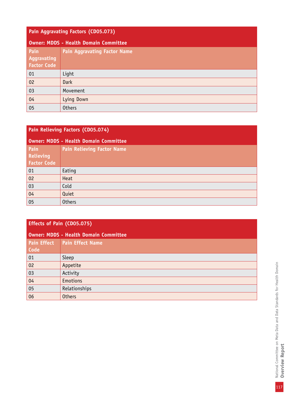| Pain Aggravating Factors (CD05.073)          |                                     |
|----------------------------------------------|-------------------------------------|
| <b>Owner: MDDS - Health Domain Committee</b> |                                     |
| Pain<br>Aggravating<br><b>Factor Code</b>    | <b>Pain Aggravating Factor Name</b> |
| 01                                           | Light                               |
| 02                                           | <b>Dark</b>                         |
| 03                                           | Movement                            |
| 04                                           | Lying Down                          |
| 05                                           | <b>Others</b>                       |

| Pain Relieving Factors (CD05.074)            |                                   |
|----------------------------------------------|-----------------------------------|
| <b>Owner: MDDS - Health Domain Committee</b> |                                   |
| Pain<br>Relieving<br><b>Factor Code</b>      | <b>Pain Relieving Factor Name</b> |
| 01                                           | Eating                            |
| 02                                           | Heat                              |
| 03                                           | Cold                              |
| 04                                           | Quiet                             |
| 05                                           | <b>Others</b>                     |

| <b>Effects of Pain (CD05.075)</b>            |                         |
|----------------------------------------------|-------------------------|
| <b>Owner: MDDS - Health Domain Committee</b> |                         |
| <b>Pain Effect</b><br>Code                   | <b>Pain Effect Name</b> |
| 01                                           | Sleep                   |
| 02                                           | Appetite                |
| 03                                           | Activity                |
| 04                                           | <b>Emotions</b>         |
| 05                                           | Relationships           |
| 06                                           | <b>Others</b>           |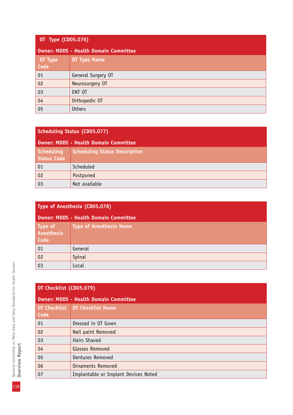| OT Type (CD05.076)                    |                     |
|---------------------------------------|---------------------|
| Owner: MDDS - Health Domain Committee |                     |
| $\vert$ OT Type<br>Code               | <b>OT Type Name</b> |
| 01                                    | General Surgery OT  |
| 02                                    | Neurosurgery OT     |
| 03                                    | ENT OT              |
| 04                                    | Orthopedic OT       |
| 05                                    | <b>Others</b>       |

| <b>Scheduling Status (CD05.077)</b>          |                                      |  |
|----------------------------------------------|--------------------------------------|--|
| <b>Owner: MDDS - Health Domain Committee</b> |                                      |  |
| Scheduling<br><b>Status Code</b>             | <b>Scheduling Status Description</b> |  |
| 01                                           | Scheduled                            |  |
| 02                                           | Postponed                            |  |
| 03                                           | Not available                        |  |

| Type of Anesthesia (CD05.078)                |                                |
|----------------------------------------------|--------------------------------|
| <b>Owner: MDDS - Health Domain Committee</b> |                                |
| Type of<br>Anesthesia<br>Code                | <b>Type of Anesthesia Name</b> |
| 01                                           | General                        |
| 02                                           | Spinal                         |
| 03                                           | Local                          |

|                             | OT Checklist (CD05.079)                      |  |
|-----------------------------|----------------------------------------------|--|
|                             | <b>Owner: MDDS - Health Domain Committee</b> |  |
| <b>OT Checklist</b><br>Code | <b>OT Checklist Name</b>                     |  |
| 01                          | Dressed in OT Gown                           |  |
| 02                          | Nail paint Removed                           |  |
| 03                          | Hairs Shaved                                 |  |
| 04                          | Glasses Removed                              |  |
| 05                          | Dentures Removed                             |  |
| 06                          | <b>Ornaments Removed</b>                     |  |
| 07                          | Implantable or Implant Devices Noted         |  |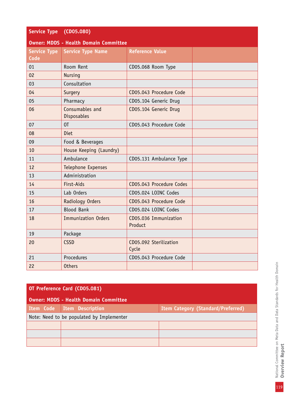| <b>Service Type</b>                          | (CD05.080)                     |                                  |  |
|----------------------------------------------|--------------------------------|----------------------------------|--|
| <b>Owner: MDDS - Health Domain Committee</b> |                                |                                  |  |
| <b>Service Type</b>                          | <b>Service Type Name</b>       | <b>Reference Value</b>           |  |
| <b>Code</b>                                  |                                |                                  |  |
| 01                                           | Room Rent                      | CD05.068 Room Type               |  |
| 02                                           | <b>Nursing</b>                 |                                  |  |
| 03                                           | Consultation                   |                                  |  |
| 04                                           | Surgery                        | CD05.043 Procedure Code          |  |
| 05                                           | Pharmacy                       | CD05.104 Generic Drug            |  |
| 06                                           | Consumables and<br>Disposables | CD05.104 Generic Drug            |  |
| 07                                           | 0T                             | CD05.043 Procedure Code          |  |
| 08                                           | Diet                           |                                  |  |
| 09                                           | Food & Beverages               |                                  |  |
| 10                                           | House Keeping (Laundry)        |                                  |  |
| 11                                           | Ambulance                      | CD05.131 Ambulance Type          |  |
| 12                                           | Telephone Expenses             |                                  |  |
| 13                                           | Administration                 |                                  |  |
| 14                                           | First-Aids                     | CD05.043 Procedure Codes         |  |
| 15                                           | Lab Orders                     | CD05.024 LOINC Codes             |  |
| 16                                           | Radiology Orders               | CD05.043 Procedure Code          |  |
| 17                                           | <b>Blood Bank</b>              | CD05.024 LOINC Codes             |  |
| 18                                           | <b>Immunization Orders</b>     | CD05.036 Immunization<br>Product |  |
| 19                                           | Package                        |                                  |  |
| 20                                           | <b>CSSD</b>                    | CD05.092 Sterilization<br>Cycle  |  |
| 21                                           | Procedures                     | CD05.043 Procedure Code          |  |
| 22                                           | <b>Others</b>                  |                                  |  |

| OT Preference Card (CD05.081)                |                                           |                                           |
|----------------------------------------------|-------------------------------------------|-------------------------------------------|
| <b>Owner: MDDS - Health Domain Committee</b> |                                           |                                           |
| Item Code                                    | Item Description                          | <b>Item Category (Standard/Preferred)</b> |
|                                              | Note: Need to be populated by Implementer |                                           |
|                                              |                                           |                                           |
|                                              |                                           |                                           |
|                                              |                                           |                                           |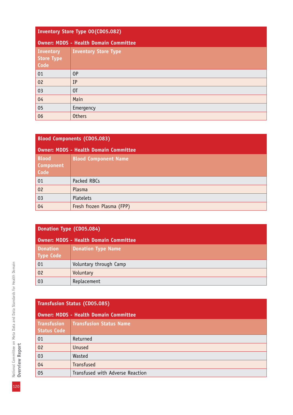|                                        | Inventory Store Type 00(CD05.082)     |  |  |
|----------------------------------------|---------------------------------------|--|--|
|                                        | Owner: MDDS - Health Domain Committee |  |  |
| Inventory<br><b>Store Type</b><br>Code | <b>Inventory Store Type</b>           |  |  |
| 01                                     | 0P                                    |  |  |
| 02                                     | IP                                    |  |  |
| 03                                     | 0T                                    |  |  |
| 04                                     | Main                                  |  |  |
| 05                                     | Emergency                             |  |  |
| 06                                     | <b>Others</b>                         |  |  |

| <b>Blood Components (CD05.083)</b>       |                                       |  |
|------------------------------------------|---------------------------------------|--|
|                                          | Owner: MDDS - Health Domain Committee |  |
| <b>Blood</b><br><b>Component</b><br>Code | <b>Blood Component Name</b>           |  |
| 01                                       | Packed RBCs                           |  |
| 02                                       | Plasma                                |  |
| 03                                       | Platelets                             |  |
| 04                                       | Fresh frozen Plasma (FPP)             |  |

|  | Donation Type (CD05.084) |  |
|--|--------------------------|--|
|  |                          |  |

| Owner: MDDS - Health Domain Committee |                           |
|---------------------------------------|---------------------------|
| <b>Donation</b><br><b>Type Code</b>   | <b>Donation Type Name</b> |
| 01                                    | Voluntary through Camp    |
| 02                                    | Voluntary                 |
| 03                                    | Replacement               |

| <b>Transfusion Status (CD05.085)</b>     |                                              |  |
|------------------------------------------|----------------------------------------------|--|
|                                          | <b>Owner: MDDS - Health Domain Committee</b> |  |
| <b>Transfusion</b><br><b>Status Code</b> | <b>Transfusion Status Name</b>               |  |
| 01                                       | Returned                                     |  |
| 02                                       | <b>Unused</b>                                |  |
| 03                                       | Wasted                                       |  |
| 04                                       | <b>Transfused</b>                            |  |
| 05                                       | Transfused with Adverse Reaction             |  |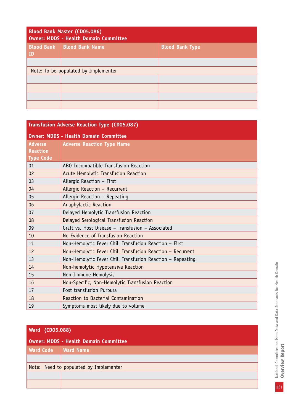| <b>Blood Bank Master (CD05.086)</b><br>Owner: MDDS - Health Domain Committee |                        |                        |
|------------------------------------------------------------------------------|------------------------|------------------------|
| <b>Blood Bank</b><br>$\overline{1}$                                          | <b>Blood Bank Name</b> | <b>Blood Bank Type</b> |
|                                                                              |                        |                        |
| Note: To be populated by Implementer                                         |                        |                        |
|                                                                              |                        |                        |
|                                                                              |                        |                        |
|                                                                              |                        |                        |
|                                                                              |                        |                        |

| <b>Transfusion Adverse Reaction Type (CD05.087)</b> |                                                            |  |
|-----------------------------------------------------|------------------------------------------------------------|--|
| <b>Owner: MDDS - Health Domain Committee</b>        |                                                            |  |
| <b>Adverse</b>                                      | <b>Adverse Reaction Type Name</b>                          |  |
| <b>Reaction</b>                                     |                                                            |  |
| <b>Type Code</b>                                    |                                                            |  |
| 01                                                  | ABO Incompatible Transfusion Reaction                      |  |
| 02                                                  | Acute Hemolytic Transfusion Reaction                       |  |
| 03                                                  | Allergic Reaction - First                                  |  |
| 04                                                  | Allergic Reaction - Recurrent                              |  |
| 05                                                  | Allergic Reaction - Repeating                              |  |
| 06                                                  | Anaphylactic Reaction                                      |  |
| 07                                                  | Delayed Hemolytic Transfusion Reaction                     |  |
| 08                                                  | Delayed Serological Transfusion Reaction                   |  |
| 09                                                  | Graft vs. Host Disease - Transfusion - Associated          |  |
| 10                                                  | No Evidence of Transfusion Reaction                        |  |
| 11                                                  | Non-Hemolytic Fever Chill Transfusion Reaction - First     |  |
| 12                                                  | Non-Hemolytic Fever Chill Transfusion Reaction - Recurrent |  |
| 13                                                  | Non-Hemolytic Fever Chill Transfusion Reaction - Repeating |  |
| 14                                                  | Non-hemolytic Hypotensive Reaction                         |  |
| 15                                                  | Non-Immune Hemolysis                                       |  |
| 16                                                  | Non-Specific, Non-Hemolytic Transfusion Reaction           |  |
| 17                                                  | Post transfusion Purpura                                   |  |
| 18                                                  | Reaction to Bacterial Contamination                        |  |
| 19                                                  | Symptoms most likely due to volume                         |  |

| <b>Ward (CD05.088)</b>                 |                  |  |
|----------------------------------------|------------------|--|
| Owner: MDDS - Health Domain Committee  |                  |  |
| <b>Ward Code</b>                       | <b>Ward Name</b> |  |
|                                        |                  |  |
| Note: Need to populated by Implementer |                  |  |
|                                        |                  |  |
|                                        |                  |  |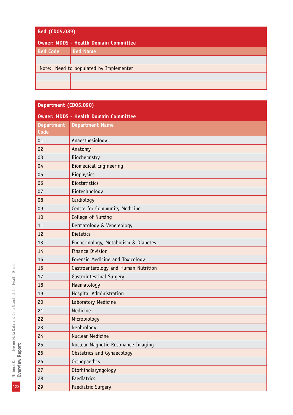| <b>Bed (CD05.089)</b>                  |                 |
|----------------------------------------|-----------------|
| Owner: MDDS - Health Domain Committee  |                 |
| <b>Bed Code</b>                        | <b>Bed Name</b> |
|                                        |                 |
| Note: Need to populated by Implementer |                 |
|                                        |                 |
|                                        |                 |

### **Department (CD05.090)**

| <b>Owner: MDDS - Health Domain Committee</b> |                                      |  |
|----------------------------------------------|--------------------------------------|--|
| <b>Department</b>                            | <b>Department Name</b>               |  |
| <b>Code</b>                                  |                                      |  |
| 01                                           | Anaesthesiology                      |  |
| 02                                           | Anatomy                              |  |
| 03                                           | Biochemistry                         |  |
| 04                                           | <b>Biomedical Engineering</b>        |  |
| 05                                           | <b>Biophysics</b>                    |  |
| 06                                           | <b>Biostatistics</b>                 |  |
| 07                                           | Biotechnology                        |  |
| 08                                           | Cardiology                           |  |
| 09                                           | Centre for Community Medicine        |  |
| 10                                           | College of Nursing                   |  |
| 11                                           | Dermatology & Venereology            |  |
| 12                                           | <b>Dietetics</b>                     |  |
| 13                                           | Endocrinology, Metabolism & Diabetes |  |
| 14                                           | <b>Finance Division</b>              |  |
| 15                                           | Forensic Medicine and Toxicology     |  |
| 16                                           | Gastroenterology and Human Nutrition |  |
| 17                                           | Gastrointestinal Surgery             |  |
| 18                                           | Haematology                          |  |
| 19                                           | Hospital Administration              |  |
| 20                                           | Laboratory Medicine                  |  |
| 21                                           | Medicine                             |  |
| 22                                           | Microbiology                         |  |
| 23                                           | Nephrology                           |  |
| 24                                           | <b>Nuclear Medicine</b>              |  |
| 25                                           | Nuclear Magnetic Resonance Imaging   |  |
| 26                                           | Obstetrics and Gynaecology           |  |
| 26                                           | Orthopaedics                         |  |
| 27                                           | Otorhinolaryngology                  |  |
| 28                                           | Paediatrics                          |  |
| 29                                           | Paediatric Surgery                   |  |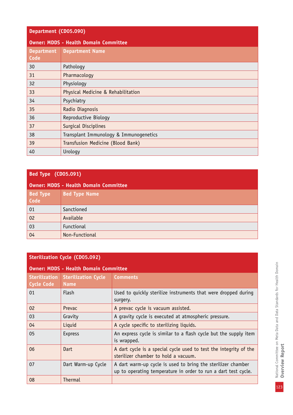| Department (CD05.090)                        |                                        |  |
|----------------------------------------------|----------------------------------------|--|
| <b>Owner: MDDS - Health Domain Committee</b> |                                        |  |
| <b>Department</b><br>Code                    | <b>Department Name</b>                 |  |
| 30                                           | Pathology                              |  |
| 31                                           | Pharmacology                           |  |
| 32                                           | Physiology                             |  |
| 33                                           | Physical Medicine & Rehabilitation     |  |
| 34                                           | Psychiatry                             |  |
| 35                                           | Radio Diagnosis                        |  |
| 36                                           | Reproductive Biology                   |  |
| 37                                           | Surgical Disciplines                   |  |
| 38                                           | Transplant Immunology & Immunogenetics |  |
| 39                                           | Transfusion Medicine (Blood Bank)      |  |
| 40                                           | Urology                                |  |

## **Bed Type (CD05.091)**

### **Owner: MDDS - Health Domain Committee**

| <b>Bed Type</b><br>Code | <b>Bed Type Name</b> |
|-------------------------|----------------------|
| 01                      | Sanctioned           |
| 02                      | Available            |
| 03                      | Functional           |
| 04                      | Non-Functional       |

## **Sterilization Cycle (CD05.092)**

| <b>Owner: MDDS - Health Domain Committee</b> |                                           |                                                                                                                                |
|----------------------------------------------|-------------------------------------------|--------------------------------------------------------------------------------------------------------------------------------|
| <b>Sterilization</b><br><b>Cycle Code</b>    | <b>Sterilization Cycle</b><br><b>Name</b> | <b>Comments</b>                                                                                                                |
| 01                                           | <b>Flash</b>                              | Used to quickly sterilize instruments that were dropped during<br>surgery.                                                     |
| 02                                           | <b>Prevac</b>                             | A prevac cycle is vacuum assisted.                                                                                             |
| 03                                           | Gravity                                   | A gravity cycle is executed at atmospheric pressure.                                                                           |
| 04                                           | Liquid                                    | A cycle specific to sterilizing liquids.                                                                                       |
| 05                                           | <b>Express</b>                            | An express cycle is similar to a flash cycle but the supply item<br>is wrapped.                                                |
| 06                                           | Dart                                      | A dart cycle is a special cycle used to test the integrity of the<br>sterilizer chamber to hold a vacuum.                      |
| 07                                           | Dart Warm-up Cycle                        | A dart warm-up cycle is used to bring the sterilizer chamber<br>up to operating temperature in order to run a dart test cycle. |
| 08                                           | Thermal                                   |                                                                                                                                |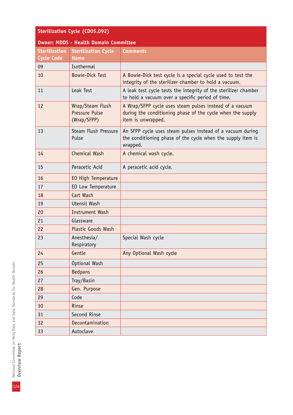| <b>Sterilization Cycle (CD05.092)</b>        |                                                   |                                                                                                                                             |  |
|----------------------------------------------|---------------------------------------------------|---------------------------------------------------------------------------------------------------------------------------------------------|--|
| <b>Owner: MDDS - Health Domain Committee</b> |                                                   |                                                                                                                                             |  |
| <b>Sterilization</b><br><b>Cycle Code</b>    | <b>Sterilization Cycle</b><br><b>Name</b>         | <b>Comments</b>                                                                                                                             |  |
| 09                                           | Isothermal                                        |                                                                                                                                             |  |
| 10                                           | <b>Bowie-Dick Test</b>                            | A Bowie-Dick test cycle is a special cycle used to test the<br>integrity of the sterilizer chamber to hold a vacuum.                        |  |
| 11                                           | Leak Test                                         | A leak test cycle tests the integrity of the sterilizer chamber<br>to hold a vacuum over a specific period of time.                         |  |
| 12                                           | Wrap/Steam Flush<br>Pressure Pulse<br>(Wrap/SFPP) | A Wrap/SFPP cycle uses steam pulses instead of a vacuum<br>during the conditioning phase of the cycle when the supply<br>item is unwrapped. |  |
| 13                                           | Steam Flush Pressure<br>Pulse                     | An SFPP cycle uses steam pulses instead of a vacuum during<br>the conditioning phase of the cycle when the supply item is<br>wrapped.       |  |
| 14                                           | Chemical Wash                                     | A chemical wash cycle.                                                                                                                      |  |
| 15                                           | Peracetic Acid                                    | A peracetic acid cycle.                                                                                                                     |  |
| 16                                           | EO High Temperature                               |                                                                                                                                             |  |
| 17                                           | EO Low Temperature                                |                                                                                                                                             |  |
| 18                                           | Cart Wash                                         |                                                                                                                                             |  |
| 19                                           | Utensil Wash                                      |                                                                                                                                             |  |
| 20                                           | <b>Instrument Wash</b>                            |                                                                                                                                             |  |
| 21                                           | Glassware                                         |                                                                                                                                             |  |
| 22                                           | <b>Plastic Goods Wash</b>                         |                                                                                                                                             |  |
| 23                                           | Anesthesia/<br>Respiratory                        | Special Wash cycle                                                                                                                          |  |
| 24                                           | Gentle                                            | Any Optional Wash cycle                                                                                                                     |  |
| 25                                           | Optional Wash                                     |                                                                                                                                             |  |
| 26                                           | <b>Bedpans</b>                                    |                                                                                                                                             |  |
| 27                                           | Tray/Basin                                        |                                                                                                                                             |  |
| 28                                           | Gen. Purpose                                      |                                                                                                                                             |  |
| 29                                           | Code                                              |                                                                                                                                             |  |
| 30                                           | Rinse                                             |                                                                                                                                             |  |
| 31                                           | Second Rinse                                      |                                                                                                                                             |  |
| 32                                           | Decontamination                                   |                                                                                                                                             |  |
| 33                                           | Autoclave                                         |                                                                                                                                             |  |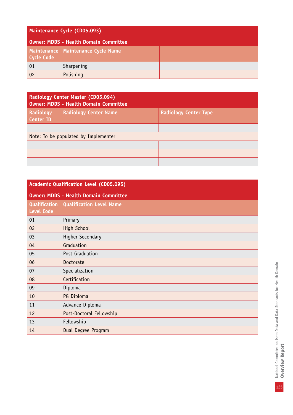| Maintenance Cycle (CD05.093)          |                                      |  |
|---------------------------------------|--------------------------------------|--|
| Owner: MDDS - Health Domain Committee |                                      |  |
| Cycle Code                            | Maintenance   Maintenance Cycle Name |  |
| 01                                    | Sharpening                           |  |
| 02                                    | Polishing                            |  |

| Radiology Center Master (CD05.094)<br><b>Owner: MDDS - Health Domain Committee</b> |                              |                              |
|------------------------------------------------------------------------------------|------------------------------|------------------------------|
| Radiology<br>Center ID                                                             | <b>Radiology Center Name</b> | <b>Radiology Center Type</b> |
|                                                                                    |                              |                              |
| Note: To be populated by Implementer                                               |                              |                              |
|                                                                                    |                              |                              |
|                                                                                    |                              |                              |
|                                                                                    |                              |                              |

| <b>Academic Qualification Level (CD05.095)</b> |                                 |  |
|------------------------------------------------|---------------------------------|--|
| <b>Owner: MDDS - Health Domain Committee</b>   |                                 |  |
| <b>Qualification</b><br><b>Level Code</b>      | <b>Qualification Level Name</b> |  |
| 01                                             | Primary                         |  |
| 02                                             | <b>High School</b>              |  |
| 03                                             | <b>Higher Secondary</b>         |  |
| 04                                             | Graduation                      |  |
| 05                                             | Post-Graduation                 |  |
| 06                                             | Doctorate                       |  |
| 07                                             | Specialization                  |  |
| 08                                             | Certification                   |  |
| 09                                             | Diploma                         |  |
| 10                                             | PG Diploma                      |  |
| 11                                             | Advance Diploma                 |  |
| 12                                             | Post-Doctoral Fellowship        |  |
| 13                                             | Fellowship                      |  |
| 14                                             | Dual Degree Program             |  |

National Committee on Meta Data and Data Standards for Health Domain<br>Overview Report National Committee on Meta Data and Data Standards for Health Domain **Overview Report**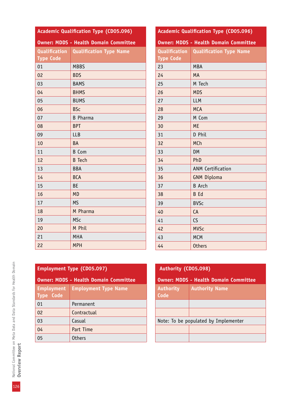| <b>Academic Qualification Type (CD05.096)</b> |                                |  |
|-----------------------------------------------|--------------------------------|--|
| <b>Owner: MDDS - Health Domain Committee</b>  |                                |  |
| Qualification                                 | <b>Qualification Type Name</b> |  |
| <b>Type Code</b>                              |                                |  |
| 01                                            | <b>MBBS</b>                    |  |
| 02                                            | <b>BDS</b>                     |  |
| 03                                            | <b>BAMS</b>                    |  |
| 04                                            | <b>BHMS</b>                    |  |
| 05                                            | <b>BUMS</b>                    |  |
| 06                                            | <b>BSc</b>                     |  |
| 07                                            | <b>B</b> Pharma                |  |
| 08                                            | <b>BPT</b>                     |  |
| 09                                            | <b>LLB</b>                     |  |
| 10                                            | <b>BA</b>                      |  |
| 11                                            | <b>B</b> Com                   |  |
| 12                                            | <b>B</b> Tech                  |  |
| 13                                            | <b>BBA</b>                     |  |
| 14                                            | <b>BCA</b>                     |  |
| 15                                            | <b>BE</b>                      |  |
| 16                                            | <b>MD</b>                      |  |
| 17                                            | <b>MS</b>                      |  |
| 18                                            | M Pharma                       |  |
| 19                                            | <b>MSc</b>                     |  |
| 20                                            | M Phil                         |  |
| 21                                            | <b>MHA</b>                     |  |
| 22                                            | <b>MPH</b>                     |  |

| <b>Academic Qualification Type (CD05.096)</b> |                                |  |
|-----------------------------------------------|--------------------------------|--|
| <b>Owner: MDDS - Health Domain Committee</b>  |                                |  |
| <b>Qualification</b>                          | <b>Qualification Type Name</b> |  |
| <b>Type Code</b>                              |                                |  |
| 23                                            | <b>MBA</b>                     |  |
| 24                                            | <b>MA</b>                      |  |
| 25                                            | M Tech                         |  |
| 26                                            | <b>MDS</b>                     |  |
| 27                                            | <b>LLM</b>                     |  |
| 28                                            | <b>MCA</b>                     |  |
| 29                                            | M Com                          |  |
| 30                                            | <b>ME</b>                      |  |
| 31                                            | D Phil                         |  |
| 32                                            | MCh                            |  |
| 33                                            | <b>DM</b>                      |  |
| 34                                            | PhD                            |  |
| 35                                            | <b>ANM Certification</b>       |  |
| 36                                            | <b>GNM Diploma</b>             |  |
| 37                                            | <b>B</b> Arch                  |  |
| 38                                            | <b>B</b> Ed                    |  |
| 39                                            | <b>BVSc</b>                    |  |
| 40                                            | CA                             |  |
| 41                                            | CS                             |  |
| 42                                            | <b>MVSc</b>                    |  |
| 43                                            | <b>MCM</b>                     |  |
| 44                                            | <b>Others</b>                  |  |

# **Employment Type (CD05.097)**

| <b>Owner: MDDS - Health Domain Committee</b> |                             |  |  |
|----------------------------------------------|-----------------------------|--|--|
| <b>Employment</b><br><b>Type Code</b>        | <b>Employment Type Name</b> |  |  |
| 01                                           | Permanent                   |  |  |
| 02                                           | Contractual                 |  |  |
| 03                                           | Casual                      |  |  |
| 04                                           | Part Time                   |  |  |
| 05                                           | <b>Others</b>               |  |  |

| Authority (CD05.098)                         |                       |  |
|----------------------------------------------|-----------------------|--|
| <b>Owner: MDDS - Health Domain Committee</b> |                       |  |
| <b>Authority</b><br>Code                     | <b>Authority Name</b> |  |
|                                              |                       |  |
|                                              |                       |  |
| Note: To be populated by Implementer         |                       |  |
|                                              |                       |  |
|                                              |                       |  |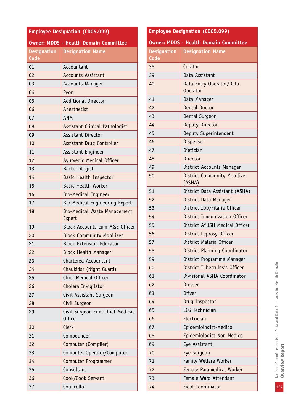| <b>Employee Designation (CD05.099)</b>       |                                                   |  |  |
|----------------------------------------------|---------------------------------------------------|--|--|
| <b>Owner: MDDS - Health Domain Committee</b> |                                                   |  |  |
| <b>Designation</b><br>Code                   | <b>Designation Name</b>                           |  |  |
| 01                                           | Accountant                                        |  |  |
| 02                                           | <b>Accounts Assistant</b>                         |  |  |
| 03                                           | <b>Accounts Manager</b>                           |  |  |
| 04                                           | Peon                                              |  |  |
| 05                                           | <b>Additional Director</b>                        |  |  |
| 06                                           | Anesthetist                                       |  |  |
| 07                                           | <b>ANM</b>                                        |  |  |
| 08                                           | <b>Assistant Clinical Pathologist</b>             |  |  |
| 09                                           | Assistant Director                                |  |  |
| 10                                           | Assistant Drug Controller                         |  |  |
| 11                                           | Assistant Engineer                                |  |  |
| 12                                           | <b>Ayurvedic Medical Officer</b>                  |  |  |
| 13                                           | Bacteriologist                                    |  |  |
| 14                                           | <b>Basic Health Inspector</b>                     |  |  |
| 15                                           | <b>Basic Health Worker</b>                        |  |  |
| 16                                           | <b>Bio-Medical Engineer</b>                       |  |  |
| 17                                           | Bio-Medical Engineering Expert                    |  |  |
| 18                                           | <b>Bio-Medical Waste Management</b><br>Expert     |  |  |
| 19                                           | Block Accounts-cum-M&E Officer                    |  |  |
| 20                                           | <b>Block Community Mobilizer</b>                  |  |  |
| 21                                           | <b>Block Extension Educator</b>                   |  |  |
| 22                                           | <b>Block Health Manager</b>                       |  |  |
| 23                                           | <b>Chartered Accountant</b>                       |  |  |
| 24                                           | Chaukidar (Night Guard)                           |  |  |
| 25                                           | Chief Medical Officer                             |  |  |
| 26                                           | Cholera Invigilator                               |  |  |
| 27                                           | Civil Assistant Surgeon                           |  |  |
| 28                                           | Civil Surgeon                                     |  |  |
| 29                                           | Civil Surgeon-cum-Chief Medical<br><b>Officer</b> |  |  |
| 30                                           | <b>Clerk</b>                                      |  |  |
| 31                                           | Compounder                                        |  |  |
| 32                                           | Computer (Compiler)                               |  |  |
| 33                                           | Computer Operator/Computer                        |  |  |
| 34                                           | <b>Computer Programmer</b>                        |  |  |
| 35                                           | Consultant                                        |  |  |
| 36                                           | Cook/Cook Servant                                 |  |  |
| 37                                           | Councellor                                        |  |  |

| <b>Employee Designation (CD05.099)</b> |                                              |  |  |
|----------------------------------------|----------------------------------------------|--|--|
|                                        | <b>Owner: MDDS - Health Domain Committee</b> |  |  |
| <b>Designation</b>                     | <b>Designation Name</b>                      |  |  |
| Code                                   |                                              |  |  |
| 38                                     | Curator                                      |  |  |
| 39                                     | Data Assistant                               |  |  |
| 40                                     | Data Entry Operator/Data<br><b>Operator</b>  |  |  |
| 41                                     | Data Manager                                 |  |  |
| 42                                     | Dental Doctor                                |  |  |
| 43                                     | Dental Surgeon                               |  |  |
| 44                                     | Deputy Director                              |  |  |
| 45                                     | Deputy Superintendent                        |  |  |
| 46                                     | Dispenser                                    |  |  |
| 47                                     | Dietician                                    |  |  |
| 48                                     | Director                                     |  |  |
| 49                                     | District Accounts Manager                    |  |  |
| 50                                     | District Community Mobilizer<br>(ASHA)       |  |  |
| 51                                     | District Data Assistant (ASHA)               |  |  |
| 52                                     | District Data Manager                        |  |  |
| 53                                     | District IDD/Filaria Officer                 |  |  |
| 54                                     | District Immunization Officer                |  |  |
| 55                                     | District AYUSH Medical Officer               |  |  |
| 56                                     | District Leprosy Officer                     |  |  |
| 57                                     | District Malaria Officer                     |  |  |
| 58                                     | District Planning Coordinator                |  |  |
| 59                                     | District Programme Manager                   |  |  |
| 60                                     | District Tuberculosis Officer                |  |  |
| 61                                     | Divisional ASHA Coordinator                  |  |  |
| 62                                     | <b>Dresser</b>                               |  |  |
| 63                                     | <b>Driver</b>                                |  |  |
| 64                                     | Drug Inspector                               |  |  |
| 65                                     | <b>ECG Technician</b>                        |  |  |
| 66                                     | Electrician                                  |  |  |
| 67                                     | Epidemiologist-Medico                        |  |  |
| 68                                     | Epidemiologist-Non Medico                    |  |  |
| 69                                     | Eye Assistant                                |  |  |
| 70                                     | Eye Surgeon                                  |  |  |
| 71                                     | Family Welfare Worker                        |  |  |
| 72                                     | <b>Female Paramedical Worker</b>             |  |  |
| 73                                     | Female Ward Attendant                        |  |  |
| 74                                     | <b>Field Coordinator</b>                     |  |  |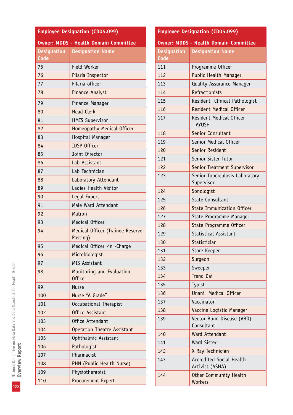| <b>Employee Designation (CD05.099)</b>       |                                              |  |  |  |
|----------------------------------------------|----------------------------------------------|--|--|--|
| <b>Owner: MDDS - Health Domain Committee</b> |                                              |  |  |  |
| <b>Designation</b>                           | <b>Designation Name</b>                      |  |  |  |
| Code                                         |                                              |  |  |  |
| 75                                           | Field Worker                                 |  |  |  |
| 76                                           | Filaria Inspector                            |  |  |  |
| 77                                           | Filaria officer                              |  |  |  |
| 78                                           | <b>Finance Analyst</b>                       |  |  |  |
| 79                                           | Finance Manager                              |  |  |  |
| 80                                           | <b>Head Clerk</b>                            |  |  |  |
| 81                                           | <b>HMIS Supervisor</b>                       |  |  |  |
| 82                                           | Homeopathy Medical Officer                   |  |  |  |
| 83                                           | Hospital Manager                             |  |  |  |
| 84                                           | <b>IDSP Officer</b>                          |  |  |  |
| 85                                           | Joint Director                               |  |  |  |
| 86                                           | Lab Assistant                                |  |  |  |
| 87                                           | Lab Technician                               |  |  |  |
| 88                                           | Laboratory Attendant                         |  |  |  |
| 89                                           | Ladies Health Visitor                        |  |  |  |
| 90                                           | Legal Expert                                 |  |  |  |
| 91                                           | Male Ward Attendant                          |  |  |  |
| 92                                           | Matron                                       |  |  |  |
| 93                                           | <b>Medical Officer</b>                       |  |  |  |
| 94                                           | Medical Officer (Trainee Reserve<br>Posting) |  |  |  |
| 95                                           | Medical Officer -in -Charge                  |  |  |  |
| 96                                           | Microbiologist                               |  |  |  |
| 97                                           | MIS Assistant                                |  |  |  |
| 98                                           | Monitoring and Evaluation<br><b>Officer</b>  |  |  |  |
| 99                                           | <b>Nurse</b>                                 |  |  |  |
| 100                                          | Nurse "A Grade"                              |  |  |  |
| 101                                          | Occupational Therapist                       |  |  |  |
| 102                                          | Office Assistant                             |  |  |  |
| 103                                          | Office Attendant                             |  |  |  |
| 104                                          | <b>Operation Theatre Assistant</b>           |  |  |  |
| 105                                          | Ophthalmic Assistant                         |  |  |  |
| 106                                          | Pathologist                                  |  |  |  |
| 107                                          | Pharmacist                                   |  |  |  |
| 108                                          | PHN (Public Health Nurse)                    |  |  |  |
| 109                                          | Physiotherapist                              |  |  |  |
| 110                                          | Procurement Expert                           |  |  |  |

| <b>Employee Designation (CD05.099)</b>       |                                                    |  |  |  |
|----------------------------------------------|----------------------------------------------------|--|--|--|
| <b>Owner: MDDS - Health Domain Committee</b> |                                                    |  |  |  |
| <b>Designation</b>                           | <b>Designation Name</b>                            |  |  |  |
| Code                                         |                                                    |  |  |  |
| 111                                          | Programme Officer                                  |  |  |  |
| 112                                          | <b>Public Health Manager</b>                       |  |  |  |
| 113                                          | <b>Quality Assurance Manager</b>                   |  |  |  |
| 114                                          | Refractionists                                     |  |  |  |
| 115                                          | Resident Clinical Pathologist                      |  |  |  |
| 116                                          | <b>Resident Medical Officer</b>                    |  |  |  |
| 117                                          | Resident Medical Officer<br>- AYUSH                |  |  |  |
| 118                                          | Senior Consultant                                  |  |  |  |
| 119                                          | Senior Medical Officer                             |  |  |  |
| 120                                          | Senior Resident                                    |  |  |  |
| 121                                          | Senior Sister Tutor                                |  |  |  |
| 122                                          | Senior Treatment Supervisor                        |  |  |  |
| 123                                          | Senior Tuberculosis Laboratory<br>Supervisor       |  |  |  |
| 124                                          | Sonologist                                         |  |  |  |
| 125                                          | <b>State Consultant</b>                            |  |  |  |
| 126                                          | <b>State Immunization Officer</b>                  |  |  |  |
| 127                                          | State Programme Manager                            |  |  |  |
| 128                                          | <b>State Programme Officer</b>                     |  |  |  |
| 129                                          | <b>Statistical Assistant</b>                       |  |  |  |
| 130                                          | Statistician                                       |  |  |  |
| 131                                          | Store Keeper                                       |  |  |  |
| 132                                          | Surgeon                                            |  |  |  |
| 133                                          | Sweeper                                            |  |  |  |
| 134                                          | <b>Trend Dai</b>                                   |  |  |  |
| 135                                          | Typist                                             |  |  |  |
| 136                                          | Unani Medical Officer                              |  |  |  |
| 137                                          | Vaccinator                                         |  |  |  |
| 138                                          | Vaccine Logistic Manager                           |  |  |  |
| 139                                          | Vector Bond Disease (VBD)<br>Consultant            |  |  |  |
| 140                                          | <b>Ward Attendant</b>                              |  |  |  |
| 141                                          | <b>Ward Sister</b>                                 |  |  |  |
| 142                                          | X Ray Technician                                   |  |  |  |
| 143                                          | <b>Accredited Social Health</b><br>Activist (ASHA) |  |  |  |
| 144                                          | <b>Other Community Health</b><br><b>Workers</b>    |  |  |  |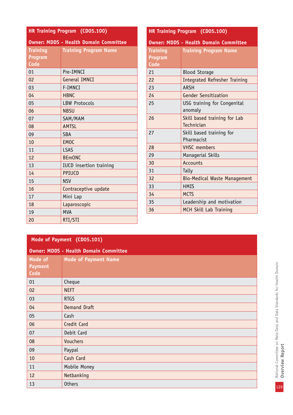| <b>HR Training Program (CD05.100)</b>        |                                |  |  |
|----------------------------------------------|--------------------------------|--|--|
| <b>Owner: MDDS - Health Domain Committee</b> |                                |  |  |
| <b>Training</b>                              | <b>Training Program Name</b>   |  |  |
| <b>Program</b>                               |                                |  |  |
| Code                                         |                                |  |  |
| 01                                           | Pre-IMNCI                      |  |  |
| 02                                           | <b>General IMNCI</b>           |  |  |
| 03                                           | F-IMNCI                        |  |  |
| 04                                           | <b>HBNC</b>                    |  |  |
| 05                                           | <b>LBW Protocols</b>           |  |  |
| 06                                           | <b>NBSU</b>                    |  |  |
| 07                                           | SAM/MAM                        |  |  |
| 08                                           | <b>AMTSL</b>                   |  |  |
| 09                                           | <b>SBA</b>                     |  |  |
| 10                                           | <b>EMOC</b>                    |  |  |
| 11                                           | <b>LSAS</b>                    |  |  |
| 12                                           | <b>BEmONC</b>                  |  |  |
| 13                                           | <b>IUCD</b> insertion training |  |  |
| 14                                           | PPIUCD                         |  |  |
| 15                                           | <b>NSV</b>                     |  |  |
| 16                                           | Contraceptive update           |  |  |
| 17                                           | Mini Lap                       |  |  |
| 18                                           | Laparoscopic                   |  |  |
| 19                                           | <b>MVA</b>                     |  |  |
| 20                                           | RTI/STI                        |  |  |

| <b>HR Training Program (CD05.100)</b>        |                                      |  |  |
|----------------------------------------------|--------------------------------------|--|--|
| <b>Owner: MDDS - Health Domain Committee</b> |                                      |  |  |
| <b>Training</b>                              | <b>Training Program Name</b>         |  |  |
| Program                                      |                                      |  |  |
| Code                                         |                                      |  |  |
| 21                                           | <b>Blood Storage</b>                 |  |  |
| 22                                           | <b>Integrated Refresher Training</b> |  |  |
| 23                                           | <b>ARSH</b>                          |  |  |
| 24                                           | <b>Gender Sensitization</b>          |  |  |
| 25                                           | USG training for Congenital          |  |  |
|                                              | anomaly                              |  |  |
| 26                                           | Skill based training for Lab         |  |  |
|                                              | Technician                           |  |  |
| 27                                           | Skill based training for             |  |  |
|                                              | Pharmacist                           |  |  |
| 28                                           | <b>VHSC</b> members                  |  |  |
| 29                                           | Managerial Skills                    |  |  |
| 30                                           | <b>Accounts</b>                      |  |  |
| 31                                           | Tally                                |  |  |
| 32                                           | <b>Bio-Medical Waste Management</b>  |  |  |
| 33                                           | <b>HMIS</b>                          |  |  |
| 34                                           | <b>MCTS</b>                          |  |  |
| 35                                           | Leadership and motivation            |  |  |
| 36                                           | MCH Skill Lab Training               |  |  |

## **Mode of Payment (CD05.101)**

| <b>Owner: MDDS - Health Domain Committee</b> |  |  |  |
|----------------------------------------------|--|--|--|
| <b>Mode of Payment Name</b>                  |  |  |  |
| Cheque                                       |  |  |  |
| <b>NEFT</b>                                  |  |  |  |
| <b>RTGS</b>                                  |  |  |  |
| Demand Draft                                 |  |  |  |
| Cash                                         |  |  |  |
| Credit Card                                  |  |  |  |
| Debit Card                                   |  |  |  |
| <b>Vouchers</b>                              |  |  |  |
| Paypal                                       |  |  |  |
| Cash Card                                    |  |  |  |
| Mobile Money                                 |  |  |  |
| Netbanking                                   |  |  |  |
| <b>Others</b>                                |  |  |  |
|                                              |  |  |  |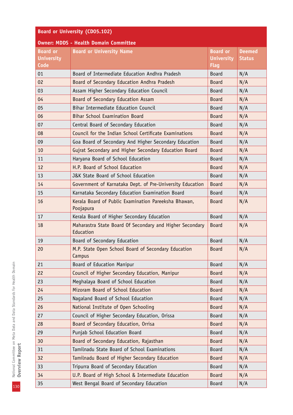| <b>Board or University (CD05.102)</b>        |                                                                       |                                                     |                                |
|----------------------------------------------|-----------------------------------------------------------------------|-----------------------------------------------------|--------------------------------|
| <b>Owner: MDDS - Health Domain Committee</b> |                                                                       |                                                     |                                |
| <b>Board or</b><br><b>University</b><br>Code | <b>Board or University Name</b>                                       | <b>Board or</b><br><b>University</b><br><b>Flag</b> | <b>Deemed</b><br><b>Status</b> |
| 01                                           | Board of Intermediate Education Andhra Pradesh                        | <b>Board</b>                                        | N/A                            |
| 02                                           | Board of Secondary Education Andhra Pradesh                           | <b>Board</b>                                        | N/A                            |
| 03                                           | Assam Higher Secondary Education Council                              | <b>Board</b>                                        | N/A                            |
| 04                                           | Board of Secondary Education Assam                                    | <b>Board</b>                                        | N/A                            |
| 05                                           | Bihar Intermediate Education Council                                  | <b>Board</b>                                        | N/A                            |
| 06                                           | <b>Bihar School Examination Board</b>                                 | <b>Board</b>                                        | N/A                            |
| 07                                           | Central Board of Secondary Education                                  | <b>Board</b>                                        | N/A                            |
| 08                                           | Council for the Indian School Certificate Examinations                | <b>Board</b>                                        | N/A                            |
| 09                                           | Goa Board of Secondary And Higher Secondary Education                 | <b>Board</b>                                        | N/A                            |
| 10                                           | Gujrat Secondary and Higher Secondary Education Board                 | <b>Board</b>                                        | N/A                            |
| 11                                           | Haryana Board of School Education                                     | <b>Board</b>                                        | N/A                            |
| 12                                           | H.P. Board of School Education                                        | <b>Board</b>                                        | N/A                            |
| 13                                           | J&K State Board of School Education                                   | <b>Board</b>                                        | N/A                            |
| 14                                           | Government of Karnataka Dept. of Pre-University Education             | <b>Board</b>                                        | N/A                            |
| 15                                           | Karnataka Secondary Education Examination Board                       | <b>Board</b>                                        | N/A                            |
| 16                                           | Kerala Board of Public Examination Pareeksha Bhawan,<br>Poojapura     | <b>Board</b>                                        | N/A                            |
| 17                                           | Kerala Board of Higher Secondary Education                            | <b>Board</b>                                        | N/A                            |
| 18                                           | Maharastra State Board Of Secondary and Higher Secondary<br>Education | <b>Board</b>                                        | N/A                            |
| 19                                           | Board of Secondary Education                                          | <b>Board</b>                                        | N/A                            |
| 20                                           | M.P. State Open School Board of Secondary Education<br>Campus         | <b>Board</b>                                        | N/A                            |
| 21                                           | Board of Education Manipur                                            | <b>Board</b>                                        | N/A                            |
| 22                                           | Council of Higher Secondary Education, Manipur                        | <b>Board</b>                                        | N/A                            |
| 23                                           | Meghalaya Board of School Education                                   | <b>Board</b>                                        | N/A                            |
| 24                                           | Mizoram Board of School Education                                     | <b>Board</b>                                        | N/A                            |
| 25                                           | Nagaland Board of School Education                                    | <b>Board</b>                                        | N/A                            |
| 26                                           | National Institute of Open Schooling                                  | <b>Board</b>                                        | N/A                            |
| 27                                           | Council of Higher Secondary Education, Orissa                         | <b>Board</b>                                        | N/A                            |
| 28                                           | Board of Secondary Education, Orrisa                                  | <b>Board</b>                                        | N/A                            |
| 29                                           | Punjab School Education Board                                         | <b>Board</b>                                        | N/A                            |
| 30                                           | Board of Secondary Education, Rajasthan                               | <b>Board</b>                                        | N/A                            |
| 31                                           | Tamilnadu State Board of School Examinations                          | <b>Board</b>                                        | N/A                            |
| 32                                           | Tamilnadu Board of Higher Secondary Education                         | <b>Board</b>                                        | N/A                            |
| 33                                           | Tripurra Board of Secondary Education                                 | <b>Board</b>                                        | N/A                            |
| 34                                           | U.P. Board of High School & Intermediate Education                    | <b>Board</b>                                        | N/A                            |
| 35                                           | West Bengal Board of Secondary Education                              | <b>Board</b>                                        | N/A                            |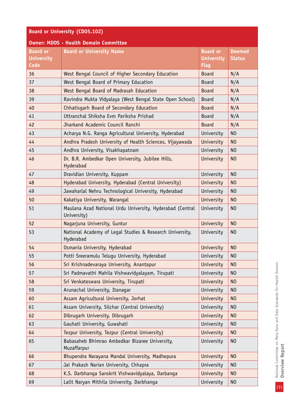| <b>Board or University (CD05.102)</b>               |                                                                          |                                                     |                                |
|-----------------------------------------------------|--------------------------------------------------------------------------|-----------------------------------------------------|--------------------------------|
|                                                     | <b>Owner: MDDS - Health Domain Committee</b>                             |                                                     |                                |
| <b>Board or</b><br><b>University</b><br><b>Code</b> | <b>Board or University Name</b>                                          | <b>Board or</b><br><b>University</b><br><b>Flag</b> | <b>Deemed</b><br><b>Status</b> |
| 36                                                  | West Bengal Council of Higher Secondary Education                        | <b>Board</b>                                        | N/A                            |
| 37                                                  | West Bengal Board of Primary Education                                   | <b>Board</b>                                        | N/A                            |
| 38                                                  | West Bengal Board of Madrasah Education                                  | <b>Board</b>                                        | N/A                            |
| 39                                                  | Ravindra Mukta Vidyalaya (West Bengal State Open School)                 | <b>Board</b>                                        | N/A                            |
| 40                                                  | Chhatisgarh Board of Secondary Education                                 | <b>Board</b>                                        | N/A                            |
| 41                                                  | Uttranchal Shiksha Evm Pariksha Prishad                                  | <b>Board</b>                                        | N/A                            |
| 42                                                  | Jharkand Academic Council Ranchi                                         | <b>Board</b>                                        | N/A                            |
| 43                                                  | Acharya N.G. Ranga Agricultural University, Hyderabad                    | University                                          | N <sub>0</sub>                 |
| 44                                                  | Andhra Pradesh University of Health Sciences, Vijayawada                 | University                                          | N <sub>O</sub>                 |
| 45                                                  | Andhra University, Visakhapatnam                                         | University                                          | N <sub>0</sub>                 |
| 46                                                  | Dr. B.R. Ambedkar Open University, Jubilee Hills,<br>Hyderabad           | University                                          | N <sub>0</sub>                 |
| 47                                                  | Dravidian University, Kuppam                                             | University                                          | N <sub>0</sub>                 |
| 48                                                  | Hyderabad University, Hyderabad (Central University)                     | <b>University</b>                                   | N <sub>0</sub>                 |
| 49                                                  | Jawaharlal Nehru Technological University, Hyderabad                     | University                                          | N <sub>O</sub>                 |
| 50                                                  | Kakatiya University, Warangal                                            | University                                          | N <sub>0</sub>                 |
| 51                                                  | Maulana Azad National Urdu University, Hyderabad (Central<br>University) | University                                          | N <sub>O</sub>                 |
| 52                                                  | Nagarjuna University, Guntur                                             | University                                          | N <sub>O</sub>                 |
| 53                                                  | National Academy of Legal Studies & Research University,<br>Hyderabad    | University                                          | N <sub>O</sub>                 |
| 54                                                  | Osmania University, Hyderabad                                            | University                                          | N <sub>O</sub>                 |
| 55                                                  | Potti Sreeramulu Telugu University, Hyderabad                            | University                                          | N <sub>0</sub>                 |
| 56                                                  | Sri Krishnadevaraya University, Anantapur                                | University                                          | N <sub>O</sub>                 |
| 57                                                  | Sri Padmavathi Mahila Vishwavidyalayam, Tirupati                         | University                                          | N <sub>O</sub>                 |
| 58                                                  | Sri Venkateswara University, Tirupati                                    | <b>University</b>                                   | N <sub>O</sub>                 |
| 59                                                  | Arunachal University, Itanagar                                           | University                                          | N <sub>O</sub>                 |
| 60                                                  | Assam Agricultural University, Jorhat                                    | University                                          | N <sub>0</sub>                 |
| 61                                                  | Assam University, Silchar (Central University)                           | University                                          | N <sub>0</sub>                 |
| 62                                                  | Dibrugarh University, Dibrugarh                                          | University                                          | N <sub>0</sub>                 |
| 63                                                  | Gauhati University, Guwahati                                             | University                                          | N <sub>0</sub>                 |
| 64                                                  | Tezpur University, Tezpur (Central University)                           | <b>University</b>                                   | N <sub>O</sub>                 |
| 65                                                  | Babasaheb Bhimrao Ambedkar Bizaree University,<br>Muzaffarpur            | University                                          | N <sub>0</sub>                 |
| 66                                                  | Bhupendra Narayana Mandal University, Madhepura                          | University                                          | N <sub>O</sub>                 |
| 67                                                  | Jai Prakash Narian University, Chhapra                                   | University                                          | N <sub>0</sub>                 |
| 68                                                  | K.S. Darbhanga Sanskrit Vishwavidyalaya, Darbanga                        | University                                          | N <sub>O</sub>                 |
| 69                                                  | Lalit Naryan Mithila University, Darbhanga                               | University                                          | N <sub>0</sub>                 |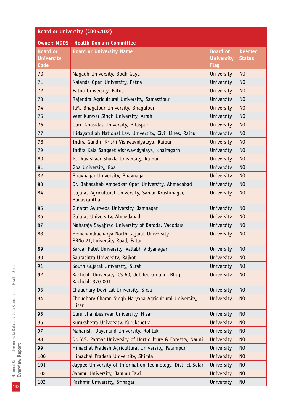| <b>Board or University (CD05.102)</b>        |                                                                               |                                                     |                                |
|----------------------------------------------|-------------------------------------------------------------------------------|-----------------------------------------------------|--------------------------------|
| <b>Owner: MDDS - Health Domain Committee</b> |                                                                               |                                                     |                                |
| <b>Board or</b><br><b>University</b><br>Code | <b>Board or University Name</b>                                               | <b>Board</b> or<br><b>University</b><br><b>Flag</b> | <b>Deemed</b><br><b>Status</b> |
| 70                                           | Magadh University, Bodh Gaya                                                  | University                                          | N <sub>O</sub>                 |
| 71                                           | Nalanda Open University, Patna                                                | University                                          | N <sub>O</sub>                 |
| 72                                           | Patna University, Patna                                                       | University                                          | N <sub>O</sub>                 |
| 73                                           | Rajendra Agricultural University, Samastipur                                  | University                                          | N <sub>O</sub>                 |
| 74                                           | T.M. Bhagalpur University, Bhagalpur                                          | University                                          | N <sub>O</sub>                 |
| 75                                           | Veer Kunwar Singh University, Arrah                                           | University                                          | N <sub>O</sub>                 |
| 76                                           | Guru Ghasidas University, Bilaspur                                            | University                                          | N <sub>O</sub>                 |
| 77                                           | Hidayatullah National Law University, Civil Lines, Raipur                     | University                                          | N <sub>O</sub>                 |
| 78                                           | Indira Gandhi Krishi Vishwavidyalaya, Raipur                                  | University                                          | N <sub>O</sub>                 |
| 79                                           | Indira Kala Sangeet Vishwavidyalaya, Khairagarh                               | University                                          | N <sub>O</sub>                 |
| 80                                           | Pt. Ravishaar Shukla University, Raipur                                       | University                                          | N <sub>O</sub>                 |
| 81                                           | Goa University, Goa                                                           | University                                          | N <sub>O</sub>                 |
| 82                                           | Bhavnagar University, Bhavnagar                                               | <b>University</b>                                   | N <sub>O</sub>                 |
| 83                                           | Dr. Babasaheb Ambedkar Open University, Ahmedabad                             | University                                          | N <sub>0</sub>                 |
| 84                                           | Gujarat Agricultural University, Sardar Krushinagar,<br><b>Banaskantha</b>    | <b>University</b>                                   | N <sub>O</sub>                 |
| 85                                           | Gujarat Ayurveda University, Jamnagar                                         | University                                          | N <sub>O</sub>                 |
| 86                                           | Gujarat University, Ahmedabad                                                 | University                                          | N <sub>O</sub>                 |
| 87                                           | Maharaja Sayajirao University of Baroda, Vadodara                             | University                                          | N <sub>0</sub>                 |
| 88                                           | Hemchandracharya North Gujarat University,<br>PBNo.21, University Road, Patan | University                                          | N <sub>O</sub>                 |
| 89                                           | Sardar Patel University, Vallabh Vidyanagar                                   | University                                          | N <sub>0</sub>                 |
| 90                                           | Saurashtra University, Rajkot                                                 | University                                          | N <sub>O</sub>                 |
| 91                                           | South Gujarat University, Surat                                               | University                                          | N <sub>O</sub>                 |
| 92                                           | Kachchh University, CS-60, Jubilee Ground, Bhuj-<br>Kachchh-370 001           | University                                          | N <sub>O</sub>                 |
| 93                                           | Chaudhary Devi Lal University, Sirsa                                          | University                                          | N <sub>O</sub>                 |
| 94                                           | Choudhary Charan Singh Haryana Agricultural University,<br><b>Hisar</b>       | University                                          | N <sub>O</sub>                 |
| 95                                           | Guru Jhambeshwar University, Hisar                                            | University                                          | N <sub>O</sub>                 |
| 96                                           | Kurukshetra University, Kurukshetra                                           | University                                          | N <sub>O</sub>                 |
| 97                                           | Maharishi Dayanand University, Rohtak                                         | University                                          | N <sub>0</sub>                 |
| 98                                           | Dr. Y.S. Parmar University of Horticulture & Forestry, Nauni                  | <b>University</b>                                   | N <sub>O</sub>                 |
| 99                                           | Himachal Pradesh Agricultural University, Palampur                            | University                                          | N <sub>0</sub>                 |
| 100                                          | Himachal Pradesh University, Shimla                                           | University                                          | N <sub>O</sub>                 |
| 101                                          | Jaypee University of Information Technology, District-Solan                   | University                                          | N <sub>0</sub>                 |
| 102                                          | Jammu University, Jammu Tawi                                                  | University                                          | N <sub>0</sub>                 |
| 103                                          | Kashmir University, Srinagar                                                  | University                                          | N <sub>0</sub>                 |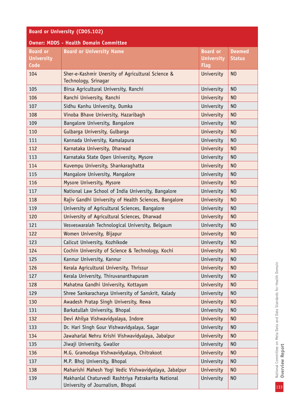| <b>Board or University (CD05.102)</b>               |                                                                                         |                                                     |                                |  |  |  |  |
|-----------------------------------------------------|-----------------------------------------------------------------------------------------|-----------------------------------------------------|--------------------------------|--|--|--|--|
|                                                     | <b>Owner: MDDS - Health Domain Committee</b>                                            |                                                     |                                |  |  |  |  |
| <b>Board or</b><br><b>University</b><br><b>Code</b> | <b>Board or University Name</b>                                                         | <b>Board or</b><br><b>University</b><br><b>Flag</b> | <b>Deemed</b><br><b>Status</b> |  |  |  |  |
| 104                                                 | Sher-e-Kashmir Unersity of Agricultural Science &<br>Technology, Srinagar               | University                                          | N <sub>O</sub>                 |  |  |  |  |
| 105                                                 | N <sub>O</sub><br>Birsa Agricultural University, Ranchi<br>University                   |                                                     |                                |  |  |  |  |
| 106                                                 | Ranchi University, Ranchi                                                               | University                                          | N <sub>O</sub>                 |  |  |  |  |
| 107                                                 | Sidhu Kanhu University, Dumka                                                           | University                                          | N <sub>O</sub>                 |  |  |  |  |
| 108                                                 | Vinoba Bhave University, Hazaribagh                                                     | University                                          | N <sub>O</sub>                 |  |  |  |  |
| 109                                                 | Bangalore University, Bangalore                                                         | University                                          | N <sub>0</sub>                 |  |  |  |  |
| 110                                                 | Gulbarga University, Gulbarga                                                           | University                                          | N <sub>0</sub>                 |  |  |  |  |
| 111                                                 | Kannada University, Kamalapura                                                          | University                                          | N <sub>0</sub>                 |  |  |  |  |
| 112                                                 | Karnataka University, Dharwad                                                           | University                                          | N <sub>O</sub>                 |  |  |  |  |
| 113                                                 | Karnataka State Open University, Mysore                                                 | University                                          | N <sub>0</sub>                 |  |  |  |  |
| 114                                                 | Kuvempu University, Shankaraghatta                                                      | University                                          | N <sub>O</sub>                 |  |  |  |  |
| 115                                                 | Mangalore University, Mangalore                                                         | University                                          | N <sub>O</sub>                 |  |  |  |  |
| 116                                                 | Mysore University, Mysore                                                               | University                                          | N <sub>O</sub>                 |  |  |  |  |
| 117                                                 | National Law School of India University, Bangalore                                      | University                                          | N <sub>0</sub>                 |  |  |  |  |
| 118                                                 | Rajiv Gandhi University of Health Sciences, Bangalore                                   | University                                          | N <sub>0</sub>                 |  |  |  |  |
| 119                                                 | University of Agricultural Sciences, Bangalore                                          | University                                          | N <sub>O</sub>                 |  |  |  |  |
| 120                                                 | University of Agricultural Sciences, Dharwad                                            | University                                          | N <sub>O</sub>                 |  |  |  |  |
| 121                                                 | Vesveswaraiah Technological University, Belgaum                                         | University                                          | N <sub>0</sub>                 |  |  |  |  |
| 122                                                 | Women University, Bijapur                                                               | University                                          | N <sub>0</sub>                 |  |  |  |  |
| 123                                                 | Calicut University, Kozhikode                                                           | University                                          | N <sub>O</sub>                 |  |  |  |  |
| 124                                                 | Cochin University of Science & Technology, Kochi                                        | University                                          | N <sub>0</sub>                 |  |  |  |  |
| 125                                                 | Kannur University, Kannur                                                               | University                                          | N <sub>O</sub>                 |  |  |  |  |
| 126                                                 | Kerala Agricultural University, Thrissur                                                | University                                          | N <sub>O</sub>                 |  |  |  |  |
| 127                                                 | Kerala University, Thiruvananthapuram                                                   | University                                          | N <sub>O</sub>                 |  |  |  |  |
| 128                                                 | Mahatma Gandhi University, Kottayam                                                     | University                                          | N <sub>0</sub>                 |  |  |  |  |
| 129                                                 | Shree Sankaracharya University of Sanskrit, Kalady                                      | University                                          | N <sub>0</sub>                 |  |  |  |  |
| 130                                                 | Awadesh Pratap Singh University, Rewa                                                   | University                                          | N <sub>O</sub>                 |  |  |  |  |
| 131                                                 | Barkatullah University, Bhopal                                                          | University                                          | N <sub>O</sub>                 |  |  |  |  |
| 132                                                 | Devi Ahilya Vishwavidyalaya, Indore                                                     | University                                          | N <sub>0</sub>                 |  |  |  |  |
| 133                                                 | Dr. Hari Singh Gour Vishwavidyalaya, Sagar                                              | University                                          | N <sub>0</sub>                 |  |  |  |  |
| 134                                                 | Jawaharlal Nehru Krishi Vishwavidyalaya, Jabalpur                                       | University                                          | N <sub>O</sub>                 |  |  |  |  |
| 135                                                 | Jiwaji University, Gwalior                                                              | University                                          | N <sub>0</sub>                 |  |  |  |  |
| 136                                                 | M.G. Gramodaya Vishwavidyalaya, Chitrakoot                                              | University                                          | N <sub>O</sub>                 |  |  |  |  |
| 137                                                 | M.P. Bhoj University, Bhopal                                                            | University                                          | N <sub>0</sub>                 |  |  |  |  |
| 138                                                 | Maharishi Mahesh Yogi Vedic Vishwavidyalaya, Jabalpur                                   | University                                          | N <sub>O</sub>                 |  |  |  |  |
| 139                                                 | Makhanlal Chaturvedi Rashtriya Patrakarita National<br>University of Journalism, Bhopal | University                                          | N <sub>O</sub>                 |  |  |  |  |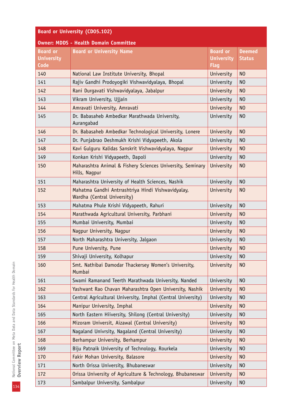| <b>Board or University (CD05.102)</b>        |                                                                                                                   |                                                     |                                |  |  |  |  |
|----------------------------------------------|-------------------------------------------------------------------------------------------------------------------|-----------------------------------------------------|--------------------------------|--|--|--|--|
| <b>Owner: MDDS - Health Domain Committee</b> |                                                                                                                   |                                                     |                                |  |  |  |  |
| <b>Board or</b><br><b>University</b><br>Code | <b>Board or University Name</b>                                                                                   | <b>Board or</b><br><b>University</b><br><b>Flag</b> | <b>Deemed</b><br><b>Status</b> |  |  |  |  |
| 140                                          | National Law Institute University, Bhopal                                                                         | N <sub>O</sub>                                      |                                |  |  |  |  |
| 141                                          | Rajiv Gandhi Prodoyogiki Vishwavidyalaya, Bhopal                                                                  | University                                          | N <sub>O</sub>                 |  |  |  |  |
| 142                                          | Rani Durgavati Vishwavidyalaya, Jabalpur<br>University<br>N <sub>O</sub>                                          |                                                     |                                |  |  |  |  |
| 143                                          | Vikram University, Ujjain<br>University<br>N <sub>0</sub>                                                         |                                                     |                                |  |  |  |  |
| 144                                          | Amravati University, Amravati                                                                                     | University                                          | N <sub>O</sub>                 |  |  |  |  |
| 145                                          | Dr. Babasaheb Ambedkar Marathwada University,<br>Aurangabad                                                       | University                                          | N <sub>0</sub>                 |  |  |  |  |
| 146                                          | Dr. Babasaheb Ambedkar Technological University, Lonere                                                           | University                                          | N <sub>O</sub>                 |  |  |  |  |
| 147                                          | Dr. Punjabrao Deshmukh Krishi Vidyapeeth, Akola                                                                   | University                                          | N <sub>0</sub>                 |  |  |  |  |
| 148                                          | Kavi Gulguru Kalidas Sanskrit Vishwavidyalaya, Nagpur                                                             | University                                          | N <sub>O</sub>                 |  |  |  |  |
| 149                                          | Konkan Krishi Vidyapeeth, Dapoli                                                                                  | University                                          | N <sub>0</sub>                 |  |  |  |  |
| 150                                          | Maharashtra Animal & Fishery Sciences University, Seminary<br>Hills, Nagpur                                       | University                                          | N <sub>O</sub>                 |  |  |  |  |
| 151                                          | Maharashtra University of Health Sciences, Nashik                                                                 | University                                          | N <sub>O</sub>                 |  |  |  |  |
| 152                                          | Mahatma Gandhi Antrrashtriya Hindi Vishwavidyalay,<br>N <sub>O</sub><br>University<br>Wardha (Central University) |                                                     |                                |  |  |  |  |
| 153                                          | Mahatma Phule Krishi Vidyapeeth, Rahuri                                                                           | University                                          | N <sub>O</sub>                 |  |  |  |  |
| 154                                          | Marathwada Agricultural University, Parbhani                                                                      | University                                          | N <sub>0</sub>                 |  |  |  |  |
| 155                                          | Mumbai University, Mumbai                                                                                         | University                                          | N <sub>0</sub>                 |  |  |  |  |
| 156                                          | Nagpur University, Nagpur                                                                                         | University                                          | N <sub>0</sub>                 |  |  |  |  |
| 157                                          | North Maharashtra University, Jalgaon                                                                             | University                                          | N <sub>0</sub>                 |  |  |  |  |
| 158                                          | Pune University, Pune                                                                                             | University                                          | N <sub>O</sub>                 |  |  |  |  |
| 159                                          | Shivaji University, Kolhapur                                                                                      | University                                          | N <sub>O</sub>                 |  |  |  |  |
| 160                                          | Smt. Nathibai Damodar Thackersey Women's University,<br>Mumbai                                                    | University                                          | N <sub>O</sub>                 |  |  |  |  |
| 161                                          | Swami Ramanand Teerth Marathwada University, Nanded                                                               | University                                          | N <sub>0</sub>                 |  |  |  |  |
| 162                                          | Yashwant Rao Chavan Maharashtra Open University, Nashik                                                           | University                                          | N <sub>0</sub>                 |  |  |  |  |
| 163                                          | Central Agricultural University, Imphal (Central University)                                                      | University                                          | N <sub>0</sub>                 |  |  |  |  |
| 164                                          | Manipur University, Imphal                                                                                        | University                                          | N <sub>0</sub>                 |  |  |  |  |
| 165                                          | North Eastern Hiiversity, Shilong (Central University)                                                            | University                                          | N <sub>0</sub>                 |  |  |  |  |
| 166                                          | Mizoram Universit, Aizawal (Central University)                                                                   | University                                          | N <sub>0</sub>                 |  |  |  |  |
| 167                                          | Nagaland Univrsity, Nagaland (Central University)                                                                 | University                                          | N <sub>0</sub>                 |  |  |  |  |
| 168                                          | Berhampur University, Berhampur                                                                                   | University                                          | N <sub>0</sub>                 |  |  |  |  |
| 169                                          | Biju Patnaik University of Technology, Rourkela                                                                   | University                                          | N <sub>0</sub>                 |  |  |  |  |
| 170                                          | Fakir Mohan University, Balasore                                                                                  | University                                          | N <sub>0</sub>                 |  |  |  |  |
| 171                                          | North Orissa University, Bhubaneswar                                                                              | University                                          | N <sub>0</sub>                 |  |  |  |  |
| 172                                          | Orissa University of Agriculture & Technology, Bhubaneswar                                                        | University                                          | N <sub>0</sub>                 |  |  |  |  |
| 173                                          | Sambalpur University, Sambalpur                                                                                   | University                                          | N <sub>0</sub>                 |  |  |  |  |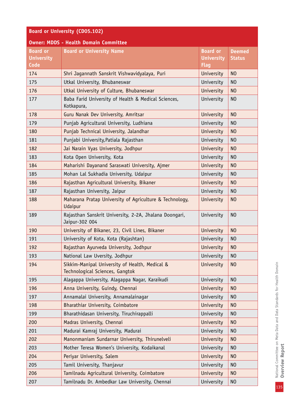| <b>Board or University (CD05.102)</b>        |                                                                                                   |                                                     |                                |  |  |  |
|----------------------------------------------|---------------------------------------------------------------------------------------------------|-----------------------------------------------------|--------------------------------|--|--|--|
|                                              | <b>Owner: MDDS - Health Domain Committee</b>                                                      |                                                     |                                |  |  |  |
| <b>Board or</b><br><b>University</b><br>Code | <b>Board or University Name</b>                                                                   | <b>Board or</b><br><b>University</b><br><b>Flag</b> | <b>Deemed</b><br><b>Status</b> |  |  |  |
| 174                                          | Shri Jagannath Sanskrit Vishwavidyalaya, Puri                                                     | University                                          | N <sub>0</sub>                 |  |  |  |
| 175                                          | Utkal University, Bhubaneswar                                                                     | University<br>N <sub>0</sub>                        |                                |  |  |  |
| 176                                          | Utkal University of Culture, Bhubaneswar                                                          | University                                          | N <sub>O</sub>                 |  |  |  |
| 177                                          | Baba Farid University of Health & Medical Sciences,<br>University<br>N <sub>0</sub><br>Kotkapura, |                                                     |                                |  |  |  |
| 178                                          | Guru Nanak Dev University, Amritsar                                                               | University                                          | N <sub>O</sub>                 |  |  |  |
| 179                                          | Punjab Agricultural University, Ludhiana                                                          | University                                          | N <sub>0</sub>                 |  |  |  |
| 180                                          | Punjab Technical University, Jalandhar                                                            | University                                          | N <sub>O</sub>                 |  |  |  |
| 181                                          | Punjabi University, Patiala Rajasthan                                                             | University                                          | N <sub>0</sub>                 |  |  |  |
| 182                                          | Jai Narain Vyas University, Jodhpur                                                               | University                                          | N <sub>O</sub>                 |  |  |  |
| 183                                          | Kota Open University, Kota                                                                        | University                                          | N <sub>0</sub>                 |  |  |  |
| 184                                          | Maharishi Dayanand Saraswati University, Ajmer                                                    | University                                          | N <sub>O</sub>                 |  |  |  |
| 185                                          | Mohan Lal Sukhadia University, Udaipur                                                            | University                                          | N <sub>0</sub>                 |  |  |  |
| 186                                          | Rajasthan Agricultural University, Bikaner                                                        | University                                          | N <sub>O</sub>                 |  |  |  |
| 187                                          | Rajasthan University, Jaipur                                                                      | University                                          | N <sub>O</sub>                 |  |  |  |
| 188                                          | Maharana Pratap University of Agriculture & Technology,<br>Udaipur                                | University                                          | N <sub>O</sub>                 |  |  |  |
| 189                                          | Rajasthan Sanskrit University, 2-2A, Jhalana Doongari,<br>Jaipur-302 004                          | University                                          | N <sub>O</sub>                 |  |  |  |
| 190                                          | University of Bikaner, 23, Civil Lines, Bikaner                                                   | University                                          | N <sub>O</sub>                 |  |  |  |
| 191                                          | University of Kota, Kota (Rajashtan)                                                              | University                                          | N <sub>O</sub>                 |  |  |  |
| 192                                          | Rajasthan Ayurveda University, Jodhpur                                                            | University                                          | N <sub>O</sub>                 |  |  |  |
| 193                                          | National Law Uversity, Jodhpur                                                                    | University                                          | N <sub>0</sub>                 |  |  |  |
| 194                                          | Sikkim-Manipal University of Health, Medical &<br>Technological Sciences, Gangtok                 | University                                          | N <sub>O</sub>                 |  |  |  |
| 195                                          | Alagappa University, Alagappa Nagar, Karaikudi                                                    | University                                          | N <sub>O</sub>                 |  |  |  |
| 196                                          | Anna University, Guindy, Chennai                                                                  | University                                          | N <sub>O</sub>                 |  |  |  |
| 197                                          | Annamalai University, Annamalainagar                                                              | University                                          | N <sub>O</sub>                 |  |  |  |
| 198                                          | Bharathiar University, Coimbatore                                                                 | University                                          | N <sub>O</sub>                 |  |  |  |
| 199                                          | Bharathidasan University, Tiruchirappalli                                                         | University                                          | N <sub>O</sub>                 |  |  |  |
| 200                                          | Madras University, Chennai                                                                        | University                                          | N <sub>O</sub>                 |  |  |  |
| 201                                          | Madurai Kamraj University, Madurai                                                                | University                                          | N <sub>0</sub>                 |  |  |  |
| 202                                          | Manonmaniam Sundarnar University, Thirunelveli                                                    | University                                          | N <sub>O</sub>                 |  |  |  |
| 203                                          | Mother Teresa Women's University, Kodaikanal                                                      | University                                          | N <sub>O</sub>                 |  |  |  |
| 204                                          | Periyar University, Salem                                                                         | University                                          | N <sub>O</sub>                 |  |  |  |
| 205                                          | Tamil University, Thanjavur                                                                       | University                                          | N <sub>O</sub>                 |  |  |  |
| 206                                          | Tamilnadu Agricultural University, Coimbatore                                                     | University                                          | N <sub>O</sub>                 |  |  |  |
| 207                                          | Tamilnadu Dr. Ambedkar Law University, Chennai                                                    | University                                          | N <sub>0</sub>                 |  |  |  |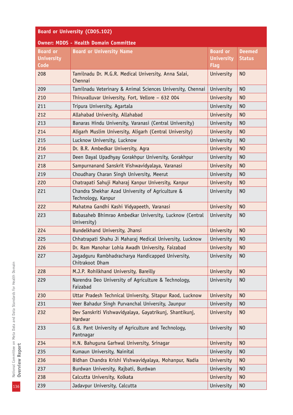| <b>Board or University (CD05.102)</b> |                                                                                                        |                   |                |  |  |  |  |
|---------------------------------------|--------------------------------------------------------------------------------------------------------|-------------------|----------------|--|--|--|--|
|                                       | <b>Owner: MDDS - Health Domain Committee</b>                                                           |                   |                |  |  |  |  |
| <b>Board or</b>                       | <b>Board or University Name</b>                                                                        | <b>Board or</b>   | <b>Deemed</b>  |  |  |  |  |
| <b>University</b><br>Code             |                                                                                                        | <b>University</b> | <b>Status</b>  |  |  |  |  |
| 208                                   |                                                                                                        | <b>Flag</b>       | N <sub>O</sub> |  |  |  |  |
|                                       | Tamilnadu Dr. M.G.R. Medical University, Anna Salai,<br>University<br>Chennai                          |                   |                |  |  |  |  |
| 209                                   | N <sub>O</sub><br>Tamilnadu Veterinary & Animal Sciences University, Chennai<br>University             |                   |                |  |  |  |  |
| 210                                   | Thiruvalluvar University, Fort, Vellore - 632 004<br>University<br>N <sub>O</sub>                      |                   |                |  |  |  |  |
| 211                                   | Tripura University, Agartala                                                                           | University        | N <sub>O</sub> |  |  |  |  |
| 212                                   | Allahabad University, Allahabad                                                                        | University        | N <sub>O</sub> |  |  |  |  |
| 213                                   | Banaras Hindu University, Varanasi (Central University)                                                | University        | N <sub>O</sub> |  |  |  |  |
| 214                                   | Aligarh Muslim University, Aligarh (Central University)                                                | University        | N <sub>O</sub> |  |  |  |  |
| 215                                   | Lucknow University, Lucknow                                                                            | University        | N <sub>0</sub> |  |  |  |  |
| 216                                   | Dr. B.R. Ambedkar University, Agra                                                                     | University        | N <sub>O</sub> |  |  |  |  |
| 217                                   | Deen Dayal Upadhyay Gorakhpur University, Gorakhpur                                                    | University        | N <sub>0</sub> |  |  |  |  |
| 218                                   | Sampurnanand Sanskrit Vishwavidyalaya, Varanasi                                                        | University        | N <sub>O</sub> |  |  |  |  |
| 219                                   | Choudhary Charan Singh University, Meerut                                                              | University        | N <sub>O</sub> |  |  |  |  |
| 220                                   | Chatrapati Sahuji Maharaj Kanpur University, Kanpur                                                    | University        | N <sub>O</sub> |  |  |  |  |
| 221                                   | Chandra Shekhar Azad University of Agriculture &<br>University<br>N <sub>O</sub><br>Technology, Kanpur |                   |                |  |  |  |  |
| 222                                   | Mahatma Gandhi Kashi Vidyapeeth, Varanasi                                                              | University        | N <sub>O</sub> |  |  |  |  |
| 223                                   | Babasaheb Bhimrao Ambedkar University, Lucknow (Central<br>University)                                 | University        | N <sub>O</sub> |  |  |  |  |
| 224                                   | Bundelkhand University, Jhansi                                                                         | University        | N <sub>O</sub> |  |  |  |  |
| 225                                   | Chhatrapati Shahu Ji Maharaj Medical University, Lucknow                                               | University        | N <sub>0</sub> |  |  |  |  |
| 226                                   | Dr. Ram Manohar Lohia Awadh University, Faizabad                                                       | University        | N <sub>0</sub> |  |  |  |  |
| 227                                   | Jagadguru Rambhadracharya Handicapped University,<br>Chitrakoot Dham                                   | University        | N <sub>0</sub> |  |  |  |  |
| 228                                   | M.J.P. Rohilkhand University, Bareilly                                                                 | University        | N <sub>O</sub> |  |  |  |  |
| 229                                   | Narendra Deo University of Agriculture & Technology,<br>Faizabad                                       | University        | N <sub>O</sub> |  |  |  |  |
| 230                                   | Uttar Pradesh Technical University, Sitapur Raod, Lucknow                                              | University        | N <sub>O</sub> |  |  |  |  |
| 231                                   | Veer Bahadur Singh Purvanchal University, Jaunpur                                                      | University        | N <sub>0</sub> |  |  |  |  |
| 232                                   | Dev Sanskriti Vishwavidyalaya, Gayatrikunj, Shantikunj,<br>Hardwar                                     | University        | N <sub>O</sub> |  |  |  |  |
| 233                                   | G.B. Pant University of Agriculture and Technology,<br>Pantnagar                                       | University        | N <sub>O</sub> |  |  |  |  |
| 234                                   | H.N. Bahuguna Garhwal University, Srinagar                                                             | University        | N <sub>O</sub> |  |  |  |  |
| 235                                   | Kumaun University, Nainital                                                                            | University        | N <sub>0</sub> |  |  |  |  |
| 236                                   | Bidhan Chandra Krishi Vishwavidyalaya, Mohanpur, Nadia                                                 | University        | N <sub>O</sub> |  |  |  |  |
| 237                                   | Burdwan University, Rajbati, Burdwan                                                                   | University        | N <sub>O</sub> |  |  |  |  |
| 238                                   | Calcutta University, Kolkata                                                                           | University        | N <sub>O</sub> |  |  |  |  |
| 239                                   | Jadavpur University, Calcutta                                                                          | University        | N <sub>0</sub> |  |  |  |  |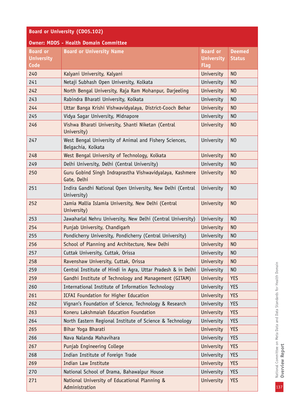| <b>Board or University (CD05.102)</b>        |                                                                              |                                                     |                                |  |  |
|----------------------------------------------|------------------------------------------------------------------------------|-----------------------------------------------------|--------------------------------|--|--|
|                                              | <b>Owner: MDDS - Health Domain Committee</b>                                 |                                                     |                                |  |  |
| <b>Board or</b><br><b>University</b><br>Code | <b>Board or University Name</b>                                              | <b>Board or</b><br><b>University</b><br><b>Flag</b> | <b>Deemed</b><br><b>Status</b> |  |  |
| 240                                          | Kalyani University, Kalyani                                                  | University                                          | N <sub>O</sub>                 |  |  |
| 241                                          | Netaji Subhash Open University, Kolkata                                      | University                                          | N <sub>0</sub>                 |  |  |
| 242                                          | North Bengal University, Raja Ram Mohanpur, Darjeeling                       | University                                          | N <sub>O</sub>                 |  |  |
| 243                                          | Rabindra Bharati University, Kolkata                                         | University                                          | N <sub>0</sub>                 |  |  |
| 244                                          | Uttar Banga Krishi Vishwavidyalaya, District-Cooch Behar                     | University                                          | N <sub>0</sub>                 |  |  |
| 245                                          | Vidya Sagar University, Midnapore                                            | University                                          | N <sub>0</sub>                 |  |  |
| 246                                          | Vishwa Bharati University, Shanti Niketan (Central<br>University)            | University                                          | N <sub>0</sub>                 |  |  |
| 247                                          | West Bengal University of Animal and Fishery Sciences,<br>Belgachia, Kolkata | University                                          | N <sub>0</sub>                 |  |  |
| 248                                          | West Bengal University of Technology, Kolkata                                | University                                          | N <sub>O</sub>                 |  |  |
| 249                                          | Delhi University, Delhi (Central University)                                 | University                                          | N <sub>0</sub>                 |  |  |
| 250                                          | Guru Gobind Singh Indraprastha Vishwavidyalaya, Kashmere<br>Gate, Delhi      | University                                          | N <sub>0</sub>                 |  |  |
| 251                                          | Indira Gandhi National Open University, New Delhi (Central<br>University)    | University                                          | N <sub>0</sub>                 |  |  |
| 252                                          | Jamia Mallia Islamia University, New Delhi (Central<br>University)           | University                                          | N <sub>O</sub>                 |  |  |
| 253                                          | Jawaharlal Nehru University, New Delhi (Central University)                  | University                                          | N <sub>O</sub>                 |  |  |
| 254                                          | Punjab University, Chandigarh                                                | University                                          | N <sub>O</sub>                 |  |  |
| 255                                          | Pondicherry University, Pondicherry (Central University)                     | University                                          | N <sub>O</sub>                 |  |  |
| 256                                          | School of Planning and Architecture, New Delhi                               | University                                          | N <sub>O</sub>                 |  |  |
| 257                                          | Cuttak University, Cuttak, Orissa                                            | University                                          | N <sub>O</sub>                 |  |  |
| 258                                          | Ravenshaw University, Cuttak, Orissa                                         | <b>University</b>                                   | N <sub>0</sub>                 |  |  |
| 259                                          | Central Institute of Hindi in Agra, Uttar Pradesh & in Delhi                 | University                                          | N <sub>0</sub>                 |  |  |
| 259                                          | Gandhi Institute of Technology and Management (GITAM)                        | <b>University</b>                                   | <b>YES</b>                     |  |  |
| 260                                          | International Institute of Information Technology                            | University                                          | <b>YES</b>                     |  |  |
| 261                                          | ICFAI Foundation for Higher Education                                        | University                                          | <b>YES</b>                     |  |  |
| 262                                          | Vignan's Foundation of Science, Technology & Research                        | University                                          | <b>YES</b>                     |  |  |
| 263                                          | Koneru Lakshmaiah Education Foundation                                       | <b>University</b>                                   | <b>YES</b>                     |  |  |
| 264                                          | North Eastern Regional Institute of Science & Technology                     | University                                          | <b>YES</b>                     |  |  |
| 265                                          | Bihar Yoga Bharati                                                           | University                                          | <b>YES</b>                     |  |  |
| 266                                          | Nava Nalanda Mahavihara                                                      | University                                          | <b>YES</b>                     |  |  |
| 267                                          | <b>Punjab Engineering College</b>                                            | University                                          | <b>YES</b>                     |  |  |
| 268                                          | Indian Institute of Foreign Trade                                            | University                                          | <b>YES</b>                     |  |  |
| 269                                          | Indian Law Institute                                                         | University                                          | <b>YES</b>                     |  |  |
| 270                                          | National School of Drama, Bahawalpur House                                   | University                                          | <b>YES</b>                     |  |  |
| 271                                          | National University of Educational Planning &<br>Administration              | University                                          | <b>YES</b>                     |  |  |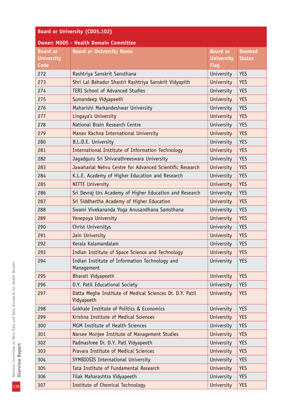| <b>Board or University (CD05.102)</b>        |                                                                        |                                                     |                                |  |  |  |  |
|----------------------------------------------|------------------------------------------------------------------------|-----------------------------------------------------|--------------------------------|--|--|--|--|
| <b>Owner: MDDS - Health Domain Committee</b> |                                                                        |                                                     |                                |  |  |  |  |
| <b>Board or</b><br><b>University</b><br>Code | <b>Board or University Name</b>                                        | <b>Board or</b><br><b>University</b><br><b>Flag</b> | <b>Deemed</b><br><b>Status</b> |  |  |  |  |
| 272                                          | Rashtriya Sanskrit Sansthana                                           | University                                          | <b>YES</b>                     |  |  |  |  |
| 273                                          | Shri Lal Bahadur Shastri Rashtriya Sanskrit Vidyapith                  | University                                          | <b>YES</b>                     |  |  |  |  |
| 274                                          | <b>TERI School of Advanced Studies</b><br>University<br><b>YES</b>     |                                                     |                                |  |  |  |  |
| 275                                          | Sumandeep Vidyapeeth<br>University<br><b>YES</b>                       |                                                     |                                |  |  |  |  |
| 276                                          | Maharishi Markandeshwar University                                     | University                                          | <b>YES</b>                     |  |  |  |  |
| 277                                          | Lingaya's University                                                   | University                                          | <b>YES</b>                     |  |  |  |  |
| 278                                          | National Brain Research Centre                                         | University                                          | <b>YES</b>                     |  |  |  |  |
| 279                                          | Manav Rachna International University                                  | University                                          | <b>YES</b>                     |  |  |  |  |
| 280                                          | B.L.D.E. University                                                    | University                                          | <b>YES</b>                     |  |  |  |  |
| 281                                          | International Institute of Information Technology                      | University                                          | <b>YES</b>                     |  |  |  |  |
| 282                                          | Jagadguru Sri Shivarathreeswara University                             | University                                          | <b>YES</b>                     |  |  |  |  |
| 283                                          | Jawaharlal Nehru Centre for Advanced Scientific Research               | University                                          | <b>YES</b>                     |  |  |  |  |
| 284                                          | K.L.E. Academy of Higher Education and Research                        | University                                          | <b>YES</b>                     |  |  |  |  |
| 285                                          | <b>NITTE University</b>                                                | University                                          | <b>YES</b>                     |  |  |  |  |
| 286                                          | Sri Devraj Urs Academy of Higher Education and Research                | University                                          | <b>YES</b>                     |  |  |  |  |
| 287                                          | Sri Siddhartha Academy of Higher Education                             | University                                          | <b>YES</b>                     |  |  |  |  |
| 288                                          | Swami Vivekananda Yoga Anusandhana Samsthana                           | University                                          | <b>YES</b>                     |  |  |  |  |
| 289                                          | Yenepoya University                                                    | University                                          | <b>YES</b>                     |  |  |  |  |
| 290                                          | Christ Universitys                                                     | University                                          | <b>YES</b>                     |  |  |  |  |
| 291                                          | Jain University                                                        | University                                          | <b>YES</b>                     |  |  |  |  |
| 292                                          | Kerala Kalamandalam                                                    | University                                          | <b>YES</b>                     |  |  |  |  |
| 293                                          | Indian Institute of Space Science and Technology                       | University                                          | <b>YES</b>                     |  |  |  |  |
| 294                                          | Indian Institute of Information Technology and<br>Management           | University                                          | <b>YES</b>                     |  |  |  |  |
| 295                                          | Bharati Vidyapeeth                                                     | University                                          | <b>YES</b>                     |  |  |  |  |
| 296                                          | D.Y. Patil Educational Society                                         | University                                          | <b>YES</b>                     |  |  |  |  |
| 297                                          | Datta Meghe Institute of Medical Sciences Dr. D.Y. Patil<br>Vidyapeeth | University                                          | <b>YES</b>                     |  |  |  |  |
| 298                                          | Gokhale Institute of Politics & Economics                              | University                                          | <b>YES</b>                     |  |  |  |  |
| 299                                          | Krishna Institute of Medical Sciences                                  | University                                          | <b>YES</b>                     |  |  |  |  |
| 300                                          | MGM Institute of Health Sciences                                       | University                                          | <b>YES</b>                     |  |  |  |  |
| 301                                          | Narsee Monjee Institute of Management Studies                          | University                                          | <b>YES</b>                     |  |  |  |  |
| 302                                          | Padmashree Dr. D.Y. Patl Vidyapeeth                                    | University                                          | <b>YES</b>                     |  |  |  |  |
| 303                                          | Pravara Institute of Medical Sciences                                  | University                                          | <b>YES</b>                     |  |  |  |  |
| 304                                          | SYMBIOSIS International University                                     | University                                          | <b>YES</b>                     |  |  |  |  |
| 305                                          | Tata Institute of Fundamental Research                                 | University                                          | <b>YES</b>                     |  |  |  |  |
| 306                                          | Tilak Maharashtra Vidyapeeth                                           | University                                          | <b>YES</b>                     |  |  |  |  |
| 307                                          | Institute of Chemical Technology                                       | University                                          | <b>YES</b>                     |  |  |  |  |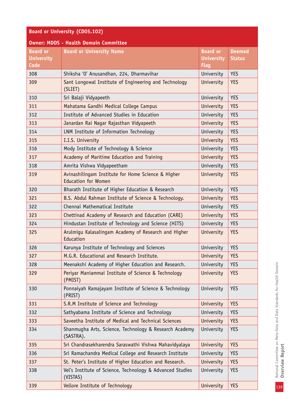| <b>Board or University (CD05.102)</b>        |                                                                                              |                                                     |                                |  |  |  |  |
|----------------------------------------------|----------------------------------------------------------------------------------------------|-----------------------------------------------------|--------------------------------|--|--|--|--|
|                                              | <b>Owner: MDDS - Health Domain Committee</b>                                                 |                                                     |                                |  |  |  |  |
| <b>Board or</b><br><b>University</b><br>Code | <b>Board or University Name</b>                                                              | <b>Board or</b><br><b>University</b><br><b>Flag</b> | <b>Deemed</b><br><b>Status</b> |  |  |  |  |
| 308                                          | Shiksha 'O' Anusandhan, 224, Dharmavihar                                                     | University                                          | <b>YES</b>                     |  |  |  |  |
| 309                                          | Sant Longowal Institute of Engineering and Technology<br>University<br><b>YES</b><br>(SLIET) |                                                     |                                |  |  |  |  |
| 310                                          | Sri Balaji Vidyapeeth                                                                        | University                                          | <b>YES</b>                     |  |  |  |  |
| 311                                          | Mahatama Gandhi Medical College Campus                                                       | University                                          | <b>YES</b>                     |  |  |  |  |
| 312                                          | Institute of Advanced Studies in Education                                                   | University                                          | <b>YES</b>                     |  |  |  |  |
| 313                                          | Janardan Rai Nagar Rajasthan Vidyapeeth                                                      | University                                          | <b>YES</b>                     |  |  |  |  |
| 314                                          | LNM Institute of Information Technology                                                      | University                                          | <b>YES</b>                     |  |  |  |  |
| 315                                          | I.I.S. University                                                                            | University                                          | <b>YES</b>                     |  |  |  |  |
| 316                                          | Mody Institute of Technology & Science                                                       | University                                          | <b>YES</b>                     |  |  |  |  |
| 317                                          | Academy of Maritime Education and Training                                                   | University                                          | <b>YES</b>                     |  |  |  |  |
| 318                                          | Amrita Vishwa Vidyapeetham                                                                   | University                                          | <b>YES</b>                     |  |  |  |  |
| 319                                          | Avinashilingam Institute for Home Science & Higher<br><b>Education for Women</b>             | University                                          | <b>YES</b>                     |  |  |  |  |
| 320                                          | Bharath Institute of Higher Education & Research                                             | University                                          | <b>YES</b>                     |  |  |  |  |
| 321                                          | B.S. Abdul Rahman Institute of Science & Technology.                                         | University                                          | <b>YES</b>                     |  |  |  |  |
| 322                                          | Chennai Mathematical Institute                                                               | University                                          | <b>YES</b>                     |  |  |  |  |
| 323                                          | Chettinad Academy of Research and Education (CARE)                                           | University                                          | <b>YES</b>                     |  |  |  |  |
| 324                                          | Hindustan Institute of Technology and Science (HITS)                                         | University                                          | <b>YES</b>                     |  |  |  |  |
| 325                                          | Arulmigu Kalasalingam Academy of Research and Higher<br>Education                            | University                                          | <b>YES</b>                     |  |  |  |  |
| 326                                          | Karunya Institute of Technology and Sciences                                                 | University                                          | <b>YES</b>                     |  |  |  |  |
| 327                                          | M.G.R. Educational and Research Institute.                                                   | University                                          | <b>YES</b>                     |  |  |  |  |
| 328                                          | Meenakshi Academy of Higher Education and Research.                                          | University                                          | <b>YES</b>                     |  |  |  |  |
| 329                                          | Periyar Maniammai Institute of Science & Technology<br>(PMIST)                               | University                                          | <b>YES</b>                     |  |  |  |  |
| 330                                          | Ponnaiyah Ramajayam Institute of Science & Technology<br>(PRIST)                             | University                                          | <b>YES</b>                     |  |  |  |  |
| 331                                          | S.R.M Institute of Science and Technology                                                    | University                                          | <b>YES</b>                     |  |  |  |  |
| 332                                          | Sathyabama Institute of Science and Technology                                               | University                                          | <b>YES</b>                     |  |  |  |  |
| 333                                          | Saveetha Institute of Medical and Technical Sciences                                         | University                                          | <b>YES</b>                     |  |  |  |  |
| 334                                          | Shanmugha Arts, Science, Technology & Research Academy<br>(SASTRA).                          | University                                          | <b>YES</b>                     |  |  |  |  |
| 335                                          | Sri Chandrasekharendra Saraswathi Vishwa Mahavidyalaya                                       | University                                          | <b>YES</b>                     |  |  |  |  |
| 336                                          | Sri Ramachandra Medical College and Research Institute                                       | University                                          | <b>YES</b>                     |  |  |  |  |
| 337                                          | St. Peter's Institute of Higher Education and Research.                                      | University                                          | <b>YES</b>                     |  |  |  |  |
| 338                                          | Vel's Institute of Science, Technology & Advanced Studies<br>(VISTAS)                        | University                                          | <b>YES</b>                     |  |  |  |  |
| 339                                          | Vellore Institute of Technology                                                              | University                                          | <b>YES</b>                     |  |  |  |  |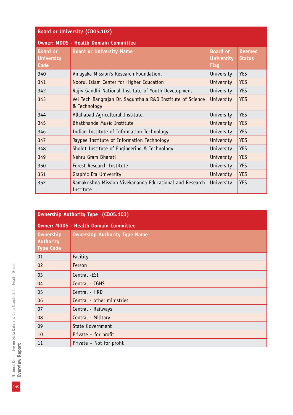| <b>Board or University (CD05.102)</b>        |                                                                            |                                                     |                                |  |  |
|----------------------------------------------|----------------------------------------------------------------------------|-----------------------------------------------------|--------------------------------|--|--|
|                                              | <b>Owner: MDDS - Health Domain Committee</b>                               |                                                     |                                |  |  |
| <b>Board or</b><br><b>University</b><br>Code | <b>Board or University Name</b>                                            | <b>Board or</b><br><b>University</b><br><b>Flag</b> | <b>Deemed</b><br><b>Status</b> |  |  |
| 340                                          | Vinayaka Mission's Research Foundation.                                    | University                                          | <b>YES</b>                     |  |  |
| 341                                          | Noorul Islam Center for Higher Education                                   | University                                          | <b>YES</b>                     |  |  |
| 342                                          | Rajiv Gandhi National Institute of Youth Development                       | University                                          | <b>YES</b>                     |  |  |
| 343                                          | Vel Tech Rangrajan Dr. Sagunthala R&D Institute of Science<br>& Technology | University                                          | <b>YES</b>                     |  |  |
| 344                                          | Allahabad Agricultural Institute.                                          | University                                          | <b>YES</b>                     |  |  |
| 345                                          | <b>Bhatkhande Music Institute</b>                                          | University                                          | <b>YES</b>                     |  |  |
| 346                                          | Indian Institute of Information Technology                                 | University                                          | <b>YES</b>                     |  |  |
| 347                                          | Jaypee Institute of Information Technology                                 | University                                          | <b>YES</b>                     |  |  |
| 348                                          | Shobit Institute of Engineering & Technology                               | University                                          | <b>YES</b>                     |  |  |
| 349                                          | Nehru Gram Bharati                                                         | University                                          | <b>YES</b>                     |  |  |
| 350                                          | Forest Research Institute                                                  | University                                          | <b>YES</b>                     |  |  |
| 351                                          | <b>Graphic Era University</b>                                              | University                                          | <b>YES</b>                     |  |  |
| 352                                          | Ramakrishna Mission Vivekananda Educational and Research<br>Institute      | University                                          | <b>YES</b>                     |  |  |

| <b>Ownership Authority Type (CD05.103)</b>               |                                              |  |  |  |
|----------------------------------------------------------|----------------------------------------------|--|--|--|
|                                                          | <b>Owner: MDDS - Health Domain Committee</b> |  |  |  |
| <b>Ownership</b><br><b>Authority</b><br><b>Type Code</b> | <b>Ownership Authority Type Name</b>         |  |  |  |
| 01                                                       | Facility                                     |  |  |  |
| 02                                                       | Person                                       |  |  |  |
| 03                                                       | Central -ESI                                 |  |  |  |
| 04                                                       | Central - CGHS                               |  |  |  |
| 05                                                       | Central - HRD                                |  |  |  |
| 06                                                       | Central - other ministries                   |  |  |  |
| 07                                                       | Central - Railways                           |  |  |  |
| 08                                                       | Central - Military                           |  |  |  |
| 09                                                       | State Government                             |  |  |  |
| 10                                                       | Private - for profit                         |  |  |  |
| 11                                                       | Private - Not for profit                     |  |  |  |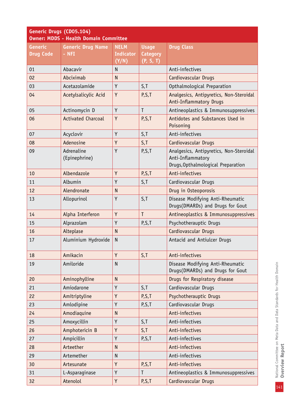| Generic Drugs (CD05.104)<br><b>Owner: MDDS - Health Domain Committee</b> |                                     |                                          |                                              |                                                                                                    |  |  |
|--------------------------------------------------------------------------|-------------------------------------|------------------------------------------|----------------------------------------------|----------------------------------------------------------------------------------------------------|--|--|
| <b>Generic</b><br><b>Drug Code</b>                                       | <b>Generic Drug Name</b><br>$-$ NFI | <b>NELM</b><br><b>Indicator</b><br>(Y/N) | <b>Usage</b><br><b>Category</b><br>(P, S, T) | <b>Drug Class</b>                                                                                  |  |  |
| 01                                                                       | Abacavir                            | $\mathsf{N}$                             |                                              | Anti-infectives                                                                                    |  |  |
| 02                                                                       | Abciximab                           | N                                        |                                              | Cardiovascular Drugs                                                                               |  |  |
| 03                                                                       | Acetazolamide                       | Y                                        | S, T                                         | Opthalmological Preparation                                                                        |  |  |
| 04                                                                       | Acetylsalicylic Acid                | Y                                        | P,S,T                                        | Analgesics, Antipyretics, Non-Steroidal<br>Anti-Inflammatory Drugs                                 |  |  |
| 05                                                                       | Actinomycin D                       | Y                                        | T                                            | Antineoplastics & Immunosuppressives                                                               |  |  |
| 06                                                                       | <b>Activated Charcoal</b>           | Y                                        | P, S, T                                      | Antidotes and Substances Used in<br>Poisoning                                                      |  |  |
| 07                                                                       | Acyclovir                           | Y                                        | S, T                                         | Anti-infectives                                                                                    |  |  |
| 08                                                                       | Adenosine                           | Y                                        | S, T                                         | Cardiovascular Drugs                                                                               |  |  |
| 09                                                                       | Adrenaline<br>(Epinephrine)         | Y                                        | P, S, T                                      | Analgesics, Antipyretics, Non-Steroidal<br>Anti-Inflammatory<br>Drugs, Opthalmological Preparation |  |  |
| 10                                                                       | Albendazole                         | Y                                        | P, S, T                                      | Anti-infectives                                                                                    |  |  |
| 11                                                                       | Albumin                             | Y                                        | S, T                                         | Cardiovascular Drugs                                                                               |  |  |
| 12                                                                       | Alendronate                         | N                                        |                                              | Drug in Osteoporosis                                                                               |  |  |
| 13                                                                       | Allopurinol                         | Y                                        | S,T                                          | Disease Modifying Anti-Rheumatic<br>Drugs(DMARDs) and Drugs for Gout                               |  |  |
| 14                                                                       | Alpha Interferon                    | Y                                        | $\mathsf{T}$                                 | Antineoplastics & Immunosuppressives                                                               |  |  |
| 15                                                                       | Alprazolam                          | Y                                        | P, S, T                                      | Psychotherauptic Drugs                                                                             |  |  |
| 16                                                                       | Alteplase                           | <sub>N</sub>                             |                                              | Cardiovascular Drugs                                                                               |  |  |
| 17                                                                       | Aluminium Hydroxide                 | $\mathsf{N}$                             |                                              | Antacid and Antiulcer Drugs                                                                        |  |  |
| 18                                                                       | Amikacin                            | Y                                        | S, T                                         | Anti-infectives                                                                                    |  |  |
| 19                                                                       | Amiloride                           | $\mathsf{N}$                             |                                              | Disease Modifying Anti-Rheumatic<br>Drugs(DMARDs) and Drugs for Gout                               |  |  |
| 20                                                                       | Aminophylline                       | $\mathsf{N}$                             |                                              | Drugs for Respiratory disease                                                                      |  |  |
| 21                                                                       | Amiodarone                          | Y                                        | S, T                                         | Cardiovascular Drugs                                                                               |  |  |
| 22                                                                       | Amitriptyline                       | Y                                        | P, S, T                                      | Psychotherauptic Drugs                                                                             |  |  |
| 23                                                                       | Amlodipine                          | Y                                        | P,S,T                                        | Cardiovascular Drugs                                                                               |  |  |
| 24                                                                       | Amodiaquine                         | $\mathsf{N}$                             |                                              | Anti-infectives                                                                                    |  |  |
| 25                                                                       | Amoxycillin                         | Y                                        | S, T                                         | Anti-infectives                                                                                    |  |  |
| 26                                                                       | Amphotericin B                      | Y                                        | S, T                                         | Anti-infectives                                                                                    |  |  |
| 27                                                                       | Ampicillin                          | Y                                        | P,S,T                                        | Anti-infectives                                                                                    |  |  |
| 28                                                                       | Arteether                           | $\mathsf{N}$                             |                                              | Anti-infectives                                                                                    |  |  |
| 29                                                                       | Artemether                          | $\mathsf{N}$                             |                                              | Anti-infectives                                                                                    |  |  |
| 30                                                                       | Artesunate                          | Y                                        | P, S, T                                      | Anti-infectives                                                                                    |  |  |
| 31                                                                       | L-Asparaginase                      | Y                                        | T                                            | Antineoplastics & Immunosuppressives                                                               |  |  |
| 32                                                                       | Atenolol                            | Y                                        | P, S, T                                      | Cardiovascular Drugs                                                                               |  |  |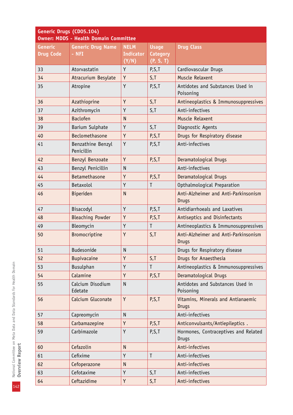| Generic Drugs (CD05.104)<br><b>Owner: MDDS - Health Domain Committee</b> |                                 |                  |                 |                                                      |  |  |
|--------------------------------------------------------------------------|---------------------------------|------------------|-----------------|------------------------------------------------------|--|--|
| <b>Generic</b>                                                           | <b>Generic Drug Name</b>        | <b>NELM</b>      | <b>Usage</b>    | <b>Drug Class</b>                                    |  |  |
| <b>Drug Code</b>                                                         | $-$ NFI                         | <b>Indicator</b> | <b>Category</b> |                                                      |  |  |
|                                                                          |                                 | (Y/N)            | (P, S, T)       |                                                      |  |  |
| 33                                                                       | Atorvastatin                    | Y                | P, S, T         | Cardiovascular Drugs                                 |  |  |
| 34                                                                       | Atracurium Besylate             | Y                | S, T            | Muscle Relaxent                                      |  |  |
| 35                                                                       | Atropine                        | Y                | P, S, T         | Antidotes and Substances Used in<br>Poisoning        |  |  |
| 36                                                                       | Azathioprine                    | Y                | S, T            | Antineoplastics & Immunosuppressives                 |  |  |
| 37                                                                       | Azithromycin                    | Y                | S, T            | Anti-infectives                                      |  |  |
| 38                                                                       | <b>Baclofen</b>                 | <sub>N</sub>     |                 | Muscle Relaxent                                      |  |  |
| 39                                                                       | Barium Sulphate                 | Y                | S, T            | Diagnostic Agents                                    |  |  |
| 40                                                                       | Beclomethasone                  | Y                | P, S, T         | Drugs for Respiratory disease                        |  |  |
| 41                                                                       | Benzathine Benzyl<br>Penicillin | Y                | P, S, T         | Anti-infectives                                      |  |  |
| 42                                                                       | Benzyl Benzoate                 | Y                | P, S, T         | Deramatological Drugs                                |  |  |
| 43                                                                       | Benzyl Penicillin               | $\mathsf{N}$     |                 | Anti-infectives                                      |  |  |
| 44                                                                       | Betamethasone                   | Y                | P, S, T         | Deramatological Drugs                                |  |  |
| 45                                                                       | Betaxolol                       | Y                | T               | Opthalmological Preparation                          |  |  |
| 46                                                                       | <b>Biperiden</b>                | $\mathsf{N}$     |                 | Anti-Alzheimer and Anti-Parkinsonism<br>Drugs        |  |  |
| 47                                                                       | Bisacodyl                       | Y                | P, S, T         | Antidiarrhoeals and Laxatives                        |  |  |
| 48                                                                       | <b>Bleaching Powder</b>         | Y                | P, S, T         | Antiseptics and Disinfectants                        |  |  |
| 49                                                                       | Bleomycin                       | Y                | T               | Antineoplastics & Immunosuppressives                 |  |  |
| 50                                                                       | <b>Bromocriptine</b>            | Y                | S, T            | Anti-Alzheimer and Anti-Parkinsonism<br><b>Drugs</b> |  |  |
| 51                                                                       | <b>Budesonide</b>               | N                |                 | Drugs for Respiratory disease                        |  |  |
| 52                                                                       | <b>Bupivacaine</b>              | Y                | S, T            | Drugs for Anaesthesia                                |  |  |
| 53                                                                       | <b>Busulphan</b>                | Y                | T               | Antineoplastics & Immunosuppressives                 |  |  |
| 54                                                                       | Calamine                        | Y                | P, S, T         | Deramatological Drugs                                |  |  |
| 55                                                                       | Calcium Disodium<br>Edetate     | $\mathsf{N}$     |                 | Antidotes and Substances Used in<br>Poisoning        |  |  |
| 56                                                                       | Calcium Gluconate               | Y                | P, S, T         | Vitamins, Minerals and Antianaemic<br><b>Drugs</b>   |  |  |
| 57                                                                       | Capreomycin                     | $\mathsf{N}$     |                 | Anti-infectives                                      |  |  |
| 58                                                                       | Carbamazepine                   | Y                | P, S, T         | Anticonvulsants/Antiepileptics.                      |  |  |
| 59                                                                       | Carbimazole                     | Υ                | P,S,T           | Hormones, Contraceptives and Related<br><b>Drugs</b> |  |  |
| 60                                                                       | Cefazolin                       | $\mathsf{N}$     |                 | Anti-infectives                                      |  |  |
| 61                                                                       | Cefixime                        | Y                | T               | Anti-infectives                                      |  |  |
| 62                                                                       | Cefoperazone                    | $\mathsf{N}$     |                 | Anti-infectives                                      |  |  |
| 63                                                                       | Cefotaxime                      | Y                | S, T            | Anti-infectives                                      |  |  |
| 64                                                                       | Ceftazidime                     | Υ                | S, T            | Anti-infectives                                      |  |  |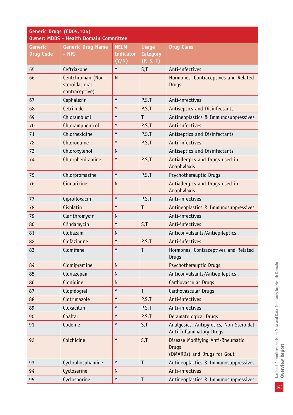| Generic Drugs (CD05.104)<br><b>Owner: MDDS - Health Domain Committee</b> |                                                       |                                          |                                              |                                                                                 |  |
|--------------------------------------------------------------------------|-------------------------------------------------------|------------------------------------------|----------------------------------------------|---------------------------------------------------------------------------------|--|
| <b>Generic</b><br><b>Drug Code</b>                                       | <b>Generic Drug Name</b><br>- NFI                     | <b>NELM</b><br><b>Indicator</b><br>(Y/N) | <b>Usage</b><br><b>Category</b><br>(P, S, I) | <b>Drug Class</b>                                                               |  |
| 65                                                                       | Ceftriaxone                                           | Y                                        | S, T                                         | Anti-infectives                                                                 |  |
| 66                                                                       | Centchroman (Non-<br>steroidal oral<br>contraceptive) | $\mathsf{N}$                             |                                              | Hormones, Contraceptives and Related<br><b>Drugs</b>                            |  |
| 67                                                                       | Cephalexin                                            | Y                                        | P, S, T                                      | Anti-infectives                                                                 |  |
| 68                                                                       | Cetrimide                                             | Y                                        | P, S, T                                      | Antiseptics and Disinfectants                                                   |  |
| 69                                                                       | Chlorambucil                                          | Y                                        | T                                            | Antineoplastics & Immunosuppressives                                            |  |
| 70                                                                       | Chloramphenicol                                       | Y                                        | P, S, T                                      | Anti-infectives                                                                 |  |
| 71                                                                       | Chlorhexidine                                         | Y                                        | P, S, T                                      | Antiseptics and Disinfectants                                                   |  |
| 72                                                                       | Chloroquine                                           | Y                                        | P, S, T                                      | Anti-infectives                                                                 |  |
| 73                                                                       | Chloroxylenol                                         | N                                        |                                              | Antiseptics and Disinfectants                                                   |  |
| 74                                                                       | Chlorpheniramine                                      | Y                                        | P, S, T                                      | Antiallergics and Drugs used in<br>Anaphylaxis                                  |  |
| 75                                                                       | Chlorpromazine                                        | Y                                        | P,S,T                                        | Psychotherauptic Drugs                                                          |  |
| 76                                                                       | Cinnarizine                                           | $\overline{N}$                           |                                              | Antiallergics and Drugs used in<br>Anaphylaxis                                  |  |
| 77                                                                       | Ciprofloxacin                                         | Y                                        | P, S, T                                      | Anti-infectives                                                                 |  |
| 78                                                                       | Cisplatin                                             | Y                                        | T                                            | Antineoplastics & Immunosuppressives                                            |  |
| 79                                                                       | Clarithromycin                                        | N                                        |                                              | Anti-infectives                                                                 |  |
| 80                                                                       | Clindamycin                                           | Y                                        | S, T                                         | Anti-infectives                                                                 |  |
| 81                                                                       | Clobazam                                              | $\mathsf{N}$                             |                                              | Anticonvulsants/Antiepileptics.                                                 |  |
| 82                                                                       | Clofazimine                                           | Y                                        | P, S, T                                      | Anti-infectives                                                                 |  |
| 83                                                                       | Clomifene                                             | Y                                        |                                              | Hormones, Contraceptives and Related<br><b>Drugs</b>                            |  |
| 84                                                                       | Clomipramine                                          | $\mathsf{N}$                             |                                              | Psychotherauptic Drugs                                                          |  |
| 85                                                                       | Clonazepam                                            | $\mathsf{N}$                             |                                              | Anticonvulsants/Antiepileptics.                                                 |  |
| 86                                                                       | Clonidine                                             | $\mathsf{N}$                             |                                              | Cardiovascular Drugs                                                            |  |
| 87                                                                       | Clopidogrel                                           | Y                                        | T                                            | Cardiovascular Drugs                                                            |  |
| 88                                                                       | Clotrimazole                                          | Y                                        | P, S, T                                      | Anti-infectives                                                                 |  |
| 89                                                                       | Cloxacillin                                           | Υ                                        | P,S,T                                        | Anti-infectives                                                                 |  |
| 90                                                                       | Coaltar                                               | Y                                        | P, S, T                                      | Deramatological Drugs                                                           |  |
| 91                                                                       | Codeine                                               | Y                                        | S, T                                         | Analgesics, Antipyretics, Non-Steroidal<br>Anti-Inflammatory Drugs              |  |
| 92                                                                       | Colchicine                                            | Y                                        | S, T                                         | Disease Modifying Anti-Rheumatic<br><b>Drugs</b><br>(DMARDs) and Drugs for Gout |  |
| 93                                                                       | Cyclophosphamide                                      | Y                                        | $\mathsf{T}$                                 | Antineoplastics & Immunosuppressives                                            |  |
| 94                                                                       | Cycloserine                                           | N                                        |                                              | Anti-infectives                                                                 |  |
| 95                                                                       | Cyclosporine                                          | Υ                                        | $\mathsf T$                                  | Antineoplastics & Immunosuppressives                                            |  |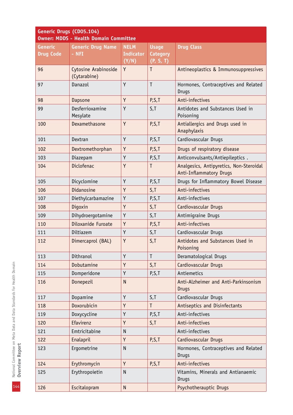| Generic Drugs (CD05.104)<br><b>Owner: MDDS - Health Domain Committee</b> |                                             |                                          |                                              |                                                                    |
|--------------------------------------------------------------------------|---------------------------------------------|------------------------------------------|----------------------------------------------|--------------------------------------------------------------------|
| <b>Generic</b><br><b>Drug Code</b>                                       | <b>Generic Drug Name</b><br>- NFI           | <b>NELM</b><br><b>Indicator</b><br>(Y/N) | <b>Usage</b><br><b>Category</b><br>(P, S, T) | <b>Drug Class</b>                                                  |
| 96                                                                       | <b>Cytosine Arabinoside</b><br>(Cytarabine) | Y                                        | $\mathsf{T}$                                 | Antineoplastics & Immunosuppressives                               |
| 97                                                                       | Danazol                                     | Y                                        | T                                            | Hormones, Contraceptives and Related<br><b>Drugs</b>               |
| 98                                                                       | Dapsone                                     | Y                                        | P, S, T                                      | Anti-infectives                                                    |
| 99                                                                       | Desferrioxamine<br>Mesylate                 | Y                                        | S, T                                         | Antidotes and Substances Used in<br>Poisoning                      |
| 100                                                                      | Dexamethasone                               | Y                                        | P, S, T                                      | Antiallergics and Drugs used in<br>Anaphylaxis                     |
| 101                                                                      | Dextran                                     | Y                                        | P, S, T                                      | Cardiovascular Drugs                                               |
| 102                                                                      | Dextromethorphan                            | Y                                        | P, S, T                                      | Drugs of respiratory disease                                       |
| 103                                                                      | Diazepam                                    | Υ                                        | P, S, T                                      | Anticonvulsants/Antiepileptics.                                    |
| 104                                                                      | Diclofenac                                  | Y                                        | T                                            | Analgesics, Antipyretics, Non-Steroidal<br>Anti-Inflammatory Drugs |
| 105                                                                      | Dicyclomine                                 | Y                                        | P, S, T                                      | Drugs for Inflammatory Bowel Disease                               |
| 106                                                                      | Didanosine                                  | Y                                        | S, T                                         | Anti-infectives                                                    |
| 107                                                                      | Diethylcarbamazine                          | Y                                        | P, S, T                                      | Anti-infectives                                                    |
| 108                                                                      | Digoxin                                     | Y                                        | S, T                                         | Cardiovascular Drugs                                               |
| 109                                                                      | Dihydroergotamine                           | Y                                        | S, T                                         | Antimigraine Drugs                                                 |
| 110                                                                      | Diloxanide Furoate                          | Y                                        | P, S, T                                      | Anti-infectives                                                    |
| 111                                                                      | Diltiazem                                   | Y                                        | S, T                                         | Cardiovascular Drugs                                               |
| 112                                                                      | Dimercaprol (BAL)                           | Y                                        | S,T                                          | Antidotes and Substances Used in<br>Poisoning                      |
| 113                                                                      | Dithranol                                   | Y                                        | $\mathsf{T}$                                 | Deramatological Drugs                                              |
| 114                                                                      | Dobutamine                                  | Y                                        | S, T                                         | Cardiovascular Drugs                                               |
| 115                                                                      | Domperidone                                 | Y                                        | P, S, T                                      | Antiemetics                                                        |
| 116                                                                      | Donepezil                                   | $\mathsf{N}$                             |                                              | Anti-Alzheimer and Anti-Parkinsonism<br><b>Drugs</b>               |
| 117                                                                      | Dopamine                                    | Y                                        | S, T                                         | Cardiovascular Drugs                                               |
| 118                                                                      | Doxorubicin                                 | Y                                        | $\mathsf{T}$                                 | Antiseptics and Disinfectants                                      |
| 119                                                                      | Doxycycline                                 | Y                                        | P, S, T                                      | Anti-infectives                                                    |
| 120                                                                      | Efavirenz                                   | Y                                        | S, T                                         | Anti-infectives                                                    |
| 121                                                                      | Emtricitabine                               | N                                        |                                              | Anti-infectives                                                    |
| 122                                                                      | Enalapril                                   | Y                                        | P,S,T                                        | Cardiovascular Drugs                                               |
| 123                                                                      | Ergometrine                                 | $\mathsf{N}$                             |                                              | Hormones, Contraceptives and Related<br><b>Drugs</b>               |
| 124                                                                      | Erythromycin                                | Y                                        | P,S,T                                        | Anti-infectives                                                    |
| 125                                                                      | Erythropoietin                              | $\mathsf{N}$                             |                                              | Vitamins, Minerals and Antianaemic<br><b>Drugs</b>                 |
| 126                                                                      | Escitalopram                                | $\mathsf{N}$                             |                                              | Psychotherauptic Drugs                                             |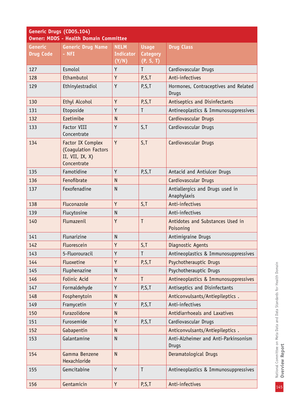|                                    | Generic Drugs (CD05.104)<br><b>Owner: MDDS - Health Domain Committee</b>       |                                          |                                              |                                                      |  |
|------------------------------------|--------------------------------------------------------------------------------|------------------------------------------|----------------------------------------------|------------------------------------------------------|--|
| <b>Generic</b><br><b>Drug Code</b> | <b>Generic Drug Name</b><br>$-$ NFI                                            | <b>NELM</b><br><b>Indicator</b><br>(Y/N) | <b>Usage</b><br><b>Category</b><br>(P, S, T) | <b>Drug Class</b>                                    |  |
| 127                                | Esmolol                                                                        | Y                                        | T                                            | Cardiovascular Drugs                                 |  |
| 128                                | Ethambutol                                                                     | Y                                        | P, S, T                                      | Anti-infectives                                      |  |
| 129                                | Ethinylestradiol                                                               | Y                                        | P, S, T                                      | Hormones, Contraceptives and Related<br>Drugs        |  |
| 130                                | Ethyl Alcohol                                                                  | Y                                        | P, S, T                                      | Antiseptics and Disinfectants                        |  |
| 131                                | Etoposide                                                                      | Y                                        | T                                            | Antineoplastics & Immunosuppressives                 |  |
| 132                                | Ezetimibe                                                                      | $\mathsf{N}$                             |                                              | Cardiovascular Drugs                                 |  |
| 133                                | <b>Factor VIII</b><br>Concentrate                                              | Y                                        | S, T                                         | Cardiovascular Drugs                                 |  |
| 134                                | Factor IX Complex<br>(Coagulation Factors<br>II, VII, IX, $X$ )<br>Concentrate | Y                                        | S, T                                         | Cardiovascular Drugs                                 |  |
| 135                                | Famotidine                                                                     | Y                                        | P, S, T                                      | Antacid and Antiulcer Drugs                          |  |
| 136                                | Fenofibrate                                                                    | N                                        |                                              | Cardiovascular Drugs                                 |  |
| 137                                | Fexofenadine                                                                   | $\mathsf{N}$                             |                                              | Antiallergics and Drugs used in<br>Anaphylaxis       |  |
| 138                                | Fluconazole                                                                    | Y                                        | S, T                                         | Anti-infectives                                      |  |
| 139                                | Flucytosine                                                                    | $\mathsf{N}$                             |                                              | Anti-infectives                                      |  |
| 140                                | Flumazenil                                                                     | Y                                        | T                                            | Antidotes and Substances Used in<br>Poisoning        |  |
| 141                                | Flunarizine                                                                    | $\mathsf{N}$                             |                                              | Antimigraine Drugs                                   |  |
| 142                                | Fluorescein                                                                    | Y                                        | S, T                                         | Diagnostic Agents                                    |  |
| 143                                | 5-Fluorouracil                                                                 | Y                                        | T                                            | Antineoplastics & Immunosuppressives                 |  |
| 144                                | Fluoxetine                                                                     | Y                                        | P, S, T                                      | Psychotherauptic Drugs                               |  |
| 145                                | Fluphenazine                                                                   | $\mathsf{N}$                             |                                              | Psychotherauptic Drugs                               |  |
| 146                                | Folinic Acid                                                                   | Y                                        | T                                            | Antineoplastics & Immunosuppressives                 |  |
| 147                                | Formaldehyde                                                                   | Y                                        | P, S, T                                      | Antiseptics and Disinfectants                        |  |
| 148                                | Fosphenytoin                                                                   | ${\sf N}$                                |                                              | Anticonvulsants/Antiepileptics.                      |  |
| 149                                | Framycetin                                                                     | Y                                        | P, S, T                                      | Anti-infectives                                      |  |
| 150                                | Furazolidone                                                                   | $\mathsf{N}$                             |                                              | Antidiarrhoeals and Laxatives                        |  |
| 151                                | Furosemide                                                                     | Y                                        | P,S,T                                        | Cardiovascular Drugs                                 |  |
| 152                                | Gabapentin                                                                     | $\mathsf{N}$                             |                                              | Anticonvulsants/Antiepileptics.                      |  |
| 153                                | Galantamine                                                                    | $\mathsf{N}$                             |                                              | Anti-Alzheimer and Anti-Parkinsonism<br><b>Drugs</b> |  |
| 154                                | Gamma Benzene<br>Hexachloride                                                  | $\mathsf{N}$                             |                                              | Deramatological Drugs                                |  |
| 155                                | Gemcitabine                                                                    | Y                                        | T                                            | Antineoplastics & Immunosuppressives                 |  |
| 156                                | Gentamicin                                                                     | Y                                        | P, S, T                                      | Anti-infectives                                      |  |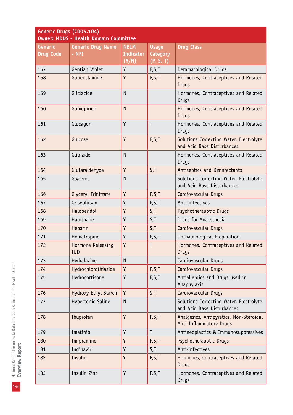| Generic Drugs (CD05.104)<br><b>Owner: MDDS - Health Domain Committee</b> |                          |                  |                 |                                                                       |
|--------------------------------------------------------------------------|--------------------------|------------------|-----------------|-----------------------------------------------------------------------|
| <b>Generic</b>                                                           | <b>Generic Drug Name</b> | <b>NELM</b>      | <b>Usage</b>    | <b>Drug Class</b>                                                     |
| <b>Drug Code</b>                                                         | - NFI                    | <b>Indicator</b> | <b>Category</b> |                                                                       |
|                                                                          |                          | (Y/N)            | (P, S, T)       |                                                                       |
| 157                                                                      | Gentian Violet           | Y                | P, S, T         | Deramatological Drugs                                                 |
| 158                                                                      | Glibenclamide            | Y                | P, S, T         | Hormones, Contraceptives and Related<br><b>Drugs</b>                  |
| 159                                                                      | Gliclazide               | N                |                 | Hormones, Contraceptives and Related<br><b>Drugs</b>                  |
| 160                                                                      | Glimepiride              | $\mathsf{N}$     |                 | Hormones, Contraceptives and Related<br><b>Drugs</b>                  |
| 161                                                                      | Glucagon                 | Y                | $\mathsf{T}$    | Hormones, Contraceptives and Related<br><b>Drugs</b>                  |
| 162                                                                      | Glucose                  | Y                | P, S, T         | Solutions Correcting Water, Electrolyte<br>and Acid Base Disturbances |
| 163                                                                      | Glipizide                | $\mathsf{N}$     |                 | Hormones, Contraceptives and Related<br><b>Drugs</b>                  |
| 164                                                                      | Glutaraldehyde           | Y                | S, T            | Antiseptics and Disinfectants                                         |
| 165                                                                      | Glycerol                 | $\mathsf{N}$     |                 | Solutions Correcting Water, Electrolyte<br>and Acid Base Disturbances |
| 166                                                                      | Glyceryl Trinitrate      | Y                | P, S, T         | Cardiovascular Drugs                                                  |
| 167                                                                      | Griseofulvin             | Y                | P, S, T         | Anti-infectives                                                       |
| 168                                                                      | Haloperidol              | Y                | S, T            | Psychotherauptic Drugs                                                |
| 169                                                                      | Halothane                | Y                | S, T            | Drugs for Anaesthesia                                                 |
| 170                                                                      | Heparin                  | Y                | S, T            | Cardiovascular Drugs                                                  |
| 171                                                                      | Homatropine              | Y                | P,S,T           | Opthalmological Preparation                                           |
| 172                                                                      | Hormone Releasing<br>IUD | Y                | $\mathsf T$     | Hormones, Contraceptives and Related<br><b>Drugs</b>                  |
| 173                                                                      | Hydralazine              | $\mathsf{N}$     |                 | Cardiovascular Drugs                                                  |
| 174                                                                      | Hydrochlorothiazide      | Y                | P, S, T         | Cardiovascular Drugs                                                  |
| 175                                                                      | Hydrocortisone           | Y                | P, S, T         | Antiallergics and Drugs used in<br>Anaphylaxis                        |
| 176                                                                      | Hydroxy Ethyl Starch     | Y                | S, T            | Cardiovascular Drugs                                                  |
| 177                                                                      | Hypertonic Saline        | ${\sf N}$        |                 | Solutions Correcting Water, Electrolyte<br>and Acid Base Disturbances |
| 178                                                                      | Ibuprofen                | Y                | P, S, T         | Analgesics, Antipyretics, Non-Steroidal<br>Anti-Inflammatory Drugs    |
| 179                                                                      | Imatinib                 | Y                | $\mathsf{T}$    | Antineoplastics & Immunosuppressives                                  |
| 180                                                                      | Imipramine               | Y                | P, S, T         | Psychotherauptic Drugs                                                |
| 181                                                                      | Indinavir                | Y                | S,T             | Anti-infectives                                                       |
| 182                                                                      | Insulin                  | Y                | P, S, T         | Hormones, Contraceptives and Related<br><b>Drugs</b>                  |
| 183                                                                      | Insulin Zinc             | Y                | P,S,T           | Hormones, Contraceptives and Related<br><b>Drugs</b>                  |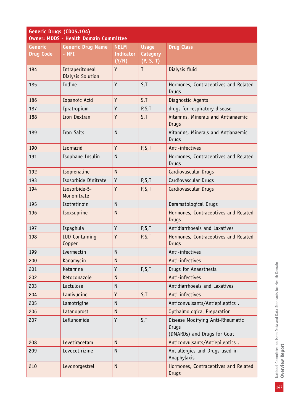| Generic Drugs (CD05.104)<br><b>Owner: MDDS - Health Domain Committee</b> |                                      |                  |                 |                                                                                 |
|--------------------------------------------------------------------------|--------------------------------------|------------------|-----------------|---------------------------------------------------------------------------------|
| <b>Generic</b>                                                           | <b>Generic Drug Name</b>             | <b>NELM</b>      | <b>Usage</b>    | <b>Drug Class</b>                                                               |
| <b>Drug Code</b>                                                         | - NFI                                | <b>Indicator</b> | <b>Category</b> |                                                                                 |
|                                                                          |                                      | (Y/N)            | (P, S, T)       |                                                                                 |
| 184                                                                      | Intraperitoneal<br>Dialysis Solution | Y                | T               | Dialysis fluid                                                                  |
| 185                                                                      | Iodine                               | Y                | S, T            | Hormones, Contraceptives and Related<br>Drugs                                   |
| 186                                                                      | Iopanoic Acid                        | Y                | S, T            | Diagnostic Agents                                                               |
| 187                                                                      | Ipratropium                          | Y                | P,S,T           | drugs for respiratory disease                                                   |
| 188                                                                      | Iron Dextran                         | Y                | S, T            | Vitamins, Minerals and Antianaemic<br><b>Drugs</b>                              |
| 189                                                                      | <b>Iron Salts</b>                    | $\mathsf{N}$     |                 | Vitamins, Minerals and Antianaemic<br><b>Drugs</b>                              |
| 190                                                                      | Isoniazid                            | Y                | P, S, T         | Anti-infectives                                                                 |
| 191                                                                      | Isophane Insulin                     | $\mathsf{N}$     |                 | Hormones, Contraceptives and Related<br><b>Drugs</b>                            |
| 192                                                                      | Isoprenaline                         | $\overline{N}$   |                 | Cardiovascular Drugs                                                            |
| 193                                                                      | Isosorbide Dinitrate                 | Y                | P, S, T         | Cardiovascular Drugs                                                            |
| 194                                                                      | Isosorbide-5-<br>Mononitrate         | Y                | P, S, T         | Cardiovascular Drugs                                                            |
| 195                                                                      | Isotretinoin                         | $\mathsf{N}$     |                 | Deramatological Drugs                                                           |
| 196                                                                      | Isoxsuprine                          | $\mathsf{N}$     |                 | Hormones, Contraceptives and Related<br><b>Drugs</b>                            |
| 197                                                                      | Ispaghula                            | Y                | P, S, T         | Antidiarrhoeals and Laxatives                                                   |
| 198                                                                      | <b>IUD Containing</b><br>Copper      | Y                | P, S, T         | Hormones, Contraceptives and Related<br><b>Drugs</b>                            |
| 199                                                                      | Ivermectin                           | $\mathsf{N}$     |                 | Anti-infectives                                                                 |
| 200                                                                      | Kanamycin                            | $\mathsf{N}$     |                 | Anti-infectives                                                                 |
| 201                                                                      | Ketamine                             | Y                | P,S,T           | Drugs for Anaesthesia                                                           |
| 202                                                                      | Ketoconazole                         | $\mathsf{N}$     |                 | Anti-infectives                                                                 |
| 203                                                                      | Lactulose                            | N                |                 | Antidiarrhoeals and Laxatives                                                   |
| 204                                                                      | Lamivudine                           | Y                | S, T            | Anti-infectives                                                                 |
| 205                                                                      | Lamotrigine                          | $\mathsf{N}$     |                 | Anticonvulsants/Antiepileptics.                                                 |
| 206                                                                      | Latanoprost                          | $\mathsf{N}$     |                 | Opthalmological Preparation                                                     |
| 207                                                                      | Leflunomide                          | Y                | S, T            | Disease Modifying Anti-Rheumatic<br><b>Drugs</b><br>(DMARDs) and Drugs for Gout |
| 208                                                                      | Levetiracetam                        | $\mathsf{N}$     |                 | Anticonvulsants/Antiepileptics.                                                 |
| 209                                                                      | Levocetirizine                       | $\mathsf{N}$     |                 | Antiallergics and Drugs used in<br>Anaphylaxis                                  |
| 210                                                                      | Levonorgestrel                       | $\mathsf{N}$     |                 | Hormones, Contraceptives and Related<br><b>Drugs</b>                            |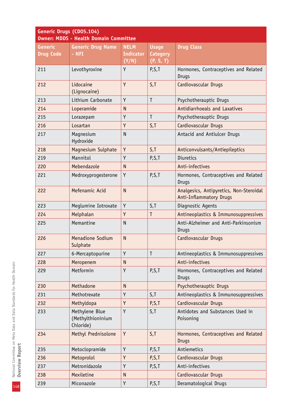| Generic Drugs (CD05.104)<br><b>Owner: MDDS - Health Domain Committee</b> |                                                  |              |                 |                                                                           |
|--------------------------------------------------------------------------|--------------------------------------------------|--------------|-----------------|---------------------------------------------------------------------------|
| <b>Generic</b>                                                           | <b>Generic Drug Name</b>                         | <b>NELM</b>  | <b>Usage</b>    | <b>Drug Class</b>                                                         |
| <b>Drug Code</b>                                                         | - NFI                                            | Indicator    | <b>Category</b> |                                                                           |
|                                                                          |                                                  | (Y/N)        | (P, S, T)       |                                                                           |
| 211                                                                      | Levothyroxine                                    | Y            | P, S, T         | Hormones, Contraceptives and Related<br>Drugs                             |
| 212                                                                      | Lidocaine                                        | Y            | S, T            | Cardiovascular Drugs                                                      |
|                                                                          | (Lignocaine)                                     |              |                 |                                                                           |
| 213                                                                      | Lithium Carbonate                                | Y            | $\mathsf{T}$    | Psychotherauptic Drugs                                                    |
| 214                                                                      | Loperamide                                       | $\mathsf{N}$ |                 | Antidiarrhoeals and Laxatives                                             |
| 215                                                                      | Lorazepam                                        | Y            | $\mathsf{T}$    | Psychotherauptic Drugs                                                    |
| 216                                                                      | Losartan                                         | Y            | S, T            | Cardiovascular Drugs                                                      |
| 217                                                                      | Magnesium<br>Hydroxide                           | $\mathsf{N}$ |                 | Antacid and Antiulcer Drugs                                               |
| 218                                                                      | Magnesium Sulphate                               | Y            | S, T            | Anticonvulsants/Antiepileptics                                            |
| 219                                                                      | Mannitol                                         | Y            | P, S, T         | <b>Diuretics</b>                                                          |
| 220                                                                      | Mebendazole                                      | $\mathsf{N}$ |                 | Anti-infectives                                                           |
| 221                                                                      | Medroxyprogesterone                              | Υ            | P, S, T         | Hormones, Contraceptives and Related<br><b>Drugs</b>                      |
| 222                                                                      | Mefenamic Acid                                   | $\mathsf{N}$ |                 | Analgesics, Antipyretics, Non-Steroidal<br><b>Anti-Inflammatory Drugs</b> |
| 223                                                                      | Meglumine Iotroxate                              | Y            | S, T            | Diagnostic Agents                                                         |
| 224                                                                      | Melphalan                                        | Y            | $\mathsf{T}$    | Antineoplastics & Immunosuppressives                                      |
| 225                                                                      | Memantine                                        | $\mathsf{N}$ |                 | Anti-Alzheimer and Anti-Parkinsonism<br>Drugs                             |
| 226                                                                      | Menadione Sodium<br>Sulphate                     | $\mathsf{N}$ |                 | Cardiovascular Drugs                                                      |
| 227                                                                      | 6-Mercaptopurine                                 | Y            | $\mathsf{T}$    | Antineoplastics & Immunosuppressives                                      |
| 228                                                                      | Meropenem                                        | $\mathsf{N}$ |                 | Anti-infectives                                                           |
| 229                                                                      | Metformin                                        | Y            | P, S, T         | Hormones, Contraceptives and Related<br><b>Drugs</b>                      |
| 230                                                                      | Methadone                                        | $\mathsf{N}$ |                 | Psychotherauptic Drugs                                                    |
| 231                                                                      | Methotrexate                                     | Y            | S, T            | Antineoplastics & Immunosuppressives                                      |
| 232                                                                      | Methyldopa                                       | Y            | P,S,T           | Cardiovascular Drugs                                                      |
| 233                                                                      | Methylene Blue<br>(Methylthioninium<br>Chloride) | Y            | S, T            | Antidotes and Substances Used in<br>Poisoning                             |
| 234                                                                      | Methyl Prednisolone                              | Y            | S, T            | Hormones, Contraceptives and Related<br><b>Drugs</b>                      |
| 235                                                                      | Metoclopramide                                   | Y            | P, S, T         | Antiemetics                                                               |
| 236                                                                      | Metoprolol                                       | Y            | P, S, T         | Cardiovascular Drugs                                                      |
| 237                                                                      | Metronidazole                                    | Y            | P, S, T         | Anti-infectives                                                           |
| 238                                                                      | Mexiletine                                       | $\mathsf{N}$ |                 | Cardiovascular Drugs                                                      |
| 239                                                                      | Miconazole                                       | Y            | P, S, T         | Deramatological Drugs                                                     |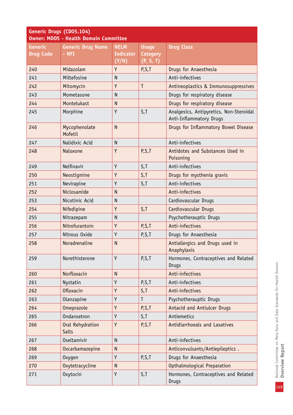| Generic Drugs (CD05.104)<br><b>Owner: MDDS - Health Domain Committee</b> |                                         |                                          |                                              |                                                                    |
|--------------------------------------------------------------------------|-----------------------------------------|------------------------------------------|----------------------------------------------|--------------------------------------------------------------------|
| <b>Generic</b><br><b>Drug Code</b>                                       | <b>Generic Drug Name</b><br>$-$ NFI     | <b>NELM</b><br><b>Indicator</b><br>(Y/N) | <b>Usage</b><br><b>Category</b><br>(P, S, T) | <b>Drug Class</b>                                                  |
| 240                                                                      | Midazolam                               | Y                                        | P, S, T                                      | Drugs for Anaesthesia                                              |
| 241                                                                      | Miltefosine                             | $\mathsf{N}$                             |                                              | Anti-infectives                                                    |
| 242                                                                      | Mitomycin                               | Y                                        | T                                            | Antineoplastics & Immunosuppressives                               |
| 243                                                                      | Mometasone                              | $\mathsf{N}$                             |                                              | Drugs for respiratory disease                                      |
| 244                                                                      | Montelukast                             | $\mathsf{N}$                             |                                              | Drugs for respiratory disease                                      |
| 245                                                                      | Morphine                                | Y                                        | S, T                                         | Analgesics, Antipyretics, Non-Steroidal<br>Anti-Inflammatory Drugs |
| 246                                                                      | Mycophenolate<br>Mofetil                | $\mathsf{N}$                             |                                              | Drugs for Inflammatory Bowel Disease                               |
| 247                                                                      | Nalidixic Acid                          | $\mathsf{N}$                             |                                              | Anti-infectives                                                    |
| 248                                                                      | Naloxone                                | Y                                        | P, S, T                                      | Antidotes and Substances Used in<br>Poisoning                      |
| 249                                                                      | Nelfinavir                              | Y                                        | S, T                                         | Anti-infectives                                                    |
| 250                                                                      | Neostigmine                             | Y                                        | S, T                                         | Drugs for mysthenia gravis                                         |
| 251                                                                      | Nevirapine                              | Y                                        | S, T                                         | Anti-infectives                                                    |
| 252                                                                      | Niclosamide                             | $\mathsf{N}$                             |                                              | Anti-infectives                                                    |
| 253                                                                      | Nicotinic Acid                          | N                                        |                                              | Cardiovascular Drugs                                               |
| 254                                                                      | Nifedipine                              | Y                                        | S, T                                         | Cardiovascular Drugs                                               |
| 255                                                                      | Nitrazepam                              | $\mathsf{N}$                             |                                              | Psychotherauptic Drugs                                             |
| 256                                                                      | Nitrofurantoin                          | Y                                        | P, S, T                                      | Anti-infectives                                                    |
| 257                                                                      | Nitrous Oxide                           | Y                                        | P, S, T                                      | Drugs for Anaesthesia                                              |
| 258                                                                      | Noradrenaline                           | $\mathsf{N}$                             |                                              | Antiallergics and Drugs used in<br>Anaphylaxis                     |
| 259                                                                      | Norethisterone                          | Y                                        | P, S, T                                      | Hormones, Contraceptives and Related<br><b>Drugs</b>               |
| 260                                                                      | Norfloxacin                             | $\mathsf{N}$                             |                                              | Anti-infectives                                                    |
| 261                                                                      | Nystatin                                | Y                                        | P, S, T                                      | Anti-infectives                                                    |
| 262                                                                      | <b>Ofloxacin</b>                        | Y                                        | S, T                                         | Anti-infectives                                                    |
| 263                                                                      | Olanzapine                              | Y                                        | T                                            | Psychotherauptic Drugs                                             |
| 264                                                                      | Omeprazole                              | Y                                        | P, S, T                                      | Antacid and Antiulcer Drugs                                        |
| 265                                                                      | Ondansetron                             | Y                                        | S, T                                         | Antiemetics                                                        |
| 266                                                                      | <b>Oral Rehydration</b><br><b>Salts</b> | Y                                        | P, S, T                                      | Antidiarrhoeals and Laxatives                                      |
| 267                                                                      | Oseltamivir                             | $\mathsf{N}$                             |                                              | Anti-infectives                                                    |
| 268                                                                      | Oxcarbamazepine                         | $\mathsf{N}$                             |                                              | Anticonvulsants/Antiepileptics.                                    |
| 269                                                                      | <b>Oxygen</b>                           | Y                                        | P,S,T                                        | Drugs for Anaesthesia                                              |
| 270                                                                      | Oxytetracycline                         | $\mathsf{N}$                             |                                              | Opthalmological Preparation                                        |
| 271                                                                      | <b>Oxytocin</b>                         | Y                                        | S, T                                         | Hormones, Contraceptives and Related<br><b>Drugs</b>               |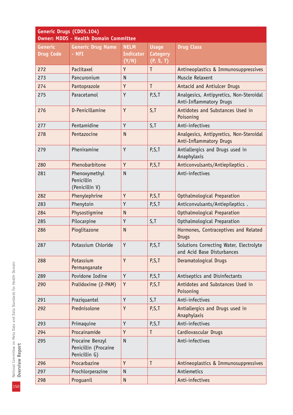| Generic Drugs (CD05.104)<br><b>Owner: MDDS - Health Domain Committee</b> |                                                          |                  |                 |                                                                           |
|--------------------------------------------------------------------------|----------------------------------------------------------|------------------|-----------------|---------------------------------------------------------------------------|
| <b>Generic</b>                                                           | <b>Generic Drug Name</b>                                 | <b>NELM</b>      | <b>Usage</b>    | <b>Drug Class</b>                                                         |
| <b>Drug Code</b>                                                         | - NFI                                                    | <b>Indicator</b> | <b>Category</b> |                                                                           |
|                                                                          |                                                          | (Y/N)            | (P, S, T)       |                                                                           |
| 272                                                                      | Paclitaxel                                               | Y                | T               | Antineoplastics & Immunosuppressives                                      |
| 273                                                                      | Pancuronium                                              | $\mathsf{N}$     |                 | Muscle Relaxent                                                           |
| 274                                                                      | Pantoprazole                                             | Y                | $\mathsf{T}$    | Antacid and Antiulcer Drugs                                               |
| 275                                                                      | Paracetamol                                              | Y                | P, S, T         | Analgesics, Antipyretics, Non-Steroidal<br>Anti-Inflammatory Drugs        |
| 276                                                                      | D-Penicillamine                                          | Y                | S, T            | Antidotes and Substances Used in<br>Poisoning                             |
| 277                                                                      | Pentamidine                                              | Y                | S, T            | Anti-infectives                                                           |
| 278                                                                      | Pentazocine                                              | $\mathsf{N}$     |                 | Analgesics, Antipyretics, Non-Steroidal<br><b>Anti-Inflammatory Drugs</b> |
| 279                                                                      | Pheniramine                                              | Y                | P, S, T         | Antiallergics and Drugs used in<br>Anaphylaxis                            |
| 280                                                                      | Phenobarbitone                                           | Y                | P, S, T         | Anticonvulsants/Antiepileptics.                                           |
| 281                                                                      | Phenoxymethyl<br>Penicillin<br>(Penicillin V)            | $\mathsf{N}$     |                 | Anti-infectives                                                           |
| 282                                                                      | Phenylephrine                                            | Y                | P, S, T         | Opthalmological Preparation                                               |
| 283                                                                      | Phenytoin                                                | Y                | P, S, T         | Anticonvulsants/Antiepileptics.                                           |
| 284                                                                      | Physostigmine                                            | $\mathsf{N}$     |                 | Opthalmological Preparation                                               |
| 285                                                                      | Pilocarpine                                              | Y                | S, T            | Opthalmological Preparation                                               |
| 286                                                                      | Pioglitazone                                             | $\mathsf{N}$     |                 | Hormones, Contraceptives and Related<br><b>Drugs</b>                      |
| 287                                                                      | Potassium Chloride                                       | Y                | P,S,T           | Solutions Correcting Water, Electrolyte<br>and Acid Base Disturbances     |
| 288                                                                      | Potassium<br>Permanganate                                | Y                | P, S, T         | Deramatological Drugs                                                     |
| 289                                                                      | Povidone Iodine                                          | Y                | P, S, T         | Antiseptics and Disinfectants                                             |
| 290                                                                      | Pralidoxime (2-PAM)                                      | Y                | P, S, T         | Antidotes and Substances Used in<br>Poisoning                             |
| 291                                                                      | Praziquantel                                             | Y                | S, T            | Anti-infectives                                                           |
| 292                                                                      | Prednisolone                                             | Y                | P, S, T         | Antiallergics and Drugs used in<br>Anaphylaxis                            |
| 293                                                                      | Primaquine                                               | Y                | P, S, T         | Anti-infectives                                                           |
| 294                                                                      | Procainamide                                             | Y                | T               | Cardiovascular Drugs                                                      |
| 295                                                                      | Procaine Benzyl<br>Penicillin (Procaine<br>Penicillin G) | $\mathsf{N}$     |                 | Anti-infectives                                                           |
| 296                                                                      | Procarbazine                                             | Y                | T               | Antineoplastics & Immunosuppressives                                      |
| 297                                                                      | Prochlorperazine                                         | N                |                 | Antiemetics                                                               |
| 298                                                                      | Proguanil                                                | $\mathsf{N}$     |                 | Anti-infectives                                                           |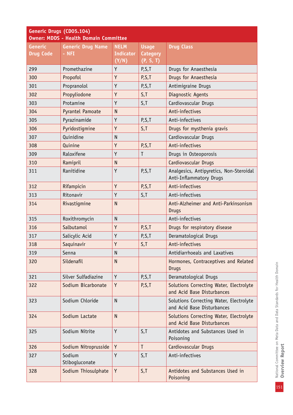| Generic Drugs (CD05.104)<br><b>Owner: MDDS - Health Domain Committee</b> |                                     |                                 |                                 |                                                                       |
|--------------------------------------------------------------------------|-------------------------------------|---------------------------------|---------------------------------|-----------------------------------------------------------------------|
| <b>Generic</b><br><b>Drug Code</b>                                       | <b>Generic Drug Name</b><br>$-$ NFI | <b>NELM</b><br><b>Indicator</b> | <b>Usage</b><br><b>Category</b> | <b>Drug Class</b>                                                     |
|                                                                          |                                     | (Y/N)                           | (P, S, T)                       |                                                                       |
| 299                                                                      | Promethazine                        | Y                               | P,S,T                           | Drugs for Anaesthesia                                                 |
| 300                                                                      | Propofol                            | Y                               | P,S,T                           | Drugs for Anaesthesia                                                 |
| 301                                                                      | Propranolol                         | Y                               | P,S,T                           | Antimigraine Drugs                                                    |
| 302                                                                      | Propyliodone                        | Y                               | S, T                            | Diagnostic Agents                                                     |
| 303                                                                      | Protamine                           | Y                               | S, T                            | Cardiovascular Drugs                                                  |
| 304                                                                      | Pyrantel Pamoate                    | $\mathsf{N}$                    |                                 | Anti-infectives                                                       |
| 305                                                                      | Pyrazinamide                        | Y                               | P, S, T                         | Anti-infectives                                                       |
| 306                                                                      | Pyridostigmine                      | Y                               | S, T                            | Drugs for mysthenia gravis                                            |
| 307                                                                      | Quinidine                           | $\mathsf{N}$                    |                                 | Cardiovascular Drugs                                                  |
| 308                                                                      | Quinine                             | Y                               | P, S, T                         | Anti-infectives                                                       |
| 309                                                                      | Raloxifene                          | Y                               | T                               | Drugs in Osteoporosis                                                 |
| 310                                                                      | Ramipril                            | $\mathsf{N}$                    |                                 | Cardiovascular Drugs                                                  |
| 311                                                                      | Ranitidine                          | Y                               | P, S, T                         | Analgesics, Antipyretics, Non-Steroidal<br>Anti-Inflammatory Drugs    |
| 312                                                                      | Rifampicin                          | Y                               | P, S, T                         | Anti-infectives                                                       |
| 313                                                                      | Ritonavir                           | Y                               | S, T                            | Anti-infectives                                                       |
| 314                                                                      | Rivastigmine                        | $\mathsf{N}$                    |                                 | Anti-Alzheimer and Anti-Parkinsonism<br><b>Drugs</b>                  |
| 315                                                                      | Roxithromycin                       | $\mathsf{N}$                    |                                 | Anti-infectives                                                       |
| 316                                                                      | Salbutamol                          | Y                               | P, S, T                         | Drugs for respiratory disease                                         |
| 317                                                                      | Salicylic Acid                      | Υ                               | P,S,T                           | Deramatological Drugs                                                 |
| 318                                                                      | Saquinavir                          | Y                               | S, T                            | Anti-infectives                                                       |
| 319                                                                      | Senna                               | N                               |                                 | Antidiarrhoeals and Laxatives                                         |
| 320                                                                      | Sildenafil                          | $\mathsf{N}$                    |                                 | Hormones, Contraceptives and Related<br><b>Drugs</b>                  |
| 321                                                                      | Silver Sulfadiazine                 | Y                               | P,S,T                           | Deramatological Drugs                                                 |
| 322                                                                      | Sodium Bicarbonate                  | Y                               | P,S,T                           | Solutions Correcting Water, Electrolyte<br>and Acid Base Disturbances |
| 323                                                                      | Sodium Chloride                     | N                               |                                 | Solutions Correcting Water, Electrolyte<br>and Acid Base Disturbances |
| 324                                                                      | Sodium Lactate                      | N                               |                                 | Solutions Correcting Water, Electrolyte<br>and Acid Base Disturbances |
| 325                                                                      | Sodium Nitrite                      | Y                               | S, T                            | Antidotes and Substances Used in<br>Poisoning                         |
| 326                                                                      | Sodium Nitroprusside                | Y                               | T                               | Cardiovascular Drugs                                                  |
| 327                                                                      | Sodium<br>Stibogluconate            | Y                               | S, T                            | Anti-infectives                                                       |
| 328                                                                      | Sodium Thiosulphate                 | Y                               | S, T                            | Antidotes and Substances Used in<br>Poisoning                         |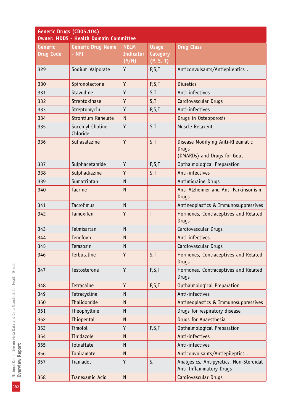|                  | Generic Drugs (CD05.104)<br><b>Owner: MDDS - Health Domain Committee</b> |                  |                 |                                                                                 |  |
|------------------|--------------------------------------------------------------------------|------------------|-----------------|---------------------------------------------------------------------------------|--|
| <b>Generic</b>   | <b>Generic Drug Name</b>                                                 | <b>NELM</b>      | <b>Usage</b>    | <b>Drug Class</b>                                                               |  |
| <b>Drug Code</b> | $-$ NFI                                                                  | <b>Indicator</b> | <b>Category</b> |                                                                                 |  |
|                  |                                                                          | (Y/N)            | (P, S, T)       |                                                                                 |  |
| 329              | Sodium Valporate                                                         | Y                | P, S, T         | Anticonvulsants/Antiepileptics.                                                 |  |
| 330              | Spironolactone                                                           | Y                | P, S, T         | <b>Diuretics</b>                                                                |  |
| 331              | Stavudine                                                                | Y                | S, T            | Anti-infectives                                                                 |  |
| 332              | Streptokinase                                                            | Y                | S, T            | Cardiovascular Drugs                                                            |  |
| 333              | Streptomycin                                                             | Y                | P, S, T         | Anti-infectives                                                                 |  |
| 334              | <b>Strontium Ranelate</b>                                                | $\mathsf{N}$     |                 | Drugs in Osteoporosis                                                           |  |
| 335              | Succinyl Choline<br>Chloride                                             | Y                | S, T            | Muscle Relaxent                                                                 |  |
| 336              | Sulfasalazine                                                            | Y                | S, T            | Disease Modifying Anti-Rheumatic<br><b>Drugs</b><br>(DMARDs) and Drugs for Gout |  |
| 337              | Sulphacetamide                                                           | Y                | P, S, T         | Opthalmological Preparation                                                     |  |
| 338              | Sulphadiazine                                                            | Y                | S, T            | Anti-infectives                                                                 |  |
| 339              | Sumatriptan                                                              | $\mathsf{N}$     |                 | Antimigraine Drugs                                                              |  |
| 340              | <b>Tacrine</b>                                                           | $\mathsf{N}$     |                 | Anti-Alzheimer and Anti-Parkinsonism<br><b>Drugs</b>                            |  |
| 341              | Tacrolimus                                                               | $\mathsf{N}$     |                 | Antineoplastics & Immunosuppressives                                            |  |
| 342              | Tamoxifen                                                                | Y                | T               | Hormones, Contraceptives and Related<br><b>Drugs</b>                            |  |
| 343              | Telmisartan                                                              | N                |                 | Cardiovascular Drugs                                                            |  |
| 344              | Tenofovir                                                                | $\mathsf{N}$     |                 | Anti-infectives                                                                 |  |
| 345              | Terazosin                                                                | ${\sf N}$        |                 | Cardiovascular Drugs                                                            |  |
| 346              | Terbutaline                                                              | Y                | S, T            | Hormones, Contraceptives and Related<br><b>Drugs</b>                            |  |
| 347              | Testosterone                                                             | Y                | P, S, T         | Hormones, Contraceptives and Related<br><b>Drugs</b>                            |  |
| 348              | Tetracaine                                                               | Y                | P, S, T         | Opthalmological Preparation                                                     |  |
| 349              | Tetracycline                                                             | N                |                 | Anti-infectives                                                                 |  |
| 350              | Thalidomide                                                              | N                |                 | Antineoplastics & Immunosuppressives                                            |  |
| 351              | Theophylline                                                             | N                |                 | Drugs for respiratory disease                                                   |  |
| 352              | Thiopental                                                               | $\mathsf{N}$     |                 | Drugs for Anaesthesia                                                           |  |
| 353              | Timolol                                                                  | Y                | P,S,T           | Opthalmological Preparation                                                     |  |
| 354              | Tinidazole                                                               | $\mathsf{N}$     |                 | Anti-infectives                                                                 |  |
| 355              | Tolnaftate                                                               | N                |                 | Anti-infectives                                                                 |  |
| 356              | Topiramate                                                               | $\mathsf{N}$     |                 | Anticonvulsants/Antiepileptics.                                                 |  |
| 357              | Tramadol                                                                 | Y                | S, T            | Analgesics, Antipyretics, Non-Steroidal<br>Anti-Inflammatory Drugs              |  |
| 358              | Tranexamic Acid                                                          | ${\sf N}$        |                 | Cardiovascular Drugs                                                            |  |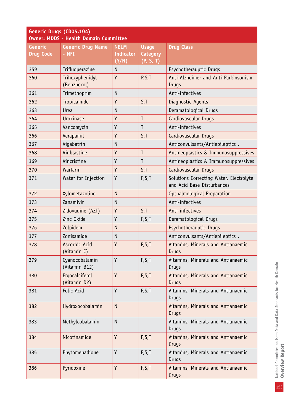| Generic Drugs (CD05.104)<br><b>Owner: MDDS - Health Domain Committee</b> |                                   |                                          |                                              |                                                                       |
|--------------------------------------------------------------------------|-----------------------------------|------------------------------------------|----------------------------------------------|-----------------------------------------------------------------------|
| <b>Generic</b><br><b>Drug Code</b>                                       | <b>Generic Drug Name</b><br>- NFI | <b>NELM</b><br><b>Indicator</b><br>(Y/N) | <b>Usage</b><br><b>Category</b><br>(P, S, T) | <b>Drug Class</b>                                                     |
| 359                                                                      | Trifluoperazine                   | N                                        |                                              | Psychotherauptic Drugs                                                |
| 360                                                                      | Trihexyphenidyl<br>(Benzhexol)    | Y                                        | P, S, T                                      | Anti-Alzheimer and Anti-Parkinsonism<br><b>Drugs</b>                  |
| 361                                                                      | Trimethoprim                      | N                                        |                                              | Anti-infectives                                                       |
| 362                                                                      | Tropicamide                       | Y                                        | S, T                                         | Diagnostic Agents                                                     |
| 363                                                                      | Urea                              | N                                        |                                              | Deramatological Drugs                                                 |
| 364                                                                      | <b>Urokinase</b>                  | Y                                        | T                                            | Cardiovascular Drugs                                                  |
| 365                                                                      | Vancomycin                        | Y                                        | T                                            | Anti-infectives                                                       |
| 366                                                                      | Verapamil                         | Y                                        | S,T                                          | Cardiovascular Drugs                                                  |
| 367                                                                      | Vigabatrin                        | N                                        |                                              | Anticonvulsants/Antiepileptics.                                       |
| 368                                                                      | Vinblastine                       | Y                                        | T                                            | Antineoplastics & Immunosuppressives                                  |
| 369                                                                      | Vincristine                       | Y                                        | T                                            | Antineoplastics & Immunosuppressives                                  |
| 370                                                                      | Warfarin                          | Y                                        | S, T                                         | Cardiovascular Drugs                                                  |
| 371                                                                      | Water for Injection               | Y                                        | P, S, T                                      | Solutions Correcting Water, Electrolyte<br>and Acid Base Disturbances |
| 372                                                                      | Xylometazoline                    | $\mathsf{N}$                             |                                              | Opthalmological Preparation                                           |
| 373                                                                      | Zanamivir                         | $\mathsf{N}$                             |                                              | Anti-infectives                                                       |
| 374                                                                      | Zidovudine (AZT)                  | Y                                        | S, T                                         | Anti-infectives                                                       |
| 375                                                                      | Zinc Oxide                        | Y                                        | P,S,T                                        | Deramatological Drugs                                                 |
| 376                                                                      | Zolpidem                          | $\mathsf{N}$                             |                                              | Psychotherauptic Drugs                                                |
| 377                                                                      | Zonisamide                        | $\mathsf{N}$                             |                                              | Anticonvulsants/Antiepileptics.                                       |
| 378                                                                      | Ascorbic Acid<br>(Vitamin C)      | Y                                        | P, S, T                                      | Vitamins, Minerals and Antianaemic<br><b>Drugs</b>                    |
| 379                                                                      | Cyanocobalamin<br>(Vitamin B12)   | Y                                        | P, S, T                                      | Vitamins, Minerals and Antianaemic<br>Drugs                           |
| 380                                                                      | Ergocalciferol<br>(Vitamin D2)    | Y                                        | P, S, T                                      | Vitamins, Minerals and Antianaemic<br><b>Drugs</b>                    |
| 381                                                                      | Folic Acid                        | Y                                        | P,S,T                                        | Vitamins, Minerals and Antianaemic<br>Drugs                           |
| 382                                                                      | Hydroxocobalamin                  | $\mathsf{N}$                             |                                              | Vitamins, Minerals and Antianaemic<br><b>Drugs</b>                    |
| 383                                                                      | Methylcobalamin                   | $\mathsf{N}$                             |                                              | Vitamins, Minerals and Antianaemic<br><b>Drugs</b>                    |
| 384                                                                      | Nicotinamide                      | Y                                        | P, S, T                                      | Vitamins, Minerals and Antianaemic<br><b>Drugs</b>                    |
| 385                                                                      | Phytomenadione                    | Y                                        | P,S,T                                        | Vitamins, Minerals and Antianaemic<br><b>Drugs</b>                    |
| 386                                                                      | Pyridoxine                        | Y                                        | P,S,T                                        | Vitamins, Minerals and Antianaemic<br><b>Drugs</b>                    |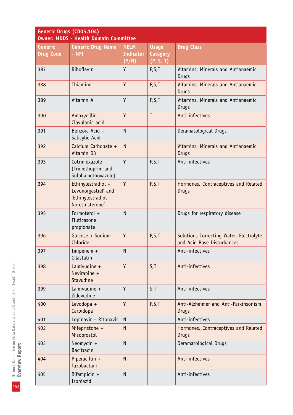| Generic Drugs (CD05.104)<br><b>Owner: MDDS - Health Domain Committee</b> |                                                                                     |                                          |                                              |                                                                       |
|--------------------------------------------------------------------------|-------------------------------------------------------------------------------------|------------------------------------------|----------------------------------------------|-----------------------------------------------------------------------|
| <b>Generic</b><br><b>Drug Code</b>                                       | <b>Generic Drug Name</b><br>$-$ NFI                                                 | <b>NELM</b><br><b>Indicator</b><br>(Y/N) | <b>Usage</b><br><b>Category</b><br>(P, S, T) | <b>Drug Class</b>                                                     |
| 387                                                                      | Riboflavin                                                                          | Y                                        | P, S, T                                      | Vitamins, Minerals and Antianaemic<br><b>Drugs</b>                    |
| 388                                                                      | Thiamine                                                                            | Y                                        | P, S, T                                      | Vitamins, Minerals and Antianaemic<br><b>Drugs</b>                    |
| 389                                                                      | Vitamin A                                                                           | Y                                        | P, S, T                                      | Vitamins, Minerals and Antianaemic<br>Drugs                           |
| 390                                                                      | Amoxycillin +<br>Clavulanic acid                                                    | Y                                        | $\mathsf{T}$                                 | Anti-infectives                                                       |
| 391                                                                      | Benzoic Acid +<br>Salicylic Acid                                                    | $\mathsf{N}$                             |                                              | Deramatological Drugs                                                 |
| 392                                                                      | Calcium Carbonate +<br>Vitamin D3                                                   | N                                        |                                              | Vitamins, Minerals and Antianaemic<br><b>Drugs</b>                    |
| 393                                                                      | Cotrimoxazole<br>(Trimethoprim and<br>Sulphamethoxazole)                            | Y                                        | P, S, T                                      | Anti-infectives                                                       |
| 394                                                                      | Ethinylestradiol +<br>Levonorgestrel' and<br>'Ethinylestradiol +<br>Norethisterone' | Y                                        | P, S, T                                      | Hormones, Contraceptives and Related<br><b>Drugs</b>                  |
| 395                                                                      | Formoterol +<br>Fluticasone<br>propionate                                           | $\overline{N}$                           |                                              | Drugs for respiratory disease                                         |
| 396                                                                      | Glucose + Sodium<br>Chloride                                                        | Y                                        | P, S, T                                      | Solutions Correcting Water, Electrolyte<br>and Acid Base Disturbances |
| 397                                                                      | Imipenem $+$<br>Cilastatin                                                          | N                                        |                                              | Anti-infectives                                                       |
| 398                                                                      | Lamivudine $+$<br>Nevirapine +<br>Stavudine                                         | Y                                        | S, T                                         | Anti-infectives                                                       |
| 399                                                                      | Lamivudine +<br>Zidovudine                                                          | Y                                        | S, T                                         | Anti-infectives                                                       |
| 400                                                                      | Levodopa +<br>Carbidopa                                                             | Y                                        | P, S, T                                      | Anti-Alzheimer and Anti-Parkinsonism<br><b>Drugs</b>                  |
| 401                                                                      | Lopinavir + Ritonavir                                                               | ${\sf N}$                                |                                              | Anti-infectives                                                       |
| 402                                                                      | Mifepristone +<br>Misoprostol                                                       | $\mathsf{N}$                             |                                              | Hormones, Contraceptives and Related<br><b>Drugs</b>                  |
| 403                                                                      | Neomycin $+$<br>Bacitracin                                                          | $\overline{N}$                           |                                              | Deramatological Drugs                                                 |
| 404                                                                      | Piperacillin +<br>Tazobactam                                                        | $\mathsf{N}$                             |                                              | Anti-infectives                                                       |
| 405                                                                      | Rifampicin +<br>Isoniazid                                                           | $\mathsf{N}$                             |                                              | Anti-infectives                                                       |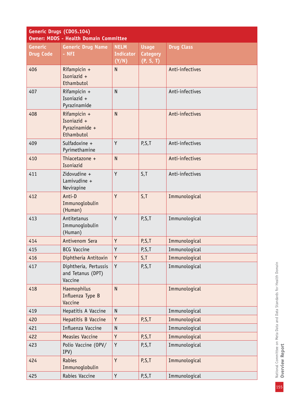| Generic Drugs (CD05.104)<br><b>Owner: MDDS - Health Domain Committee</b> |                                                             |                  |                 |                   |
|--------------------------------------------------------------------------|-------------------------------------------------------------|------------------|-----------------|-------------------|
| <b>Generic</b>                                                           | <b>Generic Drug Name</b>                                    | <b>NELM</b>      | <b>Usage</b>    | <b>Drug Class</b> |
| <b>Drug Code</b>                                                         | $-$ NFI                                                     | <b>Indicator</b> | <b>Category</b> |                   |
|                                                                          |                                                             | (Y/N)            | (P, S, T)       |                   |
| 406                                                                      | Rifampicin +<br>Isoniazid +<br>Ethambutol                   | $\overline{N}$   |                 | Anti-infectives   |
| 407                                                                      | Rifampicin +<br>Isoniazid +<br>Pyrazinamide                 | $\overline{N}$   |                 | Anti-infectives   |
| 408                                                                      | Rifampicin +<br>Isoniazid +<br>Pyrazinamide +<br>Ethambutol | $\overline{N}$   |                 | Anti-infectives   |
| 409                                                                      | Sulfadoxine +<br>Pyrimethamine                              | Y                | P,S,T           | Anti-infectives   |
| 410                                                                      | Thiacetazone +<br>Isoniazid                                 | N                |                 | Anti-infectives   |
| 411                                                                      | Zidovudine +<br>Lamivudine +<br>Nevirapine                  | Y                | S, T            | Anti-infectives   |
| 412                                                                      | Anti-D<br>Immunoglobulin<br>(Human)                         | Y                | S, T            | Immunological     |
| 413                                                                      | Antitetanus<br>Immunoglobulin<br>(Human)                    | Y                | P, S, T         | Immunological     |
| 414                                                                      | Antivenom Sera                                              | Y                | P, S, T         | Immunological     |
| 415                                                                      | <b>BCG Vaccine</b>                                          | Υ                | P,S,T           | Immunological     |
| 416                                                                      | Diphtheria Antitoxin                                        | Y                | S, T            | Immunological     |
| 417                                                                      | Diphtheria, Pertussis<br>and Tetanus (DPT)<br>Vaccine       | Y                | P, S, T         | Immunological     |
| 418                                                                      | Haemophilus<br>Influenza Type B<br>Vaccine                  | $\mathsf{N}$     |                 | Immunological     |
| 419                                                                      | Hepatitis A Vaccine                                         | $\mathsf{N}$     |                 | Immunological     |
| 420                                                                      | Hepatitis B Vaccine                                         | Y                | P, S, T         | Immunological     |
| 421                                                                      | Influenza Vaccine                                           | $\mathsf{N}$     |                 | Immunological     |
| 422                                                                      | <b>Measles Vaccine</b>                                      | Y                | P, S, T         | Immunological     |
| 423                                                                      | Polio Vaccine (OPV/<br>IPV)                                 | Y                | P,S,T           | Immunological     |
| 424                                                                      | Rabies<br>Immunoglobulin                                    | Y                | P, S, T         | Immunological     |
| 425                                                                      | Rabies Vaccine                                              | Y                | P, S, T         | Immunological     |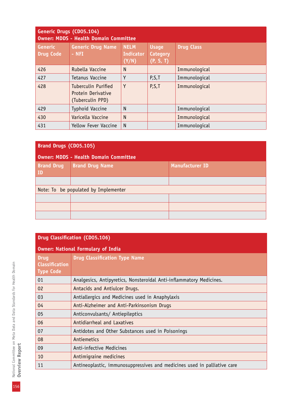| Generic Drugs (CD05.104)<br><b>Owner: MDDS - Health Domain Committee</b> |                                                                      |                                   |                                              |                   |  |
|--------------------------------------------------------------------------|----------------------------------------------------------------------|-----------------------------------|----------------------------------------------|-------------------|--|
| <b>Generic</b><br><b>Drug Code</b>                                       | <b>Generic Drug Name</b><br>- NFI                                    | <b>NELM</b><br>Indicator<br>(Y/N) | <b>Usage</b><br><b>Category</b><br>(P, S, T) | <b>Drug Class</b> |  |
| 426                                                                      | Rubella Vaccine                                                      | N                                 |                                              | Immunological     |  |
| 427                                                                      | Tetanus Vaccine                                                      | Υ                                 | P, S, T                                      | Immunological     |  |
| 428                                                                      | <b>Tuberculin Purified</b><br>Protein Derivative<br>(Tuberculin PPD) | Y                                 | P, S, T                                      | Immunological     |  |
| 429                                                                      | <b>Typhoid Vaccine</b>                                               | N                                 |                                              | Immunological     |  |
| 430                                                                      | Varicella Vaccine                                                    | N                                 |                                              | Immunological     |  |
| 431                                                                      | Yellow Fever Vaccine                                                 | N                                 |                                              | Immunological     |  |

| <b>Brand Drugs (CD05.105)</b>                |                        |                        |
|----------------------------------------------|------------------------|------------------------|
| <b>Owner: MDDS - Health Domain Committee</b> |                        |                        |
| <b>Brand Drug</b><br>ID                      | <b>Brand Drug Name</b> | <b>Manufacturer ID</b> |
|                                              |                        |                        |
| Note: To be populated by Implementer         |                        |                        |
|                                              |                        |                        |
|                                              |                        |                        |
|                                              |                        |                        |

# **Drug Classification (CD05.106)**

| <b>Owner: National Formulary of India</b>                |                                                                          |
|----------------------------------------------------------|--------------------------------------------------------------------------|
| <b>Drug</b><br><b>Classification</b><br><b>Type Code</b> | <b>Drug Classification Type Name</b>                                     |
| 01                                                       | Analgesics, Antipyretics, Nonsteroidal Anti-inflammatory Medicines.      |
| 02                                                       | Antacids and Antiulcer Drugs.                                            |
| 03                                                       | Antiallergics and Medicines used in Anaphylaxis                          |
| 04                                                       | Anti-Alzheimer and Anti-Parkinsonism Drugs                               |
| 05                                                       | Anticonvulsants/ Antiepileptics                                          |
| 06                                                       | Antidiarrheal and Laxatives                                              |
| 07                                                       | Antidotes and Other Substances used in Poisonings                        |
| 08                                                       | Antiemetics                                                              |
| 09                                                       | Anti-infective Medicines                                                 |
| 10                                                       | Antimigraine medicines                                                   |
| 11                                                       | Antineoplastic, immunosuppressives and medicines used in palliative care |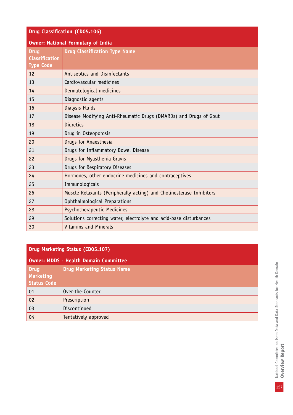| <b>Drug Classification (CD05.106)</b>                                |  |
|----------------------------------------------------------------------|--|
| <b>Owner: National Formulary of India</b>                            |  |
| <b>Drug Classification Type Name</b>                                 |  |
| Antiseptics and Disinfectants                                        |  |
| Cardiovascular medicines                                             |  |
| Dermatological medicines                                             |  |
| Diagnostic agents                                                    |  |
| Dialysis Fluids                                                      |  |
| Disease Modifying Anti-Rheumatic Drugs (DMARDs) and Drugs of Gout    |  |
| <b>Diuretics</b>                                                     |  |
| Drug in Osteoporosis                                                 |  |
| Drugs for Anaesthesia                                                |  |
| Drugs for Inflammatory Bowel Disease                                 |  |
| Drugs for Myasthenia Gravis                                          |  |
| Drugs for Respiratory Diseases                                       |  |
| Hormones, other endocrine medicines and contraceptives               |  |
| Immunologicals                                                       |  |
| Muscle Relaxants (Peripherally acting) and Cholinesterase Inhibitors |  |
| Ophthalmological Preparations                                        |  |
| Psychotherapeutic Medicines                                          |  |
| Solutions correcting water, electrolyte and acid-base disturbances   |  |
| <b>Vitamins and Minerals</b>                                         |  |
|                                                                      |  |

# **Drug Marketing Status (CD05.107)**

| <b>Owner: MDDS - Health Domain Committee</b>          |                                   |
|-------------------------------------------------------|-----------------------------------|
| <b>Drug</b><br><b>Marketing</b><br><b>Status Code</b> | <b>Drug Marketing Status Name</b> |
| 01                                                    | Over-the-Counter                  |
| 02                                                    | Prescription                      |
| 03                                                    | Discontinued                      |
| 04                                                    | Tentatively approved              |

National Committee on Meta Data and Data Standards for Health Domain<br>Overview Report National Committee on Meta Data and Data Standards for Health Domain **Overview Report**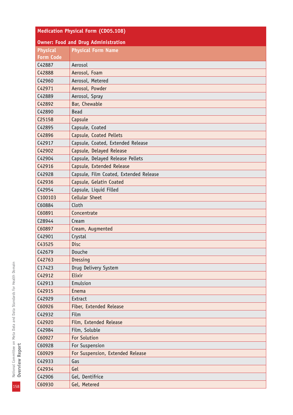| <b>Medication Physical Form (CD05.108)</b> |                                        |  |
|--------------------------------------------|----------------------------------------|--|
| <b>Owner: Food and Drug Administration</b> |                                        |  |
| <b>Physical</b>                            | <b>Physical Form Name</b>              |  |
| <b>Form Code</b>                           |                                        |  |
| C42887                                     | Aerosol                                |  |
| C42888                                     | Aerosol, Foam                          |  |
| C42960                                     | Aerosol, Metered                       |  |
| C42971                                     | Aerosol, Powder                        |  |
| C42889                                     | Aerosol, Spray                         |  |
| C42892                                     | Bar, Chewable                          |  |
| C42890                                     | <b>Bead</b>                            |  |
| C25158                                     | Capsule                                |  |
| C42895                                     | Capsule, Coated                        |  |
| C42896                                     | Capsule, Coated Pellets                |  |
| C42917                                     | Capsule, Coated, Extended Release      |  |
| C42902                                     | Capsule, Delayed Release               |  |
| C42904                                     | Capsule, Delayed Release Pellets       |  |
| C42916                                     | Capsule, Extended Release              |  |
| C42928                                     | Capsule, Film Coated, Extended Release |  |
| C42936                                     | Capsule, Gelatin Coated                |  |
| C42954                                     | Capsule, Liquid Filled                 |  |
| C100103                                    | <b>Cellular Sheet</b>                  |  |
| C60884                                     | Cloth                                  |  |
| C60891                                     | Concentrate                            |  |
| C28944                                     | Cream                                  |  |
| C60897                                     | Cream, Augmented                       |  |
| C42901                                     | Crystal                                |  |
| C43525                                     | <b>Disc</b>                            |  |
| C42679                                     | Douche                                 |  |
| C42763                                     | Dressing                               |  |
| C17423                                     | Drug Delivery System                   |  |
| C42912                                     | Elixir                                 |  |
| C42913                                     | Emulsion                               |  |
| C42915                                     | Enema                                  |  |
| C42929                                     | Extract                                |  |
| C60926                                     | Fiber, Extended Release                |  |
| C42932                                     | Film                                   |  |
| C42920                                     | Film, Extended Release                 |  |
| C42984                                     | Film, Soluble                          |  |
| C60927                                     | For Solution                           |  |
| C60928                                     | For Suspension                         |  |
| C60929                                     | For Suspension, Extended Release       |  |
| C42933                                     | Gas                                    |  |
| C42934                                     | Gel                                    |  |
| C42906                                     | Gel, Dentifrice                        |  |
| C60930                                     | Gel, Metered                           |  |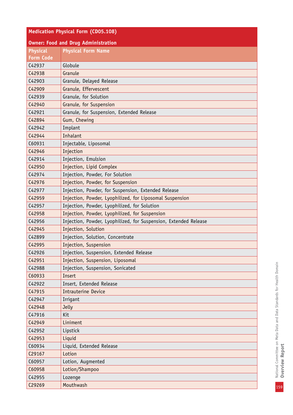| <b>Medication Physical Form (CD05.108)</b> |                                                                  |  |
|--------------------------------------------|------------------------------------------------------------------|--|
|                                            | <b>Owner: Food and Drug Administration</b>                       |  |
| <b>Physical</b>                            | <b>Physical Form Name</b>                                        |  |
| <b>Form Code</b>                           |                                                                  |  |
| C42937                                     | Globule                                                          |  |
| C42938                                     | Granule                                                          |  |
| C42903                                     | Granule, Delayed Release                                         |  |
| C42909                                     | Granule, Effervescent                                            |  |
| C42939                                     | Granule, for Solution                                            |  |
| C42940                                     | Granule, for Suspension                                          |  |
| C42921                                     | Granule, for Suspension, Extended Release                        |  |
| C42894                                     | Gum, Chewing                                                     |  |
| C42942                                     | Implant                                                          |  |
| C42944                                     | Inhalant                                                         |  |
| C60931                                     | Injectable, Liposomal                                            |  |
| C42946                                     | Injection                                                        |  |
| C42914                                     | Injection, Emulsion                                              |  |
| C42950                                     | Injection, Lipid Complex                                         |  |
| C42974                                     | Injection, Powder, For Solution                                  |  |
| C42976                                     | Injection, Powder, for Suspension                                |  |
| C42977                                     | Injection, Powder, for Suspension, Extended Release              |  |
| C42959                                     | Injection, Powder, Lyophilized, for Liposomal Suspension         |  |
| C42957                                     | Injection, Powder, Lyophilized, for Solution                     |  |
| C42958                                     | Injection, Powder, Lyophilized, for Suspension                   |  |
| C42956                                     | Injection, Powder, Lyophilized, for Suspension, Extended Release |  |
| C42945                                     | Injection, Solution                                              |  |
| C42899                                     | Injection, Solution, Concentrate                                 |  |
| C42995                                     | Injection, Suspension                                            |  |
| C42926                                     | Injection, Suspension, Extended Release                          |  |
| C42951                                     | Injection, Suspension, Liposomal                                 |  |
| C42988                                     | Injection, Suspension, Sonicated                                 |  |
| C60933                                     | Insert                                                           |  |
| C42922                                     | Insert, Extended Release                                         |  |
| C47915                                     | <b>Intrauterine Device</b>                                       |  |
| C42947                                     | Irrigant                                                         |  |
| C42948                                     | <b>Jelly</b>                                                     |  |
| C47916                                     | Kit                                                              |  |
| C42949                                     | Liniment                                                         |  |
| C42952                                     | Lipstick                                                         |  |
| C42953                                     | Liquid                                                           |  |
| C60934                                     | Liquid, Extended Release                                         |  |
| C29167                                     | Lotion                                                           |  |
| C60957                                     | Lotion, Augmented                                                |  |
| C60958                                     | Lotion/Shampoo                                                   |  |
| C42955                                     | Lozenge                                                          |  |
| C29269                                     | Mouthwash                                                        |  |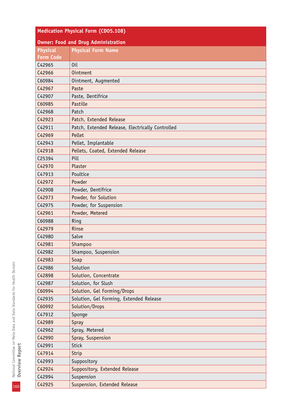| <b>Medication Physical Form (CD05.108)</b> |                                                  |  |
|--------------------------------------------|--------------------------------------------------|--|
| <b>Owner: Food and Drug Administration</b> |                                                  |  |
| <b>Physical</b>                            | <b>Physical Form Name</b>                        |  |
| <b>Form Code</b>                           |                                                  |  |
| C42965                                     | 0 <sub>il</sub>                                  |  |
| C42966                                     | <b>Ointment</b>                                  |  |
| C60984                                     | Ointment, Augmented                              |  |
| C42967                                     | Paste                                            |  |
| C42907                                     | Paste, Dentifrice                                |  |
| C60985                                     | Pastille                                         |  |
| C42968                                     | Patch                                            |  |
| C42923                                     | Patch, Extended Release                          |  |
| C42911                                     | Patch, Extended Release, Electrically Controlled |  |
| C42969                                     | Pellet                                           |  |
| C42943                                     | Pellet, Implantable                              |  |
| C42918                                     | Pellets, Coated, Extended Release                |  |
| C25394                                     | Pill                                             |  |
| C42970                                     | Plaster                                          |  |
| C47913                                     | Poultice                                         |  |
| C42972                                     | Powder                                           |  |
| C42908                                     | Powder, Dentifrice                               |  |
| C42973                                     | Powder, for Solution                             |  |
| C42975                                     | Powder, for Suspension                           |  |
| C42961                                     | Powder, Metered                                  |  |
| C60988                                     | Ring                                             |  |
| C42979                                     | Rinse                                            |  |
| C42980                                     | Salve                                            |  |
| C42981                                     | Shampoo                                          |  |
| C42982                                     | Shampoo, Suspension                              |  |
| C42983                                     | Soap                                             |  |
| C42986                                     | Solution                                         |  |
| C42898                                     | Solution, Concentrate                            |  |
| C42987                                     | Solution, for Slush                              |  |
| C60994                                     | Solution, Gel Forming/Drops                      |  |
| C42935                                     | Solution, Gel Forming, Extended Release          |  |
| C60992                                     | Solution/Drops                                   |  |
| C47912                                     | Sponge                                           |  |
| C42989                                     | Spray                                            |  |
| C42962                                     | Spray, Metered                                   |  |
| C42990                                     | Spray, Suspension                                |  |
| C42991                                     | <b>Stick</b>                                     |  |
| C47914                                     | Strip                                            |  |
| C42993                                     | Suppository                                      |  |
| C42924                                     | Suppository, Extended Release                    |  |
| C42994                                     | Suspension                                       |  |
| C42925                                     | Suspension, Extended Release                     |  |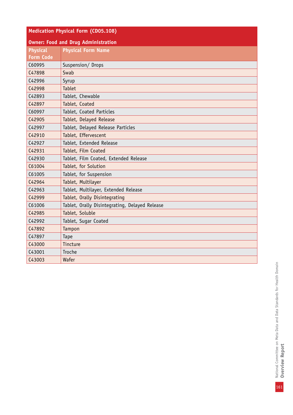| <b>Medication Physical Form (CD05.108)</b> |                                                |
|--------------------------------------------|------------------------------------------------|
| <b>Owner: Food and Drug Administration</b> |                                                |
| <b>Physical</b>                            | <b>Physical Form Name</b>                      |
| <b>Form Code</b>                           |                                                |
| C60995                                     | Suspension/ Drops                              |
| C47898                                     | Swab                                           |
| C42996                                     | Syrup                                          |
| C42998                                     | <b>Tablet</b>                                  |
| C42893                                     | Tablet, Chewable                               |
| C42897                                     | Tablet, Coated                                 |
| C60997                                     | Tablet, Coated Particles                       |
| C42905                                     | Tablet, Delayed Release                        |
| C42997                                     | Tablet, Delayed Release Particles              |
| C42910                                     | Tablet, Effervescent                           |
| C42927                                     | Tablet, Extended Release                       |
| C42931                                     | Tablet, Film Coated                            |
| C42930                                     | Tablet, Film Coated, Extended Release          |
| C61004                                     | Tablet, for Solution                           |
| C61005                                     | Tablet, for Suspension                         |
| C42964                                     | Tablet, Multilayer                             |
| C42963                                     | Tablet, Multilayer, Extended Release           |
| C42999                                     | Tablet, Orally Disintegrating                  |
| C61006                                     | Tablet, Orally Disintegrating, Delayed Release |
| C42985                                     | Tablet, Soluble                                |
| C42992                                     | Tablet, Sugar Coated                           |
| C47892                                     | Tampon                                         |
| C47897                                     | Tape                                           |
| C43000                                     | Tincture                                       |
| C43001                                     | Troche                                         |
| C43003                                     | Wafer                                          |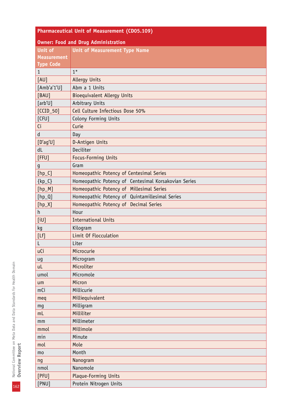| <b>Pharmaceutical Unit of Measurement (CD05.109)</b> |                                                      |  |
|------------------------------------------------------|------------------------------------------------------|--|
| <b>Owner: Food and Drug Administration</b>           |                                                      |  |
| <b>Unit of</b>                                       | <b>Unit of Measurement Type Name</b>                 |  |
| <b>Measurement</b>                                   |                                                      |  |
| <b>Type Code</b>                                     |                                                      |  |
| $\mathbf{1}$                                         | $1*$                                                 |  |
| [AU]                                                 | <b>Allergy Units</b>                                 |  |
| [Amb'a'1'U]                                          | Abm a 1 Units                                        |  |
| [BAU]                                                | <b>Bioequivalent Allergy Units</b>                   |  |
| [arb'U]                                              | Arbitrary Units                                      |  |
| $[CCID_50]$                                          | Cell Culture Infectious Dose 50%                     |  |
| [CFU]                                                | Colony Forming Units                                 |  |
| Ci                                                   | Curie                                                |  |
| ${\sf d}$                                            | Day                                                  |  |
| [D'ag'U]                                             | D-Antigen Units                                      |  |
| dL                                                   | Deciliter                                            |  |
| [FFU]                                                | Focus-Forming Units                                  |  |
| g                                                    | Gram                                                 |  |
| $[hp_C]$                                             | Homeopathic Potency of Centesimal Series             |  |
| $\{kp_C\}$                                           | Homeopathic Potency of Centesimal Korsakovian Series |  |
| $[hp_M]$                                             | Homeopathic Potency of Millesimal Series             |  |
| $[hp_0]$                                             | Homeopathic Potency of Quintamillesimal Series       |  |
| $[hp_X]$                                             | Homeopathic Potency of Decimal Series                |  |
| h                                                    | Hour                                                 |  |
| [iU]                                                 | <b>International Units</b>                           |  |
| kg                                                   | Kilogram                                             |  |
| [Lf]                                                 | Limit Of Flocculation                                |  |
| L                                                    | Liter                                                |  |
| uCi                                                  | Microcurie                                           |  |
| ug                                                   | Microgram                                            |  |
| uL                                                   | Microliter                                           |  |
| umol                                                 | Micromole                                            |  |
| um                                                   | Micron                                               |  |
| mCi                                                  | Millicurie                                           |  |
| meq                                                  | Milliequivalent                                      |  |
| mg                                                   | Milligram                                            |  |
| m <sub>L</sub>                                       | Milliliter                                           |  |
| mm                                                   | Millimeter                                           |  |
| mmol                                                 | Millimole                                            |  |
| min                                                  | Minute                                               |  |
| mol                                                  | Mole                                                 |  |
| mo                                                   | Month                                                |  |
| ng                                                   | Nanogram                                             |  |
| nmol                                                 | Nanomole                                             |  |
| $[$ PFU $]$                                          | Plaque-Forming Units                                 |  |
| [PNU]                                                | Protein Nitrogen Units                               |  |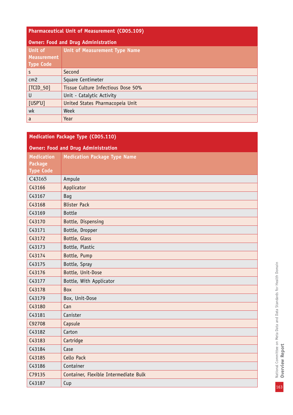#### **Pharmaceutical Unit of Measurement (CD05.109)**

| Owner: Food and Drug Administration |                                    |
|-------------------------------------|------------------------------------|
| Unit of                             | Unit of Measurement Type Name      |
| Measurement                         |                                    |
| <b>Type Code</b>                    |                                    |
| l s                                 | Second                             |
| cm <sub>2</sub>                     | Square Centimeter                  |
| $\vert$ [TCID_50]                   | Tissue Culture Infectious Dose 50% |
| l U                                 | Unit - Catalytic Activity          |
| [USP'U]                             | United States Pharmacopeia Unit    |
| wk                                  | Week                               |
| a                                   | Year                               |

| <b>Medication Package Type (CD05.110)</b> |                                            |  |
|-------------------------------------------|--------------------------------------------|--|
|                                           | <b>Owner: Food and Drug Administration</b> |  |
| <b>Medication</b>                         | <b>Medication Package Type Name</b>        |  |
| <b>Package</b>                            |                                            |  |
| <b>Type Code</b>                          |                                            |  |
| C43165                                    | Ampule                                     |  |
| C43166                                    | Applicator                                 |  |
| C43167                                    | <b>Bag</b>                                 |  |
| C43168                                    | <b>Blister Pack</b>                        |  |
| C43169                                    | <b>Bottle</b>                              |  |
| C43170                                    | Bottle, Dispensing                         |  |
| C43171                                    | Bottle, Dropper                            |  |
| C43172                                    | Bottle, Glass                              |  |
| C43173                                    | Bottle, Plastic                            |  |
| C43174                                    | Bottle, Pump                               |  |
| C43175                                    | Bottle, Spray                              |  |
| C43176                                    | Bottle, Unit-Dose                          |  |
| C43177                                    | Bottle, With Applicator                    |  |
| C43178                                    | Box                                        |  |
| C43179                                    | Box, Unit-Dose                             |  |
| C43180                                    | Can                                        |  |
| C43181                                    | Canister                                   |  |
| C92708                                    | Capsule                                    |  |
| C43182                                    | Carton                                     |  |
| C43183                                    | Cartridge                                  |  |
| C43184                                    | Case                                       |  |
| C43185                                    | Cello Pack                                 |  |
| C43186                                    | Container                                  |  |
| C79135                                    | Container, Flexible Intermediate Bulk      |  |
| C43187                                    | Cup                                        |  |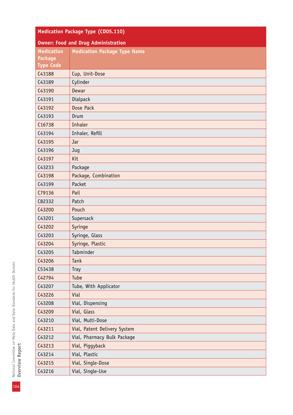| Medication Package Type (CD05.110) |                                            |  |  |
|------------------------------------|--------------------------------------------|--|--|
|                                    | <b>Owner: Food and Drug Administration</b> |  |  |
| <b>Medication</b>                  | <b>Medication Package Type Name</b>        |  |  |
| <b>Package</b>                     |                                            |  |  |
| <b>Type Code</b>                   |                                            |  |  |
| C43188                             | Cup, Unit-Dose                             |  |  |
| C43189                             | Cylinder                                   |  |  |
| C43190                             | Dewar                                      |  |  |
| C43191                             | Dialpack                                   |  |  |
| C43192                             | Dose Pack                                  |  |  |
| C43193                             | Drum                                       |  |  |
| C16738                             | Inhaler                                    |  |  |
| C43194                             | Inhaler, Refill                            |  |  |
| C43195                             | Jar                                        |  |  |
| C43196                             | Jug                                        |  |  |
| C43197                             | Kit                                        |  |  |
| C43233                             | Package                                    |  |  |
| C43198                             | Package, Combination                       |  |  |
| C43199                             | Packet                                     |  |  |
| C79136                             | Pail                                       |  |  |
| C82332                             | Patch                                      |  |  |
| C43200                             | Pouch                                      |  |  |
| C43201                             | Supersack                                  |  |  |
| C43202                             | Syringe                                    |  |  |
| C43203                             | Syringe, Glass                             |  |  |
| C43204                             | Syringe, Plastic                           |  |  |
| C43205                             | Tabminder                                  |  |  |
| C43206                             | Tank                                       |  |  |
| C53438                             | <b>Tray</b>                                |  |  |
| C42794                             | Tube                                       |  |  |
| C43207                             | Tube, With Applicator                      |  |  |
| C43226                             | Vial                                       |  |  |
| C43208                             | Vial, Dispensing                           |  |  |
| C43209                             | Vial, Glass                                |  |  |
| C43210                             | Vial, Multi-Dose                           |  |  |
| C43211                             | Vial, Patent Delivery System               |  |  |
| C43212                             | Vial, Pharmacy Bulk Package                |  |  |
| C43213                             | Vial, Piggyback                            |  |  |
| C43214                             | Vial, Plastic                              |  |  |
| C43215                             | Vial, Single-Dose                          |  |  |
| C43216                             | Vial, Single-Use                           |  |  |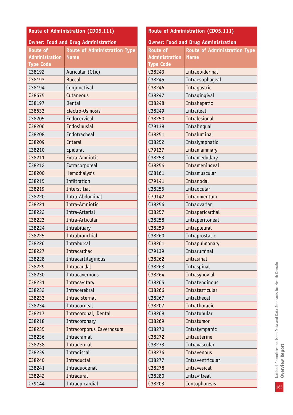| Route of Administration (CD05.111) |                                            |  |  |
|------------------------------------|--------------------------------------------|--|--|
|                                    | <b>Owner: Food and Drug Administration</b> |  |  |
| <b>Route of</b>                    | <b>Route of Administration Type</b>        |  |  |
| <b>Administration</b>              | <b>Name</b>                                |  |  |
| <b>Type Code</b>                   |                                            |  |  |
| C38192                             | Auricular (Otic)                           |  |  |
| C38193                             | <b>Buccal</b>                              |  |  |
| C38194                             | Conjunctival                               |  |  |
| C38675                             | Cutaneous                                  |  |  |
| C38197                             | Dental                                     |  |  |
| C38633                             | Electro-Osmosis                            |  |  |
| C38205                             | Endocervical                               |  |  |
| C38206                             | Endosinusial                               |  |  |
| C38208                             | Endotracheal                               |  |  |
| C38209                             | <b>Enteral</b>                             |  |  |
| C38210                             | Epidural                                   |  |  |
| C38211                             | Extra-Amniotic                             |  |  |
| C38212                             | Extracorporeal                             |  |  |
| C38200                             | Hemodialysis                               |  |  |
| C38215                             | Infiltration                               |  |  |
| C38219                             | Interstitial                               |  |  |
| C38220                             | Intra-Abdominal                            |  |  |
| C38221                             | Intra-Amniotic                             |  |  |
| C38222                             | Intra-Arterial                             |  |  |
| C38223                             | Intra-Articular                            |  |  |
| C38224                             | Intrabiliary                               |  |  |
| C38225                             | Intrabronchial                             |  |  |
| C38226                             | Intrabursal                                |  |  |
| C38227                             | Intracardiac                               |  |  |
| C38228                             | Intracartilaginous                         |  |  |
| C38229                             | Intracaudal                                |  |  |
| C38230                             | Intracavernous                             |  |  |
| C38231                             | Intracavitary                              |  |  |
| C38232                             | Intracerebral                              |  |  |
| C38233                             | Intracisternal                             |  |  |
| C38234                             | Intracorneal                               |  |  |
| C38217                             | Intracoronal, Dental                       |  |  |
| C38218                             | Intracoronary                              |  |  |
| C38235                             | <b>Intracorporus Cavernosum</b>            |  |  |
| C38236                             | Intracranial                               |  |  |
| C38238                             | <b>Intradermal</b>                         |  |  |
| C38239                             | Intradiscal                                |  |  |
| C38240                             | Intraductal                                |  |  |
| C38241                             | Intraduodenal                              |  |  |
| C38242                             | Intradural                                 |  |  |
| C79144                             | Intraepicardial                            |  |  |

# **Route of Administration (CD05.111)**

| <b>Owner: Food and Drug Administration</b> |                                     |  |
|--------------------------------------------|-------------------------------------|--|
| <b>Route of</b>                            | <b>Route of Administration Type</b> |  |
| <b>Administration</b>                      | <b>Name</b>                         |  |
| <b>Type Code</b>                           |                                     |  |
| C38243                                     | Intraepidermal                      |  |
| C38245                                     | Intraesophageal                     |  |
| C38246                                     | Intragastric                        |  |
| C38247                                     | Intragingival                       |  |
| C38248                                     | Intrahepatic                        |  |
| C38249                                     | Intraileal                          |  |
| C38250                                     | <b>Intralesional</b>                |  |
| C79138                                     | Intralingual                        |  |
| C38251                                     | <b>Intraluminal</b>                 |  |
| C38252                                     | Intralymphatic                      |  |
| C79137                                     | Intramammary                        |  |
| C38253                                     | Intramedullary                      |  |
| C38254                                     | Intrameningeal                      |  |
| C28161                                     | Intramuscular                       |  |
| C79141                                     | Intranodal                          |  |
| C38255                                     | Intraocular                         |  |
| C79142                                     | Intraomentum                        |  |
| C38256                                     | Intraovarian                        |  |
| C38257                                     | Intrapericardial                    |  |
| C38258                                     | Intraperitoneal                     |  |
| C38259                                     | Intrapleural                        |  |
| C38260                                     | Intraprostatic                      |  |
| C38261                                     | Intrapulmonary                      |  |
| C79139                                     | Intraruminal                        |  |
| C38262                                     | Intrasinal                          |  |
| C38263                                     | Intraspinal                         |  |
| C38264                                     | Intrasynovial                       |  |
| C38265                                     | Intratendinous                      |  |
| C38266                                     | Intratesticular                     |  |
| C38267                                     | Intrathecal                         |  |
| C38207                                     | Intrathoracic                       |  |
| C38268                                     | Intratubular                        |  |
| C38269                                     | Intratumor                          |  |
| C38270                                     | Intratympanic                       |  |
| C38272                                     | Intrauterine                        |  |
| C38273                                     | Intravascular                       |  |
| C38276                                     | Intravenous                         |  |
| C38277                                     | Intraventricular                    |  |
| C38278                                     | Intravesical                        |  |
| C38280                                     | Intravitreal                        |  |
| C38203                                     | Iontophoresis                       |  |
|                                            |                                     |  |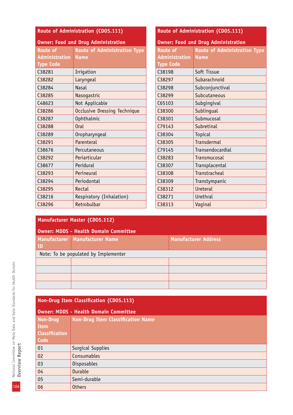| Route of Administration (CD05.111)         |                                     | Route of Administration (CD05.111)         |                                     |
|--------------------------------------------|-------------------------------------|--------------------------------------------|-------------------------------------|
| <b>Owner: Food and Drug Administration</b> |                                     | <b>Owner: Food and Drug Administration</b> |                                     |
| <b>Route of</b>                            | <b>Route of Administration Type</b> | <b>Route of</b>                            | <b>Route of Administration Type</b> |
| <b>Administration</b>                      | <b>Name</b>                         | <b>Administration</b>                      | <b>Name</b>                         |
| <b>Type Code</b>                           |                                     | <b>Type Code</b>                           |                                     |
| C38281                                     | Irrigation                          | C38198                                     | Soft Tissue                         |
| C38282                                     | Laryngeal                           | C38297                                     | Subarachnoid                        |
| C38284                                     | <b>Nasal</b>                        | C38298                                     | Subconjunctival                     |
| C38285                                     | Nasogastric                         | C38299                                     | Subcutaneous                        |
| C48623                                     | Not Applicable                      | C65103                                     | Subgingival                         |
| C38286                                     | <b>Occlusive Dressing Technique</b> | C38300                                     | Sublingual                          |
| C38287                                     | Ophthalmic                          | C38301                                     | Submucosal                          |
| C38288                                     | <b>Oral</b>                         | C79143                                     | Subretinal                          |
| C38289                                     | Oropharyngeal                       | C38304                                     | Topical                             |
| C38291                                     | Parenteral                          | C38305                                     | <b>Transdermal</b>                  |
| C38676                                     | Percutaneous                        | C79145                                     | Transendocardial                    |
| C38292                                     | Periarticular                       | C38283                                     | Transmucosal                        |
| C38677                                     | Peridural                           | C38307                                     | Transplacental                      |
| C38293                                     | Perineural                          | C38308                                     | Transtracheal                       |
| C38294                                     | Periodontal                         | C38309                                     | Transtympanic                       |
| C38295                                     | Rectal                              | C38312                                     | Ureteral                            |
| C38216                                     | Respiratory (Inhalation)            | C38271                                     | Urethral                            |
| C38296                                     | Retrobulbar                         | C38313                                     | Vaginal                             |

## **Manufacturer Master (CD05.112)**

| Owner: MDDS - Health Domain Committee |                                |                             |  |
|---------------------------------------|--------------------------------|-----------------------------|--|
|                                       | Manufacturer Manufacturer Name | <b>Manufacturer Address</b> |  |
| ID                                    |                                |                             |  |
| Note: To be populated by Implementer  |                                |                             |  |
|                                       |                                |                             |  |
|                                       |                                |                             |  |
|                                       |                                |                             |  |
|                                       |                                |                             |  |

## **Non-Drug Item Classification (CD05.113)**

| <b>Owner: MDDS - Health Domain Committee</b> |                                          |  |
|----------------------------------------------|------------------------------------------|--|
| Non-Drug                                     | <b>Non-Drug Item Classification Name</b> |  |
| Item                                         |                                          |  |
| <b>Classification</b>                        |                                          |  |
| <b>Code</b>                                  |                                          |  |
| 01                                           | Surgical Supplies                        |  |
| 02                                           | Consumables                              |  |
| 03                                           | <b>Disposables</b>                       |  |
| 04                                           | Durable                                  |  |
| 05                                           | Semi-durable                             |  |
| 06                                           | <b>Others</b>                            |  |

National Committee on Meta Data and Data Standards for Health Domain<br>**Overview Report** 166National Committee on Meta Data and Data Standards for Health Domain **Overview Report**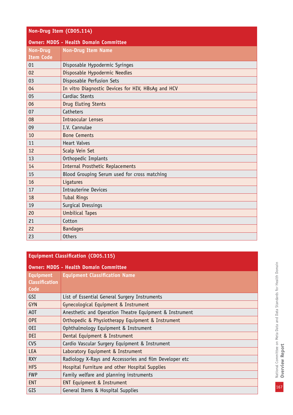| Non-Drug Item (CD05.114) |                                                    |  |  |
|--------------------------|----------------------------------------------------|--|--|
|                          | <b>Owner: MDDS - Health Domain Committee</b>       |  |  |
| <b>Non-Drug</b>          | <b>Non-Drug Item Name</b>                          |  |  |
| <b>Item Code</b>         |                                                    |  |  |
| 01                       | Disposable Hypodermic Syringes                     |  |  |
| 02                       | Disposable Hypodermic Needles                      |  |  |
| 03                       | Disposable Perfusion Sets                          |  |  |
| 04                       | In vitro Diagnostic Devices for HIV, HBsAg and HCV |  |  |
| 05                       | Cardiac Stents                                     |  |  |
| 06                       | Drug Eluting Stents                                |  |  |
| 07                       | Catheters                                          |  |  |
| 08                       | <b>Intraocular Lenses</b>                          |  |  |
| 09                       | I.V. Cannulae                                      |  |  |
| 10                       | <b>Bone Cements</b>                                |  |  |
| 11                       | <b>Heart Valves</b>                                |  |  |
| 12                       | Scalp Vein Set                                     |  |  |
| 13                       | Orthopedic Implants                                |  |  |
| 14                       | <b>Internal Prosthetic Replacements</b>            |  |  |
| 15                       | Blood Grouping Serum used for cross matching       |  |  |
| 16                       | Ligatures                                          |  |  |
| 17                       | Intrauterine Devices                               |  |  |
| 18                       | <b>Tubal Rings</b>                                 |  |  |
| 19                       | Surgical Dressings                                 |  |  |
| 20                       | <b>Umbilical Tapes</b>                             |  |  |
| 21                       | Cotton                                             |  |  |
| 22                       | <b>Bandages</b>                                    |  |  |
| 23                       | <b>Others</b>                                      |  |  |

#### **Equipment Classification (CD05.115)**

| <b>Owner: MDDS - Health Domain Committee</b> |                                                         |  |  |
|----------------------------------------------|---------------------------------------------------------|--|--|
| <b>Equipment</b>                             | <b>Equipment Classification Name</b>                    |  |  |
| <b>Classification</b>                        |                                                         |  |  |
| Code                                         |                                                         |  |  |
| GSI                                          | List of Essential General Surgery Instruments           |  |  |
| <b>GYN</b>                                   | Gynecological Equipment & Instrument                    |  |  |
| A0T                                          | Anesthetic and Operation Theatre Equipment & Instrument |  |  |
| <b>OPE</b>                                   | Orthopedic & Physiotherapy Equipment & Instrument       |  |  |
| 0EI                                          | Ophthalmology Equipment & Instrument                    |  |  |
| DEI                                          | Dental Equipment & Instrument                           |  |  |
| <b>CVS</b>                                   | Cardio Vascular Surgery Equipment & Instrument          |  |  |
| <b>LEA</b>                                   | Laboratory Equipment & Instrument                       |  |  |
| <b>RXY</b>                                   | Radiology X-Rays and Accessories and film Developer etc |  |  |
| <b>HFS</b>                                   | Hospital Furniture and other Hospital Supplies          |  |  |
| <b>FWP</b>                                   | Family welfare and planning instruments                 |  |  |
| <b>ENT</b>                                   | <b>ENT Equipment &amp; Instrument</b>                   |  |  |
| GIS                                          | General Items & Hospital Supplies                       |  |  |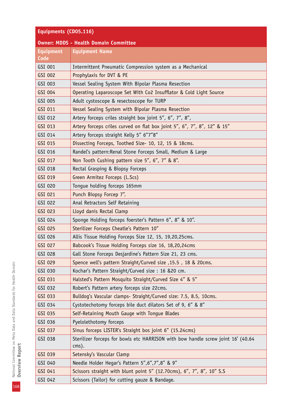| Equipments (CD05.116)                        |                                                                                              |  |  |
|----------------------------------------------|----------------------------------------------------------------------------------------------|--|--|
| <b>Owner: MDDS - Health Domain Committee</b> |                                                                                              |  |  |
| <b>Equipment</b><br>Code                     | <b>Equipment Name</b>                                                                        |  |  |
| GSI 001                                      | Intermittent Pneumatic Compression system as a Mechanical                                    |  |  |
| GSI 002                                      | Prophylaxis for DVT & PE                                                                     |  |  |
| GSI 003                                      | Vessel Sealing System With Bipolar Plasma Resection                                          |  |  |
| GSI 004                                      | Operating Laparoscope Set With Co2 Insufflator & Cold Light Source                           |  |  |
| GSI 005                                      | Adult cystoscope & resectoscope for TURP                                                     |  |  |
| GSI 011                                      | Vessel Sealing System with Bipolar Plasma Resection                                          |  |  |
| GSI 012                                      | Artery forceps criles straight box joint 5", 6", 7", 8",                                     |  |  |
| GSI 013                                      | Artery forceps criles curved on flat box joint 5", 6", 7", 8", 12" & 15"                     |  |  |
| GSI 014                                      | Artery forceps straight Kelly 5" 6"7"8"                                                      |  |  |
| GSI 015                                      | Dissecting Forceps, Toothed Size- 10, 12, 15 & 18cms.                                        |  |  |
| GSI 016                                      | Randel's pattern: Renal Stone Forceps Small, Medium & Large                                  |  |  |
| GSI 017                                      | Non Tooth Cushing pattern size 5", 6", 7" & 8".                                              |  |  |
| GSI 018                                      | Rectal Grasping & Biopsy Forceps                                                             |  |  |
| GSI 019                                      | Green Armitez Forceps (L.Scs)                                                                |  |  |
| GSI 020                                      | Tongue holding forceps 165mm                                                                 |  |  |
| GSI 021                                      | Punch Biopsy Forcep 7".                                                                      |  |  |
| GSI 022                                      | Anal Retractors Self Retaining                                                               |  |  |
| GSI 023                                      | Lloyd danis Rectal Clamp                                                                     |  |  |
| GSI 024                                      | Sponge Holding forceps foerster's Pattern 6", 8" & 10".                                      |  |  |
| GSI 025                                      | Sterilizer Forceps Cheatle's Pattern 10"                                                     |  |  |
| GSI 026                                      | Allis Tissue Holding Forceps Size 12, 15, 19,20,25cms.                                       |  |  |
| GSI 027                                      | Babcook's Tissue Holding Forceps size 16, 18,20,24cms                                        |  |  |
| GSI 028                                      | Gall Stone Forceps Desjardine's Pattern Size 21, 23 cms.                                     |  |  |
| GSI 029                                      | Spence well's pattern Straight/Curved size , 15.5, 18 & 20cms.                               |  |  |
| GSI 030                                      | Kochar's Pattern Straight/Curved size: 16 &20 cm.                                            |  |  |
| GSI 031                                      | Halsted's Pattern Mosquito Straight/Curved Size 4" & 5"                                      |  |  |
| GSI 032                                      | Robert's Pattern artery forceps size 22cms.                                                  |  |  |
| GSI 033                                      | Bulldog's Vascular clamps- Straight/Curved size: 7.5, 8.5, 10cms.                            |  |  |
| GSI 034                                      | Cystotechotomy forceps bile duct dilators Set of 9, 6" & 8"                                  |  |  |
| GSI 035                                      | Self-Retaining Mouth Gauge with Tongue Blades                                                |  |  |
| GSI 036                                      | Pyelolethotomy forceps                                                                       |  |  |
| GSI 037                                      | Sinus forceps LISTER's Straight bos joint 6" (15.24cms)                                      |  |  |
| GSI 038                                      | Sterilizer forceps for bowls etc HARRISON with bow handle screw joint 16' (40.64<br>$cms$ ). |  |  |
| GSI 039                                      | Setensky's Vascular Clamp                                                                    |  |  |
| GSI 040                                      | Needle Holder Hegar's Pattern 5", 6", 7", 8" & 9"                                            |  |  |
| GSI 041                                      | Scissors straight with blunt point 5" (12.70cms), 6", 7", 8", 10" S.S                        |  |  |
| GSI 042                                      | Scissors (Tailor) for cutting gauze & Bandage.                                               |  |  |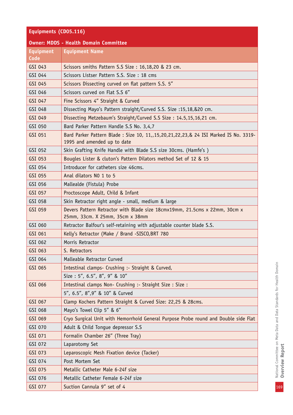# **Equipments (CD05.116)**

| <b>Owner: MDDS - Health Domain Committee</b> |                                                                                                                          |  |  |
|----------------------------------------------|--------------------------------------------------------------------------------------------------------------------------|--|--|
| <b>Equipment</b><br>Code                     | <b>Equipment Name</b>                                                                                                    |  |  |
| GSI 043                                      | Scissors smiths Pattern S.S Size: 16,18,20 & 23 cm.                                                                      |  |  |
| GSI 044                                      | Scissors Listser Pattern S.S. Size: 18 cms                                                                               |  |  |
| GSI 045                                      | Scissors Dissecting curved on flat pattern S.S. 5"                                                                       |  |  |
| GSI 046                                      | Scissors curved on Flat S.S 6"                                                                                           |  |  |
| GSI 047                                      | Fine Scissors 4" Straight & Curved                                                                                       |  |  |
| GSI 048                                      | Dissecting Mayo's Pattern straight/Curved S.S. Size :15,18,&20 cm.                                                       |  |  |
| GSI 049                                      | Dissecting Metzebaum's Straight/Curved S.S Size: 14.5,15,16,21 cm.                                                       |  |  |
| GSI 050                                      | Bard Parker Pattern Handle S.S No. 3,4,7                                                                                 |  |  |
| GSI 051                                      | Bard Parker Pattern Blade : Size 10, 11, 15, 20, 21, 22, 23, & 24 ISI Marked IS No. 3319-<br>1995 and amended up to date |  |  |
| GSI 052                                      | Skin Grafting Knife Handle with Blade S.S size 30cms. (Hamfe's)                                                          |  |  |
| GSI 053                                      | Bougles Lister & cluton's Pattern Dilators method Set of 12 & 15                                                         |  |  |
| GSI 054                                      | Introducer for catheters size 46cms.                                                                                     |  |  |
| GSI 055                                      | Anal dilators NO 1 to 5                                                                                                  |  |  |
| GSI 056                                      | Mallealde (Fistula) Probe                                                                                                |  |  |
| GSI 057                                      | Proctoscope Adult, Child & Infant                                                                                        |  |  |
| GSI 058                                      | Skin Retractor right angle - small, medium & large                                                                       |  |  |
| GSI 059                                      | Devers Pattern Retractor with Blade size 18cmx19mm, 21.5cms x 22mm, 30cm x<br>25mm, 33cm. X 25mm, 35cm x 38mm            |  |  |
| GSI 060                                      | Retractor Balfour's self-retaining with adjustable counter blade S.S.                                                    |  |  |
| GSI 061                                      | Kelly's Retractor (Make / Brand -SISCO, BRT 780                                                                          |  |  |
| GSI 062                                      | Morris Retractor                                                                                                         |  |  |
| GSI 063                                      | S. Retractors                                                                                                            |  |  |
| GSI 064                                      | Malleable Retractor Curved                                                                                               |  |  |
| GSI 065                                      | Intestinal clamps- Crushing :- Straight & Curved,                                                                        |  |  |
|                                              | Size: 5", 6.5", 8", 9" & 10"                                                                                             |  |  |
| GSI 066                                      | Intestinal clamps Non- Crushing :- Straight Size : Size :                                                                |  |  |
|                                              | 5", 6.5", 8", 9" & 10" & Curved                                                                                          |  |  |
| GSI 067                                      | Clamp Kochers Pattern Straight & Curved Size: 22,25 & 28cms.                                                             |  |  |
| GSI 068                                      | Mayo's Towel Clip 5" & 6"                                                                                                |  |  |
| GSI 069                                      | Cryo Surgical Unit with Hemorrhoid General Purpose Probe round and Double side Flat                                      |  |  |
| GSI 070                                      | Adult & Child Tongue depressor S.S                                                                                       |  |  |
| GSI 071                                      | Formalin Chamber 26" (Three Tray)                                                                                        |  |  |
| GSI 072                                      | Laparotomy Set                                                                                                           |  |  |
| GSI 073                                      | Leparoscopic Mesh Fixation device (Tacker)                                                                               |  |  |
| GSI 074                                      | Post Mortem Set                                                                                                          |  |  |
| GSI 075                                      | Metallic Catheter Male 6-24f size                                                                                        |  |  |
| GSI 076                                      | Metallic Catheter Female 6-24f size                                                                                      |  |  |
| GSI 077                                      | Suction Cannula 9" set of 4                                                                                              |  |  |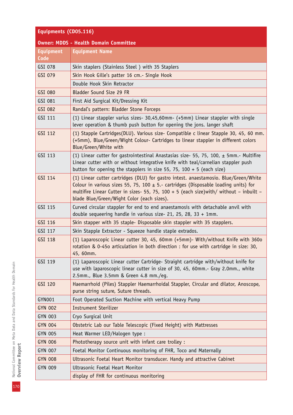| Equipments (CD05.116)                        |                                                                                                                                                                                                                                                                                                                          |  |  |
|----------------------------------------------|--------------------------------------------------------------------------------------------------------------------------------------------------------------------------------------------------------------------------------------------------------------------------------------------------------------------------|--|--|
| <b>Owner: MDDS - Health Domain Committee</b> |                                                                                                                                                                                                                                                                                                                          |  |  |
| <b>Equipment</b>                             | <b>Equipment Name</b>                                                                                                                                                                                                                                                                                                    |  |  |
| Code                                         |                                                                                                                                                                                                                                                                                                                          |  |  |
| GSI 078                                      | Skin staplers (Stainless Steel) with 35 Staplers                                                                                                                                                                                                                                                                         |  |  |
| GSI 079                                      | Skin Hook Gille's patter 16 cm.- Single Hook                                                                                                                                                                                                                                                                             |  |  |
|                                              | Double Hook Skin Retractor                                                                                                                                                                                                                                                                                               |  |  |
| GSI 080                                      | Bladder Sound Size 29 FR                                                                                                                                                                                                                                                                                                 |  |  |
| GSI 081                                      | First Aid Surgical Kit/Dressing Kit                                                                                                                                                                                                                                                                                      |  |  |
| GSI 082                                      | Randal's pattern: Bladder Stone Forceps                                                                                                                                                                                                                                                                                  |  |  |
| GSI 111                                      | (1) Linear stappler varius sizes- 30,45,60mm- (+5mm) Linear stappler with single<br>lever operation & thumb push button for opening the jons. langer shaft                                                                                                                                                               |  |  |
| GSI 112                                      | (1) Stapple Cartridges(DLU). Various size- Compatible c linear Stapple 30, 45, 60 mm.<br>(+5mm), Blue/Green/Wight Colour- Cartridges to linear stappler in different colors<br>Blue/Green/White with                                                                                                                     |  |  |
| GSI 113                                      | (1) Linear cutter for gastrointestinal Anastasias size- 55, 75, 100, $\pm$ 5mm.- Multifire<br>Linear cutter with or without integrative knife with teal/carnelian stappler push<br>button for opening the stapplers in size 55, 75, 100 + 5 (each size)                                                                  |  |  |
| GSI 114                                      | (1) Linear cutter cartridges (DLU) for gastro intest. anaestamosio. Blue/Green/White<br>Colour in various sizes 55, 75, 100 $\pm$ 5.- cartridges (Disposable loading units) for<br>multifire Linear Cutter in sizes- 55, 75, 100 + 5 (each size) with/ without - inbuilt -<br>blade Blue/Green/Wight Color (each sizes). |  |  |
| GSI 115                                      | Curved circular stappler for end to end anaestamosis with detachable anvil with<br>double sequeering handle in various size- 21, 25, 28, 33 + 1mm.                                                                                                                                                                       |  |  |
| GSI 116                                      | Skin stapper with 35 staple- Disposable skin stappler with 35 stapplers.                                                                                                                                                                                                                                                 |  |  |
| GSI 117                                      | Skin Stapple Extractor - Squeeze handle staple extrados.                                                                                                                                                                                                                                                                 |  |  |
| GSI 118                                      | (1) Laparoscopic Linear cutter 30, 45, 60mm (+5mm) - With/without Knife with 360o<br>rotation & 0-450 articulation in both direction : for use with cartridge in size: 30,<br>45, 60mm.                                                                                                                                  |  |  |
| GSI 119                                      | (1) Laparoscopic Linear cutter Cartridge- Straight cartridge with/without knife for<br>use with laparoscopic linear cutter in size of 30, 45, 60mm.- Gray 2.0mm., white<br>2.5mm., Blue 3.5mm & Green 4.8 mm./eg.                                                                                                        |  |  |
| GSI 120                                      | Haemarrhoid (Piles) Stappler Haemarrhoidal Stappler, Circular and dilator, Anoscope,<br>purse string suture, Suture threads.                                                                                                                                                                                             |  |  |
| GYN001                                       | Foot Operated Suction Machine with vertical Heavy Pump                                                                                                                                                                                                                                                                   |  |  |
| <b>GYN 002</b>                               | <b>Instrument Sterilizer</b>                                                                                                                                                                                                                                                                                             |  |  |
| <b>GYN 003</b>                               | Cryo Surgical Unit                                                                                                                                                                                                                                                                                                       |  |  |
| <b>GYN 004</b>                               | Obstetric Lab our Table Telescopic (Fixed Height) with Mattresses                                                                                                                                                                                                                                                        |  |  |
| <b>GYN 005</b>                               | Heat Warmer LED/Halogen type :                                                                                                                                                                                                                                                                                           |  |  |
| <b>GYN 006</b>                               | Phototherapy source unit with infant care trolley :                                                                                                                                                                                                                                                                      |  |  |
| <b>GYN 007</b>                               | Foetal Monitor Continuous monitoring of FHR, Toco and Maternally                                                                                                                                                                                                                                                         |  |  |
| <b>GYN 008</b>                               | Ultrasonic Foetal Heart Monitor transducer. Handy and attractive Cabinet                                                                                                                                                                                                                                                 |  |  |
| <b>GYN 009</b>                               | Ultrasonic Foetal Heart Monitor                                                                                                                                                                                                                                                                                          |  |  |
|                                              | display of FHR for continuous monitoring                                                                                                                                                                                                                                                                                 |  |  |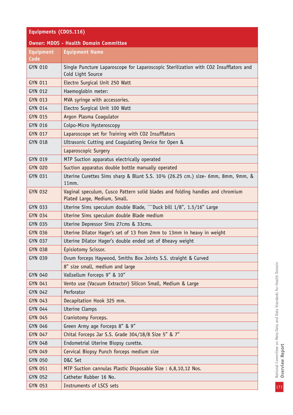| Equipments (CD05.116)           |                                                                                                               |  |
|---------------------------------|---------------------------------------------------------------------------------------------------------------|--|
|                                 | <b>Owner: MDDS - Health Domain Committee</b>                                                                  |  |
| <b>Equipment</b><br><b>Code</b> | <b>Equipment Name</b>                                                                                         |  |
| GYN 010                         | Single Puncture Laparoscope for Laparoscopic Sterilization with CO2 Insufflators and<br>Cold Light Source     |  |
| GYN 011                         | Electro Surgical Unit 250 Watt                                                                                |  |
| GYN 012                         | Haemoglobin meter:                                                                                            |  |
| <b>GYN 013</b>                  | MVA syringe with accessories.                                                                                 |  |
| GYN 014                         | Electro Surgical Unit 100 Watt                                                                                |  |
| GYN 015                         | Argon Plasma Coagulator                                                                                       |  |
| GYN 016                         | Colpo-Micro Hysteroscopy                                                                                      |  |
| GYN 017                         | Laparoscope set for Training with CO2 Insufflators                                                            |  |
| <b>GYN 018</b>                  | Ultrasonic Cutting and Coagulating Device for Open &                                                          |  |
|                                 | Laparoscopic Surgery                                                                                          |  |
| GYN 019                         | MTP Suction apparatus electrically operated                                                                   |  |
| <b>GYN 020</b>                  | Suction apparatus double bottle manually operated                                                             |  |
| GYN 031                         | Uterine Curettes Sims sharp & Blunt S.S. 10 <sup>1</sup> /2 (26.25 cm.) size- 6mm, 8mm, 9mm, &<br>11mm.       |  |
| <b>GYN 032</b>                  | Vaginal speculum, Cusco Pattern solid blades and folding handles and chromium<br>Plated Large, Medium, Small. |  |
| GYN 033                         | Uterine Sims speculum double Blade, ```Duck bill 1/8", 1.5/16" Large                                          |  |
| <b>GYN 034</b>                  | Uterine Sims speculum double Blade medium                                                                     |  |
| GYN 035                         | Uterine Depressor Sims 27cms & 33cms.                                                                         |  |
| <b>GYN 036</b>                  | Uterine Dilator Hager's set of 13 from 2mm to 13mm in heavy in weight                                         |  |
| GYN 037                         | Uterine Dilator Hager's double ended set of 8heavy weight                                                     |  |
| <b>GYN 038</b>                  | Episiotomy Scissor.                                                                                           |  |
| GYN 039                         | Ovum forceps Haywood, Smiths Box Joints S.S. straight & Curved                                                |  |
|                                 | 8" size small, medium and large                                                                               |  |
| GYN 040                         | Vallsellum Forceps 9" & 10"                                                                                   |  |
| <b>GYN 041</b>                  | Vento use (Vacuum Extractor) Silicon Small, Medium & Large                                                    |  |
| GYN 042                         | Perforator                                                                                                    |  |
| GYN 043                         | Decapitation Hook 325 mm.                                                                                     |  |
| GYN 044                         | Uterine Clamps                                                                                                |  |
| GYN 045                         | Craniotomy Forceps.                                                                                           |  |
| GYN 046                         | Green Army age Forceps 8" & 9"                                                                                |  |
| <b>GYN 047</b>                  | Chital Forceps Jar S.S. Grade 304/18/8 Size 5" & 7"                                                           |  |
| GYN 048                         | Endometrial Uterine Biopsy curette.                                                                           |  |
| <b>GYN 049</b>                  | Cervical Biopsy Punch forceps medium size                                                                     |  |
| GYN 050                         | D&C Set                                                                                                       |  |
| GYN 051                         | MTP Suction cannulas Plastic Disposable Size: 6,8,10,12 Nos.                                                  |  |
| GYN 052                         | Catheter Rubber 16 No.                                                                                        |  |
| <b>GYN 053</b>                  | Instruments of LSCS sets                                                                                      |  |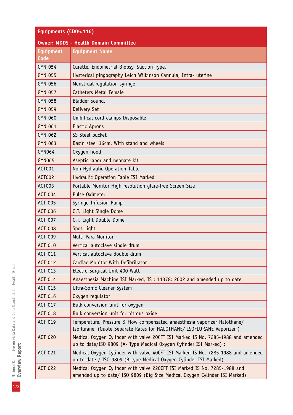| Equipments (CD05.116)                        |                                                                                                                                                         |  |  |
|----------------------------------------------|---------------------------------------------------------------------------------------------------------------------------------------------------------|--|--|
| <b>Owner: MDDS - Health Domain Committee</b> |                                                                                                                                                         |  |  |
| <b>Equipment</b>                             | <b>Equipment Name</b>                                                                                                                                   |  |  |
| Code                                         |                                                                                                                                                         |  |  |
| GYN 054                                      | Curette, Endometrial Biopsy, Suction Type.                                                                                                              |  |  |
| <b>GYN 055</b>                               | Hysterical pingography Leich Wilkinson Cannula, Intra- uterine                                                                                          |  |  |
| GYN 056                                      | Menstrual regulation syringe                                                                                                                            |  |  |
| <b>GYN 057</b>                               | <b>Catheters Metal Female</b>                                                                                                                           |  |  |
| <b>GYN 058</b>                               | Bladder sound.                                                                                                                                          |  |  |
| <b>GYN 059</b>                               | Delivery Set                                                                                                                                            |  |  |
| <b>GYN 060</b>                               | Umbilical cord clamps Disposable                                                                                                                        |  |  |
| GYN 061                                      | Plastic Aprons                                                                                                                                          |  |  |
| GYN 062                                      | SS Steel bucket                                                                                                                                         |  |  |
| <b>GYN 063</b>                               | Basin steel 36cm. With stand and wheels                                                                                                                 |  |  |
| GYN064                                       | Oxygen hood                                                                                                                                             |  |  |
| <b>GYN065</b>                                | Aseptic labor and neonate kit                                                                                                                           |  |  |
| A0T001                                       | Non Hydraulic Operation Table                                                                                                                           |  |  |
| A0T002                                       | Hydraulic Operation Table ISI Marked                                                                                                                    |  |  |
| A0T003                                       | Portable Monitor High resolution glare-free Screen Size                                                                                                 |  |  |
| A0T 004                                      | Pulse Oximeter                                                                                                                                          |  |  |
| A0T 005                                      | Syringe Infusion Pump                                                                                                                                   |  |  |
| AOT 006                                      | O.T. Light Single Dome                                                                                                                                  |  |  |
| A0T 007                                      | O.T. Light Double Dome                                                                                                                                  |  |  |
| A0T 008                                      | Spot Light                                                                                                                                              |  |  |
| A0T 009                                      | Multi Para Monitor                                                                                                                                      |  |  |
| A0T 010                                      | Vertical autoclave single drum                                                                                                                          |  |  |
| A0T 011                                      | Vertical autoclave double drum                                                                                                                          |  |  |
| A0T 012                                      | Cardiac Monitor With Defibrillator                                                                                                                      |  |  |
| A0T 013                                      | Electro Surgical Unit 400 Watt                                                                                                                          |  |  |
| AOT 014                                      | Anaesthesia Machine ISI Marked, IS: 11378: 2002 and amended up to date.                                                                                 |  |  |
| AOT 015                                      | Ultra-Sonic Cleaner System                                                                                                                              |  |  |
| AOT 016                                      | Oxygen regulator                                                                                                                                        |  |  |
| A0T 017                                      | Bulk conversion unit for oxygen                                                                                                                         |  |  |
| A0T 018                                      | Bulk conversion unit for nitrous oxide                                                                                                                  |  |  |
| A0T 019                                      | Temperature, Pressure & Flow compensated anaesthesia vaporizer Halothane/<br>Isoflurane. (Quote Separate Rates for HALOTHANE/ ISOFLURANE Vaporizer)     |  |  |
| A0T 020                                      | Medical Oxygen Cylinder with valve 20CFT ISI Marked IS No. 7285-1988 and amended<br>up to date/ISO 9809 (A- Type Medical Oxygen Cylinder ISI Marked) :  |  |  |
| AOT 021                                      | Medical Oxygen Cylinder with valve 40CFT ISI Marked IS No. 7285-1988 and amended<br>up to date / ISO 9809 (B-type Medical Oxygen Cylinder ISI Marked)   |  |  |
| AOT 022                                      | Medical Oxygen Cylinder with valve 220CFT ISI Marked IS No. 7285-1988 and<br>amended up to date/ ISO 9809 (Big Size Medical Oxygen Cylinder ISI Marked) |  |  |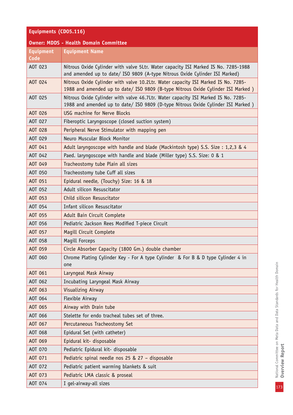## **Equipments (CD05.116)**

#### **Owner: MDDS - Health Domain Committee**

| <b>Equipment</b><br>Code | <b>Equipment Name</b>                                                                                                                                                  |
|--------------------------|------------------------------------------------------------------------------------------------------------------------------------------------------------------------|
| AOT 023                  | Nitrous Oxide Cylinder with valve 5Ltr. Water capacity ISI Marked IS No. 7285-1988<br>and amended up to date/ ISO 9809 (A-type Nitrous Oxide Cylinder ISI Marked)      |
| A0T 024                  | Nitrous Oxide Cylinder with valve 10.2Ltr. Water capacity ISI Marked IS No. 7285-<br>1988 and amended up to date/ ISO 9809 (B-type Nitrous Oxide Cylinder ISI Marked)  |
| AOT 025                  | Nitrous Oxide Cylinder with valve 46.7Ltr. Water capacity ISI Marked IS No. 7285-<br>1988 and amended up to date/ ISO 9809 (D-type Nitrous Oxide Cylinder ISI Marked ) |
| AOT 026                  | USG machine for Nerve Blocks                                                                                                                                           |
| AOT 027                  | Fiberoptic Laryngoscope (closed suction system)                                                                                                                        |
| AOT 028                  | Peripheral Nerve Stimulator with mapping pen                                                                                                                           |
| AOT 029                  | Neuro Muscular Block Monitor                                                                                                                                           |
| A0T 041                  | Adult laryngoscope with handle and blade (Mackintosh type) S.S. Size : 1,2,3 & 4                                                                                       |
| A0T 042                  | Paed. laryngoscope with handle and blade (Miller type) S.S. Size: 0 & 1                                                                                                |
| AOT 049                  | Tracheostomy tube Plain all sizes                                                                                                                                      |
| A0T 050                  | Tracheostomy tube Cuff all sizes                                                                                                                                       |
| AOT 051                  | Epidural needle, (Touchy) Size: 16 & 18                                                                                                                                |
| AOT 052                  | Adult silicon Resuscitator                                                                                                                                             |
| AOT 053                  | Child silicon Resuscitator                                                                                                                                             |
| AOT 054                  | Infant silicon Resuscitator                                                                                                                                            |
| AOT 055                  | Adult Bain Circuit Complete                                                                                                                                            |
| AOT 056                  | Pediatric Jackson Rees Modified T-piece Circuit                                                                                                                        |
| AOT 057                  | Magill Circuit Complete                                                                                                                                                |
| AOT 058                  | Magill Forceps                                                                                                                                                         |
| AOT 059                  | Circle Absorber Capacity (1800 Gm.) double chamber                                                                                                                     |
| A0T 060                  | Chrome Plating Cylinder Key - For A type Cylinder & For B & D type Cylinder 4 in<br>one                                                                                |
| AOT 061                  | Laryngeal Mask Airway                                                                                                                                                  |
| A0T 062                  | Incubating Laryngeal Mask Airway                                                                                                                                       |
| AOT 063                  | Visualizing Airway                                                                                                                                                     |
| AOT 064                  | Flexible Airway                                                                                                                                                        |
| AOT 065                  | Airway with Drain tube                                                                                                                                                 |
| AOT 066                  | Stelette for endo tracheal tubes set of three.                                                                                                                         |
| AOT 067                  | Percutaneous Tracheostomy Set                                                                                                                                          |
| AOT 068                  | Epidural Set (with catheter)                                                                                                                                           |
| AOT 069                  | Epidural kit- disposable                                                                                                                                               |
| A0T 070                  | Pediatric Epidural kit- disposable                                                                                                                                     |
| A0T 071                  | Pediatric spinal needle nos 25 & 27 - disposable                                                                                                                       |
| A0T 072                  | Pediatric patient warming blankets & suit                                                                                                                              |
| AOT 073                  | Pediatric LMA classic & proseal                                                                                                                                        |
| AOT 074                  | I gel-airway-all sizes                                                                                                                                                 |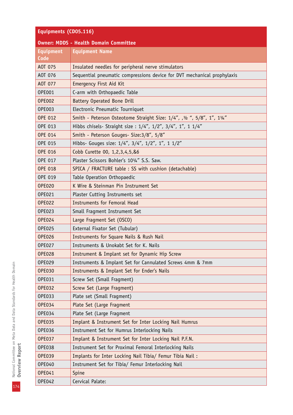| Equipments (CD05.116)                        |                                                                          |
|----------------------------------------------|--------------------------------------------------------------------------|
| <b>Owner: MDDS - Health Domain Committee</b> |                                                                          |
| <b>Equipment</b>                             | <b>Equipment Name</b>                                                    |
| Code                                         |                                                                          |
| AOT 075                                      | Insulated needles for peripheral nerve stimulators                       |
| A0T 076                                      | Sequential pneumatic compressions device for DVT mechanical prophylaxis  |
| A0T 077                                      | <b>Emergency First Aid Kit</b>                                           |
| 0PE001                                       | C-arm with Orthopaedic Table                                             |
| <b>OPE002</b>                                | <b>Battery Operated Bone Drill</b>                                       |
| <b>OPE003</b>                                | Electronic Pneumatic Tourniquet                                          |
| <b>OPE 012</b>                               | Smith - Peterson Osteotome Straight Size: 1/4", , 1/2 ", 5/8", 1", 11/4" |
| OPE 013                                      | Hibbs chisels- Straight size : 1/4", 1/2", 3/4", 1", 1 1/4"              |
| <b>OPE 014</b>                               | Smith - Peterson Gouges- Size: 3/8", 5/8"                                |
| <b>OPE 015</b>                               | Hibbs- Gouges size: 1/4", 3/4", 1/2", 1", 1 1/2"                         |
| <b>OPE 016</b>                               | Cobb Curette 00, 1,2,3,4,5,&6                                            |
| <b>OPE 017</b>                               | Plaster Scissors Bohler's 101/4" S.S. Saw.                               |
| <b>OPE 018</b>                               | SPICA / FRACTURE table : SS with cushion (detachable)                    |
| <b>OPE 019</b>                               | Table Operation Orthopaedic                                              |
| <b>OPE020</b>                                | K Wire & Steinman Pin Instrument Set                                     |
| 0PE021                                       | Plaster Cutting Instruments set                                          |
| <b>OPE022</b>                                | Instruments for Femoral Head                                             |
| <b>OPE023</b>                                | Small Fragment Instrument Set                                            |
| <b>OPE024</b>                                | Large Fragment Set (OSCO)                                                |
| <b>OPE025</b>                                | External Fixator Set (Tubular)                                           |
| <b>OPE026</b>                                | Instruments for Square Nails & Rush Nail                                 |
| <b>OPE027</b>                                | Instruments & Unokabt Set for K. Nails                                   |
| <b>OPE028</b>                                | Instrument & Implant set for Dynamic Hip Screw                           |
| <b>OPE029</b>                                | Instruments & Implant Set for Cannulated Screws 4mm & 7mm                |
| <b>OPE030</b>                                | Instruments & Implant Set for Ender's Nails                              |
| 0PE031                                       | Screw Set (Small Fragment)                                               |
| <b>OPE032</b>                                | Screw Set (Large Fragment)                                               |
| <b>OPE033</b>                                | Plate set (Small Fragment)                                               |
| <b>OPE034</b>                                | Plate Set (Large Fragment                                                |
| <b>OPE034</b>                                | Plate Set (Large Fragment                                                |
| <b>OPE035</b>                                | Implant & Instrument Set for Inter Locking Nail Humrus                   |
| <b>OPE036</b>                                | Instrument Set for Humrus Interlocking Nails                             |
| <b>OPE037</b>                                | Implant & Instrument Set for Inter Locking Nail P.F.N.                   |
| <b>OPE038</b>                                | Instrument Set for Proximal Femoral Interlocking Nails                   |
| <b>OPE039</b>                                | Implants for Inter Locking Nail Tibia/ Femur Tibia Nail:                 |
| 0PE040                                       | Instrument Set for Tibia/ Femur Interlocking Nail                        |
| <b>OPE041</b>                                | Spine                                                                    |
| <b>OPE042</b>                                | Cervical Palate:                                                         |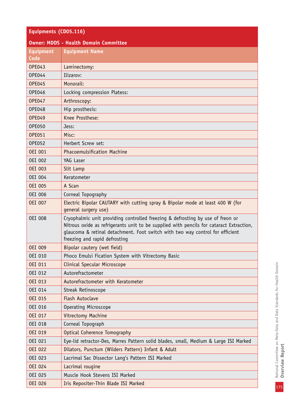| Equipments (CD05.116)                        |                       |  |
|----------------------------------------------|-----------------------|--|
| <b>Owner: MDDS - Health Domain Committee</b> |                       |  |
| <b>Equipment</b><br>Code                     | <b>Equipment Name</b> |  |
| <b>OPE043</b>                                | Laminectomy:          |  |
| DPE044                                       | lizarov:              |  |

| <b>OPE044</b>  | Ilizarov:                                                                                                                                                                                                                                                                                   |
|----------------|---------------------------------------------------------------------------------------------------------------------------------------------------------------------------------------------------------------------------------------------------------------------------------------------|
| <b>OPE045</b>  | Monorail:                                                                                                                                                                                                                                                                                   |
| <b>OPE046</b>  | Locking compression Platess:                                                                                                                                                                                                                                                                |
| <b>OPE047</b>  | Arthroscopy:                                                                                                                                                                                                                                                                                |
| 0PE048         | Hip prosthesis:                                                                                                                                                                                                                                                                             |
| <b>OPE049</b>  | Knee Prosthese:                                                                                                                                                                                                                                                                             |
| <b>OPE050</b>  | Jess:                                                                                                                                                                                                                                                                                       |
| <b>OPE051</b>  | Misc:                                                                                                                                                                                                                                                                                       |
| <b>OPE052</b>  | Herbert Screw set:                                                                                                                                                                                                                                                                          |
| <b>OEI 001</b> | <b>Phacoemulsification Machine</b>                                                                                                                                                                                                                                                          |
| <b>OEI 002</b> | YAG Laser                                                                                                                                                                                                                                                                                   |
| <b>OEI 003</b> | Slit Lamp                                                                                                                                                                                                                                                                                   |
| <b>OEI 004</b> | Keratometer                                                                                                                                                                                                                                                                                 |
| <b>OEI 005</b> | A Scan                                                                                                                                                                                                                                                                                      |
| <b>OEI 006</b> | Corneal Topography                                                                                                                                                                                                                                                                          |
| <b>OEI 007</b> | Electric Bipolar CAUTARY with cutting spray & Bipolar mode at least 400 W (for<br>general surgery use)                                                                                                                                                                                      |
| <b>OEI 008</b> | Cryophalmic unit providing controlled freezing & defrosting by use of freon or<br>Nitrous oxide as refrigerants unit to be supplied with pencils for cataract Extraction,<br>glaucoma & retinal detachment. Foot switch with two way control for efficient<br>freezing and rapid defrosting |
| <b>OEI 009</b> | Bipolar cautery (wet field)                                                                                                                                                                                                                                                                 |
| <b>OEI 010</b> | Phoco Emulsi Fication System with Vitrectomy Basic                                                                                                                                                                                                                                          |
| <b>OEI 011</b> | Clinical Specular Microscope                                                                                                                                                                                                                                                                |
| <b>OEI 012</b> | Autorefractometer                                                                                                                                                                                                                                                                           |
| <b>OEI 013</b> | Autorefractometer with Keratometer                                                                                                                                                                                                                                                          |
| <b>OEI 014</b> | Streak Retinoscope                                                                                                                                                                                                                                                                          |
| OEI 015        | Flash Autoclave                                                                                                                                                                                                                                                                             |
| OEI 016        | Operating Microscope                                                                                                                                                                                                                                                                        |
| OEI 017        | Vitrectomy Machine                                                                                                                                                                                                                                                                          |
| <b>OEI 018</b> | Corneal Topograph                                                                                                                                                                                                                                                                           |
| <b>OEI 019</b> | Optical Coherence Tomography                                                                                                                                                                                                                                                                |
| OEI 021        | Eye-lid retractor-Des, Marres Pattern solid blades, small, Medium & Large ISI Marked                                                                                                                                                                                                        |
| <b>OEI 022</b> | Dilators, Punctum (Wilders Pattern) Infant & Adult                                                                                                                                                                                                                                          |
| OEI 023        | Lacrimal Sac Dissector Lang's Pattern ISI Marked                                                                                                                                                                                                                                            |
| <b>OEI 024</b> | Lacrimal rougine                                                                                                                                                                                                                                                                            |
| OEI 025        | Muscle Hook Stevens ISI Marked                                                                                                                                                                                                                                                              |
|                |                                                                                                                                                                                                                                                                                             |
| <b>OEI 026</b> | Iris Repositer-Thin Blade ISI Marked                                                                                                                                                                                                                                                        |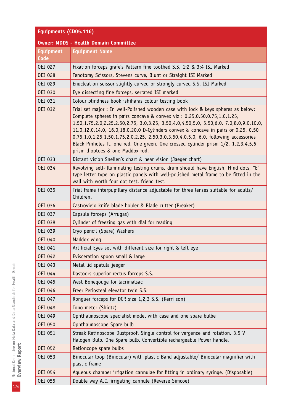| Equipments (CD05.116)                        |                                                                                                                                                                                                                                                                                                                                                                                                                                                                                                                                                                |
|----------------------------------------------|----------------------------------------------------------------------------------------------------------------------------------------------------------------------------------------------------------------------------------------------------------------------------------------------------------------------------------------------------------------------------------------------------------------------------------------------------------------------------------------------------------------------------------------------------------------|
| <b>Owner: MDDS - Health Domain Committee</b> |                                                                                                                                                                                                                                                                                                                                                                                                                                                                                                                                                                |
| <b>Equipment</b><br>Code                     | <b>Equipment Name</b>                                                                                                                                                                                                                                                                                                                                                                                                                                                                                                                                          |
| <b>OEI 027</b>                               | Fixation forceps grafe's Pattern fine toothed S.S. 1:2 & 3:4 ISI Marked                                                                                                                                                                                                                                                                                                                                                                                                                                                                                        |
| <b>OEI 028</b>                               | Tenotomy Scissors, Stevens curve, Blunt or Straight ISI Marked                                                                                                                                                                                                                                                                                                                                                                                                                                                                                                 |
| <b>OEI 029</b>                               | Enucleation scissor slightly curved or strongly curved S.S. ISI Marked                                                                                                                                                                                                                                                                                                                                                                                                                                                                                         |
| <b>OEI 030</b>                               | Eye dissecting fine forceps, serrated ISI marked                                                                                                                                                                                                                                                                                                                                                                                                                                                                                                               |
| <b>OEI 031</b>                               | Colour blindness book ishiharas colour testing book                                                                                                                                                                                                                                                                                                                                                                                                                                                                                                            |
| <b>OEI 032</b>                               | Trial set major : In well-Polished wooden case with lock & keys spheres as below:<br>Complete spheres in pairs concave & convex viz: 0.25,0.50,0.75,1.0,1.25,<br>1.50,1.75,2.0,2.25,2.50,2.75, 3.0,3.25, 3.50,4.0,4.50,5.0, 5.50,6.0, 7.0,8.0,9.0,10.0,<br>11.0,12.0,14.0, 16.0,18.0,20.0 D-Cylinders convex & concave in pairs or 0.25, 0.50<br>0.75,1.0,1.25,1.50,1.75,2.0,2.25, 2.50,3.0,3.50,4.0,5.0, 6.0, following accessories<br>Black Pinholes ft. one red, One green, One crossed cylinder prism 1/2, 1,2,3,4,5,6<br>prism dioptoes & one Maddox rod. |
| <b>OEI 033</b>                               | Distant vision Snellen's chart & near vision (Jaeger chart)                                                                                                                                                                                                                                                                                                                                                                                                                                                                                                    |
| <b>OEI 034</b>                               | Revolving self-illuminating testing drums, drum should have English, Hind dots, "E"<br>type letter type on plastic panels with well-polished metal frame to be fitted in the<br>wall with worth four dot test, friend test.                                                                                                                                                                                                                                                                                                                                    |
| OEI 035                                      | Trial frame interpupillary distance adjustable for three lenses suitable for adults/<br>Children.                                                                                                                                                                                                                                                                                                                                                                                                                                                              |
| <b>OEI 036</b>                               | Castroviejo knife blade holder & Blade cutter (Breaker)                                                                                                                                                                                                                                                                                                                                                                                                                                                                                                        |
| OEI 037                                      | Capsule forceps (Arrugas)                                                                                                                                                                                                                                                                                                                                                                                                                                                                                                                                      |
| <b>OEI 038</b>                               | Cylinder of freezing gas with dial for reading                                                                                                                                                                                                                                                                                                                                                                                                                                                                                                                 |
| <b>OEI 039</b>                               | Cryo pencil (Spare) Washers                                                                                                                                                                                                                                                                                                                                                                                                                                                                                                                                    |
| <b>OEI 040</b>                               | Maddox wing                                                                                                                                                                                                                                                                                                                                                                                                                                                                                                                                                    |
| OEI 041                                      | Artificial Eyes set with different size for right & left eye                                                                                                                                                                                                                                                                                                                                                                                                                                                                                                   |
| <b>OEI 042</b>                               | Evisceration spoon small & large                                                                                                                                                                                                                                                                                                                                                                                                                                                                                                                               |
| OEI 043                                      | Metal lid spatula jeeger                                                                                                                                                                                                                                                                                                                                                                                                                                                                                                                                       |
| <b>OEI 044</b>                               | Dastoors superior rectus forceps S.S.                                                                                                                                                                                                                                                                                                                                                                                                                                                                                                                          |
| OEI 045                                      | West Bonegouge for lacrimalsac                                                                                                                                                                                                                                                                                                                                                                                                                                                                                                                                 |
| <b>OEI 046</b>                               | Freer Periosteal elevator twin S.S.                                                                                                                                                                                                                                                                                                                                                                                                                                                                                                                            |
| OEI 047                                      | Ronguer forceps for DCR size 1,2,3 S.S. (Kerri son)                                                                                                                                                                                                                                                                                                                                                                                                                                                                                                            |
| <b>OEI 048</b>                               | Tono meter (Shiotz)                                                                                                                                                                                                                                                                                                                                                                                                                                                                                                                                            |
| OEI 049                                      | Ophthalmoscope specialist model with case and one spare bulbe                                                                                                                                                                                                                                                                                                                                                                                                                                                                                                  |
| <b>OEI 050</b>                               | Ophthalmoscope Spare bulb                                                                                                                                                                                                                                                                                                                                                                                                                                                                                                                                      |
| OEI 051                                      | Streak Retinoscope Dustproof. Single control for vergence and rotation. 3.5 V<br>Halogen Bulb. One Spare bulb. Convertible rechargeable Power handle.                                                                                                                                                                                                                                                                                                                                                                                                          |
| <b>OEI 052</b>                               | Retioncope spare bulbs                                                                                                                                                                                                                                                                                                                                                                                                                                                                                                                                         |
| OEI 053                                      | Binocular loop (Binocular) with plastic Band adjustable/ Binocular magnifier with<br>plastic frame                                                                                                                                                                                                                                                                                                                                                                                                                                                             |
| <b>OEI 054</b>                               | Aqueous chamber irrigation cannulae for fitting in ordinary syringe, (Disposable)                                                                                                                                                                                                                                                                                                                                                                                                                                                                              |
| OEI 055                                      | Double way A.C. irrigating cannule (Reverse Simcoe)                                                                                                                                                                                                                                                                                                                                                                                                                                                                                                            |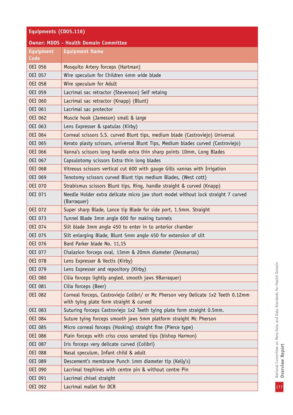# **Equipments (CD05.116)**

| <b>Owner: MDDS - Health Domain Committee</b> |                                                                                                                               |
|----------------------------------------------|-------------------------------------------------------------------------------------------------------------------------------|
| <b>Equipment</b><br>Code                     | <b>Equipment Name</b>                                                                                                         |
| <b>OEI 056</b>                               | Mosquito Artery forceps (Hartman)                                                                                             |
| <b>OEI 057</b>                               | Wire speculum for Children 4mm wide blade                                                                                     |
| <b>OEI 058</b>                               | Wire speculum for Adult                                                                                                       |
| OEI 059                                      | Lacrimal sac retractor (Stevenson) Self retaing                                                                               |
| <b>OEI 060</b>                               | Lacrimal sac retractor (Knapp) (Blunt)                                                                                        |
| OEI 061                                      | Lacrimal sac protector                                                                                                        |
| <b>OEI 062</b>                               | Muscle hook (Jameson) small & large                                                                                           |
| OEI 063                                      | Lens Expresser & spatulas (Kirby)                                                                                             |
| <b>OEI 064</b>                               | Corneal scissors S.S. curved Blunt tips, medium blade (Castroviejo) Universal                                                 |
| <b>OEI 065</b>                               | Kerato plasty scissors, universal Blunt Tips, Medium blades curved (Castroviejo)                                              |
| <b>OEI 066</b>                               | Vanna's scissors long handle extra thin sharp points 10mm, Long Blades                                                        |
| <b>OEI 067</b>                               | Capsulotomy scissors Extra thin long blades                                                                                   |
| <b>OEI 068</b>                               | Vitreous scissors vertical cut 600 with gauge Gills vannas with Irrigation                                                    |
| OEI 069                                      | Tenotomy scissors curved Blunt tips medium Blades, (West cott)                                                                |
| <b>OEI 070</b>                               | Strabismus scissors Blunt tips, Ring, handle straight & curved (Knapp)                                                        |
| OEI 071                                      | Needle Holder extra delicate micro jaw short model without lock straight 7 curved<br>(Barraquer)                              |
| <b>OEI 072</b>                               | Super sharp Blade, Lance tip Blade for side port, 1.5mm. Straight                                                             |
| OEI 073                                      | Tunnel Blade 3mm angle 600 for making tunnels                                                                                 |
| <b>OEI 074</b>                               | Slit blade 3mm angle 450 to enter in to anterior chamber                                                                      |
| <b>OEI 075</b>                               | Slit enlarging Blade, Blunt 5mm angle 450 for extension of slit                                                               |
| <b>OEI 076</b>                               | Bard Parker blade No. 11,15                                                                                                   |
| OEI 077                                      | Chalazion forceps oval, 13mm & 20mm diameter (Desmarras)                                                                      |
| <b>OEI 078</b>                               | Lens Expresser & Vectis (Kirby)                                                                                               |
| OEI 079                                      | Lens Expresser and repository (Kirby)                                                                                         |
| <b>OEI 080</b>                               | Cilia forceps lightly angled, smooth jaws 9Barraquer)                                                                         |
| <b>OEI 081</b>                               | Cilia forceps (Beer)                                                                                                          |
| <b>OEI 082</b>                               | Corneal forceps, Castroviejo Colibri/ or Mc Pherson very Delicate 1x2 Teeth 0.12mm<br>with tying plate form straight & curved |
| <b>OEI 083</b>                               | Suturing forceps Castroviejo 1x2 Teeth tying plate form straight 0.5mm.                                                       |
| <b>OEI 084</b>                               | Suture tying forceps smooth jaws 5mm platform straight Mc Pherson                                                             |
| OEI 085                                      | Micro corneal forceps (Hosking) straight fine (Pierce type)                                                                   |
| <b>OEI 086</b>                               | Plain forceps with criss cross serrated tips (bishop Harmon)                                                                  |
| <b>OEI 087</b>                               | Iris forceps very delicate curved (Colibri)                                                                                   |
| <b>OEI 088</b>                               | Nasal speculum, Infant child & adult                                                                                          |
| OEI 089                                      | Descement's membrane Punch 1mm diameter tip (Kelly's)                                                                         |
| <b>OEI 090</b>                               | Lacrimal trephines with centre pin & without centre Pin                                                                       |
| OEI 091                                      | Lacrimal chisel straight                                                                                                      |
| OEI 092                                      | Lacrimal mallet for DCR                                                                                                       |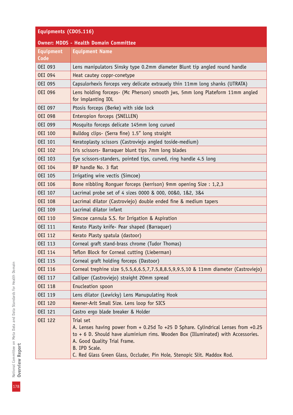| Equipments (CD05.116)                        |                                                                                                                                                                                                                                                                                                                    |
|----------------------------------------------|--------------------------------------------------------------------------------------------------------------------------------------------------------------------------------------------------------------------------------------------------------------------------------------------------------------------|
| <b>Owner: MDDS - Health Domain Committee</b> |                                                                                                                                                                                                                                                                                                                    |
| <b>Equipment</b>                             | <b>Equipment Name</b>                                                                                                                                                                                                                                                                                              |
| Code                                         |                                                                                                                                                                                                                                                                                                                    |
| OEI 093                                      | Lens manipulators Sinsky type 0.2mm diameter Blunt tip angled round handle                                                                                                                                                                                                                                         |
| OEI 094                                      | Heat cautey coppr-conetype                                                                                                                                                                                                                                                                                         |
| OEI 095                                      | Capsulorhexis forceps very delicate extrauely thin 11mm long shanks (UTRATA)                                                                                                                                                                                                                                       |
| <b>OEI 096</b>                               | Lens holding forceps- (Mc Pherson) smooth jws, 5mm long Plateform 11mm angled<br>for implanting IOL                                                                                                                                                                                                                |
| OEI 097                                      | Ptosis forceps (Berke) with side lock                                                                                                                                                                                                                                                                              |
| <b>OEI 098</b>                               | Enteropion forceps (SNELLEN)                                                                                                                                                                                                                                                                                       |
| <b>OEI 099</b>                               | Mosquito forceps delicate 145mm long curued                                                                                                                                                                                                                                                                        |
| <b>OEI 100</b>                               | Bulldog clips- (Serra fine) 1.5" long straight                                                                                                                                                                                                                                                                     |
| OEI 101                                      | Keratoplasty scissors (Castroviejo angled toside-medium)                                                                                                                                                                                                                                                           |
| <b>OEI 102</b>                               | Iris scissors- Barraquer blunt tips 7mm long blades                                                                                                                                                                                                                                                                |
| <b>OEI 103</b>                               | Eye scissors-standers, pointed tips, curved, ring handle 4.5 long                                                                                                                                                                                                                                                  |
| <b>OEI 104</b>                               | BP handle No. 3 flat                                                                                                                                                                                                                                                                                               |
| <b>OEI 105</b>                               | Irrigating wire vectis (Simcoe)                                                                                                                                                                                                                                                                                    |
| <b>OEI 106</b>                               | Bone nibbling Ronguer forceps (kerrison) 9mm opening Size : 1,2,3                                                                                                                                                                                                                                                  |
| <b>OEI 107</b>                               | Lacrimal probe set of 4 sizes 0000 & 000, 00&0, 1&2, 3&4                                                                                                                                                                                                                                                           |
| <b>OEI 108</b>                               | Lacrimal dilator (Castroviejo) double ended fine & medium tapers                                                                                                                                                                                                                                                   |
| OEI 109                                      | Lacrimal dilator infant                                                                                                                                                                                                                                                                                            |
| <b>OEI 110</b>                               | Simcoe cannula S.S. for Irrigation & Aspiration                                                                                                                                                                                                                                                                    |
| <b>OEI 111</b>                               | Kerato Plasty knife- Pear shaped (Barraquer)                                                                                                                                                                                                                                                                       |
| <b>OEI 112</b>                               | Kerato Plasty spatula (dastoor)                                                                                                                                                                                                                                                                                    |
| <b>OEI 113</b>                               | Corneal graft stand-brass chrome (Tudor Thomas)                                                                                                                                                                                                                                                                    |
| <b>OEI 114</b>                               | Teflon Block for Corneal cutting (Lieberman)                                                                                                                                                                                                                                                                       |
| OEI 115                                      | Corneal graft holding forceps (Dastoor)                                                                                                                                                                                                                                                                            |
| OEI 116                                      | Corneal trephine size 5,5.5,6,6.5,7,7.5,8,8.5,9,9.5,10 & 11mm diameter (Castroviejo)                                                                                                                                                                                                                               |
| OEI 117                                      | Calliper (Castroviejo) straight 20mm spread                                                                                                                                                                                                                                                                        |
| <b>OEI 118</b>                               | Enucleation spoon                                                                                                                                                                                                                                                                                                  |
| OEI 119                                      | Lens dilator (Lewicky) Lens Manupulating Hook                                                                                                                                                                                                                                                                      |
| <b>OEI 120</b>                               | Keener-Arlt Small Size. Lens loop for SICS                                                                                                                                                                                                                                                                         |
| OEI 121                                      | Castro ergo blade breaker & Holder                                                                                                                                                                                                                                                                                 |
| <b>OEI 122</b>                               | Trial set<br>A. Lenses having power from + 0.25d To +25 D Sphare. Cylindrical Lenses from +0.25<br>$to + 6$ D. Should have aluminium rims. Wooden Box (Illuminated) with Accessories.<br>A. Good Quality Trial Frame.<br>B. IPD Scale.<br>C. Red Glass Green Glass, Occluder, Pin Hole, Stenopic Slit. Maddox Rod. |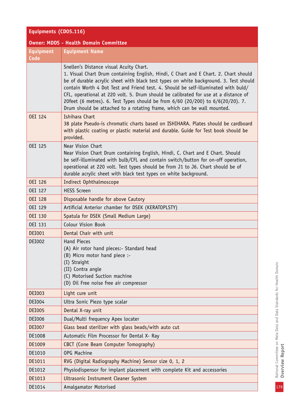# **Equipments (CD05.116) Owner: MDDS - Health Domain Committee**

| <b>Equipment</b><br>Code | <b>Equipment Name</b>                                                                                                                                                                                                                                                                                                                                                                                                                                                                                                                                               |
|--------------------------|---------------------------------------------------------------------------------------------------------------------------------------------------------------------------------------------------------------------------------------------------------------------------------------------------------------------------------------------------------------------------------------------------------------------------------------------------------------------------------------------------------------------------------------------------------------------|
|                          | Snellen's Distance visual Acuity Chart.<br>1. Visual Chart Drum containing English, Hindi, C Chart and E Chart. 2. Chart should<br>be of durable acrylic sheet with black test types on white background. 3. Test should<br>contain Worth 4 Dot Test and Friend test. 4. Should be self-illuminated with buld/<br>CFL, operational at 220 volt. 5. Drum should be calibrated for use at a distance of<br>20feet (6 metres). 6. Test Types should be from 6/60 (20/200) to 6/6(20/20). 7.<br>Drum should be attached to a rotating frame, which can be wall mounted. |
| <b>OEI 124</b>           | Ishihara Chart<br>38 plate Pseudo-is chromatic charts based on ISHIHARA. Plates should be cardboard<br>with plastic coating or plastic material and durable. Guide for Test book should be<br>provided.                                                                                                                                                                                                                                                                                                                                                             |
| <b>OEI 125</b>           | Near Vision Chart<br>Near Vision Chart Drum containing English, Hindi, C. Chart and E Chart. Should<br>be self-illuminated with bulb/CFL and contain switch/button for on-off operation,<br>operational at 220 volt. Test types should be from J1 to J6. Chart should be of<br>durable acrylic sheet with black test types on white background.                                                                                                                                                                                                                     |
| <b>OEI 126</b>           | Indirect Ophthalmoscope                                                                                                                                                                                                                                                                                                                                                                                                                                                                                                                                             |
| <b>OEI 127</b>           | <b>HESS Screen</b>                                                                                                                                                                                                                                                                                                                                                                                                                                                                                                                                                  |
| <b>OEI 128</b>           | Disposable handle for above Cautory                                                                                                                                                                                                                                                                                                                                                                                                                                                                                                                                 |
| <b>OEI 129</b>           | Artificial Anterior chamber for DSEK (KERATOPLSTY)                                                                                                                                                                                                                                                                                                                                                                                                                                                                                                                  |
| <b>OEI 130</b>           | Spatula for DSEK (Small Medium Large)                                                                                                                                                                                                                                                                                                                                                                                                                                                                                                                               |
| <b>OEI 131</b>           | <b>Colour Vision Book</b>                                                                                                                                                                                                                                                                                                                                                                                                                                                                                                                                           |
| <b>DEI001</b>            | Dental Chair with unit                                                                                                                                                                                                                                                                                                                                                                                                                                                                                                                                              |
| <b>DEI002</b>            | <b>Hand Pieces</b><br>(A) Air rotor hand pieces:- Standard head<br>(B) Micro motor hand piece :-<br>(I) Straight<br>(II) Contra angle<br>(C) Motorised Suction machine<br>(D) Oil Free noise free air compressor                                                                                                                                                                                                                                                                                                                                                    |
| <b>DEI003</b>            | Light cure unit                                                                                                                                                                                                                                                                                                                                                                                                                                                                                                                                                     |
| DEI004                   | Ultra Sonic Piezo type scalar                                                                                                                                                                                                                                                                                                                                                                                                                                                                                                                                       |
| <b>DEI005</b>            | Dental X-ray unit                                                                                                                                                                                                                                                                                                                                                                                                                                                                                                                                                   |
| <b>DEI006</b>            | Dual/Multi frequency Apex locater                                                                                                                                                                                                                                                                                                                                                                                                                                                                                                                                   |
| <b>DEI007</b>            | Glass bead sterilizer with glass beads/with auto cut                                                                                                                                                                                                                                                                                                                                                                                                                                                                                                                |
| DE1008                   | Automatic Film Processor for Dental X- Ray                                                                                                                                                                                                                                                                                                                                                                                                                                                                                                                          |
| DE1009                   | CBCT (Cone Beam Computer Tomography)                                                                                                                                                                                                                                                                                                                                                                                                                                                                                                                                |
| DE1010                   | OPG Machine                                                                                                                                                                                                                                                                                                                                                                                                                                                                                                                                                         |
| DE1011                   | RVG (Digital Radiography Machine) Sensor size 0, 1, 2                                                                                                                                                                                                                                                                                                                                                                                                                                                                                                               |
| DE1012                   | Physiodispensor for implant placement with complete Kit and accessories                                                                                                                                                                                                                                                                                                                                                                                                                                                                                             |
| DE1013                   | Ultrasonic Instrument Cleaner System                                                                                                                                                                                                                                                                                                                                                                                                                                                                                                                                |
| DE1014                   | Amalgamator Motorised                                                                                                                                                                                                                                                                                                                                                                                                                                                                                                                                               |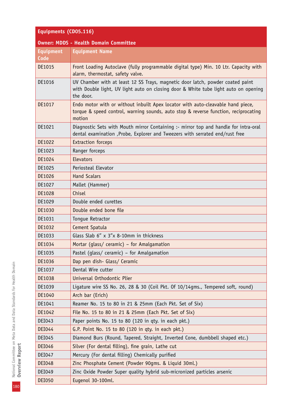| Equipments (CD05.116)                        |                                                                                                                                                                                    |
|----------------------------------------------|------------------------------------------------------------------------------------------------------------------------------------------------------------------------------------|
| <b>Owner: MDDS - Health Domain Committee</b> |                                                                                                                                                                                    |
| <b>Equipment</b>                             | <b>Equipment Name</b>                                                                                                                                                              |
| Code                                         |                                                                                                                                                                                    |
| DE1015                                       | Front Loading Autoclave (fully programmable digital type) Min. 10 Ltr. Capacity with<br>alarm, thermostat, safety valve.                                                           |
| DE1016                                       | UV Chamber with at least 12 SS Trays, magnetic door latch, powder coated paint<br>with Double light, UV light auto on closing door & White tube light auto on opening<br>the door. |
| DE1017                                       | Endo motor with or without inbuilt Apex locator with auto-cleavable hand piece,<br>torque & speed control, warning sounds, auto stop & reverse function, reciprocating<br>motion   |
| DE1021                                       | Diagnostic Sets with Mouth mirror Containing :- mirror top and handle for intra-oral<br>dental examination , Probe, Explorer and Tweezers with serrated end/rust free              |
| DE1022                                       | <b>Extraction forceps</b>                                                                                                                                                          |
| DE1023                                       | Ranger forceps                                                                                                                                                                     |
| DE1024                                       | Elevators                                                                                                                                                                          |
| DE1025                                       | Periosteal Elevator                                                                                                                                                                |
| DE1026                                       | <b>Hand Scalars</b>                                                                                                                                                                |
| DE1027                                       | Mallet (Hammer)                                                                                                                                                                    |
| DE1028                                       | Chisel                                                                                                                                                                             |
| DE1029                                       | Double ended curettes                                                                                                                                                              |
| DE1030                                       | Double ended bone file                                                                                                                                                             |
| DE1031                                       | Tongue Retractor                                                                                                                                                                   |
| DE1032                                       | Cement Spatula                                                                                                                                                                     |
| DE1033                                       | Glass Slab 6" x 3"x 8-10mm in thickness                                                                                                                                            |
| DE1034                                       | Mortar (glass/ ceramic) - for Amalgamation                                                                                                                                         |
| DE1035                                       | Pastel (glass/ ceramic) - for Amalgamation                                                                                                                                         |
| DE1036                                       | Dap pen dish- Glass/ Ceramic                                                                                                                                                       |
| DE1037                                       | Dental Wire cutter                                                                                                                                                                 |
| DE1038                                       | Universal Orthodontic Plier                                                                                                                                                        |
| DE1039                                       | Ligature wire SS No. 26, 28 & 30 (Coil Pkt. Of 10/14gms., Tempered soft, round)                                                                                                    |
| DE1040                                       | Arch bar (Erich)                                                                                                                                                                   |
| DE1041                                       | Reamer No. 15 to 80 in 21 & 25mm (Each Pkt. Set of Six)                                                                                                                            |
| DE1042                                       | File No. 15 to 80 in 21 & 25mm (Each Pkt. Set of Six)                                                                                                                              |
| DEI043                                       | Paper points No. 15 to 80 (120 in qty. in each pkt.)                                                                                                                               |
| DEI044                                       | G.P. Point No. 15 to 80 (120 in qty. in each pkt.)                                                                                                                                 |
| DEI045                                       | Diamond Burs (Round, Tapered, Straight, Inverted Cone, dumbbell shaped etc.)                                                                                                       |
| DEI046                                       | Silver (For dental filling), fine grain, Lathe cut                                                                                                                                 |
| DEI047                                       | Mercury (For dental filling) Chemically purified                                                                                                                                   |
| <b>DEI048</b>                                | Zinc Phosphate Cement (Powder 90gms. & Liquid 30ml.)                                                                                                                               |
| DEI049                                       | Zinc Oxide Powder Super quality hybrid sub-micronized particles arsenic                                                                                                            |
| <b>DEI050</b>                                | Eugenol 30-100ml.                                                                                                                                                                  |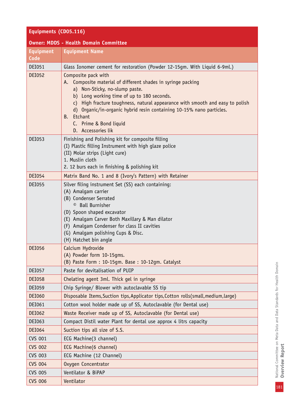#### **Equipments (CD05.116)**

|                  | <b>Owner: MDDS - Health Domain Committee</b>                                                                                                                                                                                                                                                                                                                                                  |  |  |
|------------------|-----------------------------------------------------------------------------------------------------------------------------------------------------------------------------------------------------------------------------------------------------------------------------------------------------------------------------------------------------------------------------------------------|--|--|
| <b>Equipment</b> | <b>Equipment Name</b>                                                                                                                                                                                                                                                                                                                                                                         |  |  |
| Code             |                                                                                                                                                                                                                                                                                                                                                                                               |  |  |
| DEI051           | Glass Ionomer cement for restoration (Powder 12-15gm. With Liquid 6-9ml.)                                                                                                                                                                                                                                                                                                                     |  |  |
| <b>DEI052</b>    | Composite pack with<br>A. Composite material of different shades in syringe packing<br>a) Non-Sticky, no-slump paste.<br>b) Long working time of up to 180 seconds.<br>c) High fracture toughness, natural appearance with smooth and easy to polish<br>d) Organic/in-organic hybrid resin containing 10-15% nano particles.<br>Etchant<br>В.<br>C. Prime & Bond liquid<br>D. Accessories lik |  |  |
| DEI053           | Finishing and Polishing kit for composite filling<br>(I) Plastic filling Instrument with high glaze police<br>(II) Molar strips (Light cure)<br>1. Muslin cloth<br>2. 12 burs each in finishing & polishing kit                                                                                                                                                                               |  |  |
| DEI054           | Matrix Band No. 1 and 8 (Ivory's Pattern) with Retainer                                                                                                                                                                                                                                                                                                                                       |  |  |
| <b>DEI055</b>    | Silver filing instrument Set (SS) each containing:<br>(A) Amalgam carrier<br>(B) Condenser Serrated<br><sup>©</sup> Ball Burnisher<br>(D) Spoon shaped excavator<br>(E) Amalgam Carver Both Maxillary & Man dilator<br>(F) Amalgam Condenser for class II cavities<br>(G) Amalgam polishing Cups & Disc.<br>(H) Hatchet bin angle                                                             |  |  |
| <b>DEI056</b>    | Calcium Hydroxide<br>(A) Powder form 10-15gms.<br>(B) Paste Form: 10-15gm. Base: 10-12gm. Catalyst                                                                                                                                                                                                                                                                                            |  |  |
| <b>DEI057</b>    | Paste for devitalisation of PUIP                                                                                                                                                                                                                                                                                                                                                              |  |  |
| <b>DEI058</b>    | Chelating agent 3ml. Thick gel in syringe                                                                                                                                                                                                                                                                                                                                                     |  |  |
| DEI059           | Chip Syringe/ Blower with autoclavable SS tip                                                                                                                                                                                                                                                                                                                                                 |  |  |
| <b>DEI060</b>    | Disposable Items, Suction tips, Applicator tips, Cotton rolls (small, medium, large)                                                                                                                                                                                                                                                                                                          |  |  |
| DEI061           | Cotton wool holder made up of SS, Autoclavable (for Dental use)                                                                                                                                                                                                                                                                                                                               |  |  |
| <b>DEI062</b>    | Waste Receiver made up of SS, Autoclavable (for Dental use)                                                                                                                                                                                                                                                                                                                                   |  |  |
| DEI063           | Compact Distil water Plant for dental use approx 4 litrs capacity                                                                                                                                                                                                                                                                                                                             |  |  |
| DEI064           | Suction tips all size of S.S.                                                                                                                                                                                                                                                                                                                                                                 |  |  |
| CVS 001          | ECG Machine(3 channel)                                                                                                                                                                                                                                                                                                                                                                        |  |  |
| <b>CVS 002</b>   | ECG Machine(6 channel)                                                                                                                                                                                                                                                                                                                                                                        |  |  |
| <b>CVS 003</b>   | ECG Machine (12 Channel)                                                                                                                                                                                                                                                                                                                                                                      |  |  |
| <b>CVS 004</b>   | Oxygen Concentrator                                                                                                                                                                                                                                                                                                                                                                           |  |  |
| <b>CVS 005</b>   | Ventilator & BiPAP                                                                                                                                                                                                                                                                                                                                                                            |  |  |
| <b>CVS 006</b>   | Ventilator                                                                                                                                                                                                                                                                                                                                                                                    |  |  |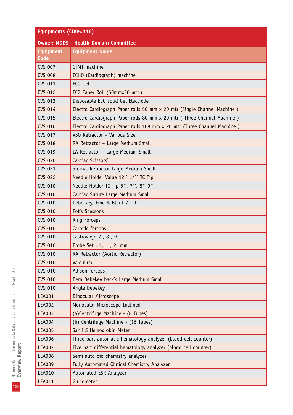| Equipments (CD05.116)                        |                                                                         |  |
|----------------------------------------------|-------------------------------------------------------------------------|--|
| <b>Owner: MDDS - Health Domain Committee</b> |                                                                         |  |
| <b>Equipment</b>                             | <b>Equipment Name</b>                                                   |  |
| Code                                         |                                                                         |  |
| <b>CVS 007</b>                               | CTMT machine                                                            |  |
| <b>CVS 008</b>                               | ECHO (Cardiograph) machine                                              |  |
| <b>CVS 011</b>                               | ECG Gel                                                                 |  |
| <b>CVS 012</b>                               | ECG Paper Roll (50mmx30 mtr.)                                           |  |
| <b>CVS 013</b>                               | Disposable ECG solid Gel Electrode                                      |  |
| <b>CVS 014</b>                               | Electro Cardiograph Paper rolls 50 mm x 20 mtr (Single Channel Machine) |  |
| <b>CVS 015</b>                               | Electro Cardiograph Paper rolls 80 mm x 20 mtr (Three Channel Machine)  |  |
| <b>CVS 016</b>                               | Electro Cardiograph Paper rolls 108 mm x 20 mtr (Three Channel Machine) |  |
| <b>CVS 017</b>                               | VSO Retractor - Various Size                                            |  |
| <b>CVS 018</b>                               | RA Retractor - Large Medium Small                                       |  |
| <b>CVS 019</b>                               | LA Retractor - Large Medium Small                                       |  |
| <b>CVS 020</b>                               | Cardiac Scissors'                                                       |  |
| <b>CVS 021</b>                               | Sternal Retractor Large Medium Small                                    |  |
| <b>CVS 022</b>                               | Needle Holder Value 12" 14" TC Tip                                      |  |
| <b>CVS 010</b>                               | Needle Holder TC Tip 6", 7", 8" 9"                                      |  |
| <b>CVS 010</b>                               | Cardiac Suture Large Medium Small                                       |  |
| <b>CVS 010</b>                               | Debe key, Fine & Blunt 7" 9"                                            |  |
| <b>CVS 010</b>                               | Pot's Scessor's                                                         |  |
| <b>CVS 010</b>                               | <b>Ring Forceps</b>                                                     |  |
| <b>CVS 010</b>                               | Carbide forceps                                                         |  |
| <b>CVS 010</b>                               | Castroviejo 7, 8, 9                                                     |  |
| <b>CVS 010</b>                               | Probe Set , 1, 1, 2, mm                                                 |  |
| <b>CVS 010</b>                               | RA Retractor (Aortic Retractor)                                         |  |
| <b>CVS 010</b>                               | Valculum                                                                |  |
| <b>CVS 010</b>                               | Adison forceps                                                          |  |
| <b>CVS 010</b>                               | Dera Debekey back's Large Medium Small                                  |  |
| <b>CVS 010</b>                               | Angle Debekey                                                           |  |
| <b>LEA001</b>                                | <b>Binocular Microscope</b>                                             |  |
| <b>LEA002</b>                                | Monocular Microscope Inclined                                           |  |
| <b>LEA003</b>                                | (a)Centrifuge Machine - (8 Tubes)                                       |  |
| <b>LEA004</b>                                | (b) Centrifuge Machine - (16 Tubes)                                     |  |
| <b>LEA005</b>                                | Sahli S Hemoglobin Meter                                                |  |
| <b>LEA006</b>                                | Three part automatic hematology analyzer (blood cell counter)           |  |
| <b>LEA007</b>                                | Five part differential hematology analyzer (blood cell counter)         |  |
| <b>LEA008</b>                                | Semi auto bio chemistry analyzer :                                      |  |
| <b>LEA009</b>                                | Fully Automated Clinical Chemistry Analyzer                             |  |
| LEA010                                       | Automated ESR Analyzer                                                  |  |
| <b>LEA011</b>                                | Glucometer                                                              |  |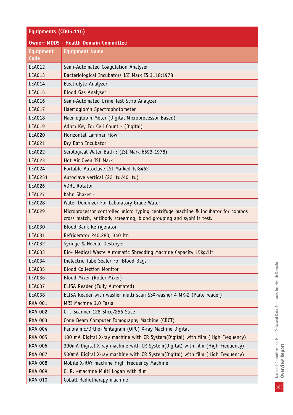# **Equipments (CD05.116)**

| <b>Owner: MDDS - Health Domain Committee</b> |                                                                                                                                                        |  |  |
|----------------------------------------------|--------------------------------------------------------------------------------------------------------------------------------------------------------|--|--|
| <b>Equipment</b><br>Code                     | <b>Equipment Name</b>                                                                                                                                  |  |  |
| LEA012                                       | Semi-Automated Coagulation Analyser                                                                                                                    |  |  |
| <b>LEA013</b>                                | Bacteriological Incubators ISI Mark IS:3118:1978                                                                                                       |  |  |
| <b>LEA014</b>                                | Electrolyte Analyzer                                                                                                                                   |  |  |
| <b>LEA015</b>                                | <b>Blood Gas Analyser</b>                                                                                                                              |  |  |
| <b>LEA016</b>                                | Semi-Automated Urine Test Strip Analyzer                                                                                                               |  |  |
| <b>LEA017</b>                                | Haemoglobin Spectrophotometer                                                                                                                          |  |  |
| <b>LEA018</b>                                | Haemoglobin Meter (Digital Microprocessor Based)                                                                                                       |  |  |
| <b>LEA019</b>                                | Adhm Key For Cell Count - (Digital)                                                                                                                    |  |  |
| <b>LEA020</b>                                | Horizontal Laminar Flow                                                                                                                                |  |  |
| <b>LEA021</b>                                | Dry Bath Incubator                                                                                                                                     |  |  |
| <b>LEA022</b>                                | Serological Water Bath: (ISI Mark 6593-1978)                                                                                                           |  |  |
| <b>LEA023</b>                                | Hot Air Oven ISI Mark                                                                                                                                  |  |  |
| <b>LEA024</b>                                | Portable Autoclave ISI Marked Is:8462                                                                                                                  |  |  |
| LEA0251                                      | Autoclave vertical (22 ltr./40 ltr.)                                                                                                                   |  |  |
| <b>LEA026</b>                                | <b>VDRL Rotator</b>                                                                                                                                    |  |  |
| <b>LEA027</b>                                | Kahn Shaker -                                                                                                                                          |  |  |
| <b>LEA028</b>                                | Water Deionizer For Laboratory Grade Water                                                                                                             |  |  |
| <b>LEA029</b>                                | Microprocessor controlled micro typing centrifuge machine & incubator for combos<br>cross match, antibody screening, blood grouping and syphilis test. |  |  |
| <b>LEA030</b>                                | Blood Bank Refrigerator                                                                                                                                |  |  |
| <b>LEA031</b>                                | Refrigerator 240,280, 340 ltr.                                                                                                                         |  |  |
| <b>LEA032</b>                                | Syringe & Needle Destroyer                                                                                                                             |  |  |
| <b>LEA033</b>                                | Bio- Medical Waste Automatic Shredding Machine Capacity 15kg/Hr                                                                                        |  |  |
| LEA034                                       | Dielectric Tube Sealer For Blood Bags                                                                                                                  |  |  |
| <b>LEA035</b>                                | <b>Blood Collection Monitor</b>                                                                                                                        |  |  |
| LEA036                                       | Blood Mixer (Roller Mixer)                                                                                                                             |  |  |
| <b>LEA037</b>                                | ELISA Reader (Fully Automated)                                                                                                                         |  |  |
| LEA038                                       | ELISA Reader with washer multi scan SSX-washer 4 MK-2 (Plate reader)                                                                                   |  |  |
| <b>RXA 001</b>                               | MRI Machine 3.0 Tasla                                                                                                                                  |  |  |
| <b>RXA 002</b>                               | C.T. Scanner 128 Slice/256 Slice                                                                                                                       |  |  |
| <b>RXA 003</b>                               | Cone Beam Computer Tomography Machine (CBCT)                                                                                                           |  |  |
| RXA 004                                      | Panoramic/Ortho-Pentagram (OPG) X-ray Machine Digital                                                                                                  |  |  |
| <b>RXA 005</b>                               | 100 mA Digital X-ray machine with CR System(Digital) with film (High Frequency)                                                                        |  |  |
| <b>RXA 006</b>                               | 300mA Digital X-ray machine with CR System(Digital) with film (High Frequency)                                                                         |  |  |
| <b>RXA 007</b>                               | 500mA Digital X-ray machine with CR System(Digital) with film (High Frequency)                                                                         |  |  |
| <b>RXA 008</b>                               | Mobile X-RAY machine High Frequency Machine                                                                                                            |  |  |
| <b>RXA 009</b>                               | C. R. -machine Multi Logan with film                                                                                                                   |  |  |
| <b>RXA 010</b>                               | Cobalt Radiotherapy machine                                                                                                                            |  |  |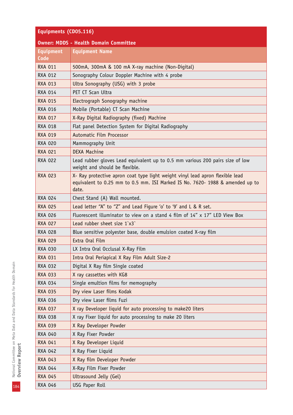| Equipments (CD05.116)                        |                                                                                                                                                                         |  |
|----------------------------------------------|-------------------------------------------------------------------------------------------------------------------------------------------------------------------------|--|
| <b>Owner: MDDS - Health Domain Committee</b> |                                                                                                                                                                         |  |
| <b>Equipment</b><br>Code                     | <b>Equipment Name</b>                                                                                                                                                   |  |
| <b>RXA 011</b>                               | 500mA, 300mA & 100 mA X-ray machine (Non-Digital)                                                                                                                       |  |
| <b>RXA 012</b>                               | Sonography Colour Doppler Machine with 4 probe                                                                                                                          |  |
| <b>RXA 013</b>                               | Ultra Sonography (USG) with 3 probe                                                                                                                                     |  |
| <b>RXA 014</b>                               | PET CT Scan Ultra                                                                                                                                                       |  |
| <b>RXA 015</b>                               | Electrograph Sonography machine                                                                                                                                         |  |
| <b>RXA 016</b>                               | Mobile (Portable) CT Scan Machine                                                                                                                                       |  |
| <b>RXA 017</b>                               | X-Ray Digital Radiography (fixed) Machine                                                                                                                               |  |
| <b>RXA 018</b>                               | Flat panel Detection System for Digital Radiography                                                                                                                     |  |
| <b>RXA 019</b>                               | Automatic Film Processor                                                                                                                                                |  |
| <b>RXA 020</b>                               | Mammography Unit                                                                                                                                                        |  |
| <b>RXA 021</b>                               | <b>DEXA Machine</b>                                                                                                                                                     |  |
| <b>RXA 022</b>                               | Lead rubber gloves Lead equivalent up to 0.5 mm various 200 pairs size of low<br>weight and should be flexible.                                                         |  |
| <b>RXA 023</b>                               | X- Ray protective apron coat type light weight vinyl lead apron flexible lead<br>equivalent to 0.25 mm to 0.5 mm. ISI Marked IS No. 7620- 1988 & amended up to<br>date. |  |
| <b>RXA 024</b>                               | Chest Stand (A) Wall mounted.                                                                                                                                           |  |
| <b>RXA 025</b>                               | Lead letter "A" to "Z" and Lead Figure 'o' to '9' and L & R set.                                                                                                        |  |
| <b>RXA 026</b>                               | Fluorescent illuminator to view on a stand 4 film of 14" x 17" LED View Box                                                                                             |  |
| <b>RXA 027</b>                               | Lead rubber sheet size 1`x3`                                                                                                                                            |  |
| <b>RXA 028</b>                               | Blue sensitive polyester base, double emulsion coated X-ray film                                                                                                        |  |
| <b>RXA 029</b>                               | Extra Oral Film                                                                                                                                                         |  |
| <b>RXA 030</b>                               | LX Intra Oral Occlusal X-Ray Film                                                                                                                                       |  |
| <b>RXA 031</b>                               | Intra Oral Periapical X Ray Film Adult Size-2                                                                                                                           |  |
| RXA 032                                      | Digital X Ray film Single coated                                                                                                                                        |  |
| <b>RXA 033</b>                               | X ray cassettes with KG8                                                                                                                                                |  |
| <b>RXA 034</b>                               | Single emultion films for memography                                                                                                                                    |  |
| <b>RXA 035</b>                               | Dry view Laser films Kodak                                                                                                                                              |  |
| <b>RXA 036</b>                               | Dry view Laser films Fuzi                                                                                                                                               |  |
| <b>RXA 037</b>                               | X ray Developer liquid for auto processing to make20 liters                                                                                                             |  |
| <b>RXA 038</b>                               | X ray Fixer liquid for auto processing to make 20 liters                                                                                                                |  |
| <b>RXA 039</b>                               | X Ray Developer Powder                                                                                                                                                  |  |
| RXA 040                                      | X Ray Fixer Powder                                                                                                                                                      |  |
| <b>RXA 041</b>                               | X Ray Developer Liquid                                                                                                                                                  |  |
| <b>RXA 042</b>                               | X Ray Fixer Liquid                                                                                                                                                      |  |
| <b>RXA 043</b>                               | X Ray film Developer Powder                                                                                                                                             |  |
| <b>RXA 044</b>                               | X-Ray Film Fixer Powder                                                                                                                                                 |  |
| <b>RXA 045</b>                               | Ultrasound Jelly (Gel)                                                                                                                                                  |  |
| <b>RXA 046</b>                               | USG Paper Roll                                                                                                                                                          |  |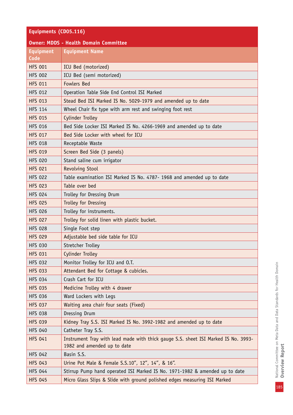## **Equipments (CD05.116)**

| <b>Owner: MDDS - Health Domain Committee</b> |                                                                                                                   |  |  |
|----------------------------------------------|-------------------------------------------------------------------------------------------------------------------|--|--|
| <b>Equipment</b>                             | <b>Equipment Name</b>                                                                                             |  |  |
| Code                                         |                                                                                                                   |  |  |
| <b>HFS 001</b>                               | ICU Bed (motorized)                                                                                               |  |  |
| <b>HFS 002</b>                               | ICU Bed (semi motorized)                                                                                          |  |  |
| <b>HFS 011</b>                               | <b>Fowlers Bed</b>                                                                                                |  |  |
| <b>HFS 012</b>                               | Operation Table Side End Control ISI Marked                                                                       |  |  |
| <b>HFS 013</b>                               | Stead Bed ISI Marked IS No. 5029-1979 and amended up to date                                                      |  |  |
| <b>HFS 114</b>                               | Wheel Chair fix type with arm rest and swinging foot rest                                                         |  |  |
| <b>HFS 015</b>                               | <b>Cylinder Trolley</b>                                                                                           |  |  |
| <b>HFS 016</b>                               | Bed Side Locker ISI Marked IS No. 4266-1969 and amended up to date                                                |  |  |
| <b>HFS 017</b>                               | Bed Side Locker with wheel for ICU                                                                                |  |  |
| <b>HFS 018</b>                               | Receptable Waste                                                                                                  |  |  |
| <b>HFS 019</b>                               | Screen Bed Side (3 panels)                                                                                        |  |  |
| <b>HFS 020</b>                               | Stand saline cum irrigator                                                                                        |  |  |
| <b>HFS 021</b>                               | Revolving Stool                                                                                                   |  |  |
| <b>HFS 022</b>                               | Table examination ISI Marked IS No. 4787- 1968 and amended up to date                                             |  |  |
| <b>HFS 023</b>                               | Table over bed                                                                                                    |  |  |
| <b>HFS 024</b>                               | Trolley for Dressing Drum                                                                                         |  |  |
| <b>HFS 025</b>                               | Trolley for Dressing                                                                                              |  |  |
| <b>HFS 026</b>                               | Trolley for instruments.                                                                                          |  |  |
| <b>HFS 027</b>                               | Trolley for solid linen with plastic bucket.                                                                      |  |  |
| <b>HFS 028</b>                               | Single Foot step                                                                                                  |  |  |
| <b>HFS 029</b>                               | Adjustable bed side table for ICU                                                                                 |  |  |
| <b>HFS 030</b>                               | Stretcher Trolley                                                                                                 |  |  |
| <b>HFS 031</b>                               | <b>Cylinder Trolley</b>                                                                                           |  |  |
| <b>HFS 032</b>                               | Monitor Trolley for ICU and O.T.                                                                                  |  |  |
| <b>HFS 033</b>                               | Attendant Bed for Cottage & cubicles.                                                                             |  |  |
| <b>HFS 034</b>                               | Crash Cart for ICU                                                                                                |  |  |
| <b>HFS 035</b>                               | Medicine Trolley with 4 drawer                                                                                    |  |  |
| <b>HFS 036</b>                               | Ward Lockers with Legs                                                                                            |  |  |
| <b>HFS 037</b>                               | Waiting area chair four seats (Fixed)                                                                             |  |  |
| <b>HFS 038</b>                               | Dressing Drum                                                                                                     |  |  |
| <b>HFS 039</b>                               | Kidney Tray S.S. ISI Marked IS No. 3992-1982 and amended up to date                                               |  |  |
| <b>HFS 040</b>                               | Catheter Tray S.S.                                                                                                |  |  |
| <b>HFS 041</b>                               | Instrument Tray with lead made with thick gauge S.S. sheet ISI Marked IS No. 3993-<br>1982 and amended up to date |  |  |
| <b>HFS 042</b>                               | Basin S.S.                                                                                                        |  |  |
| <b>HFS 043</b>                               | Urine Pot Male & Female S.S.10", 12", 14", & 16".                                                                 |  |  |
| <b>HFS 044</b>                               | Stirrup Pump hand operated ISI Marked IS No. 1971-1982 & amended up to date                                       |  |  |
| <b>HFS 045</b>                               | Micro Glass Slips & Slide with ground polished edges measuring ISI Marked                                         |  |  |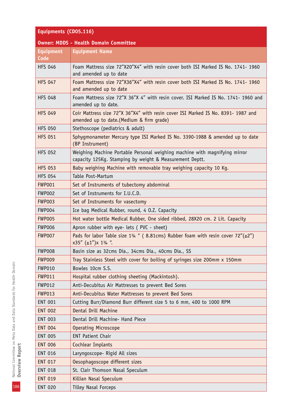| Equipments (CD05.116) |                                                                                                                                       |  |
|-----------------------|---------------------------------------------------------------------------------------------------------------------------------------|--|
|                       | <b>Owner: MDDS - Health Domain Committee</b>                                                                                          |  |
| <b>Equipment</b>      | <b>Equipment Name</b>                                                                                                                 |  |
| Code                  |                                                                                                                                       |  |
| <b>HFS 046</b>        | Foam Mattress size 72"X20"X4" with resin cover both ISI Marked IS No. 1741- 1960<br>and amended up to date                            |  |
| <b>HFS 047</b>        | Foam Mattress size 72"X36"X4" with resin cover both ISI Marked IS No. 1741- 1960<br>and amended up to date                            |  |
| <b>HFS 048</b>        | Foam Mattress size 72"X 36"X 4" with resin cover. ISI Marked IS No. 1741- 1960 and<br>amended up to date.                             |  |
| <b>HFS 049</b>        | Coir Mattress size 72"X 36"X4" with resin cover ISI Marked IS No. 8391- 1987 and<br>amended up to date. (Medium & firm grade)         |  |
| <b>HFS 050</b>        | Stethoscope (pediatrics & adult)                                                                                                      |  |
| <b>HFS 051</b>        | Sphygmonameter Mercury type ISI Marked IS No. 3390-1988 & amended up to date<br>(BP Instrument)                                       |  |
| <b>HFS 052</b>        | Weighing Machine Portable Personal weighing machine with magnifying mirror<br>capacity 125Kg. Stamping by weight & Measurement Deptt. |  |
| <b>HFS 053</b>        | Baby weighing Machine with removable tray weighing capacity 10 Kg.                                                                    |  |
| <b>HFS 054</b>        | Table Post-Martum                                                                                                                     |  |
| FWP001                | Set of Instruments of tubectomy abdominal                                                                                             |  |
| <b>FWP002</b>         | Set of Instruments for I.U.C.D.                                                                                                       |  |
| FWP003                | Set of Instruments for vasectomy                                                                                                      |  |
| <b>FWP004</b>         | Ice bag Medical Rubber, round, 4 0.Z. Capacity                                                                                        |  |
| <b>FWP005</b>         | Hot water bottle Medical Rubber, One sided ribbed, 28X20 cm. 2 Lit. Capacity                                                          |  |
| <b>FWP006</b>         | Apron rubber with eye- lets (PVC - sheet)                                                                                             |  |
| <b>FWP007</b>         | Pads for labor Table size 1¼ " (8.81cms) Rubber foam with resin cover $72''(\pm 2'')$<br>x35" (±1")x 11/4 ".                          |  |
| <b>FWP008</b>         | Basin size as 32cms Dia., 34cms Dia., 40cms Dia., SS                                                                                  |  |
| <b>FWP009</b>         | Tray Stainless Steel with cover for boiling of syringes size 200mm x 150mm                                                            |  |
| <b>FWP010</b>         | Bowles 10cm S.S.                                                                                                                      |  |
| <b>FWP011</b>         | Hospital rubber clothing sheeting (Mackintosh).                                                                                       |  |
| <b>FWP012</b>         | Anti-Decubitus Air Mattresses to prevent Bed Sores                                                                                    |  |
| <b>FWP013</b>         | Anti-Decubitus Water Mattresses to prevent Bed Sores                                                                                  |  |
| <b>ENT 001</b>        | Cutting Burr/Diamond Burr different size 5 to 6 mm, 400 to 1000 RPM                                                                   |  |
| <b>ENT 002</b>        | Dental Drill Machine                                                                                                                  |  |
| <b>ENT 003</b>        | Dental Drill Machine- Hand Piece                                                                                                      |  |
| <b>ENT 004</b>        | <b>Operating Microscope</b>                                                                                                           |  |
| <b>ENT 005</b>        | <b>ENT Patient Chair</b>                                                                                                              |  |
| <b>ENT 006</b>        | Cochlear Implants                                                                                                                     |  |
| <b>ENT 016</b>        | Laryngoscope- Rigid All sizes                                                                                                         |  |
| <b>ENT 017</b>        | Oesophagoscope different sizes                                                                                                        |  |
| <b>ENT 018</b>        | St. Clair Thomson Nasal Speculum                                                                                                      |  |
| <b>ENT 019</b>        | Killian Nasal Speculum                                                                                                                |  |
| <b>ENT 020</b>        | <b>Tilley Nasal Forceps</b>                                                                                                           |  |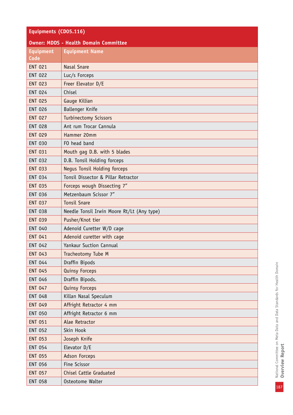| Equipments (CD05.116) |  |
|-----------------------|--|
|-----------------------|--|

|                  | <b>Owner: MDDS - Health Domain Committee</b> |
|------------------|----------------------------------------------|
| <b>Equipment</b> | <b>Equipment Name</b>                        |
| Code             |                                              |
| <b>ENT 021</b>   | <b>Nasal Snare</b>                           |
| <b>ENT 022</b>   | Luc/s Forceps                                |
| <b>ENT 023</b>   | Freer Elevator D/E                           |
| <b>ENT 024</b>   | Chisel                                       |
| <b>ENT 025</b>   | Gauge Killian                                |
| <b>ENT 026</b>   | Ballenger Knife                              |
| <b>ENT 027</b>   | <b>Turbinectomy Scissors</b>                 |
| <b>ENT 028</b>   | Ant rum Trocar Cannula                       |
| <b>ENT 029</b>   | Hammer 20mm                                  |
| <b>ENT 030</b>   | FO head band                                 |
| <b>ENT 031</b>   | Mouth gag D.B. with 5 blades                 |
| <b>ENT 032</b>   | D.B. Tonsil Holding forceps                  |
| <b>ENT 033</b>   | <b>Negus Tonsil Holding forceps</b>          |
| <b>ENT 034</b>   | Tonsil Dissector & Pillar Retractor          |
| <b>ENT 035</b>   | Forceps wough Dissecting 7"                  |
| <b>ENT 036</b>   | Metzenbaum Scissor 7"                        |
| <b>ENT 037</b>   | <b>Tonsil Snare</b>                          |
| <b>ENT 038</b>   | Needle Tonsil Irwin Moore Rt/Lt (Any type)   |
| <b>ENT 039</b>   | Pusher/Knot tier                             |
| <b>ENT 040</b>   | Adenoid Curetter W/D cage                    |
| <b>ENT 041</b>   | Adenoid curetter with cage                   |
| <b>ENT 042</b>   | <b>Yankaur Suction Cannual</b>               |
| <b>ENT 043</b>   | Tracheotomy Tube M                           |
| <b>ENT 044</b>   | Draffin Bipods                               |
| <b>ENT 045</b>   | <b>Quinsy Forceps</b>                        |
| <b>ENT 046</b>   | Draffin Bipods.                              |
| <b>ENT 047</b>   | Quinsy Forceps                               |
| <b>ENT 048</b>   | Killan Nasal Speculum                        |
| <b>ENT 049</b>   | Affright Retractor 4 mm                      |
| <b>ENT 050</b>   | Affright Retractor 6 mm                      |
| <b>ENT 051</b>   | Alae Retractor                               |
| <b>ENT 052</b>   | Skin Hook                                    |
| <b>ENT 053</b>   | Joseph Knife                                 |
| <b>ENT 054</b>   | Elevator D/E                                 |
| <b>ENT 055</b>   | <b>Adson Forceps</b>                         |
| <b>ENT 056</b>   | Fine Scissor                                 |
| <b>ENT 057</b>   | <b>Chisel Cattle Graduated</b>               |
| <b>ENT 058</b>   | Osteotome Walter                             |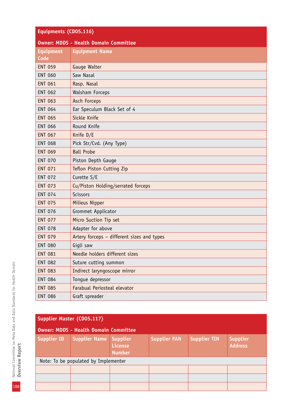| Equipments (CD05.116)                        |                                            |  |
|----------------------------------------------|--------------------------------------------|--|
| <b>Owner: MDDS - Health Domain Committee</b> |                                            |  |
| <b>Equipment</b><br>Code                     | <b>Equipment Name</b>                      |  |
| <b>ENT 059</b>                               | Gauge Walter                               |  |
| <b>ENT 060</b>                               | Saw Nasal                                  |  |
| <b>ENT 061</b>                               | Rasp. Nasal                                |  |
| <b>ENT 062</b>                               | Walsham Forceps                            |  |
| <b>ENT 063</b>                               | Asch Forceps                               |  |
| <b>ENT 064</b>                               | Ear Speculum Black Set of 4                |  |
| <b>ENT 065</b>                               | Sickle Knife                               |  |
| <b>ENT 066</b>                               | Round Knife                                |  |
| <b>ENT 067</b>                               | Knife D/E                                  |  |
| <b>ENT 068</b>                               | Pick Str/Cvd. (Any Type)                   |  |
| <b>ENT 069</b>                               | <b>Ball Probe</b>                          |  |
| <b>ENT 070</b>                               | Piston Depth Gauge                         |  |
| <b>ENT 071</b>                               | Teflon Piston Cutting Zip                  |  |
| <b>ENT 072</b>                               | Curette S/E                                |  |
| <b>ENT 073</b>                               | Cu/Piston Holding/serrated forceps         |  |
| <b>ENT 074</b>                               | <b>Scissors</b>                            |  |
| <b>ENT 075</b>                               | Milieus Nipper                             |  |
| <b>ENT 076</b>                               | Grommet Applicator                         |  |
| <b>ENT 077</b>                               | Micro Suction Tip set                      |  |
| <b>ENT 078</b>                               | Adapter for above                          |  |
| <b>ENT 079</b>                               | Artery forceps - different sizes and types |  |
| <b>ENT 080</b>                               | Gigli saw                                  |  |
| <b>ENT 081</b>                               | Needle holders different sizes             |  |
| <b>ENT 082</b>                               | Suture cutting summon                      |  |
| <b>ENT 083</b>                               | Indirect laryngoscope mirror               |  |
| <b>ENT 084</b>                               | Tongue depressor                           |  |
| <b>ENT 085</b>                               | Farabual Periosteal elevator               |  |
| <b>ENT 086</b>                               | Graft spreader                             |  |

| Supplier Master (CD05.117)                   |                                      |                                      |                     |                     |                                   |
|----------------------------------------------|--------------------------------------|--------------------------------------|---------------------|---------------------|-----------------------------------|
| <b>Owner: MDDS - Health Domain Committee</b> |                                      |                                      |                     |                     |                                   |
| <b>Supplier ID</b>                           | <b>Supplier Name</b>                 | Supplier<br>License<br><b>Number</b> | <b>Supplier PAN</b> | <b>Supplier TIN</b> | <b>Supplier</b><br><b>Address</b> |
|                                              | Note: To be populated by Implementer |                                      |                     |                     |                                   |
|                                              |                                      |                                      |                     |                     |                                   |
|                                              |                                      |                                      |                     |                     |                                   |
|                                              |                                      |                                      |                     |                     |                                   |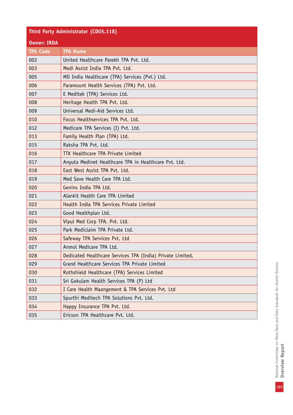## **Third Party Administrator (CD05.118)**

#### **Owner: IRDA**

| <b>TPA Code</b> | <b>TPA Name</b>                                            |  |
|-----------------|------------------------------------------------------------|--|
| 002             | United Healthcare Parekh TPA Pvt. Ltd.                     |  |
| 003             | Medi Assist India TPA Pvt. Ltd.                            |  |
| 005             | MD India Healthcare (TPA) Services (Pvt.) Ltd.             |  |
| 006             | Paramount Health Services (TPA) Pvt. Ltd.                  |  |
| 007             | E Meditek (TPA) Services Ltd.                              |  |
| 008             | Heritage Health TPA Pvt. Ltd.                              |  |
| 009             | Universal Medi-Aid Services Ltd.                           |  |
| 010             | Focus Healthservices TPA Pvt. Ltd.                         |  |
| 012             | Medicare TPA Services (I) Pvt. Ltd.                        |  |
| 013             | Family Health Plan (TPA) Ltd.                              |  |
| 015             | Raksha TPA Pvt. Ltd.                                       |  |
| 016             | TTK Healthcare TPA Private Limited                         |  |
| 017             | Anyuta Medinet Healthcare TPA in Healthcare Pvt. Ltd.      |  |
| 018             | East West Assist TPA Pvt. Ltd.                             |  |
| 019             | Med Save Health Care TPA Ltd.                              |  |
| 020             | Genins India TPA Ltd.                                      |  |
| 021             | Alankit Health Care TPA Limited                            |  |
| 022             | Health India TPA Services Private Limited                  |  |
| 023             | Good Healthplan Ltd.                                       |  |
| 024             | Vipul Med Corp TPA. Pvt. Ltd.                              |  |
| 025             | Park Mediclaim TPA Private Ltd.                            |  |
| 026             | Safeway TPA Services Pvt. Ltd                              |  |
| 027             | Anmol Medicare TPA Ltd.                                    |  |
| 028             | Dedicated Healthcare Services TPA (India) Private Limited, |  |
| 029             | Grand Healthcare Services TPA Private Limited              |  |
| 030             | Rothshield Healthcare (TPA) Services Limited               |  |
| 031             | Sri Gokulam Health Services TPA (P) Ltd                    |  |
| 032             | I Care Health Maangement & TPA Services Pvt. Ltd           |  |
| 033             | Spurthi Meditech TPA Solutions Pvt. Ltd.                   |  |
| 034             | Happy Insurance TPA Pvt. Ltd.                              |  |
| 035             | Ericson TPA Healthcare Pvt. Ltd.                           |  |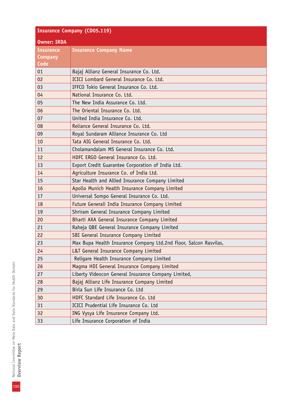| <b>Insurance Company (CD05.119)</b> |                                                                   |  |
|-------------------------------------|-------------------------------------------------------------------|--|
| <b>Owner: IRDA</b>                  |                                                                   |  |
| <b>Insurance</b>                    | <b>Insurance Company Name</b>                                     |  |
| Company                             |                                                                   |  |
| Code                                |                                                                   |  |
| 01                                  | Bajaj Allianz General Insurance Co. Ltd.                          |  |
| 02                                  | ICICI Lombard General Insurance Co. Ltd.                          |  |
| 03                                  | IFFCO Tokio General Insurance Co. Ltd.                            |  |
| 04                                  | National Insurance Co. Ltd.                                       |  |
| 05                                  | The New India Assurance Co. Ltd.                                  |  |
| 06                                  | The Oriental Insurance Co. Ltd.                                   |  |
| 07                                  | United India Insurance Co. Ltd.                                   |  |
| 08                                  | Reliance General Insurance Co. Ltd.                               |  |
| 09                                  | Royal Sundaram Alliance Insurance Co. Ltd                         |  |
| 10                                  | Tata AIG General Insurance Co. Ltd.                               |  |
| 11                                  | Cholamandalam MS General Insurance Co. Ltd.                       |  |
| 12                                  | HDFC ERGO General Insurance Co. Ltd.                              |  |
| 13                                  | Export Credit Guarantee Corporation of India Ltd.                 |  |
| 14                                  | Agriculture Insurance Co. of India Ltd.                           |  |
| 15                                  | Star Health and Allied Insurance Company Limited                  |  |
| 16                                  | Apollo Munich Health Insurance Company Limited                    |  |
| 17                                  | Universal Sompo General Insurance Co. Ltd.                        |  |
| 18                                  | Future Generali India Insurance Company Limited                   |  |
| 19                                  | Shriram General Insurance Company Limited                         |  |
| 20                                  | Bharti AXA General Insurance Company Limited                      |  |
| 21                                  | Raheja QBE General Insurance Company Limited                      |  |
| 22                                  | SBI General Insurance Company Limited                             |  |
| 23                                  | Max Bupa Health Insurance Company Ltd.2nd Floor, Salcon Rasvilas, |  |
| 24                                  | L&T General Insurance Company Limited                             |  |
| 25                                  | Religare Health Insurance Company Limited                         |  |
| 26                                  | Magma HDI General Insurance Company Limited                       |  |
| 27                                  | Liberty Videocon General Insurance Company Limited,               |  |
| 28                                  | Bajaj Allianz Life Insurance Company Limited                      |  |
| 29                                  | Birla Sun Life Insurance Co. Ltd                                  |  |
| 30                                  | HDFC Standard Life Insurance Co. Ltd                              |  |
| 31                                  | ICICI Prudential Life Insurance Co. Ltd                           |  |
| 32                                  | ING Vysya Life Insurance Company Ltd.                             |  |
| 33                                  | Life Insurance Corporation of India                               |  |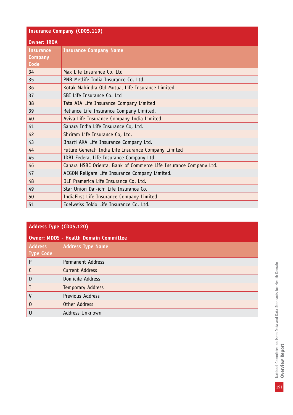| <b>Insurance Company (CD05.119)</b> |                                                                   |  |
|-------------------------------------|-------------------------------------------------------------------|--|
| <b>Owner: IRDA</b>                  |                                                                   |  |
| <b>Insurance</b>                    | <b>Insurance Company Name</b>                                     |  |
| <b>Company</b>                      |                                                                   |  |
| Code                                |                                                                   |  |
| 34                                  | Max Life Insurance Co. Ltd                                        |  |
| 35                                  | PNB Metlife India Insurance Co. Ltd.                              |  |
| 36                                  | Kotak Mahindra Old Mutual Life Insurance Limited                  |  |
| 37                                  | SBI Life Insurance Co. Ltd                                        |  |
| 38                                  | Tata AIA Life Insurance Company Limited                           |  |
| 39                                  | Reliance Life Insurance Company Limited.                          |  |
| 40                                  | Aviva Life Insurance Company India Limited                        |  |
| 41                                  | Sahara India Life Insurance Co, Ltd.                              |  |
| 42                                  | Shriram Life Insurance Co, Ltd.                                   |  |
| 43                                  | Bharti AXA Life Insurance Company Ltd.                            |  |
| 44                                  | Future Generali India Life Insurance Company Limited              |  |
| 45                                  | IDBI Federal Life Insurance Company Ltd                           |  |
| 46                                  | Canara HSBC Oriental Bank of Commerce Life Insurance Company Ltd. |  |
| 47                                  | AEGON Religare Life Insurance Company Limited.                    |  |
| 48                                  | DLF Pramerica Life Insurance Co. Ltd.                             |  |
| 49                                  | Star Union Dai-ichi Life Insurance Co.                            |  |
| 50                                  | IndiaFirst Life Insurance Company Limited                         |  |
| 51                                  | Edelweiss Tokio Life Insurance Co. Ltd.                           |  |

| Address Type (CD05.120)                      |                          |
|----------------------------------------------|--------------------------|
| <b>Owner: MDDS - Health Domain Committee</b> |                          |
| <b>Address</b><br><b>Type Code</b>           | <b>Address Type Name</b> |
| P                                            | <b>Permanent Address</b> |
|                                              | Current Address          |
| D                                            | Domicile Address         |
| T                                            | <b>Temporary Address</b> |
| $\mathsf{V}$                                 | Previous Address         |
| $\overline{0}$                               | Other Address            |
| U                                            | Address Unknown          |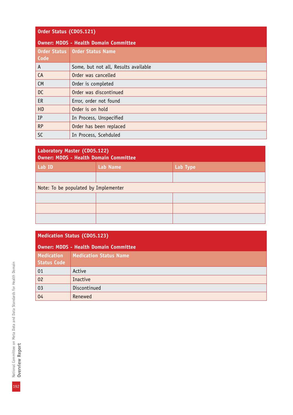| Order Status (CD05.121) |                                              |  |
|-------------------------|----------------------------------------------|--|
|                         | <b>Owner: MDDS - Health Domain Committee</b> |  |
| Code                    | Order Status   Order Status Name             |  |
| A                       | Some, but not all, Results available         |  |
| CA                      | Order was cancelled                          |  |
| <b>CM</b>               | Order is completed                           |  |
| DC                      | Order was discontinued                       |  |
| ER                      | Error, order not found                       |  |
| HD                      | Order is on hold                             |  |
| IP                      | In Process, Unspecified                      |  |
| <b>RP</b>               | Order has been replaced                      |  |
| <b>SC</b>               | In Process, Scehduled                        |  |

| Laboratory Master (CD05.122)<br><b>Owner: MDDS - Health Domain Committee</b> |                 |          |
|------------------------------------------------------------------------------|-----------------|----------|
| Lab ID                                                                       | <b>Lab Name</b> | Lab Type |
|                                                                              |                 |          |
| Note: To be populated by Implementer                                         |                 |          |
|                                                                              |                 |          |
|                                                                              |                 |          |
|                                                                              |                 |          |

| <b>Medication Status (CD05.123)</b>     |                                              |  |
|-----------------------------------------|----------------------------------------------|--|
|                                         | <b>Owner: MDDS - Health Domain Committee</b> |  |
| <b>Medication</b><br><b>Status Code</b> | <b>Medication Status Name</b>                |  |
| 01                                      | Active                                       |  |
| 02                                      | Inactive                                     |  |
| 03                                      | Discontinued                                 |  |
| 04                                      | Renewed                                      |  |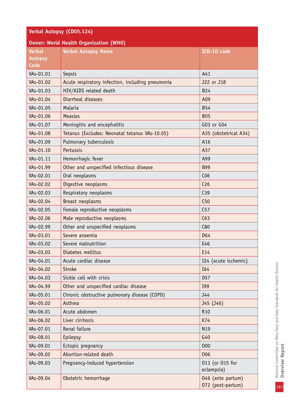| Verbal Autopsy (CD05.124)                      |                                                  |                                        |
|------------------------------------------------|--------------------------------------------------|----------------------------------------|
| <b>Owner: World Health Organization (WHO)</b>  |                                                  |                                        |
| <b>Verbal</b><br><b>Autopsy</b><br><b>Code</b> | <b>Verbal Autopsy Name</b>                       | ICD-10 code                            |
| VAs-01.01                                      | Sepsis                                           | A41                                    |
| VAs-01.02                                      | Acute respiratory infection, including pneumonia | J22 or J18                             |
| VAs-01.03                                      | HIV/AIDS related death                           | <b>B24</b>                             |
| VAs-01.04                                      | Diarrheal diseases                               | A09                                    |
| VAs-01.05                                      | Malaria                                          | <b>B54</b>                             |
| VAs-01.06                                      | <b>Measles</b>                                   | <b>B05</b>                             |
| VAs-01.07                                      | Meningitis and encephalitis                      | G03 or G04                             |
| VAs-01.08                                      | Tetanus (Excludes: Neonatal tetanus VAs-10.05)   | A35 (obstetrical A34)                  |
| VAs-01.09                                      | Pulmonary tuberculosis                           | A16                                    |
| VAs-01.10                                      | Pertussis                                        | A37                                    |
| VAs-01.11                                      | Hemorrhagic fever                                | A99                                    |
| VAs-01.99                                      | Other and unspecified infectious disease         | <b>B99</b>                             |
| VAs-02.01                                      | Oral neoplasms                                   | C <sub>06</sub>                        |
| VAs-02.02                                      | Digestive neoplasms                              | C <sub>26</sub>                        |
| VAs-02.03                                      | Respiratory neoplasms                            | C39                                    |
| VAs-02.04                                      | Breast neoplasms                                 | C50                                    |
| VAs-02.05                                      | Female reproductive neoplasms                    | C <sub>57</sub>                        |
| VAs-02.06                                      | Male reproductive neoplasms                      | C63                                    |
| VAs-02.99                                      | Other and unspecified neoplasms                  | C80                                    |
| VAs-03.01                                      | Severe anaemia                                   | D64                                    |
| VAs-03.02                                      | Severe malnutrition                              | E46                                    |
| VAs-03.03                                      | Diabetes mellitus                                | E14                                    |
| VAs-04.01                                      | Acute cardiac disease                            | I24 (acute ischemic)                   |
| VAs-04.02                                      | <b>Stroke</b>                                    | I64                                    |
| VAs-04.03                                      | Sickle cell with crisis                          | D <sub>57</sub>                        |
| VAs-04.99                                      | Other and unspecified cardiac disease            | I99                                    |
| VAs-05.01                                      | Chronic obstructive pulmonary disease (COPD)     | J44                                    |
| VAs-05.02                                      | Asthma                                           | J45 (J46)                              |
| VAs-06.01                                      | Acute abdomen                                    | R <sub>10</sub>                        |
| VAs-06.02                                      | Liver cirrhosis                                  | K74                                    |
| VAs-07.01                                      | Renal failure                                    | N19                                    |
| VAs-08.01                                      | Epilepsy                                         | G40                                    |
| VAs-09.01                                      | Ectopic pregnancy                                | 000                                    |
| VAs-09.02                                      | Abortion-related death                           | 006                                    |
| VAs-09.03                                      | Pregnancy-induced hypertension                   | 013 (or 015 for<br>eclampsia)          |
| VAs-09.04                                      | Obstetric hemorrhage                             | 046 (ante partum)<br>072 (post-partum) |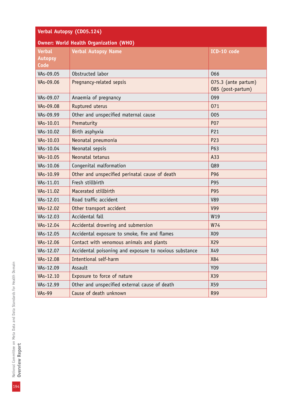| Verbal Autopsy (CD05.124)                     |                                                        |                                          |
|-----------------------------------------------|--------------------------------------------------------|------------------------------------------|
| <b>Owner: World Health Organization (WHO)</b> |                                                        |                                          |
| <b>Verbal</b>                                 | <b>Verbal Autopsy Name</b>                             | ICD-10 code                              |
| <b>Autopsy</b>                                |                                                        |                                          |
| Code                                          |                                                        |                                          |
| VAs-09.05                                     | Obstructed labor                                       | 066                                      |
| VAs-09.06                                     | Pregnancy-related sepsis                               | 075.3 (ante partum)<br>085 (post-partum) |
| VAs-09.07                                     | Anaemia of pregnancy                                   | 099                                      |
| VAs-09.08                                     | Ruptured uterus                                        | 071                                      |
| VAs-09.99                                     | Other and unspecified maternal cause                   | 005                                      |
| VAs-10.01                                     | Prematurity                                            | <b>P07</b>                               |
| VAs-10.02                                     | Birth asphyxia                                         | P21                                      |
| VAs-10.03                                     | Neonatal pneumonia                                     | P23                                      |
| VAs-10.04                                     | Neonatal sepsis                                        | P63                                      |
| VAs-10.05                                     | Neonatal tetanus                                       | A33                                      |
| VAs-10.06                                     | Congenital malformation                                | Q89                                      |
| VAs-10.99                                     | Other and unspecified perinatal cause of death         | P96                                      |
| VAs-11.01                                     | Fresh stillbirth                                       | P95                                      |
| VAs-11.02                                     | Macerated stillbirth                                   | P95                                      |
| VAs-12.01                                     | Road traffic accident                                  | <b>V89</b>                               |
| VAs-12.02                                     | Other transport accident                               | <b>V99</b>                               |
| VAs-12.03                                     | Accidental fall                                        | W19                                      |
| VAs-12.04                                     | Accidental drowning and submersion                     | W74                                      |
| VAs-12.05                                     | Accidental exposure to smoke, fire and flames          | X09                                      |
| VAs-12.06                                     | Contact with venomous animals and plants               | X29                                      |
| VAs-12.07                                     | Accidental poisoning and exposure to noxious substance | X49                                      |
| VAs-12.08                                     | Intentional self-harm                                  | X84                                      |
| VAs-12.09                                     | Assault                                                | Y09                                      |
| VAs-12.10                                     | Exposure to force of nature                            | X39                                      |
| VAs-12.99                                     | Other and unspecified external cause of death          | X59                                      |
| <b>VAs-99</b>                                 | Cause of death unknown                                 | R99                                      |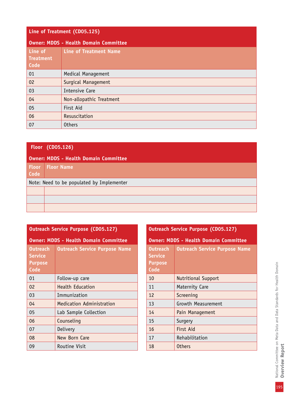| Line of Treatment (CD05.125)        |                                              |
|-------------------------------------|----------------------------------------------|
|                                     | <b>Owner: MDDS - Health Domain Committee</b> |
| Line of<br><b>Treatment</b><br>Code | <b>Line of Treatment Name</b>                |
| 01                                  | Medical Management                           |
| 02                                  | Surgical Management                          |
| 03                                  | <b>Intensive Care</b>                        |
| 04                                  | Non-allopathic Treatment                     |
| 05                                  | First Aid                                    |
| 06                                  | Resuscitation                                |
| 07                                  | <b>Others</b>                                |

|                                           | Floor (CD05.126)                             |  |
|-------------------------------------------|----------------------------------------------|--|
|                                           | <b>Owner: MDDS - Health Domain Committee</b> |  |
| <b>Floor</b><br>Code                      | <b>Floor Name</b>                            |  |
| Note: Need to be populated by Implementer |                                              |  |
|                                           |                                              |  |
|                                           |                                              |  |
|                                           |                                              |  |

| <b>Outreach Service Purpose (CD05.127)</b>    |                                      |  |
|-----------------------------------------------|--------------------------------------|--|
| <b>Owner: MDDS - Health Domain Committee</b>  |                                      |  |
| Outreach<br>Service<br><b>Purpose</b><br>Code | <b>Outreach Service Purpose Name</b> |  |
| 01                                            | Follow-up care                       |  |
| 02                                            | <b>Health Education</b>              |  |
| 03                                            | Immunization                         |  |
| 04                                            | Medication Administration            |  |
| 05                                            | Lab Sample Collection                |  |
| 06                                            | Counseling                           |  |
| 07                                            | Delivery                             |  |
| 08                                            | New Born Care                        |  |
| 09                                            | Routine Visit                        |  |

| <b>Outreach Service Purpose (CD05.127)</b>                  |                                              |  |
|-------------------------------------------------------------|----------------------------------------------|--|
|                                                             | <b>Owner: MDDS - Health Domain Committee</b> |  |
| <b>Outreach</b><br><b>Service</b><br><b>Purpose</b><br>Code | <b>Outreach Service Purpose Name</b>         |  |
| 10                                                          | <b>Nutritional Support</b>                   |  |
| 11                                                          | Maternity Care                               |  |
| 12                                                          | Screening                                    |  |
| 13                                                          | Growth Measurement                           |  |
| 14                                                          | Pain Management                              |  |
| 15                                                          | Surgery                                      |  |
| 16                                                          | First Aid                                    |  |
| 17                                                          | Rehabilitation                               |  |
| 18                                                          | <b>Others</b>                                |  |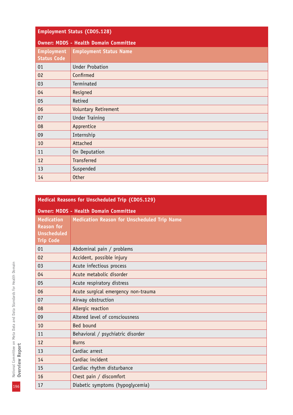| <b>Employment Status (CD05.128)</b>     |                                              |  |
|-----------------------------------------|----------------------------------------------|--|
|                                         | <b>Owner: MDDS - Health Domain Committee</b> |  |
| <b>Employment</b><br><b>Status Code</b> | <b>Employment Status Name</b>                |  |
| 01                                      | <b>Under Probation</b>                       |  |
| 02                                      | Confirmed                                    |  |
| 03                                      | Terminated                                   |  |
| 04                                      | Resigned                                     |  |
| 05                                      | Retired                                      |  |
| 06                                      | <b>Voluntary Retirement</b>                  |  |
| 07                                      | <b>Under Training</b>                        |  |
| 08                                      | Apprentice                                   |  |
| 09                                      | Internship                                   |  |
| 10                                      | Attached                                     |  |
| 11                                      | On Deputation                                |  |
| 12                                      | <b>Transferred</b>                           |  |
| 13                                      | Suspended                                    |  |
| 14                                      | <b>Other</b>                                 |  |

| Medical Reasons for Unscheduled Trip (CD05.129)                                  |                                                    |  |
|----------------------------------------------------------------------------------|----------------------------------------------------|--|
| <b>Owner: MDDS - Health Domain Committee</b>                                     |                                                    |  |
| <b>Medication</b><br><b>Reason for</b><br><b>Unscheduled</b><br><b>Trip Code</b> | <b>Medication Reason for Unscheduled Trip Name</b> |  |
| 01                                                                               | Abdominal pain / problems                          |  |
| 02                                                                               | Accident, possible injury                          |  |
| 03                                                                               | Acute infectious process                           |  |
| 04                                                                               | Acute metabolic disorder                           |  |
| 05                                                                               | Acute respiratory distress                         |  |
| 06                                                                               | Acute surgical emergency non-trauma                |  |
| 07                                                                               | Airway obstruction                                 |  |
| 08                                                                               | Allergic reaction                                  |  |
| 09                                                                               | Altered level of consciousness                     |  |
| 10                                                                               | Bed bound                                          |  |
| 11                                                                               | Behavioral / psychiatric disorder                  |  |
| 12                                                                               | <b>Burns</b>                                       |  |
| 13                                                                               | Cardiac arrest                                     |  |
| 14                                                                               | Cardiac incident                                   |  |
| 15                                                                               | Cardiac rhythm disturbance                         |  |
| 16                                                                               | Chest pain / discomfort                            |  |
| 17                                                                               | Diabetic symptoms (hypoglycemia)                   |  |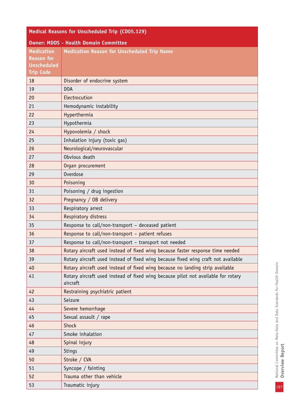| Medical Reasons for Unscheduled Trip (CD05.129)                                  |                                                                                               |  |  |
|----------------------------------------------------------------------------------|-----------------------------------------------------------------------------------------------|--|--|
| <b>Owner: MDDS - Health Domain Committee</b>                                     |                                                                                               |  |  |
| <b>Medication</b><br><b>Reason for</b><br><b>Unscheduled</b><br><b>Trip Code</b> | <b>Medication Reason for Unscheduled Trip Name</b>                                            |  |  |
| 18                                                                               | Disorder of endocrine system                                                                  |  |  |
| 19                                                                               | D <sub>O</sub> A                                                                              |  |  |
| 20                                                                               | Electrocution                                                                                 |  |  |
| 21                                                                               | Hemodynamic instability                                                                       |  |  |
| 22                                                                               | Hyperthermia                                                                                  |  |  |
| 23                                                                               | Hypothermia                                                                                   |  |  |
| 24                                                                               | Hypovolemia / shock                                                                           |  |  |
| 25                                                                               | Inhalation injury (toxic gas)                                                                 |  |  |
| 26                                                                               | Neurological/neurovascular                                                                    |  |  |
| 27                                                                               | Obvious death                                                                                 |  |  |
| 28                                                                               | Organ procurement                                                                             |  |  |
| 29                                                                               | Overdose                                                                                      |  |  |
| 30                                                                               | Poisoning                                                                                     |  |  |
| 31                                                                               | Poisoning / drug ingestion                                                                    |  |  |
| 32                                                                               | Pregnancy / OB delivery                                                                       |  |  |
| 33                                                                               | Respiratory arrest                                                                            |  |  |
| 34                                                                               | Respiratory distress                                                                          |  |  |
| 35                                                                               | Response to call/non-transport - deceased patient                                             |  |  |
| 36                                                                               | Response to call/non-transport - patient refuses                                              |  |  |
| 37                                                                               | Response to call/non-transport - transport not needed                                         |  |  |
| 38                                                                               | Rotary aircraft used instead of fixed wing because faster response time needed                |  |  |
| 39                                                                               | Rotary aircraft used instead of fixed wing because fixed wing craft not available             |  |  |
| 40                                                                               | Rotary aircraft used instead of fixed wing because no landing strip available                 |  |  |
| 41                                                                               | Rotary aircraft used instead of fixed wing because pilot not available for rotary<br>aircraft |  |  |
| 42                                                                               | Restraining psychiatric patient                                                               |  |  |
| 43                                                                               | Seizure                                                                                       |  |  |
| 44                                                                               | Severe hemorrhage                                                                             |  |  |
| 45                                                                               | Sexual assault / rape                                                                         |  |  |
| 46                                                                               | <b>Shock</b>                                                                                  |  |  |
| 47                                                                               | Smoke inhalation                                                                              |  |  |
| 48                                                                               | Spinal injury                                                                                 |  |  |
| 49                                                                               | Stings                                                                                        |  |  |
| 50                                                                               | Stroke / CVA                                                                                  |  |  |
| 51                                                                               | Syncope / fainting                                                                            |  |  |
| 52                                                                               | Trauma other than vehicle                                                                     |  |  |
| 53                                                                               | Traumatic injury                                                                              |  |  |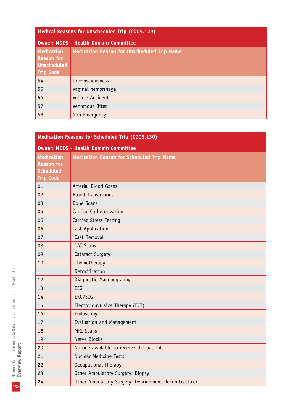| Medical Reasons for Unscheduled Trip (CD05.129) |  |  |
|-------------------------------------------------|--|--|
|                                                 |  |  |

| <b>Owner: MDDS - Health Domain Committee</b>                              |                                                    |  |
|---------------------------------------------------------------------------|----------------------------------------------------|--|
| Medication<br><b>Reason for</b><br><b>Unscheduled</b><br><b>Trip Code</b> | <b>Medication Reason for Unscheduled Trip Name</b> |  |
| 54                                                                        | Unconsciousness                                    |  |
| 55                                                                        | Vaginal hemorrhage                                 |  |
| 56                                                                        | Vehicle Accident                                   |  |
| 57                                                                        | Venomous Bites                                     |  |
| 58                                                                        | Non-Emergency                                      |  |

| Medication Reasons for Scheduled Trip (CD05.130) |                                                       |  |
|--------------------------------------------------|-------------------------------------------------------|--|
| <b>Owner: MDDS - Health Domain Committee</b>     |                                                       |  |
| <b>Medication</b>                                | <b>Medication Reason for Scheduled Trip Name</b>      |  |
| <b>Reason for</b>                                |                                                       |  |
| <b>Scheduled</b><br><b>Trip Code</b>             |                                                       |  |
| 01                                               | <b>Arterial Blood Gases</b>                           |  |
| 02                                               | <b>Blood Transfusions</b>                             |  |
| 03                                               | <b>Bone Scans</b>                                     |  |
| 04                                               | Cardiac Catheterization                               |  |
| 05                                               | Cardiac Stress Testing                                |  |
| 06                                               |                                                       |  |
| 07                                               | Cast Application<br>Cast Removal                      |  |
| 08                                               | <b>CAT Scans</b>                                      |  |
| 09                                               |                                                       |  |
|                                                  | Cataract Surgery                                      |  |
| 10                                               | Chemotherapy                                          |  |
| 11                                               | Detoxification                                        |  |
| 12                                               | Diagnostic Mammography                                |  |
| 13                                               | EEG                                                   |  |
| 14                                               | EKG/ECG                                               |  |
| 15                                               | Electroconvulsive Therapy (ECT)                       |  |
| 16                                               | Endoscopy                                             |  |
| 17                                               | Evaluation and Management                             |  |
| 18                                               | <b>MRI Scans</b>                                      |  |
| 19                                               | Nerve Blocks                                          |  |
| 20                                               | No one available to receive the patient               |  |
| 21                                               | <b>Nuclear Medicine Tests</b>                         |  |
| 22                                               | Occupational Therapy                                  |  |
| 23                                               | Other Ambulatory Surgery: Biopsy                      |  |
| 24                                               | Other Ambulatory Surgery: Debridement Decubitis Ulcer |  |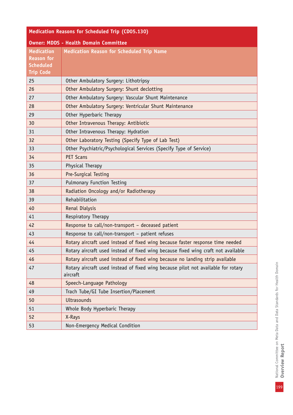| Medication Reasons for Scheduled Trip (CD05.130)                               |                                                                                               |  |  |
|--------------------------------------------------------------------------------|-----------------------------------------------------------------------------------------------|--|--|
| <b>Owner: MDDS - Health Domain Committee</b>                                   |                                                                                               |  |  |
| <b>Medication</b><br><b>Reason for</b><br><b>Scheduled</b><br><b>Trip Code</b> | <b>Medication Reason for Scheduled Trip Name</b>                                              |  |  |
| 25                                                                             | Other Ambulatory Surgery: Lithotripsy                                                         |  |  |
| 26                                                                             | Other Ambulatory Surgery: Shunt declotting                                                    |  |  |
| 27                                                                             | Other Ambulatory Surgery: Vascular Shunt Maintenance                                          |  |  |
| 28                                                                             | Other Ambulatory Surgery: Ventricular Shunt Maintenance                                       |  |  |
| 29                                                                             | Other Hyperbaric Therapy                                                                      |  |  |
| 30                                                                             | Other Intravenous Therapy: Antibiotic                                                         |  |  |
| 31                                                                             | Other Intravenous Therapy: Hydration                                                          |  |  |
| 32                                                                             | Other Laboratory Testing (Specify Type of Lab Test)                                           |  |  |
| 33                                                                             | Other Psychiatric/Psychological Services (Specify Type of Service)                            |  |  |
| 34                                                                             | <b>PET Scans</b>                                                                              |  |  |
| 35                                                                             | Physical Therapy                                                                              |  |  |
| 36                                                                             | Pre-Surgical Testing                                                                          |  |  |
| 37                                                                             | <b>Pulmonary Function Testing</b>                                                             |  |  |
| 38                                                                             | Radiation Oncology and/or Radiotherapy                                                        |  |  |
| 39                                                                             | Rehabilitation                                                                                |  |  |
| 40                                                                             | Renal Dialysis                                                                                |  |  |
| 41                                                                             | Respiratory Therapy                                                                           |  |  |
| 42                                                                             | Response to call/non-transport - deceased patient                                             |  |  |
| 43                                                                             | Response to call/non-transport - patient refuses                                              |  |  |
| 44                                                                             | Rotary aircraft used instead of fixed wing because faster response time needed                |  |  |
| 45                                                                             | Rotary aircraft used instead of fixed wing because fixed wing craft not available             |  |  |
| 46                                                                             | Rotary aircraft used instead of fixed wing because no landing strip available                 |  |  |
| 47                                                                             | Rotary aircraft used instead of fixed wing because pilot not available for rotary<br>aircraft |  |  |
| 48                                                                             | Speech-Language Pathology                                                                     |  |  |
| 49                                                                             | Trach Tube/GI Tube Insertion/Placement                                                        |  |  |
| 50                                                                             | <b>Ultrasounds</b>                                                                            |  |  |
| 51                                                                             | Whole Body Hyperbaric Therapy                                                                 |  |  |
| 52                                                                             | X-Rays                                                                                        |  |  |
| 53                                                                             | Non-Emergency Medical Condition                                                               |  |  |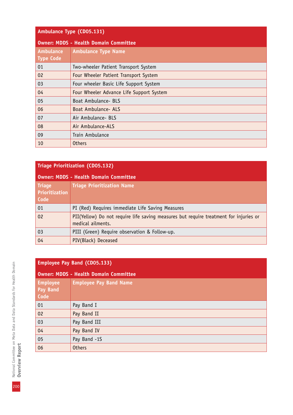|  | Ambulance Type (CD05.131) |  |
|--|---------------------------|--|
|  |                           |  |

| <b>Owner: MDDS - Health Domain Committee</b> |                                          |  |
|----------------------------------------------|------------------------------------------|--|
| <b>Ambulance</b>                             | <b>Ambulance Type Name</b>               |  |
| Type Code                                    |                                          |  |
| 01                                           | Two-wheeler Patient Transport System     |  |
| 02                                           | Four Wheeler Patient Transport System    |  |
| 03                                           | Four wheeler Basic Life Support System   |  |
| 04                                           | Four Wheeler Advance Life Support System |  |
| 05                                           | Boat Ambulance- BLS                      |  |
| 06                                           | Boat Ambulance- ALS                      |  |
| 07                                           | Air Ambulance- BLS                       |  |
| 08                                           | Air Ambulance-ALS                        |  |
| 09                                           | Train Ambulance                          |  |
| 10                                           | <b>Others</b>                            |  |

| <b>Triage Prioritization (CD05.132)</b>      |                                                                                                            |  |
|----------------------------------------------|------------------------------------------------------------------------------------------------------------|--|
| <b>Owner: MDDS - Health Domain Committee</b> |                                                                                                            |  |
| <b>Triage</b><br>Prioritization<br>Code      | <b>Triage Prioritization Name</b>                                                                          |  |
| 01                                           | PI (Red) Requires immediate Life Saving Measures                                                           |  |
| 02                                           | PII(Yellow) Do not require life saving measures but require treatment for injuries or<br>medical ailments. |  |
| 03                                           | PIII (Green) Require observation & Follow-up.                                                              |  |
| 04                                           | PIV(Black) Deceased                                                                                        |  |

| <b>Owner: MDDS - Health Domain Committee</b> |                               |  |
|----------------------------------------------|-------------------------------|--|
| <b>Employee</b><br>Pay Band<br>Code          | <b>Employee Pay Band Name</b> |  |
| 01                                           | Pay Band I                    |  |
| 02                                           | Pay Band II                   |  |
| 03                                           | Pay Band III                  |  |
| 04                                           | Pay Band IV                   |  |
| 05                                           | Pay Band -1S                  |  |
| 06                                           | <b>Others</b>                 |  |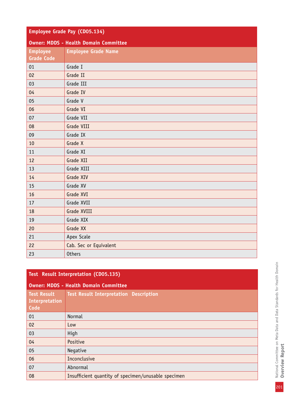| Employee Grade Pay (CD05.134)                |                            |  |
|----------------------------------------------|----------------------------|--|
| <b>Owner: MDDS - Health Domain Committee</b> |                            |  |
| <b>Employee</b><br><b>Grade Code</b>         | <b>Employee Grade Name</b> |  |
| 01                                           | Grade I                    |  |
| 02                                           | Grade II                   |  |
| 03                                           | Grade III                  |  |
| 04                                           | Grade IV                   |  |
| 05                                           | Grade V                    |  |
| 06                                           | Grade VI                   |  |
| 07                                           | Grade VII                  |  |
| 08                                           | Grade VIII                 |  |
| 09                                           | Grade IX                   |  |
| 10                                           | Grade X                    |  |
| 11                                           | Grade XI                   |  |
| 12                                           | Grade XII                  |  |
| 13                                           | Grade XIII                 |  |
| 14                                           | Grade XIV                  |  |
| 15                                           | Grade XV                   |  |
| 16                                           | Grade XVI                  |  |
| 17                                           | Grade XVII                 |  |
| 18                                           | Grade XVIII                |  |
| 19                                           | Grade XIX                  |  |
| 20                                           | Grade XX                   |  |
| 21                                           | Apex Scale                 |  |
| 22                                           | Cab. Sec or Equivalent     |  |
| 23                                           | <b>Others</b>              |  |

| <b>Test Result Interpretation (CD05.135)</b> |                                                     |  |
|----------------------------------------------|-----------------------------------------------------|--|
| <b>Owner: MDDS - Health Domain Committee</b> |                                                     |  |
| <b>Test Result</b><br>Interpretation<br>Code | <b>Test Result Interpretation Description</b>       |  |
| 01                                           | Normal                                              |  |
| 02                                           | Low                                                 |  |
| 03                                           | High                                                |  |
| 04                                           | Positive                                            |  |
| 05                                           | Negative                                            |  |
| 06                                           | Inconclusive                                        |  |
| 07                                           | Abnormal                                            |  |
| 08                                           | Insufficient quantity of specimen/unusable specimen |  |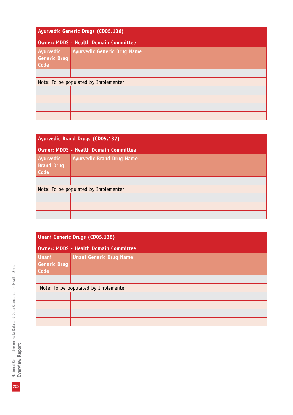| Ayurvedic Generic Drugs (CD05.136)           |                                    |
|----------------------------------------------|------------------------------------|
| <b>Owner: MDDS - Health Domain Committee</b> |                                    |
| Ayurvedic<br><b>Generic Drug</b><br>Code     | <b>Ayurvedic Generic Drug Name</b> |
|                                              |                                    |
| Note: To be populated by Implementer         |                                    |
|                                              |                                    |
|                                              |                                    |
|                                              |                                    |
|                                              |                                    |

| <b>Ayurvedic Brand Drugs (CD05.137)</b>      |                                  |
|----------------------------------------------|----------------------------------|
| <b>Owner: MDDS - Health Domain Committee</b> |                                  |
| Ayurvedic<br><b>Brand Drug</b><br>Code       | <b>Ayurvedic Brand Drug Name</b> |
|                                              |                                  |
| Note: To be populated by Implementer         |                                  |
|                                              |                                  |
|                                              |                                  |
|                                              |                                  |

| Unani Generic Drugs (CD05.138)               |                                      |  |
|----------------------------------------------|--------------------------------------|--|
| <b>Owner: MDDS - Health Domain Committee</b> |                                      |  |
| <b>Unani</b><br><b>Generic Drug</b><br>Code  | <b>Unani Generic Drug Name</b>       |  |
|                                              |                                      |  |
|                                              | Note: To be populated by Implementer |  |
|                                              |                                      |  |
|                                              |                                      |  |
|                                              |                                      |  |
|                                              |                                      |  |